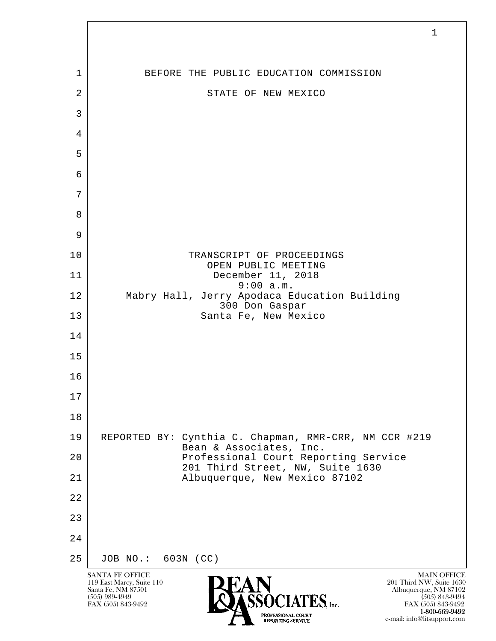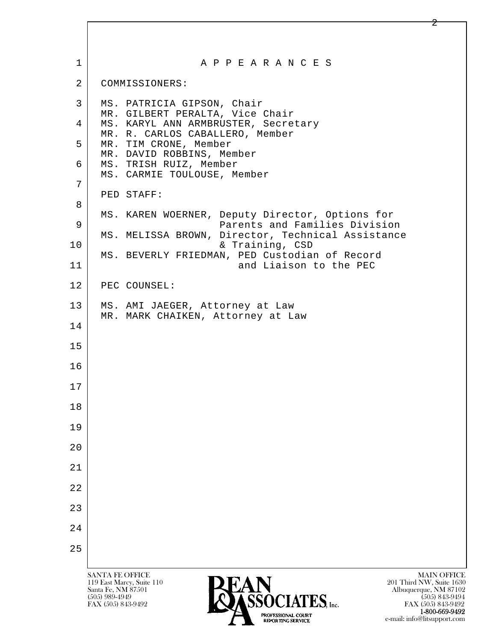| $\mathbf 1$    | A P P E A R A N C E S                                                                                                                                                                                                                                                                                                                                       |
|----------------|-------------------------------------------------------------------------------------------------------------------------------------------------------------------------------------------------------------------------------------------------------------------------------------------------------------------------------------------------------------|
| $\overline{2}$ | COMMISSIONERS:                                                                                                                                                                                                                                                                                                                                              |
| 3              | MS. PATRICIA GIPSON, Chair<br>MR. GILBERT PERALTA, Vice Chair                                                                                                                                                                                                                                                                                               |
| 4              | MS. KARYL ANN ARMBRUSTER, Secretary<br>MR. R. CARLOS CABALLERO, Member                                                                                                                                                                                                                                                                                      |
| 5              | MR. TIM CRONE, Member<br>MR. DAVID ROBBINS, Member                                                                                                                                                                                                                                                                                                          |
| 6              | MS. TRISH RUIZ, Member<br>MS. CARMIE TOULOUSE, Member                                                                                                                                                                                                                                                                                                       |
| 7              |                                                                                                                                                                                                                                                                                                                                                             |
| 8              | PED STAFF:                                                                                                                                                                                                                                                                                                                                                  |
| 9              | MS. KAREN WOERNER, Deputy Director, Options for<br>Parents and Families Division                                                                                                                                                                                                                                                                            |
| 10             | MS. MELISSA BROWN, Director, Technical Assistance<br>& Training, CSD                                                                                                                                                                                                                                                                                        |
| 11             | MS. BEVERLY FRIEDMAN, PED Custodian of Record<br>and Liaison to the PEC                                                                                                                                                                                                                                                                                     |
| 12             | PEC COUNSEL:                                                                                                                                                                                                                                                                                                                                                |
| 13             | MS. AMI JAEGER, Attorney at Law                                                                                                                                                                                                                                                                                                                             |
| 14             | MR. MARK CHAIKEN, Attorney at Law                                                                                                                                                                                                                                                                                                                           |
| 15             |                                                                                                                                                                                                                                                                                                                                                             |
| 16             |                                                                                                                                                                                                                                                                                                                                                             |
| 17             |                                                                                                                                                                                                                                                                                                                                                             |
| 18             |                                                                                                                                                                                                                                                                                                                                                             |
| 19             |                                                                                                                                                                                                                                                                                                                                                             |
| 20             |                                                                                                                                                                                                                                                                                                                                                             |
| 21             |                                                                                                                                                                                                                                                                                                                                                             |
| 22             |                                                                                                                                                                                                                                                                                                                                                             |
| 23             |                                                                                                                                                                                                                                                                                                                                                             |
| 24             |                                                                                                                                                                                                                                                                                                                                                             |
| 25             |                                                                                                                                                                                                                                                                                                                                                             |
|                | <b>SANTA FE OFFICE</b><br><b>MAIN OFFICE</b><br>201 Third NW, Suite 1630<br>119 East Marcy, Suite 110<br>Santa Fe, NM 87501<br>Albuquerque, NM 87102<br>$(505)$ 989-4949<br>$(505)$ 843-9494<br>OCIATES Inc.<br>FAX (505) 843-9492<br>FAX (505) 843-9492<br>1-800-669-9492<br>PROFESSIONAL COURT<br>e-mail: info@litsupport.com<br><b>REPORTING SERVICE</b> |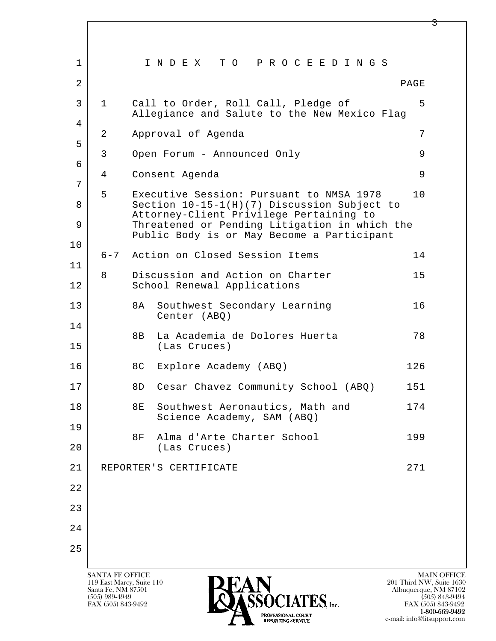| $\mathbf 1$       |              |    | INDEX TO PROCEEDINGS                                                                        |      |
|-------------------|--------------|----|---------------------------------------------------------------------------------------------|------|
| $\overline{a}$    |              |    |                                                                                             | PAGE |
| $\mathbf{3}$<br>4 | $\mathbf{1}$ |    | Call to Order, Roll Call, Pledge of<br>Allegiance and Salute to the New Mexico Flag         | 5    |
|                   | 2            |    | Approval of Agenda                                                                          | 7    |
| 5                 | 3            |    | Open Forum - Announced Only                                                                 | 9    |
| 6                 | 4            |    | Consent Agenda                                                                              | 9    |
| 7                 | 5            |    | Executive Session: Pursuant to NMSA 1978                                                    | 10   |
| 8                 |              |    | Section 10-15-1(H)(7) Discussion Subject to<br>Attorney-Client Privilege Pertaining to      |      |
| 9                 |              |    | Threatened or Pending Litigation in which the<br>Public Body is or May Become a Participant |      |
| 10                |              |    | 6-7 Action on Closed Session Items                                                          | 14   |
| 11                | 8            |    | Discussion and Action on Charter                                                            | 15   |
| 12                |              |    | School Renewal Applications                                                                 |      |
| 13                |              | 8A | Southwest Secondary Learning<br>Center (ABQ)                                                | 16   |
| 14<br>15          |              | 8B | La Academia de Dolores Huerta<br>(Las Cruces)                                               | 78   |
| 16                |              | 8C | Explore Academy (ABQ)                                                                       | 126  |
| 17                |              | 8D | Cesar Chavez Community School (ABQ)                                                         | 151  |
| 18                |              | 8E | Southwest Aeronautics, Math and<br>Science Academy, SAM (ABQ)                               | 174  |
| 19                |              | 8F | Alma d'Arte Charter School                                                                  | 199  |
| 20                |              |    | (Las Cruces)                                                                                |      |
| 21                |              |    | REPORTER'S CERTIFICATE                                                                      | 271  |
| 22                |              |    |                                                                                             |      |
| 23                |              |    |                                                                                             |      |
| 24                |              |    |                                                                                             |      |
| 25                |              |    |                                                                                             |      |
|                   |              |    |                                                                                             |      |

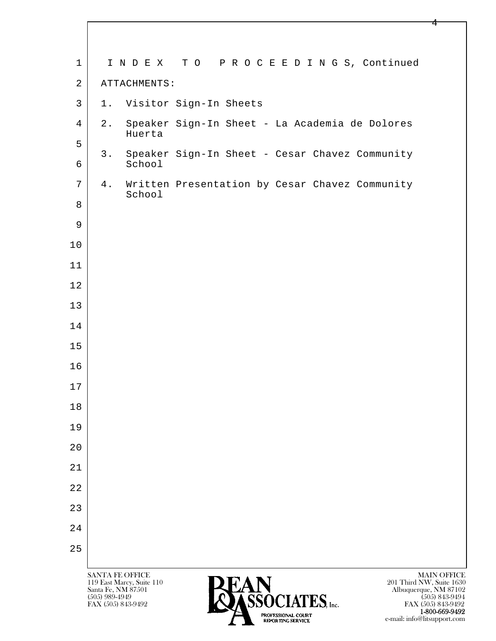| $\mathbf 1$    | INDEX TO PROCEEDINGS, Continued                                                                                                                              |
|----------------|--------------------------------------------------------------------------------------------------------------------------------------------------------------|
| $\overline{a}$ | ATTACHMENTS:                                                                                                                                                 |
| $\mathbf{3}$   | 1. Visitor Sign-In Sheets                                                                                                                                    |
| $\overline{4}$ | Speaker Sign-In Sheet - La Academia de Dolores<br>$2$ .<br>Huerta                                                                                            |
| 5              |                                                                                                                                                              |
| 6              | Speaker Sign-In Sheet - Cesar Chavez Community<br>3.<br>School                                                                                               |
| 7              | Written Presentation by Cesar Chavez Community<br>4.<br>School                                                                                               |
| 8              |                                                                                                                                                              |
| 9              |                                                                                                                                                              |
| $10$           |                                                                                                                                                              |
| 11             |                                                                                                                                                              |
| 12             |                                                                                                                                                              |
| 13             |                                                                                                                                                              |
| 14             |                                                                                                                                                              |
| 15             |                                                                                                                                                              |
| 16             |                                                                                                                                                              |
| 17             |                                                                                                                                                              |
| 18             |                                                                                                                                                              |
| 19             |                                                                                                                                                              |
| 20             |                                                                                                                                                              |
| 21             |                                                                                                                                                              |
| 22             |                                                                                                                                                              |
| 23             |                                                                                                                                                              |
| 24             |                                                                                                                                                              |
| 25             |                                                                                                                                                              |
|                | <b>MAIN OFFICE</b><br>SANTA FE OFFICE<br><b>PEAN</b><br>201 Third NW, Suite 1630<br>119 East Marcy, Suite 110<br>Santa Fe, NM 87501<br>Albuquerque, NM 87102 |

 $\bullet$  (505) 989-4949 (505) 843-9494 FAX (505) 843-9492 **FAX (505) 843-9492** FAX (505) 843-9492 **1-800-669-9492**<br> **EXALTERIONAL CN BT** e-mail: info@litsupport.com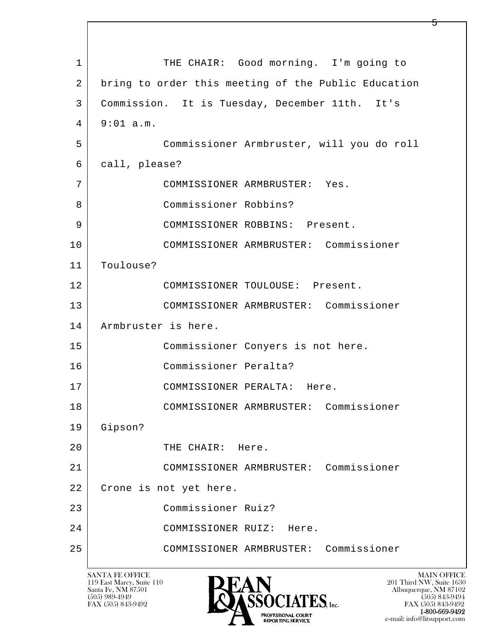l  $\overline{\phantom{a}}$ 1 THE CHAIR: Good morning. I'm going to 2 bring to order this meeting of the Public Education 3 Commission. It is Tuesday, December 11th. It's  $4 \mid 9:01 \text{ a.m.}$  5 Commissioner Armbruster, will you do roll 6 call, please? 7 COMMISSIONER ARMBRUSTER: Yes. 8 Commissioner Robbins? 9 | COMMISSIONER ROBBINS: Present. 10 COMMISSIONER ARMBRUSTER: Commissioner 11 Toulouse? 12 COMMISSIONER TOULOUSE: Present. 13 COMMISSIONER ARMBRUSTER: Commissioner 14 Armbruster is here. 15 | Commissioner Conyers is not here. 16 Commissioner Peralta? 17 COMMISSIONER PERALTA: Here. 18 COMMISSIONER ARMBRUSTER: Commissioner 19 Gipson? 20 THE CHAIR: Here. 21 COMMISSIONER ARMBRUSTER: Commissioner 22 Crone is not yet here. 23 Commissioner Ruiz? 24 COMMISSIONER RUIZ: Here. 25 COMMISSIONER ARMBRUSTER: Commissioner

119 East Marcy, Suite 110<br>Santa Fe, NM 87501



FAX (505) 843-9492 FAX (505) 843-9492 e-mail: info@litsupport.com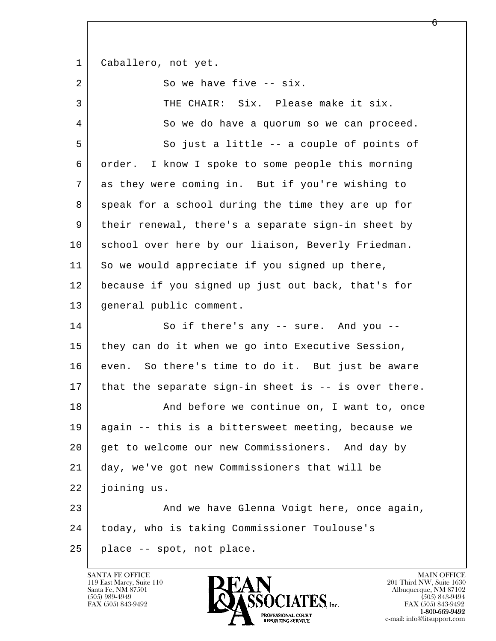1 | Caballero, not yet.

2 So we have five -- six.

l  $\overline{\phantom{a}}$ 3 THE CHAIR: Six. Please make it six. 4 So we do have a quorum so we can proceed. 5 So just a little -- a couple of points of 6 order. I know I spoke to some people this morning 7 as they were coming in. But if you're wishing to 8 speak for a school during the time they are up for 9 their renewal, there's a separate sign-in sheet by 10 school over here by our liaison, Beverly Friedman. 11 So we would appreciate if you signed up there, 12 because if you signed up just out back, that's for 13 general public comment. 14 So if there's any -- sure. And you --15 they can do it when we go into Executive Session, 16 even. So there's time to do it. But just be aware 17 | that the separate sign-in sheet is -- is over there. 18 And before we continue on, I want to, once 19 again -- this is a bittersweet meeting, because we 20 get to welcome our new Commissioners. And day by 21 day, we've got new Commissioners that will be 22 joining us. 23 And we have Glenna Voigt here, once again, 24 today, who is taking Commissioner Toulouse's 25 place -- spot, not place.



FAX (505) 843-9492<br>1-800-669-9492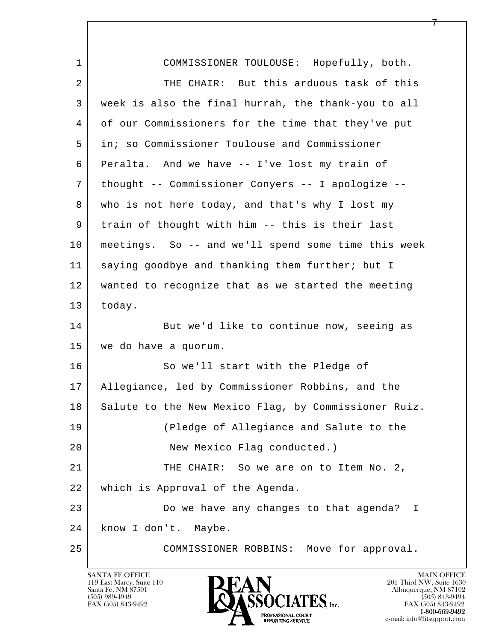| $\mathbf{1}$ | COMMISSIONER TOULOUSE: Hopefully, both.              |
|--------------|------------------------------------------------------|
| 2            | THE CHAIR: But this arduous task of this             |
| 3            | week is also the final hurrah, the thank-you to all  |
| 4            | of our Commissioners for the time that they've put   |
| 5            | in; so Commissioner Toulouse and Commissioner        |
| 6            | Peralta. And we have -- I've lost my train of        |
| 7            | thought -- Commissioner Conyers -- I apologize --    |
| 8            | who is not here today, and that's why I lost my      |
| 9            | train of thought with him -- this is their last      |
| 10           | meetings. So -- and we'll spend some time this week  |
| 11           | saying goodbye and thanking them further; but I      |
| 12           | wanted to recognize that as we started the meeting   |
| 13           | today.                                               |
| 14           | But we'd like to continue now, seeing as             |
| 15           | we do have a quorum.                                 |
| 16           | So we'll start with the Pledge of                    |
| 17           | Allegiance, led by Commissioner Robbins, and the     |
| 18           | Salute to the New Mexico Flag, by Commissioner Ruiz. |
| 19           | (Pledge of Allegiance and Salute to the              |
| 20           | New Mexico Flag conducted.)                          |
| 21           | THE CHAIR: So we are on to Item No. 2,               |
| 22           | which is Approval of the Agenda.                     |
| 23           | Do we have any changes to that agenda? I             |
| 24           | know I don't. Maybe.                                 |
| 25           | Move for approval.<br>COMMISSIONER ROBBINS:          |

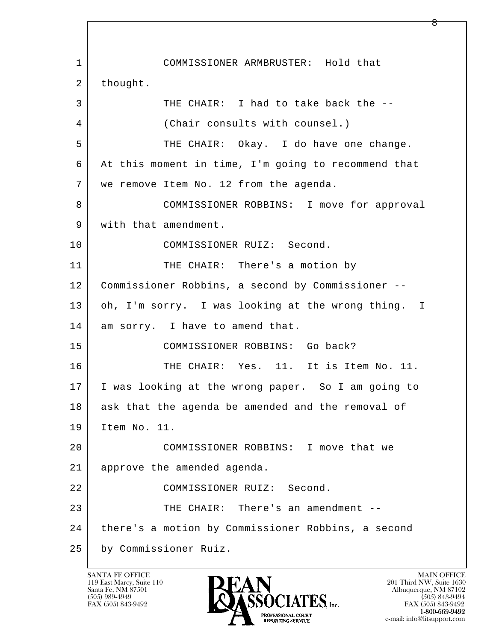l  $\overline{\phantom{a}}$  1 COMMISSIONER ARMBRUSTER: Hold that 2 thought. 3 THE CHAIR: I had to take back the -- 4 (Chair consults with counsel.) 5 THE CHAIR: Okay. I do have one change. 6 At this moment in time, I'm going to recommend that 7 we remove Item No. 12 from the agenda. 8 COMMISSIONER ROBBINS: I move for approval 9 | with that amendment. 10 COMMISSIONER RUIZ: Second. 11 THE CHAIR: There's a motion by 12 Commissioner Robbins, a second by Commissioner -- 13 | oh, I'm sorry. I was looking at the wrong thing. I 14 am sorry. I have to amend that. 15 COMMISSIONER ROBBINS: Go back? 16 THE CHAIR: Yes. 11. It is Item No. 11. 17 I was looking at the wrong paper. So I am going to 18 ask that the agenda be amended and the removal of 19 Item No. 11. 20 COMMISSIONER ROBBINS: I move that we 21 approve the amended agenda. 22 COMMISSIONER RUIZ: Second. 23 | THE CHAIR: There's an amendment --24 | there's a motion by Commissioner Robbins, a second 25 by Commissioner Ruiz.

119 East Marcy, Suite 110<br>Santa Fe, NM 87501

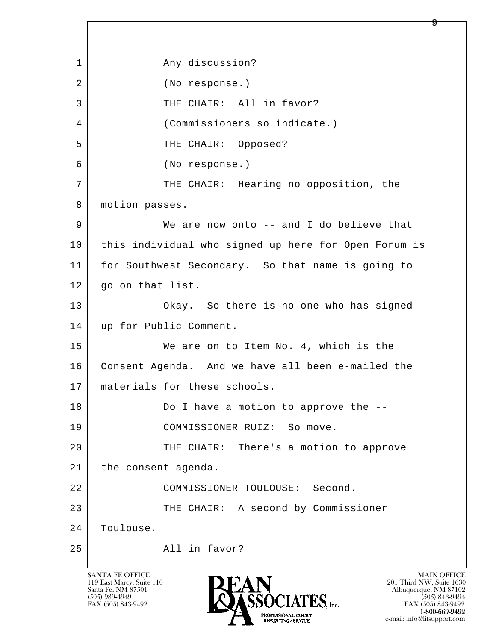l  $\overline{\phantom{a}}$ 1 any discussion? 2 (No response.) 3 THE CHAIR: All in favor? 4 (Commissioners so indicate.) 5 THE CHAIR: Opposed? 6 (No response.) 7 THE CHAIR: Hearing no opposition, the 8 | motion passes. 9 We are now onto -- and I do believe that 10 this individual who signed up here for Open Forum is 11 for Southwest Secondary. So that name is going to 12 go on that list. 13 Okay. So there is no one who has signed 14 | up for Public Comment. 15 We are on to Item No. 4, which is the 16 Consent Agenda. And we have all been e-mailed the 17 materials for these schools. 18 Do I have a motion to approve the -- 19 COMMISSIONER RUIZ: So move. 20 THE CHAIR: There's a motion to approve 21 | the consent agenda. 22 COMMISSIONER TOULOUSE: Second. 23 THE CHAIR: A second by Commissioner 24 | Toulouse. 25 All in favor?

119 East Marcy, Suite 110<br>Santa Fe, NM 87501



FAX (505) 843-9492 FAX (505) 843-9492 e-mail: info@litsupport.com

Q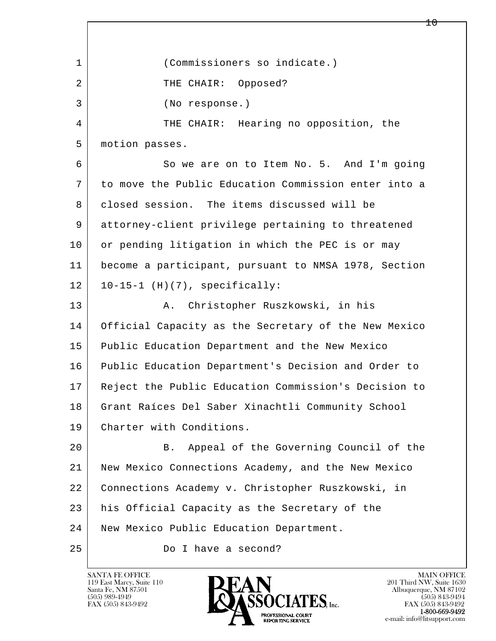l  $\overline{\phantom{a}}$  1 (Commissioners so indicate.) 2 | THE CHAIR: Opposed? 3 (No response.) 4 THE CHAIR: Hearing no opposition, the 5 motion passes. 6 So we are on to Item No. 5. And I'm going 7 to move the Public Education Commission enter into a 8 closed session. The items discussed will be 9 attorney-client privilege pertaining to threatened 10 or pending litigation in which the PEC is or may 11 become a participant, pursuant to NMSA 1978, Section  $12$  |  $10-15-1$  (H)(7), specifically: 13 | A. Christopher Ruszkowski, in his 14 Official Capacity as the Secretary of the New Mexico 15 Public Education Department and the New Mexico 16 Public Education Department's Decision and Order to 17 Reject the Public Education Commission's Decision to 18 Grant Raíces Del Saber Xinachtli Community School 19 Charter with Conditions. 20 B. Appeal of the Governing Council of the 21 New Mexico Connections Academy, and the New Mexico 22 Connections Academy v. Christopher Ruszkowski, in 23 his Official Capacity as the Secretary of the 24 | New Mexico Public Education Department. 25 Do I have a second?

119 East Marcy, Suite 110<br>Santa Fe, NM 87501



 $10 \,$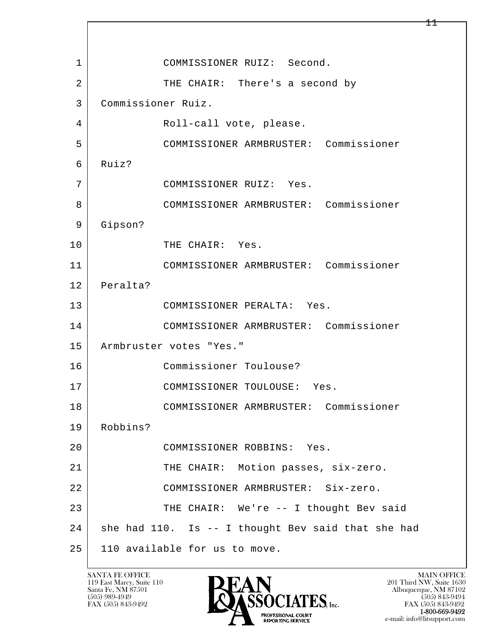l  $\overline{\phantom{a}}$  1 COMMISSIONER RUIZ: Second. 2 THE CHAIR: There's a second by 3 Commissioner Ruiz. 4 Roll-call vote, please. 5 COMMISSIONER ARMBRUSTER: Commissioner 6 Ruiz? 7 COMMISSIONER RUIZ: Yes. 8 COMMISSIONER ARMBRUSTER: Commissioner 9 Gipson? 10 THE CHAIR: Yes. 11 COMMISSIONER ARMBRUSTER: Commissioner 12 Peralta? 13 COMMISSIONER PERALTA: Yes. 14 COMMISSIONER ARMBRUSTER: Commissioner 15 | Armbruster votes "Yes." 16 Commissioner Toulouse? 17 COMMISSIONER TOULOUSE: Yes. 18 COMMISSIONER ARMBRUSTER: Commissioner 19 Robbins? 20 COMMISSIONER ROBBINS: Yes. 21 THE CHAIR: Motion passes, six-zero. 22 COMMISSIONER ARMBRUSTER: Six-zero. 23 THE CHAIR: We're -- I thought Bev said 24 | she had 110. Is -- I thought Bev said that she had 25 | 110 available for us to move.

119 East Marcy, Suite 110<br>Santa Fe, NM 87501



 $\pm\pm$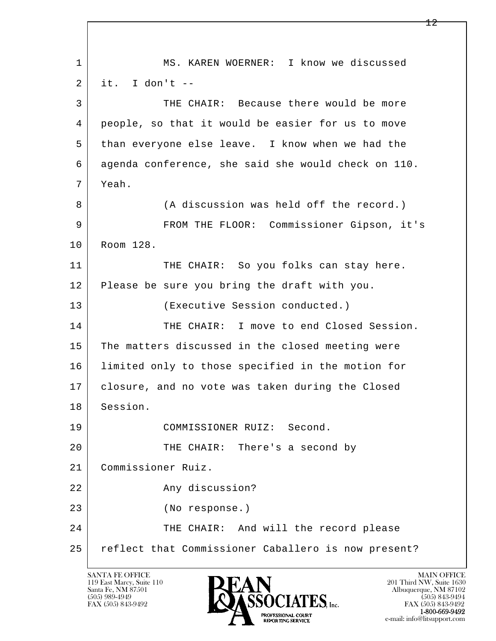l  $\overline{\phantom{a}}$ 1 | MS. KAREN WOERNER: I know we discussed  $2$  it. I don't  $-$  3 THE CHAIR: Because there would be more 4 people, so that it would be easier for us to move 5 than everyone else leave. I know when we had the 6 agenda conference, she said she would check on 110. 7 Yeah. 8 (A discussion was held off the record.) 9 FROM THE FLOOR: Commissioner Gipson, it's 10 Room 128. 11 THE CHAIR: So you folks can stay here. 12 Please be sure you bring the draft with you. 13 (Executive Session conducted.) 14 THE CHAIR: I move to end Closed Session. 15 The matters discussed in the closed meeting were 16 limited only to those specified in the motion for 17 closure, and no vote was taken during the Closed 18 Session. 19 COMMISSIONER RUIZ: Second. 20 | THE CHAIR: There's a second by 21 Commissioner Ruiz. 22 Any discussion? 23 (No response.) 24 THE CHAIR: And will the record please 25 reflect that Commissioner Caballero is now present?

119 East Marcy, Suite 110<br>Santa Fe, NM 87501



FAX (505) 843-9492<br>1-800-669-9492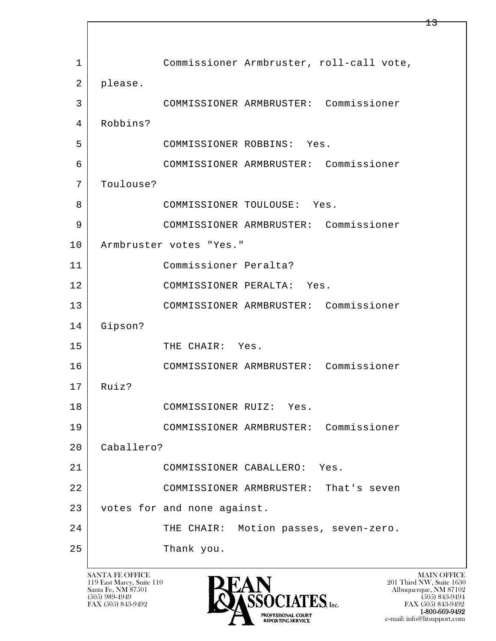l  $\overline{\phantom{a}}$ 1 | Commissioner Armbruster, roll-call vote, 2 please. 3 COMMISSIONER ARMBRUSTER: Commissioner 4 Robbins? 5 COMMISSIONER ROBBINS: Yes. 6 COMMISSIONER ARMBRUSTER: Commissioner 7 Toulouse? 8 | COMMISSIONER TOULOUSE: Yes. 9 COMMISSIONER ARMBRUSTER: Commissioner 10 | Armbruster votes "Yes." 11 Commissioner Peralta? 12 COMMISSIONER PERALTA: Yes. 13 COMMISSIONER ARMBRUSTER: Commissioner 14 Gipson? 15 THE CHAIR: Yes. 16 COMMISSIONER ARMBRUSTER: Commissioner 17 Ruiz? 18 COMMISSIONER RUIZ: Yes. 19 COMMISSIONER ARMBRUSTER: Commissioner 20 Caballero? 21 COMMISSIONER CABALLERO: Yes. 22 COMMISSIONER ARMBRUSTER: That's seven 23 votes for and none against. 24 THE CHAIR: Motion passes, seven-zero. 25 Thank you.

119 East Marcy, Suite 110<br>Santa Fe, NM 87501



FAX (505) 843-9492<br>**1-800-669-9492** e-mail: info@litsupport.com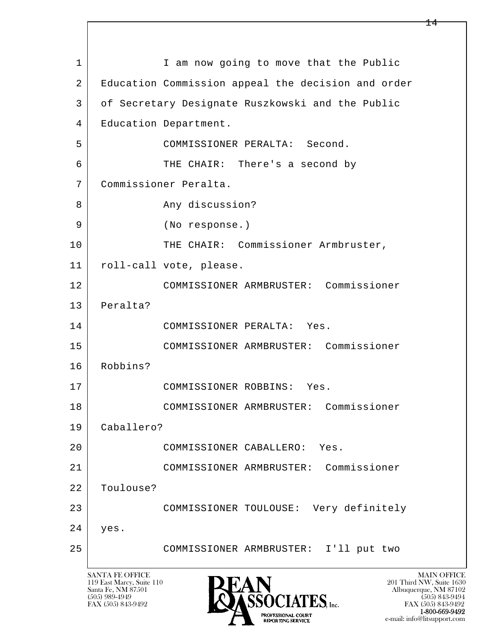l  $\overline{\phantom{a}}$ 1 I am now going to move that the Public 2 Education Commission appeal the decision and order 3 of Secretary Designate Ruszkowski and the Public 4 | Education Department. 5 COMMISSIONER PERALTA: Second. 6 THE CHAIR: There's a second by 7 Commissioner Peralta. 8 Any discussion? 9 (No response.) 10 THE CHAIR: Commissioner Armbruster, 11 roll-call vote, please. 12 COMMISSIONER ARMBRUSTER: Commissioner 13 Peralta? 14 COMMISSIONER PERALTA: Yes. 15 COMMISSIONER ARMBRUSTER: Commissioner 16 Robbins? 17 COMMISSIONER ROBBINS: Yes. 18 COMMISSIONER ARMBRUSTER: Commissioner 19 Caballero? 20 COMMISSIONER CABALLERO: Yes. 21 COMMISSIONER ARMBRUSTER: Commissioner 22 Toulouse? 23 COMMISSIONER TOULOUSE: Very definitely 24 yes. 25 COMMISSIONER ARMBRUSTER: I'll put two

119 East Marcy, Suite 110<br>Santa Fe, NM 87501

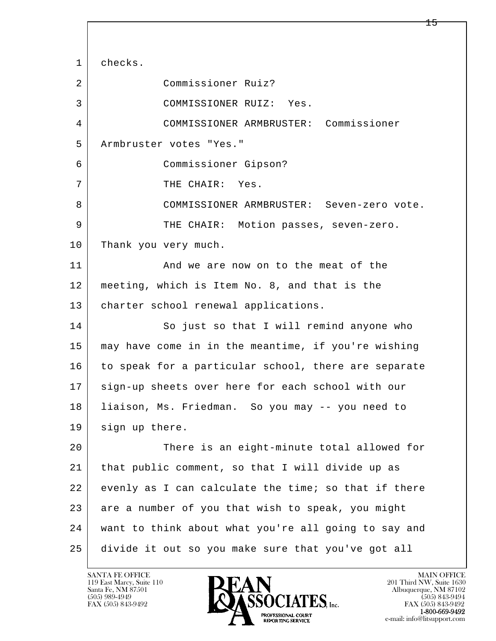l  $\overline{\phantom{a}}$ 1 checks. 2 Commissioner Ruiz? 3 COMMISSIONER RUIZ: Yes. 4 COMMISSIONER ARMBRUSTER: Commissioner 5 Armbruster votes "Yes." 6 Commissioner Gipson? 7 THE CHAIR: Yes. 8 COMMISSIONER ARMBRUSTER: Seven-zero vote. 9 THE CHAIR: Motion passes, seven-zero. 10 Thank you very much. 11 | And we are now on to the meat of the 12 meeting, which is Item No. 8, and that is the 13 | charter school renewal applications. 14 So just so that I will remind anyone who 15 may have come in in the meantime, if you're wishing 16 to speak for a particular school, there are separate 17 sign-up sheets over here for each school with our 18 liaison, Ms. Friedman. So you may -- you need to 19 sign up there. 20 There is an eight-minute total allowed for 21 that public comment, so that I will divide up as 22 evenly as I can calculate the time; so that if there 23 are a number of you that wish to speak, you might 24 want to think about what you're all going to say and 25 divide it out so you make sure that you've got all

119 East Marcy, Suite 110<br>Santa Fe, NM 87501

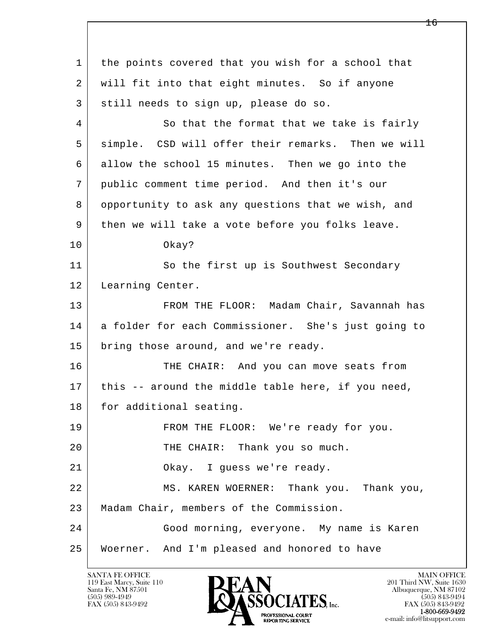l  $\overline{\phantom{a}}$  1 the points covered that you wish for a school that 2 will fit into that eight minutes. So if anyone 3 still needs to sign up, please do so. 4 So that the format that we take is fairly 5 simple. CSD will offer their remarks. Then we will 6 allow the school 15 minutes. Then we go into the 7 public comment time period. And then it's our 8 opportunity to ask any questions that we wish, and 9 then we will take a vote before you folks leave. 10 Okay? 11 So the first up is Southwest Secondary 12 | Learning Center. 13 | FROM THE FLOOR: Madam Chair, Savannah has 14 a folder for each Commissioner. She's just going to 15 bring those around, and we're ready. 16 THE CHAIR: And you can move seats from 17 | this -- around the middle table here, if you need, 18 for additional seating. 19 FROM THE FLOOR: We're ready for you. 20 | THE CHAIR: Thank you so much. 21 | Okay. I guess we're ready. 22 MS. KAREN WOERNER: Thank you. Thank you, 23 Madam Chair, members of the Commission. 24 Good morning, everyone. My name is Karen 25 Woerner. And I'm pleased and honored to have

119 East Marcy, Suite 110<br>Santa Fe, NM 87501

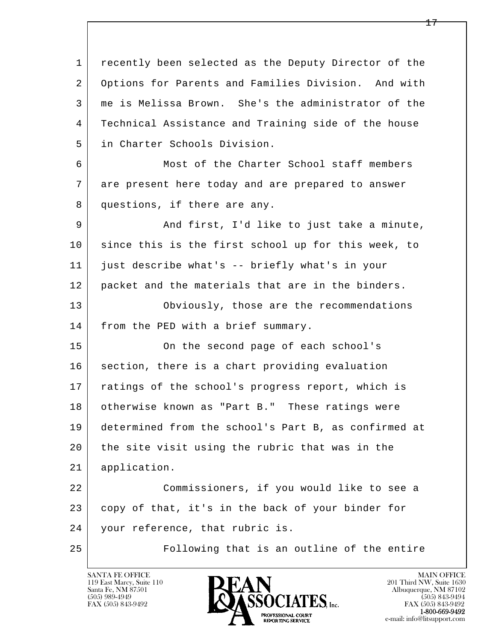l  $\overline{\phantom{a}}$  1 recently been selected as the Deputy Director of the 2 Options for Parents and Families Division. And with 3 me is Melissa Brown. She's the administrator of the 4 Technical Assistance and Training side of the house 5 in Charter Schools Division. 6 Most of the Charter School staff members 7 are present here today and are prepared to answer 8 questions, if there are any. 9 And first, I'd like to just take a minute, 10 | since this is the first school up for this week, to 11 just describe what's -- briefly what's in your 12 packet and the materials that are in the binders. 13 Obviously, those are the recommendations 14 | from the PED with a brief summary. 15 | Conthe second page of each school's 16 section, there is a chart providing evaluation 17 | ratings of the school's progress report, which is 18 otherwise known as "Part B." These ratings were 19 determined from the school's Part B, as confirmed at 20 the site visit using the rubric that was in the 21 application. 22 Commissioners, if you would like to see a 23 copy of that, it's in the back of your binder for 24 your reference, that rubric is. 25 Following that is an outline of the entire

119 East Marcy, Suite 110<br>Santa Fe, NM 87501

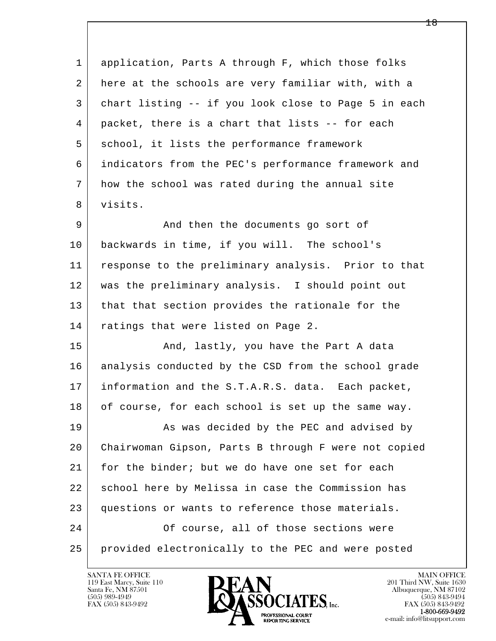1 application, Parts A through F, which those folks 2 here at the schools are very familiar with, with a 3 chart listing -- if you look close to Page 5 in each 4 | packet, there is a chart that lists -- for each 5 school, it lists the performance framework 6 indicators from the PEC's performance framework and 7 how the school was rated during the annual site 8 visits. 9 And then the documents go sort of 10 backwards in time, if you will. The school's

 11 response to the preliminary analysis. Prior to that 12 was the preliminary analysis. I should point out 13 that that section provides the rationale for the 14 ratings that were listed on Page 2.

15 | The Rand, lastly, you have the Part A data 16 analysis conducted by the CSD from the school grade 17 information and the S.T.A.R.S. data. Each packet, 18 of course, for each school is set up the same way.

l  $\overline{\phantom{a}}$ 19 | As was decided by the PEC and advised by 20 Chairwoman Gipson, Parts B through F were not copied 21 for the binder; but we do have one set for each 22 school here by Melissa in case the Commission has 23 questions or wants to reference those materials. 24 Of course, all of those sections were 25 provided electronically to the PEC and were posted

119 East Marcy, Suite 110<br>Santa Fe, NM 87501



FAX (505) 843-9492<br>**1-800-669-9492**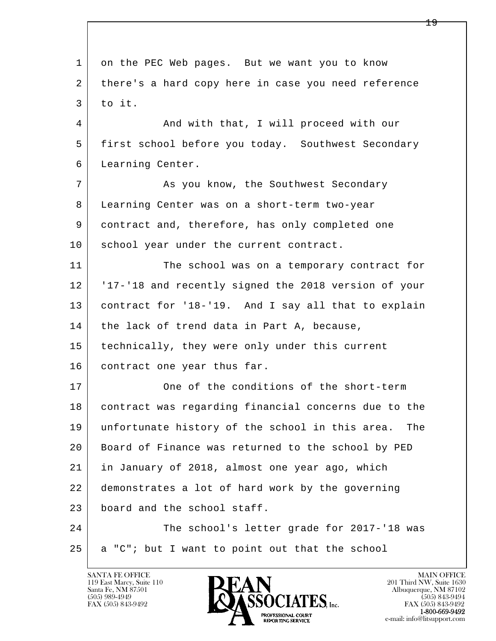l  $\overline{\phantom{a}}$  1 on the PEC Web pages. But we want you to know 2 | there's a hard copy here in case you need reference  $3$  to it. 4 And with that, I will proceed with our 5 first school before you today. Southwest Secondary 6 Learning Center. 7 As you know, the Southwest Secondary 8 Learning Center was on a short-term two-year 9 contract and, therefore, has only completed one 10 school year under the current contract. 11 The school was on a temporary contract for 12 '17-'18 and recently signed the 2018 version of your 13 contract for '18-'19. And I say all that to explain 14 the lack of trend data in Part A, because, 15 | technically, they were only under this current 16 contract one year thus far. 17 One of the conditions of the short-term 18 contract was regarding financial concerns due to the 19 unfortunate history of the school in this area. The 20 Board of Finance was returned to the school by PED 21 in January of 2018, almost one year ago, which 22 demonstrates a lot of hard work by the governing 23 board and the school staff. 24 The school's letter grade for 2017-'18 was  $25$  a "C"; but I want to point out that the school

119 East Marcy, Suite 110<br>Santa Fe, NM 87501

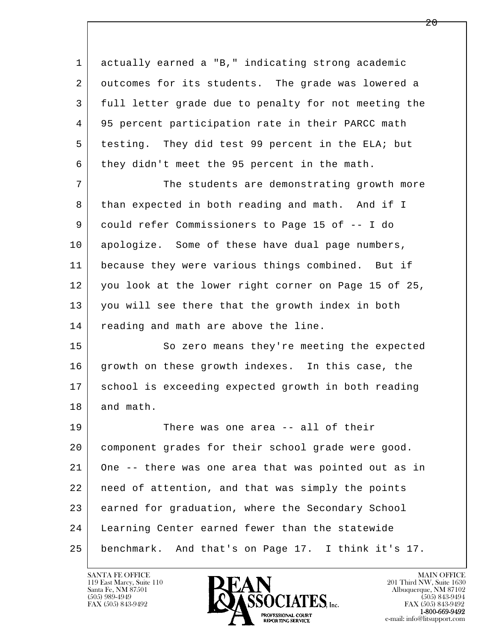1 actually earned a "B," indicating strong academic 2 outcomes for its students. The grade was lowered a 3 full letter grade due to penalty for not meeting the 4 95 percent participation rate in their PARCC math 5 testing. They did test 99 percent in the ELA; but 6 | they didn't meet the 95 percent in the math. 7 The students are demonstrating growth more 8 than expected in both reading and math. And if I

 9 could refer Commissioners to Page 15 of -- I do 10 apologize. Some of these have dual page numbers, 11 because they were various things combined. But if 12 you look at the lower right corner on Page 15 of 25, 13 you will see there that the growth index in both 14 reading and math are above the line.

15 | So zero means they're meeting the expected 16 growth on these growth indexes. In this case, the 17 school is exceeding expected growth in both reading 18 and math.

l  $\overline{\phantom{a}}$ 19 | There was one area -- all of their 20 component grades for their school grade were good. 21 One -- there was one area that was pointed out as in 22 need of attention, and that was simply the points 23 earned for graduation, where the Secondary School 24 Learning Center earned fewer than the statewide 25 benchmark. And that's on Page 17. I think it's 17.

119 East Marcy, Suite 110<br>Santa Fe, NM 87501

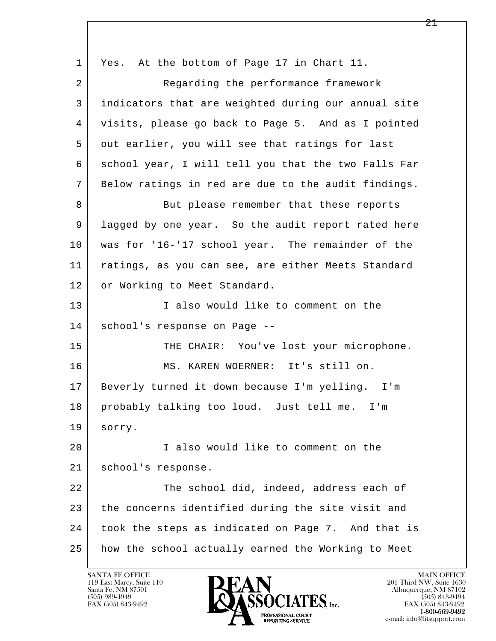l  $\overline{\phantom{a}}$ 1 Yes. At the bottom of Page 17 in Chart 11. 2 Regarding the performance framework 3 indicators that are weighted during our annual site 4 visits, please go back to Page 5. And as I pointed 5 out earlier, you will see that ratings for last 6 school year, I will tell you that the two Falls Far 7 Below ratings in red are due to the audit findings. 8 But please remember that these reports 9 lagged by one year. So the audit report rated here 10 was for '16-'17 school year. The remainder of the 11 ratings, as you can see, are either Meets Standard 12 or Working to Meet Standard. 13 I also would like to comment on the 14 school's response on Page -- 15 | THE CHAIR: You've lost your microphone. 16 MS. KAREN WOERNER: It's still on. 17 Beverly turned it down because I'm yelling. I'm 18 probably talking too loud. Just tell me. I'm 19 sorry. 20 I also would like to comment on the 21 school's response. 22 The school did, indeed, address each of 23 the concerns identified during the site visit and 24 took the steps as indicated on Page 7. And that is 25 how the school actually earned the Working to Meet

119 East Marcy, Suite 110<br>Santa Fe, NM 87501

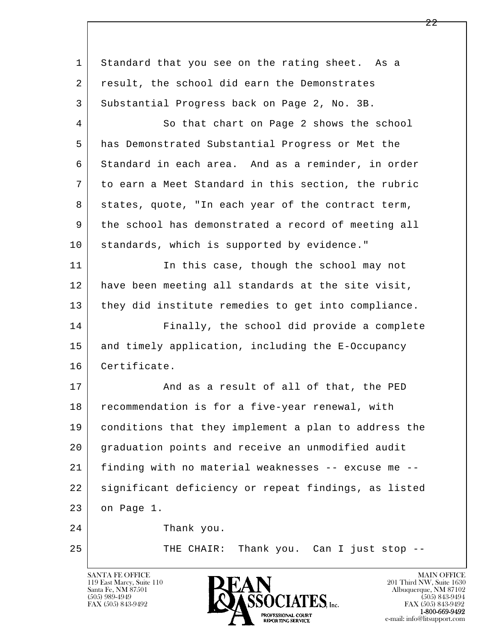| 1  | Standard that you see on the rating sheet. As a      |
|----|------------------------------------------------------|
| 2  | result, the school did earn the Demonstrates         |
| 3  | Substantial Progress back on Page 2, No. 3B.         |
| 4  | So that chart on Page 2 shows the school             |
| 5  | has Demonstrated Substantial Progress or Met the     |
| 6  | Standard in each area. And as a reminder, in order   |
| 7  | to earn a Meet Standard in this section, the rubric  |
| 8  | states, quote, "In each year of the contract term,   |
| 9  | the school has demonstrated a record of meeting all  |
| 10 | standards, which is supported by evidence."          |
| 11 | In this case, though the school may not              |
| 12 | have been meeting all standards at the site visit,   |
| 13 | they did institute remedies to get into compliance.  |
| 14 | Finally, the school did provide a complete           |
| 15 | and timely application, including the E-Occupancy    |
| 16 | Certificate.                                         |
| 17 | And as a result of all of that, the PED              |
| 18 | recommendation is for a five-year renewal, with      |
| 19 | conditions that they implement a plan to address the |
| 20 | graduation points and receive an unmodified audit    |
| 21 | finding with no material weaknesses -- excuse me --  |
| 22 | significant deficiency or repeat findings, as listed |
| 23 | on Page 1.                                           |
| 24 | Thank you.                                           |
| 25 | Thank you. Can I just stop --<br>THE CHAIR:          |
|    |                                                      |

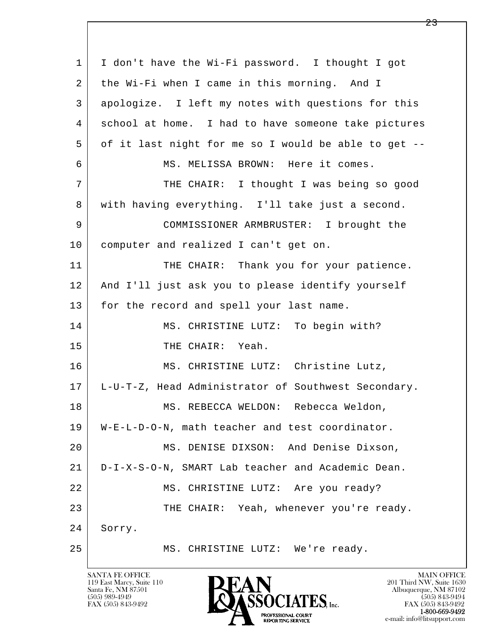l  $\overline{\phantom{a}}$  1 I don't have the Wi-Fi password. I thought I got 2 the Wi-Fi when I came in this morning. And I 3 apologize. I left my notes with questions for this 4 school at home. I had to have someone take pictures 5 of it last night for me so I would be able to get -- 6 MS. MELISSA BROWN: Here it comes. 7 THE CHAIR: I thought I was being so good 8 with having everything. I'll take just a second. 9 COMMISSIONER ARMBRUSTER: I brought the 10 computer and realized I can't get on. 11 THE CHAIR: Thank you for your patience. 12 And I'll just ask you to please identify yourself 13 | for the record and spell your last name. 14 MS. CHRISTINE LUTZ: To begin with? 15 THE CHAIR: Yeah. 16 | MS. CHRISTINE LUTZ: Christine Lutz, 17 L-U-T-Z, Head Administrator of Southwest Secondary. 18 | MS. REBECCA WELDON: Rebecca Weldon, 19 W-E-L-D-O-N, math teacher and test coordinator. 20 MS. DENISE DIXSON: And Denise Dixson, 21 D-I-X-S-O-N, SMART Lab teacher and Academic Dean. 22 MS. CHRISTINE LUTZ: Are you ready? 23 THE CHAIR: Yeah, whenever you're ready. 24 Sorry. 25 MS. CHRISTINE LUTZ: We're ready.

119 East Marcy, Suite 110<br>Santa Fe, NM 87501

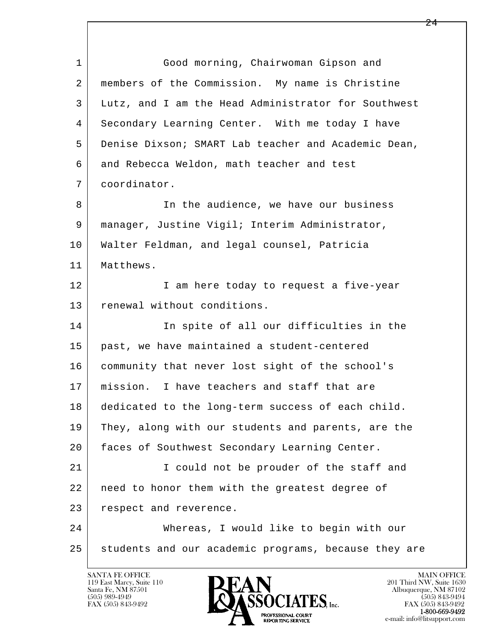l  $\overline{\phantom{a}}$ 1 Good morning, Chairwoman Gipson and 2 members of the Commission. My name is Christine 3 Lutz, and I am the Head Administrator for Southwest 4 Secondary Learning Center. With me today I have 5 Denise Dixson; SMART Lab teacher and Academic Dean, 6 and Rebecca Weldon, math teacher and test 7 coordinator. 8 | The audience, we have our business 9 | manager, Justine Vigil; Interim Administrator, 10 Walter Feldman, and legal counsel, Patricia 11 Matthews. 12 I am here today to request a five-year 13 renewal without conditions. 14 In spite of all our difficulties in the 15 past, we have maintained a student-centered 16 community that never lost sight of the school's 17 | mission. I have teachers and staff that are 18 dedicated to the long-term success of each child. 19 They, along with our students and parents, are the 20 faces of Southwest Secondary Learning Center. 21 | T could not be prouder of the staff and 22 | need to honor them with the greatest degree of 23 respect and reverence. 24 Whereas, I would like to begin with our 25 students and our academic programs, because they are

119 East Marcy, Suite 110<br>Santa Fe, NM 87501



FAX (505) 843-9492<br>1-800-669-9492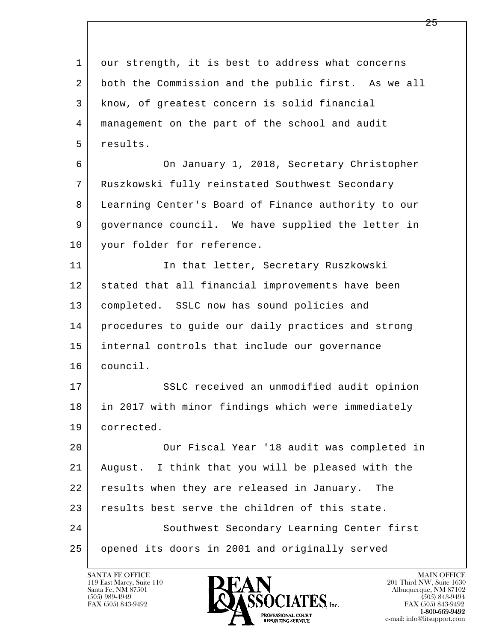l  $\overline{\phantom{a}}$ 1 our strength, it is best to address what concerns 2 both the Commission and the public first. As we all 3 know, of greatest concern is solid financial 4 management on the part of the school and audit 5 results. 6 On January 1, 2018, Secretary Christopher 7 Ruszkowski fully reinstated Southwest Secondary 8 Learning Center's Board of Finance authority to our 9 governance council. We have supplied the letter in 10 | your folder for reference. 11 | In that letter, Secretary Ruszkowski 12 stated that all financial improvements have been 13 completed. SSLC now has sound policies and 14 procedures to guide our daily practices and strong 15 internal controls that include our governance 16 council. 17 | SSLC received an unmodified audit opinion 18 in 2017 with minor findings which were immediately 19 corrected. 20 Our Fiscal Year '18 audit was completed in 21 August. I think that you will be pleased with the 22 results when they are released in January. The 23 results best serve the children of this state. 24 Southwest Secondary Learning Center first 25 opened its doors in 2001 and originally served

119 East Marcy, Suite 110<br>Santa Fe, NM 87501

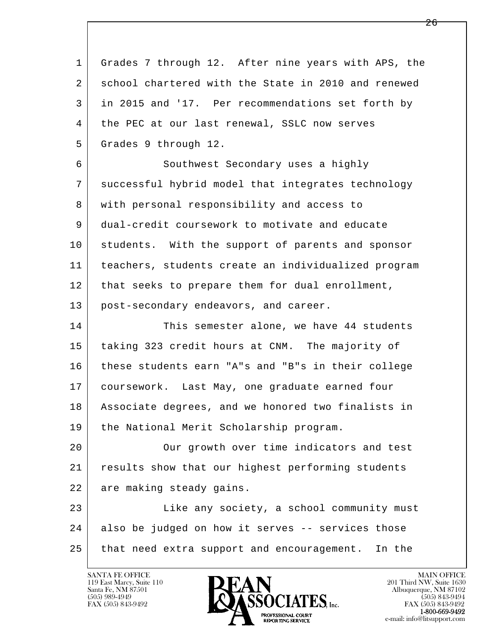| 1  | Grades 7 through 12. After nine years with APS, the  |
|----|------------------------------------------------------|
| 2  | school chartered with the State in 2010 and renewed  |
| 3  | in 2015 and '17. Per recommendations set forth by    |
| 4  | the PEC at our last renewal, SSLC now serves         |
| 5  | Grades 9 through 12.                                 |
| 6  | Southwest Secondary uses a highly                    |
| 7  | successful hybrid model that integrates technology   |
| 8  | with personal responsibility and access to           |
| 9  | dual-credit coursework to motivate and educate       |
| 10 | students. With the support of parents and sponsor    |
| 11 | teachers, students create an individualized program  |
| 12 | that seeks to prepare them for dual enrollment,      |
| 13 | post-secondary endeavors, and career.                |
| 14 | This semester alone, we have 44 students             |
| 15 | taking 323 credit hours at CNM. The majority of      |
| 16 | these students earn "A"s and "B"s in their college   |
| 17 | coursework. Last May, one graduate earned four       |
| 18 | Associate degrees, and we honored two finalists in   |
| 19 | the National Merit Scholarship program.              |
| 20 | Our growth over time indicators and test             |
| 21 | results show that our highest performing students    |
| 22 | are making steady gains.                             |
| 23 | Like any society, a school community must            |
| 24 | also be judged on how it serves -- services those    |
| 25 | that need extra support and encouragement.<br>In the |
|    |                                                      |

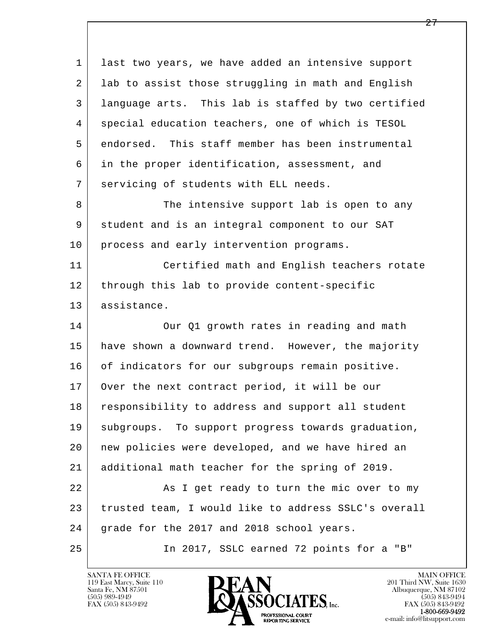l  $\overline{\phantom{a}}$  1 last two years, we have added an intensive support 2 lab to assist those struggling in math and English 3 language arts. This lab is staffed by two certified 4 special education teachers, one of which is TESOL 5 endorsed. This staff member has been instrumental 6 in the proper identification, assessment, and 7 servicing of students with ELL needs. 8 The intensive support lab is open to any 9 student and is an integral component to our SAT 10 process and early intervention programs. 11 Certified math and English teachers rotate 12 through this lab to provide content-specific 13 assistance. 14 Our Q1 growth rates in reading and math 15 have shown a downward trend. However, the majority 16 of indicators for our subgroups remain positive. 17 | Over the next contract period, it will be our 18 responsibility to address and support all student 19 | subgroups. To support progress towards graduation, 20 new policies were developed, and we have hired an 21 additional math teacher for the spring of 2019. 22 As I get ready to turn the mic over to my 23 trusted team, I would like to address SSLC's overall 24 | grade for the 2017 and 2018 school years. 25 In 2017, SSLC earned 72 points for a "B"

119 East Marcy, Suite 110<br>Santa Fe, NM 87501

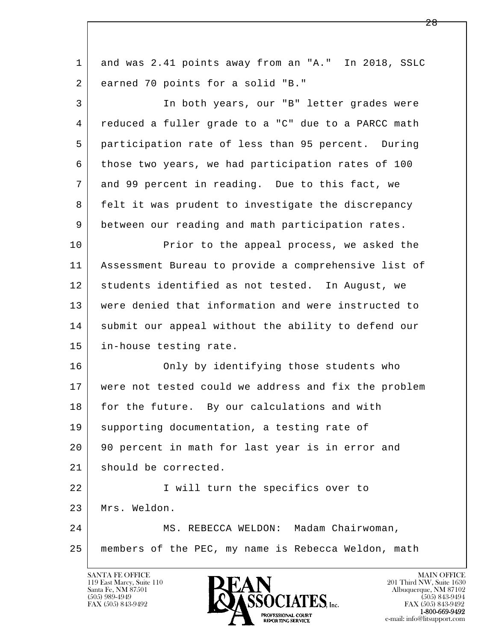| $\mathbf{1}$ | and was 2.41 points away from an "A." In 2018, SSLC  |
|--------------|------------------------------------------------------|
| 2            | earned 70 points for a solid "B."                    |
| 3            | In both years, our "B" letter grades were            |
| 4            | reduced a fuller grade to a "C" due to a PARCC math  |
| 5            | participation rate of less than 95 percent. During   |
| 6            | those two years, we had participation rates of 100   |
| 7            | and 99 percent in reading. Due to this fact, we      |
| 8            | felt it was prudent to investigate the discrepancy   |
| 9            | between our reading and math participation rates.    |
| 10           | Prior to the appeal process, we asked the            |
| 11           | Assessment Bureau to provide a comprehensive list of |
| 12           | students identified as not tested. In August, we     |
| 13           | were denied that information and were instructed to  |
| 14           | submit our appeal without the ability to defend our  |
| 15           | in-house testing rate.                               |
| 16           | Only by identifying those students who               |
| 17           | were not tested could we address and fix the problem |
| 18           | for the future. By our calculations and with         |
| 19           | supporting documentation, a testing rate of          |
| 20           | 90 percent in math for last year is in error and     |
| 21           | should be corrected.                                 |
| 22           | I will turn the specifics over to                    |
| 23           | Mrs. Weldon.                                         |
| 24           | MS. REBECCA WELDON: Madam Chairwoman,                |
| 25           | members of the PEC, my name is Rebecca Weldon, math  |
|              |                                                      |

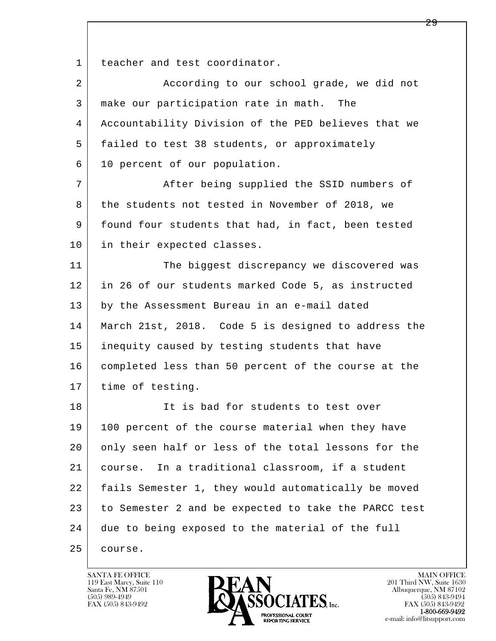1 teacher and test coordinator.

| 2  | According to our school grade, we did not            |
|----|------------------------------------------------------|
| 3  | make our participation rate in math. The             |
| 4  | Accountability Division of the PED believes that we  |
| 5  | failed to test 38 students, or approximately         |
| 6  | 10 percent of our population.                        |
| 7  | After being supplied the SSID numbers of             |
| 8  | the students not tested in November of 2018, we      |
| 9  | found four students that had, in fact, been tested   |
| 10 | in their expected classes.                           |
| 11 | The biggest discrepancy we discovered was            |
| 12 | in 26 of our students marked Code 5, as instructed   |
| 13 | by the Assessment Bureau in an e-mail dated          |
| 14 | March 21st, 2018. Code 5 is designed to address the  |
| 15 | inequity caused by testing students that have        |
| 16 | completed less than 50 percent of the course at the  |
| 17 | time of testing.                                     |
| 18 | It is bad for students to test over                  |
| 19 | 100 percent of the course material when they have    |
| 20 | only seen half or less of the total lessons for the  |
| 21 | In a traditional classroom, if a student<br>course.  |
| 22 | fails Semester 1, they would automatically be moved  |
| 23 | to Semester 2 and be expected to take the PARCC test |
| 24 | due to being exposed to the material of the full     |
| 25 | course.                                              |

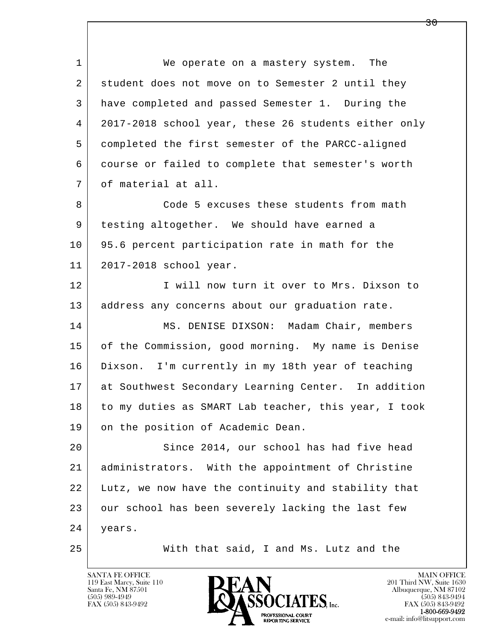l  $\overline{\phantom{a}}$ 1 We operate on a mastery system. The 2 student does not move on to Semester 2 until they 3 have completed and passed Semester 1. During the 4 2017-2018 school year, these 26 students either only 5 completed the first semester of the PARCC-aligned 6 course or failed to complete that semester's worth 7 of material at all. 8 | Code 5 excuses these students from math 9 testing altogether. We should have earned a 10 95.6 percent participation rate in math for the 11 2017-2018 school year. 12 I Will now turn it over to Mrs. Dixson to 13 | address any concerns about our graduation rate. 14 MS. DENISE DIXSON: Madam Chair, members 15 of the Commission, good morning. My name is Denise 16 Dixson. I'm currently in my 18th year of teaching 17 at Southwest Secondary Learning Center. In addition 18 to my duties as SMART Lab teacher, this year, I took 19 on the position of Academic Dean. 20 Since 2014, our school has had five head 21 administrators. With the appointment of Christine 22 Lutz, we now have the continuity and stability that 23 our school has been severely lacking the last few 24 years. 25 With that said, I and Ms. Lutz and the

119 East Marcy, Suite 110<br>Santa Fe, NM 87501

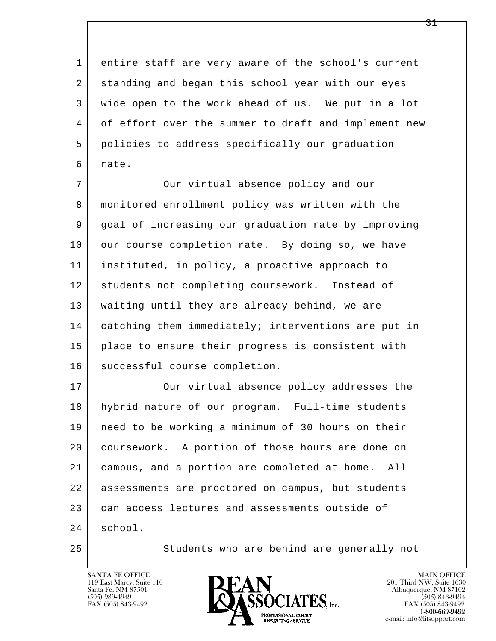1 entire staff are very aware of the school's current 2 standing and began this school year with our eyes 3 wide open to the work ahead of us. We put in a lot 4 of effort over the summer to draft and implement new 5 policies to address specifically our graduation 6 rate.

7 Our virtual absence policy and our 8 monitored enrollment policy was written with the 9 goal of increasing our graduation rate by improving 10 our course completion rate. By doing so, we have 11 instituted, in policy, a proactive approach to 12 students not completing coursework. Instead of 13 waiting until they are already behind, we are 14 catching them immediately; interventions are put in 15 place to ensure their progress is consistent with 16 | successful course completion.

l  $\overline{\phantom{a}}$ 17 | Our virtual absence policy addresses the 18 hybrid nature of our program. Full-time students 19 need to be working a minimum of 30 hours on their 20 coursework. A portion of those hours are done on 21 campus, and a portion are completed at home. All 22 assessments are proctored on campus, but students 23 can access lectures and assessments outside of 24 school.

25 Students who are behind are generally not

119 East Marcy, Suite 110<br>Santa Fe, NM 87501

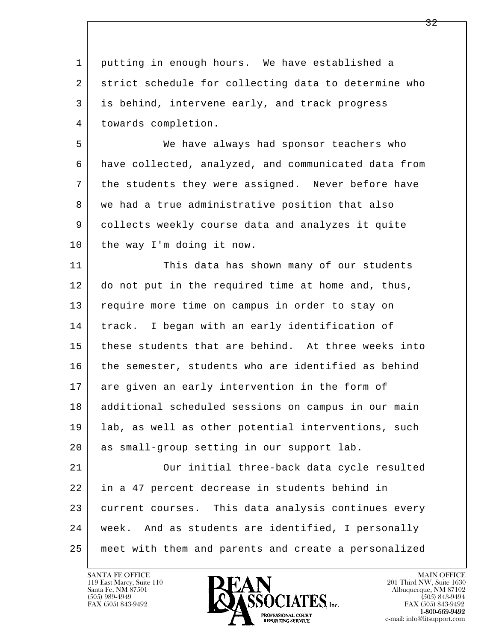l  $\overline{\phantom{a}}$  1 putting in enough hours. We have established a 2 strict schedule for collecting data to determine who 3 is behind, intervene early, and track progress 4 towards completion. 5 We have always had sponsor teachers who 6 have collected, analyzed, and communicated data from 7 the students they were assigned. Never before have 8 we had a true administrative position that also 9 collects weekly course data and analyzes it quite 10 the way I'm doing it now. 11 This data has shown many of our students 12 do not put in the required time at home and, thus, 13 require more time on campus in order to stay on 14 track. I began with an early identification of 15 these students that are behind. At three weeks into 16 the semester, students who are identified as behind 17 are given an early intervention in the form of 18 | additional scheduled sessions on campus in our main 19 lab, as well as other potential interventions, such 20 as small-group setting in our support lab. 21 Our initial three-back data cycle resulted 22 in a 47 percent decrease in students behind in 23 current courses. This data analysis continues every 24 week. And as students are identified, I personally 25 meet with them and parents and create a personalized

119 East Marcy, Suite 110<br>Santa Fe, NM 87501

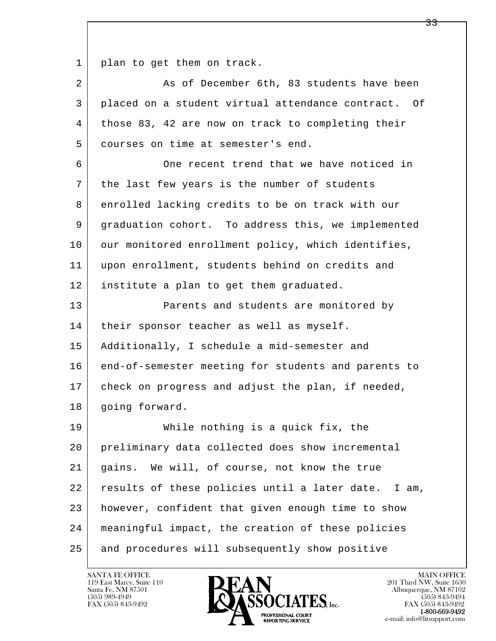1 | plan to get them on track.

| $\overline{a}$ | As of December 6th, 83 students have been           |
|----------------|-----------------------------------------------------|
| 3              | placed on a student virtual attendance contract. Of |
| 4              | those 83, 42 are now on track to completing their   |
| 5              | courses on time at semester's end.                  |
| 6              | One recent trend that we have noticed in            |
| 7              | the last few years is the number of students        |
| 8              | enrolled lacking credits to be on track with our    |
| 9              | graduation cohort. To address this, we implemented  |
| 10             | our monitored enrollment policy, which identifies,  |
| 11             | upon enrollment, students behind on credits and     |
| 12             | institute a plan to get them graduated.             |
| 13             | Parents and students are monitored by               |
| 14             | their sponsor teacher as well as myself.            |
| 15             | Additionally, I schedule a mid-semester and         |
| 16             | end-of-semester meeting for students and parents to |
| 17             | check on progress and adjust the plan, if needed,   |
| 18             | going forward.                                      |
| 19             | While nothing is a quick fix, the                   |
| 20             | preliminary data collected does show incremental    |
| 21             | gains. We will, of course, not know the true        |
| 22             | results of these policies until a later date. I am, |
| 23             | however, confident that given enough time to show   |
| 24             | meaningful impact, the creation of these policies   |
| 25             | and procedures will subsequently show positive      |

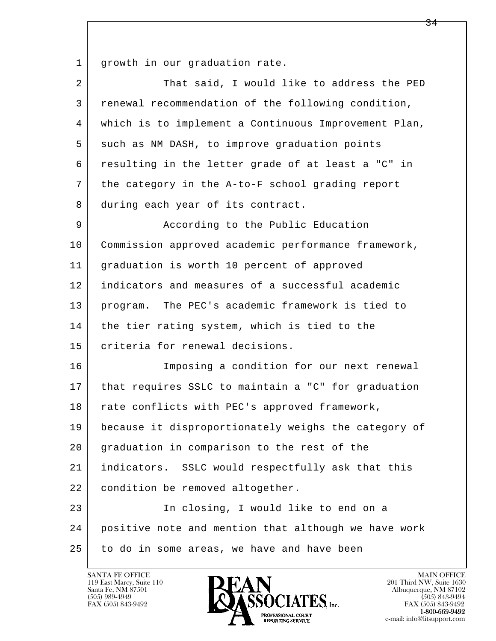1 growth in our graduation rate.

| 2  | That said, I would like to address the PED           |
|----|------------------------------------------------------|
| 3  | renewal recommendation of the following condition,   |
| 4  | which is to implement a Continuous Improvement Plan, |
| 5  | such as NM DASH, to improve graduation points        |
| 6  | resulting in the letter grade of at least a "C" in   |
| 7  | the category in the A-to-F school grading report     |
| 8  | during each year of its contract.                    |
| 9  | According to the Public Education                    |
| 10 | Commission approved academic performance framework,  |
| 11 | graduation is worth 10 percent of approved           |
| 12 | indicators and measures of a successful academic     |
| 13 | program. The PEC's academic framework is tied to     |
| 14 | the tier rating system, which is tied to the         |
| 15 | criteria for renewal decisions.                      |
| 16 | Imposing a condition for our next renewal            |
| 17 | that requires SSLC to maintain a "C" for graduation  |
| 18 | rate conflicts with PEC's approved framework,        |
| 19 | because it disproportionately weighs the category of |
| 20 | graduation in comparison to the rest of the          |
| 21 | indicators. SSLC would respectfully ask that this    |
| 22 | condition be removed altogether.                     |
| 23 | In closing, I would like to end on a                 |
| 24 | positive note and mention that although we have work |
| 25 | to do in some areas, we have and have been           |

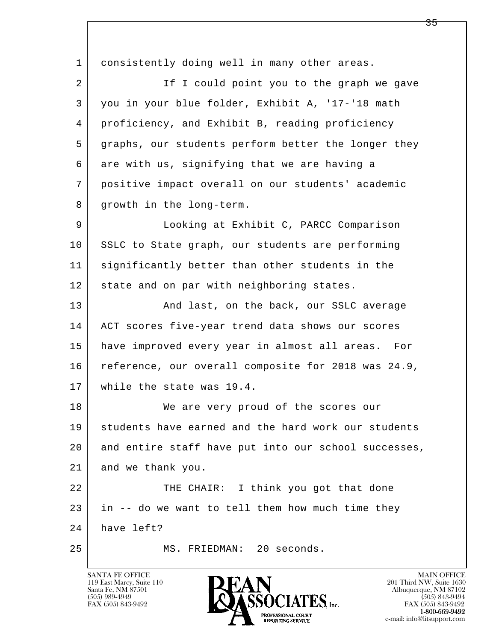l  $\overline{\phantom{a}}$ 1 consistently doing well in many other areas. 2 | The I could point you to the graph we gave 3 you in your blue folder, Exhibit A, '17-'18 math 4 proficiency, and Exhibit B, reading proficiency 5 graphs, our students perform better the longer they 6 are with us, signifying that we are having a 7 positive impact overall on our students' academic 8 growth in the long-term. 9 Looking at Exhibit C, PARCC Comparison 10 SSLC to State graph, our students are performing 11 significantly better than other students in the 12 state and on par with neighboring states. 13 And last, on the back, our SSLC average 14 | ACT scores five-year trend data shows our scores 15 have improved every year in almost all areas. For 16 reference, our overall composite for 2018 was 24.9, 17 while the state was 19.4. 18 We are very proud of the scores our 19 students have earned and the hard work our students 20 and entire staff have put into our school successes, 21 and we thank you. 22 THE CHAIR: I think you got that done 23 in -- do we want to tell them how much time they 24 have left? 25 MS. FRIEDMAN: 20 seconds.

119 East Marcy, Suite 110<br>Santa Fe, NM 87501



FAX (505) 843-9492<br>1-800-669-9492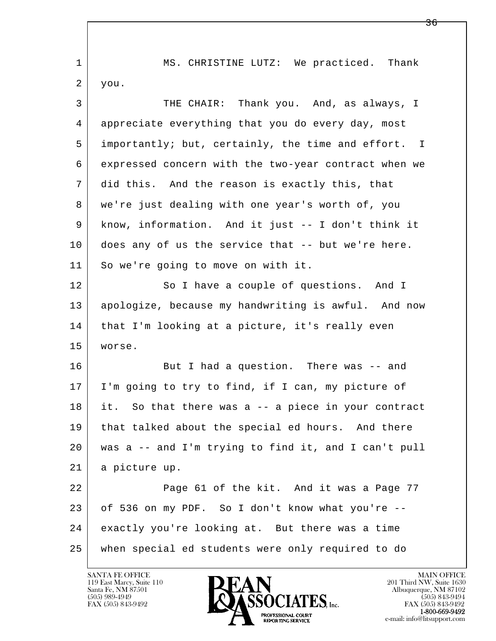| $\mathbf{1}$ | MS. CHRISTINE LUTZ: We practiced. Thank                |
|--------------|--------------------------------------------------------|
| 2            | you.                                                   |
| 3            | THE CHAIR: Thank you. And, as always, I                |
| 4            | appreciate everything that you do every day, most      |
| 5            | importantly; but, certainly, the time and effort. I    |
| 6            | expressed concern with the two-year contract when we   |
| 7            | did this. And the reason is exactly this, that         |
| 8            | we're just dealing with one year's worth of, you       |
| 9            | know, information. And it just -- I don't think it     |
| 10           | does any of us the service that -- but we're here.     |
| 11           | So we're going to move on with it.                     |
| 12           | So I have a couple of questions. And I                 |
| 13           | apologize, because my handwriting is awful. And now    |
| 14           | that I'm looking at a picture, it's really even        |
| 15           | worse.                                                 |
| 16           | But I had a question. There was -- and                 |
| 17           | I'm going to try to find, if I can, my picture of      |
| 18           | So that there was a -- a piece in your contract<br>it. |
| 19           | that talked about the special ed hours. And there      |
| 20           | was a -- and I'm trying to find it, and I can't pull   |
| 21           | a picture up.                                          |
| 22           | Page 61 of the kit. And it was a Page 77               |
| 23           | of 536 on my PDF. So I don't know what you're --       |
| 24           | exactly you're looking at. But there was a time        |
| 25           | when special ed students were only required to do      |

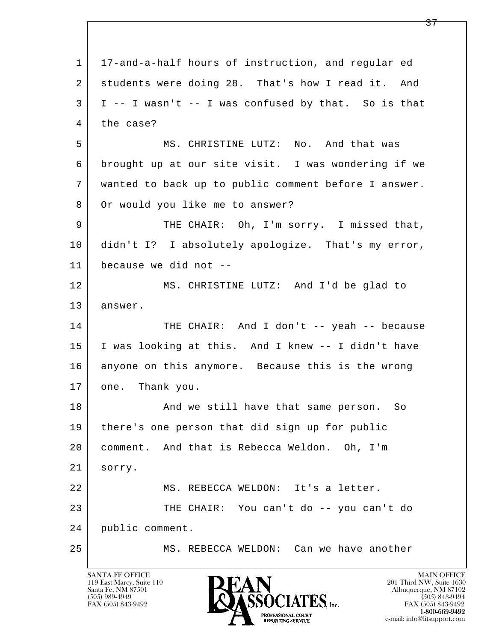l  $\overline{\phantom{a}}$  1 17-and-a-half hours of instruction, and regular ed 2 students were doing 28. That's how I read it. And  $3$  | I -- I wasn't -- I was confused by that. So is that 4 the case? 5 MS. CHRISTINE LUTZ: No. And that was 6 brought up at our site visit. I was wondering if we 7 wanted to back up to public comment before I answer. 8 Or would you like me to answer? 9 THE CHAIR: Oh, I'm sorry. I missed that, 10 didn't I? I absolutely apologize. That's my error, 11 because we did not -- 12 MS. CHRISTINE LUTZ: And I'd be glad to 13 answer. 14 THE CHAIR: And I don't -- yeah -- because 15 I was looking at this. And I knew -- I didn't have 16 anyone on this anymore. Because this is the wrong 17 one. Thank you. 18 | The South Mand we still have that same person. So 19 there's one person that did sign up for public 20 comment. And that is Rebecca Weldon. Oh, I'm 21 sorry. 22 MS. REBECCA WELDON: It's a letter. 23 THE CHAIR: You can't do -- you can't do 24 public comment. 25 MS. REBECCA WELDON: Can we have another

119 East Marcy, Suite 110<br>Santa Fe, NM 87501

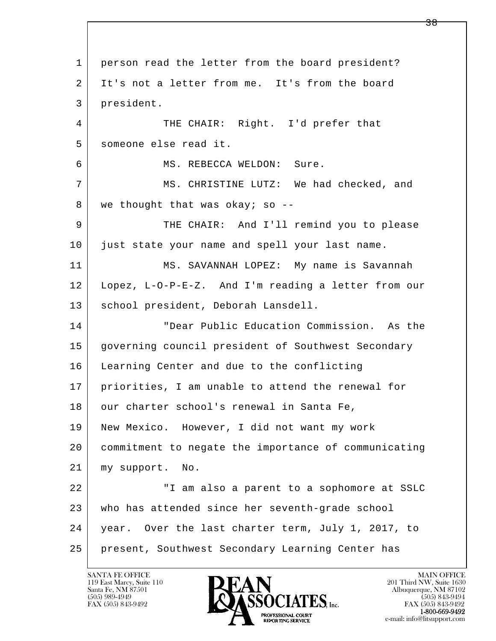l  $\overline{\phantom{a}}$  1 person read the letter from the board president? 2 It's not a letter from me. It's from the board 3 president. 4 THE CHAIR: Right. I'd prefer that 5 someone else read it. 6 MS. REBECCA WELDON: Sure. 7 MS. CHRISTINE LUTZ: We had checked, and 8 we thought that was okay; so -- 9 THE CHAIR: And I'll remind you to please 10 just state your name and spell your last name. 11 MS. SAVANNAH LOPEZ: My name is Savannah 12 Lopez, L-O-P-E-Z. And I'm reading a letter from our 13 school president, Deborah Lansdell. 14 "Dear Public Education Commission. As the 15 governing council president of Southwest Secondary 16 Learning Center and due to the conflicting 17 priorities, I am unable to attend the renewal for 18 our charter school's renewal in Santa Fe, 19 New Mexico. However, I did not want my work 20 commitment to negate the importance of communicating 21 my support. No. 22 | Tam also a parent to a sophomore at SSLC 23 who has attended since her seventh-grade school 24 year. Over the last charter term, July 1, 2017, to 25 present, Southwest Secondary Learning Center has

119 East Marcy, Suite 110<br>Santa Fe, NM 87501

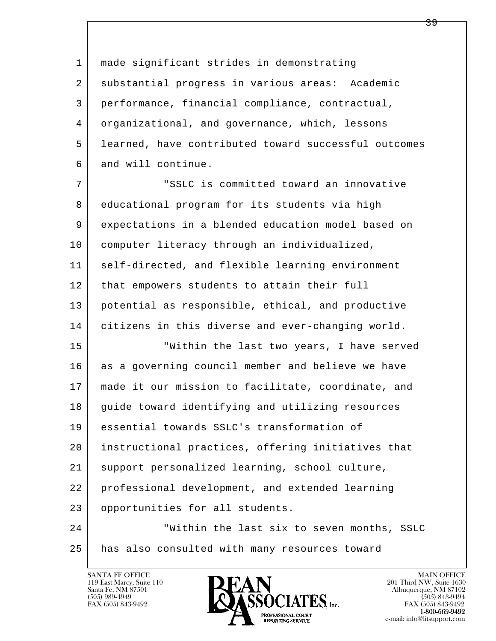1 made significant strides in demonstrating 2 substantial progress in various areas: Academic 3 performance, financial compliance, contractual, 4 organizational, and governance, which, lessons 5 learned, have contributed toward successful outcomes 6 and will continue.

 7 "SSLC is committed toward an innovative 8 educational program for its students via high 9 expectations in a blended education model based on 10 computer literacy through an individualized, 11 self-directed, and flexible learning environment 12 | that empowers students to attain their full 13 potential as responsible, ethical, and productive 14 citizens in this diverse and ever-changing world.

l  $\overline{\phantom{a}}$ 15 | Within the last two years, I have served 16 as a governing council member and believe we have 17 made it our mission to facilitate, coordinate, and 18 guide toward identifying and utilizing resources 19 essential towards SSLC's transformation of 20 instructional practices, offering initiatives that 21 support personalized learning, school culture, 22 professional development, and extended learning 23 opportunities for all students. 24 Within the last six to seven months, SSLC

25 has also consulted with many resources toward

119 East Marcy, Suite 110<br>Santa Fe, NM 87501

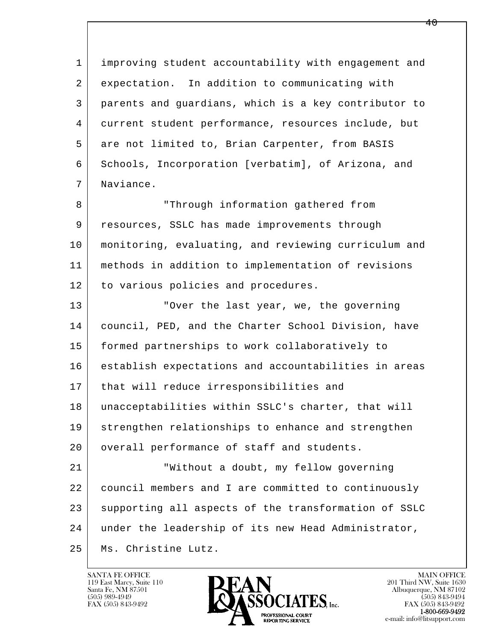l  $\overline{\phantom{a}}$  1 improving student accountability with engagement and 2 expectation. In addition to communicating with 3 parents and guardians, which is a key contributor to 4 current student performance, resources include, but 5 are not limited to, Brian Carpenter, from BASIS 6 Schools, Incorporation [verbatim], of Arizona, and 7 Naviance. 8 | Through information gathered from 9 resources, SSLC has made improvements through 10 monitoring, evaluating, and reviewing curriculum and 11 methods in addition to implementation of revisions 12 to various policies and procedures. 13 **No. 2.** "Over the last year, we, the governing 14 council, PED, and the Charter School Division, have 15 formed partnerships to work collaboratively to 16 establish expectations and accountabilities in areas 17 | that will reduce irresponsibilities and 18 unacceptabilities within SSLC's charter, that will 19 strengthen relationships to enhance and strengthen 20 | overall performance of staff and students. 21 "Without a doubt, my fellow governing 22 council members and I are committed to continuously 23 supporting all aspects of the transformation of SSLC 24 under the leadership of its new Head Administrator, 25 Ms. Christine Lutz.

119 East Marcy, Suite 110<br>Santa Fe, NM 87501

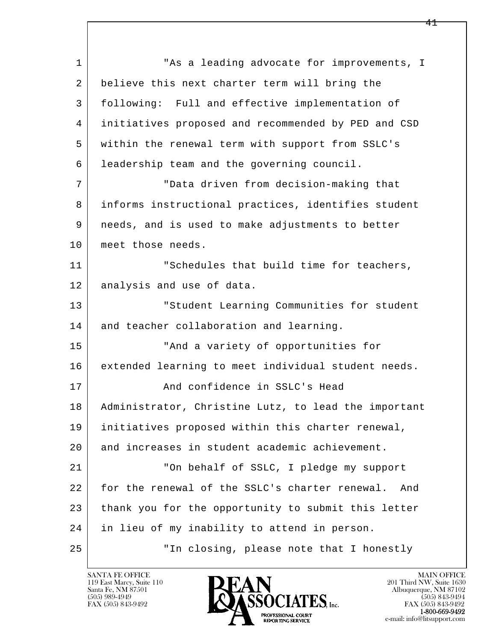l  $\overline{\phantom{a}}$ 1 This a leading advocate for improvements, I 2 believe this next charter term will bring the 3 following: Full and effective implementation of 4 initiatives proposed and recommended by PED and CSD 5 within the renewal term with support from SSLC's 6 leadership team and the governing council. 7 "Data driven from decision-making that 8 informs instructional practices, identifies student 9 needs, and is used to make adjustments to better 10 | meet those needs. 11 | Schedules that build time for teachers, 12 | analysis and use of data. 13 | The Student Learning Communities for student 14 and teacher collaboration and learning. 15 "And a variety of opportunities for 16 extended learning to meet individual student needs. 17 And confidence in SSLC's Head 18 Administrator, Christine Lutz, to lead the important 19 initiatives proposed within this charter renewal, 20 and increases in student academic achievement. 21 | The behalf of SSLC, I pledge my support 22 for the renewal of the SSLC's charter renewal. And 23 thank you for the opportunity to submit this letter 24 in lieu of my inability to attend in person. 25 "In closing, please note that I honestly

119 East Marcy, Suite 110<br>Santa Fe, NM 87501

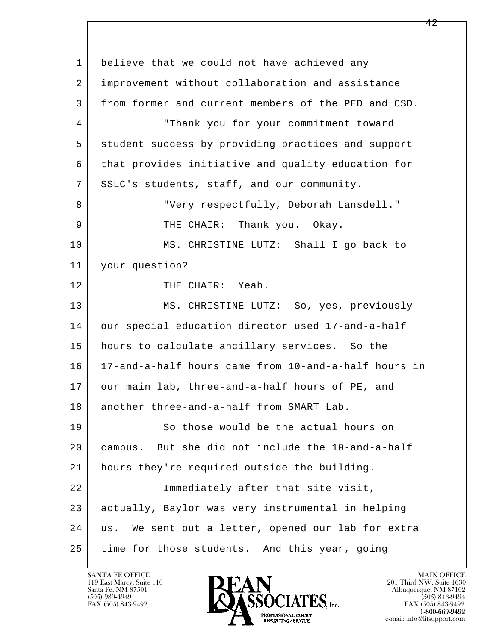l  $\overline{\phantom{a}}$ 1 believe that we could not have achieved any 2 improvement without collaboration and assistance 3 from former and current members of the PED and CSD. 4 "Thank you for your commitment toward 5 student success by providing practices and support 6 that provides initiative and quality education for 7 SSLC's students, staff, and our community. 8 "Very respectfully, Deborah Lansdell." 9 | THE CHAIR: Thank you. Okay. 10 MS. CHRISTINE LUTZ: Shall I go back to 11 your question? 12 THE CHAIR: Yeah. 13 | MS. CHRISTINE LUTZ: So, yes, previously 14 our special education director used 17-and-a-half 15 hours to calculate ancillary services. So the 16 17-and-a-half hours came from 10-and-a-half hours in 17 our main lab, three-and-a-half hours of PE, and 18 another three-and-a-half from SMART Lab. 19 So those would be the actual hours on 20 campus. But she did not include the 10-and-a-half 21 hours they're required outside the building. 22 Immediately after that site visit, 23 actually, Baylor was very instrumental in helping 24 us. We sent out a letter, opened our lab for extra 25 time for those students. And this year, going

119 East Marcy, Suite 110<br>Santa Fe, NM 87501

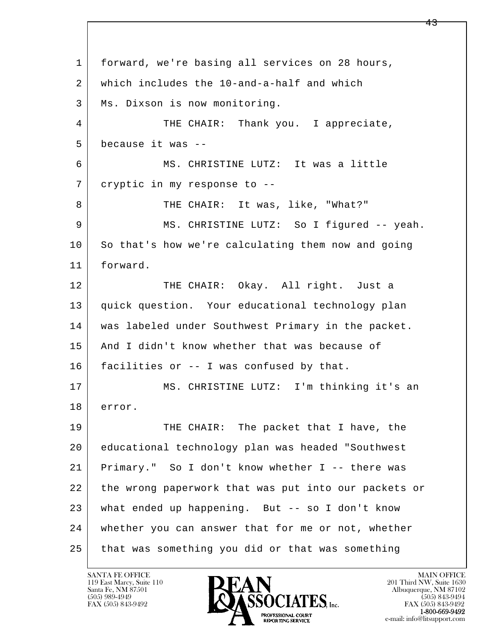l  $\overline{\phantom{a}}$  1 forward, we're basing all services on 28 hours, 2 which includes the 10-and-a-half and which 3 | Ms. Dixson is now monitoring. 4 THE CHAIR: Thank you. I appreciate, 5 because it was -- 6 MS. CHRISTINE LUTZ: It was a little 7 cryptic in my response to -- 8 | THE CHAIR: It was, like, "What?" 9 | MS. CHRISTINE LUTZ: So I figured -- yeah. 10 So that's how we're calculating them now and going 11 forward. 12 THE CHAIR: Okay. All right. Just a 13 quick question. Your educational technology plan 14 was labeled under Southwest Primary in the packet. 15 | And I didn't know whether that was because of 16 facilities or -- I was confused by that. 17 MS. CHRISTINE LUTZ: I'm thinking it's an 18 error. 19 THE CHAIR: The packet that I have, the 20 educational technology plan was headed "Southwest 21 Primary." So I don't know whether I -- there was 22 the wrong paperwork that was put into our packets or 23 what ended up happening. But -- so I don't know 24 whether you can answer that for me or not, whether 25 that was something you did or that was something

119 East Marcy, Suite 110<br>Santa Fe, NM 87501



FAX (505) 843-9492<br>1-800-669-9492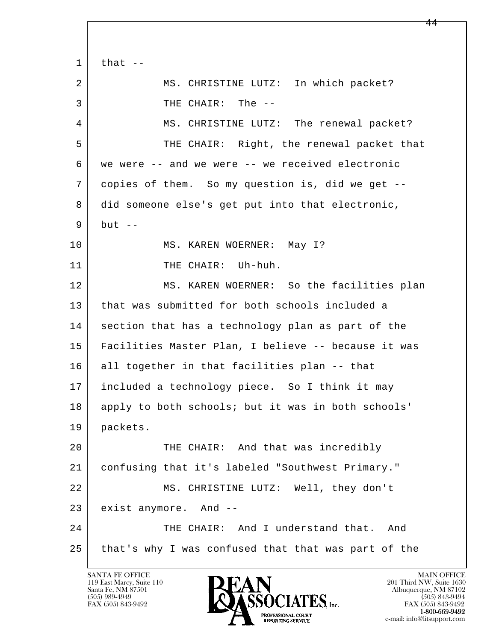l  $\overline{\phantom{a}}$  $1$  that  $-$ 2 MS. CHRISTINE LUTZ: In which packet? 3 | THE CHAIR: The --4 MS. CHRISTINE LUTZ: The renewal packet? 5 THE CHAIR: Right, the renewal packet that 6 we were -- and we were -- we received electronic 7 copies of them. So my question is, did we get -- 8 did someone else's get put into that electronic,  $9$  but  $-$ 10 | MS. KAREN WOERNER: May I? 11 THE CHAIR: Uh-huh. 12 MS. KAREN WOERNER: So the facilities plan 13 that was submitted for both schools included a 14 section that has a technology plan as part of the 15 Facilities Master Plan, I believe -- because it was 16 all together in that facilities plan -- that 17 included a technology piece. So I think it may 18 apply to both schools; but it was in both schools' 19 packets. 20 THE CHAIR: And that was incredibly 21 confusing that it's labeled "Southwest Primary." 22 MS. CHRISTINE LUTZ: Well, they don't 23 exist anymore. And --24 THE CHAIR: And I understand that. And 25 that's why I was confused that that was part of the

119 East Marcy, Suite 110<br>Santa Fe, NM 87501

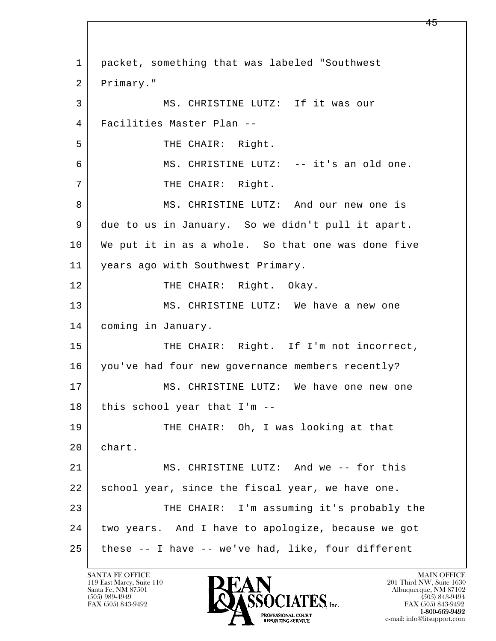l  $\overline{\phantom{a}}$  1 packet, something that was labeled "Southwest 2 Primary." 3 MS. CHRISTINE LUTZ: If it was our 4 Facilities Master Plan -- 5 THE CHAIR: Right. 6 MS. CHRISTINE LUTZ: -- it's an old one. 7 | THE CHAIR: Right. 8 MS. CHRISTINE LUTZ: And our new one is 9 due to us in January. So we didn't pull it apart. 10 We put it in as a whole. So that one was done five 11 years ago with Southwest Primary. 12 | THE CHAIR: Right. Okay. 13 MS. CHRISTINE LUTZ: We have a new one 14 coming in January. 15 THE CHAIR: Right. If I'm not incorrect, 16 you've had four new governance members recently? 17 MS. CHRISTINE LUTZ: We have one new one 18 | this school year that I'm --19 THE CHAIR: Oh, I was looking at that 20 chart. 21 MS. CHRISTINE LUTZ: And we -- for this 22 school year, since the fiscal year, we have one. 23 THE CHAIR: I'm assuming it's probably the 24 two years. And I have to apologize, because we got  $25$  these -- I have -- we've had, like, four different

119 East Marcy, Suite 110<br>Santa Fe, NM 87501

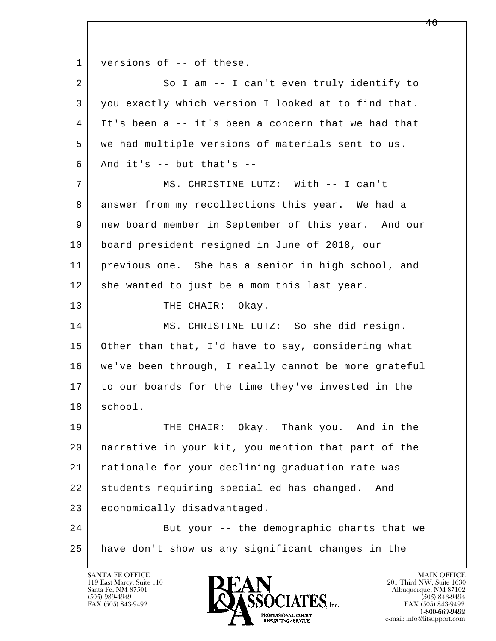l  $\overline{\phantom{a}}$ 1 versions of -- of these. 2 So I am -- I can't even truly identify to 3 you exactly which version I looked at to find that. 4 It's been a -- it's been a concern that we had that 5 we had multiple versions of materials sent to us.  $6$  And it's  $-$  but that's  $-$  7 MS. CHRISTINE LUTZ: With -- I can't 8 answer from my recollections this year. We had a 9 new board member in September of this year. And our 10 board president resigned in June of 2018, our 11 previous one. She has a senior in high school, and 12 she wanted to just be a mom this last year. 13 THE CHAIR: Okay. 14 MS. CHRISTINE LUTZ: So she did resign. 15 Other than that, I'd have to say, considering what 16 we've been through, I really cannot be more grateful 17 to our boards for the time they've invested in the 18 school. 19 THE CHAIR: Okay. Thank you. And in the 20 narrative in your kit, you mention that part of the 21 rationale for your declining graduation rate was 22 students requiring special ed has changed. And 23 economically disadvantaged. 24 But your -- the demographic charts that we 25 have don't show us any significant changes in the

119 East Marcy, Suite 110<br>Santa Fe, NM 87501

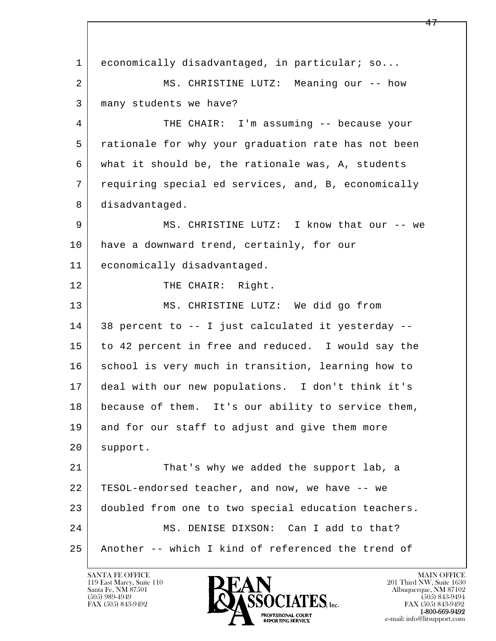l  $\overline{\phantom{a}}$ 1 economically disadvantaged, in particular; so... 2 MS. CHRISTINE LUTZ: Meaning our -- how 3 many students we have? 4 THE CHAIR: I'm assuming -- because your 5 rationale for why your graduation rate has not been 6 what it should be, the rationale was, A, students 7 requiring special ed services, and, B, economically 8 disadvantaged. 9 MS. CHRISTINE LUTZ: I know that our -- we 10 have a downward trend, certainly, for our 11 economically disadvantaged. 12 THE CHAIR: Right. 13 MS. CHRISTINE LUTZ: We did go from 14 38 percent to -- I just calculated it yesterday -- 15 to 42 percent in free and reduced. I would say the 16 school is very much in transition, learning how to 17 deal with our new populations. I don't think it's 18 because of them. It's our ability to service them, 19 and for our staff to adjust and give them more 20 support. 21 That's why we added the support lab, a 22 TESOL-endorsed teacher, and now, we have -- we 23 doubled from one to two special education teachers. 24 MS. DENISE DIXSON: Can I add to that? 25 Another -- which I kind of referenced the trend of

119 East Marcy, Suite 110<br>Santa Fe, NM 87501



FAX (505) 843-9492<br>1-800-669-9492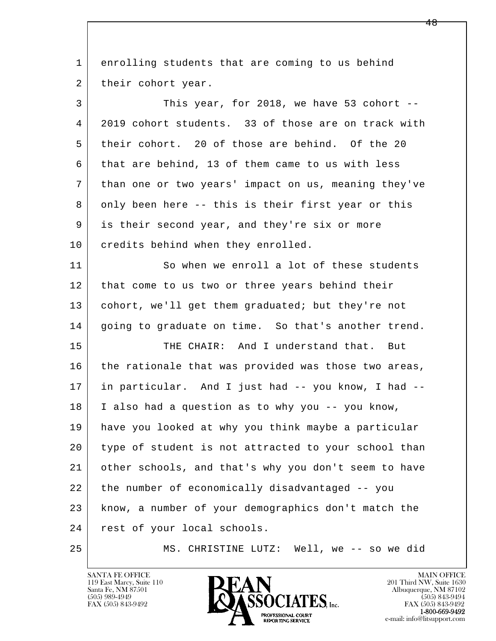l  $\overline{\phantom{a}}$  1 enrolling students that are coming to us behind 2 their cohort year. 3 This year, for 2018, we have 53 cohort -- 4 2019 cohort students. 33 of those are on track with 5 their cohort. 20 of those are behind. Of the 20 6 that are behind, 13 of them came to us with less 7 than one or two years' impact on us, meaning they've 8 only been here -- this is their first year or this 9 is their second year, and they're six or more 10 credits behind when they enrolled. 11 So when we enroll a lot of these students 12 that come to us two or three years behind their 13 | cohort, we'll get them graduated; but they're not 14 | going to graduate on time. So that's another trend. 15 THE CHAIR: And I understand that. But 16 the rationale that was provided was those two areas, 17 in particular. And I just had -- you know, I had -- 18 I also had a question as to why you -- you know, 19 have you looked at why you think maybe a particular 20 type of student is not attracted to your school than 21 other schools, and that's why you don't seem to have 22 the number of economically disadvantaged -- you 23 know, a number of your demographics don't match the 24 | rest of your local schools. 25 MS. CHRISTINE LUTZ: Well, we -- so we did

119 East Marcy, Suite 110<br>Santa Fe, NM 87501



FAX (505) 843-9492<br>**1-800-669-9492**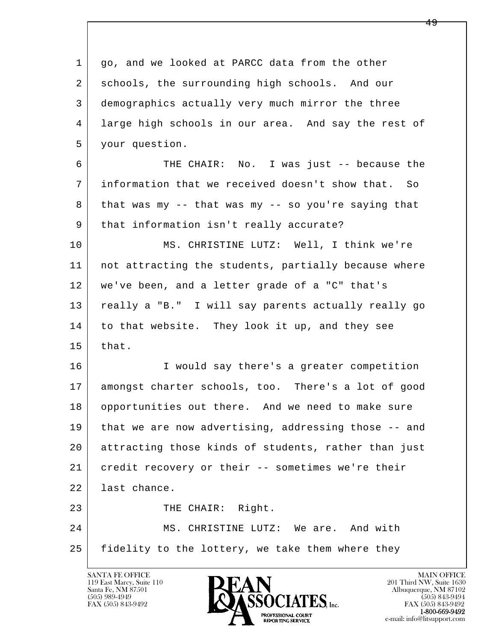l  $\overline{\phantom{a}}$ 1 qo, and we looked at PARCC data from the other 2 | schools, the surrounding high schools. And our 3 demographics actually very much mirror the three 4 large high schools in our area. And say the rest of 5 your question. 6 THE CHAIR: No. I was just -- because the 7 information that we received doesn't show that. So 8 that was my -- that was my -- so you're saying that 9 | that information isn't really accurate? 10 MS. CHRISTINE LUTZ: Well, I think we're 11 not attracting the students, partially because where 12 we've been, and a letter grade of a "C" that's 13 really a "B." I will say parents actually really go 14 to that website. They look it up, and they see  $15$  that. 16 I would say there's a greater competition 17 amongst charter schools, too. There's a lot of good 18 opportunities out there. And we need to make sure 19 that we are now advertising, addressing those -- and 20 attracting those kinds of students, rather than just 21 credit recovery or their -- sometimes we're their 22 last chance. 23 THE CHAIR: Right. 24 MS. CHRISTINE LUTZ: We are. And with 25 fidelity to the lottery, we take them where they

119 East Marcy, Suite 110<br>Santa Fe, NM 87501

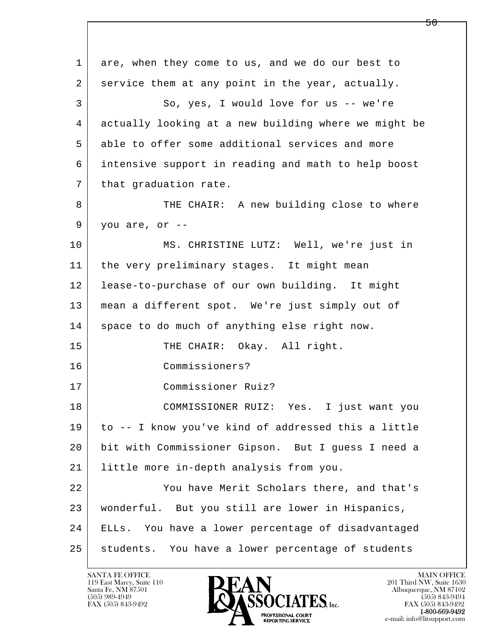l  $\overline{\phantom{a}}$  1 are, when they come to us, and we do our best to 2 service them at any point in the year, actually. 3 So, yes, I would love for us -- we're 4 actually looking at a new building where we might be 5 able to offer some additional services and more 6 intensive support in reading and math to help boost 7 | that graduation rate. 8 THE CHAIR: A new building close to where  $9$  you are, or  $-$  10 MS. CHRISTINE LUTZ: Well, we're just in 11 | the very preliminary stages. It might mean 12 lease-to-purchase of our own building. It might 13 mean a different spot. We're just simply out of 14 space to do much of anything else right now. 15 THE CHAIR: Okay. All right. 16 Commissioners? 17 Commissioner Ruiz? 18 COMMISSIONER RUIZ: Yes. I just want you 19 to -- I know you've kind of addressed this a little 20 bit with Commissioner Gipson. But I guess I need a 21 little more in-depth analysis from you. 22 You have Merit Scholars there, and that's 23 wonderful. But you still are lower in Hispanics, 24 ELLs. You have a lower percentage of disadvantaged 25 students. You have a lower percentage of students

119 East Marcy, Suite 110<br>Santa Fe, NM 87501

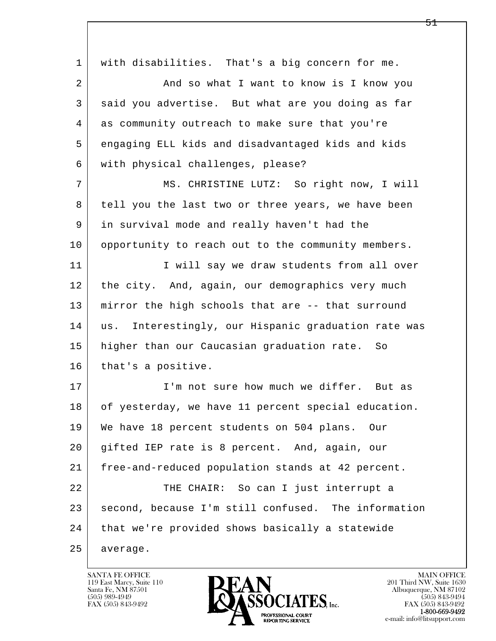| $\mathbf 1$    | with disabilities. That's a big concern for me.        |
|----------------|--------------------------------------------------------|
| $\overline{a}$ | And so what I want to know is I know you               |
| 3              | said you advertise. But what are you doing as far      |
| 4              | as community outreach to make sure that you're         |
| 5              | engaging ELL kids and disadvantaged kids and kids      |
| 6              | with physical challenges, please?                      |
| 7              | MS. CHRISTINE LUTZ: So right now, I will               |
| 8              | tell you the last two or three years, we have been     |
| 9              | in survival mode and really haven't had the            |
| 10             | opportunity to reach out to the community members.     |
| 11             | I will say we draw students from all over              |
| 12             | the city. And, again, our demographics very much       |
| 13             | mirror the high schools that are -- that surround      |
| 14             | Interestingly, our Hispanic graduation rate was<br>us. |
| 15             | higher than our Caucasian graduation rate. So          |
| 16             | that's a positive.                                     |
| 17             | I'm not sure how much we differ. But as                |
| 18             | of yesterday, we have 11 percent special education.    |
| 19             | We have 18 percent students on 504 plans.<br>Our       |
| 20             | gifted IEP rate is 8 percent. And, again, our          |
| 21             | free-and-reduced population stands at 42 percent.      |
| 22             | THE CHAIR: So can I just interrupt a                   |
| 23             | second, because I'm still confused. The information    |
| 24             | that we're provided shows basically a statewide        |
| 25             | average.                                               |

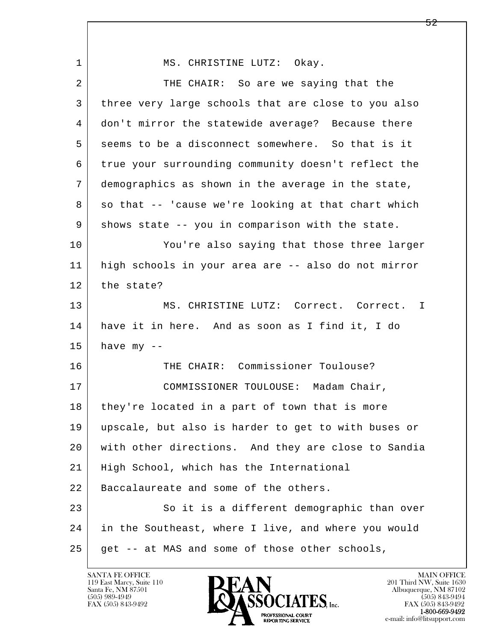| $\mathbf 1$ | MS. CHRISTINE LUTZ: Okay.                           |
|-------------|-----------------------------------------------------|
| 2           | THE CHAIR: So are we saying that the                |
| 3           | three very large schools that are close to you also |
| 4           | don't mirror the statewide average? Because there   |
| 5           | seems to be a disconnect somewhere. So that is it   |
| 6           | true your surrounding community doesn't reflect the |
| 7           | demographics as shown in the average in the state,  |
| 8           | so that -- 'cause we're looking at that chart which |
| 9           | shows state -- you in comparison with the state.    |
| 10          | You're also saying that those three larger          |
| 11          | high schools in your area are -- also do not mirror |
| 12          | the state?                                          |
| 13          | MS. CHRISTINE LUTZ: Correct. Correct.<br>I          |
| 14          | have it in here. And as soon as I find it, I do     |
| 15          | have $my - -$                                       |
| 16          | THE CHAIR: Commissioner Toulouse?                   |
| 17          | COMMISSIONER TOULOUSE: Madam Chair,                 |
| 18          | they're located in a part of town that is more      |
| 19          | upscale, but also is harder to get to with buses or |
| 20          | with other directions. And they are close to Sandia |
| 21          | High School, which has the International            |
| 22          | Baccalaureate and some of the others.               |
| 23          | So it is a different demographic than over          |
| 24          | in the Southeast, where I live, and where you would |
| 25          | get -- at MAS and some of those other schools,      |

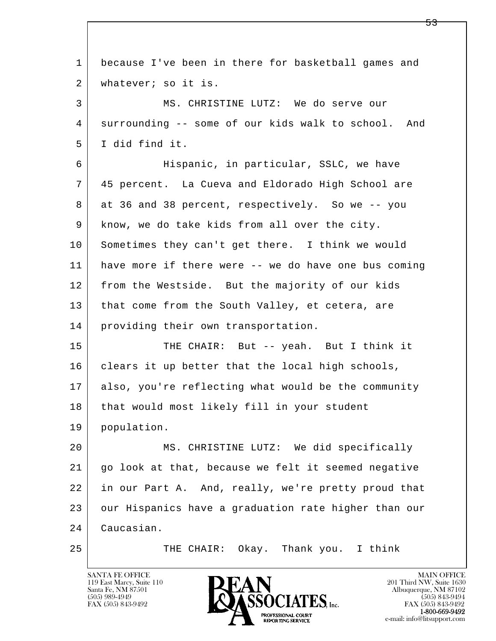| $\mathbf 1$ | because I've been in there for basketball games and  |
|-------------|------------------------------------------------------|
| 2           | whatever; so it is.                                  |
| 3           | MS. CHRISTINE LUTZ: We do serve our                  |
| 4           | surrounding -- some of our kids walk to school. And  |
| 5           | I did find it.                                       |
| 6           | Hispanic, in particular, SSLC, we have               |
| 7           | 45 percent. La Cueva and Eldorado High School are    |
| 8           | at 36 and 38 percent, respectively. So we -- you     |
| 9           | know, we do take kids from all over the city.        |
| 10          | Sometimes they can't get there. I think we would     |
| 11          | have more if there were -- we do have one bus coming |
| 12          | from the Westside. But the majority of our kids      |
| 13          | that come from the South Valley, et cetera, are      |
| 14          | providing their own transportation.                  |
| 15          | THE CHAIR: But -- yeah. But I think it               |
| 16          | clears it up better that the local high schools,     |
| 17          | also, you're reflecting what would be the community  |
| 18          | that would most likely fill in your student          |
| 19          | population.                                          |
| 20          | MS. CHRISTINE LUTZ: We did specifically              |
| 21          | go look at that, because we felt it seemed negative  |
| 22          | in our Part A. And, really, we're pretty proud that  |
| 23          | our Hispanics have a graduation rate higher than our |
| 24          | Caucasian.                                           |
| 25          | Okay. Thank you. I think<br>THE CHAIR:               |

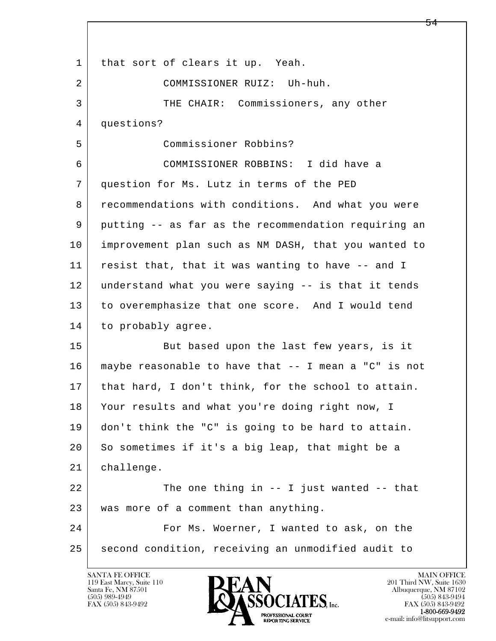l  $\overline{\phantom{a}}$ 1 | that sort of clears it up. Yeah. 2 COMMISSIONER RUIZ: Uh-huh. 3 THE CHAIR: Commissioners, any other 4 questions? 5 Commissioner Robbins? 6 COMMISSIONER ROBBINS: I did have a 7 question for Ms. Lutz in terms of the PED 8 recommendations with conditions. And what you were 9 putting -- as far as the recommendation requiring an 10 improvement plan such as NM DASH, that you wanted to 11 resist that, that it was wanting to have -- and I 12 understand what you were saying -- is that it tends 13 to overemphasize that one score. And I would tend 14 to probably agree. 15 | But based upon the last few years, is it 16 maybe reasonable to have that -- I mean a "C" is not 17 that hard, I don't think, for the school to attain. 18 Your results and what you're doing right now, I 19 don't think the "C" is going to be hard to attain. 20 So sometimes if it's a big leap, that might be a 21 challenge. 22 The one thing in -- I just wanted -- that 23 was more of a comment than anything. 24 For Ms. Woerner, I wanted to ask, on the 25 second condition, receiving an unmodified audit to

119 East Marcy, Suite 110<br>Santa Fe, NM 87501

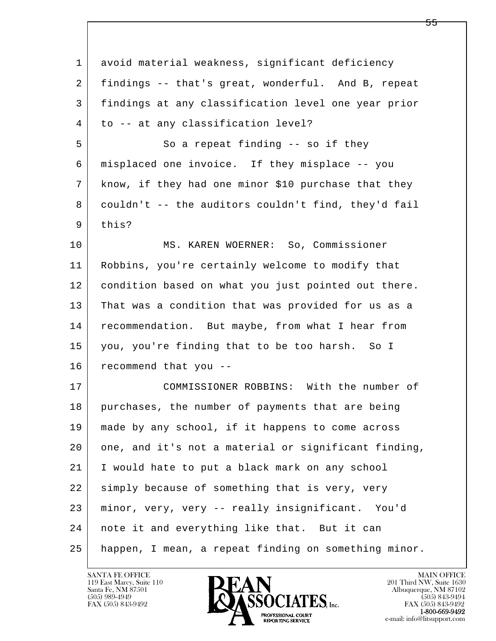| $\mathbf 1$    | avoid material weakness, significant deficiency      |
|----------------|------------------------------------------------------|
| $\overline{a}$ | findings -- that's great, wonderful. And B, repeat   |
| 3              | findings at any classification level one year prior  |
| 4              | to -- at any classification level?                   |
| 5              | So a repeat finding -- so if they                    |
| 6              | misplaced one invoice. If they misplace -- you       |
| 7              | know, if they had one minor \$10 purchase that they  |
| 8              | couldn't -- the auditors couldn't find, they'd fail  |
| 9              | this?                                                |
| 10             | MS. KAREN WOERNER: So, Commissioner                  |
| 11             | Robbins, you're certainly welcome to modify that     |
| 12             | condition based on what you just pointed out there.  |
| 13             | That was a condition that was provided for us as a   |
| 14             | recommendation. But maybe, from what I hear from     |
| 15             | you, you're finding that to be too harsh. So I       |
| 16             | recommend that you --                                |
| 17             | COMMISSIONER ROBBINS: With the number of             |
| 18             | purchases, the number of payments that are being     |
| 19             | made by any school, if it happens to come across     |
| 20             | one, and it's not a material or significant finding, |
| 21             | I would hate to put a black mark on any school       |
| 22             | simply because of something that is very, very       |
| 23             | minor, very, very -- really insignificant. You'd     |
| 24             | note it and everything like that. But it can         |
| 25             | happen, I mean, a repeat finding on something minor. |

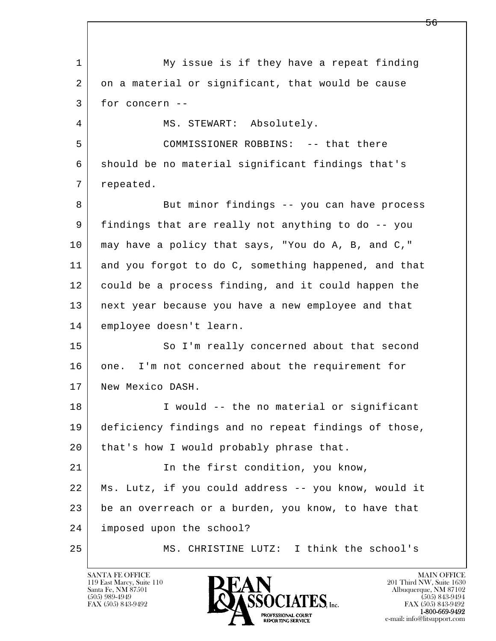l  $\overline{\phantom{a}}$  1 My issue is if they have a repeat finding 2 on a material or significant, that would be cause 3 for concern -- 4 | MS. STEWART: Absolutely. 5 | COMMISSIONER ROBBINS: -- that there 6 should be no material significant findings that's 7 repeated. 8 But minor findings -- you can have process 9 findings that are really not anything to do -- you 10 may have a policy that says, "You do A, B, and C," 11 and you forgot to do C, something happened, and that 12 could be a process finding, and it could happen the 13 next year because you have a new employee and that 14 employee doesn't learn. 15 | So I'm really concerned about that second 16 one. I'm not concerned about the requirement for 17 New Mexico DASH. 18 | I would -- the no material or significant 19 deficiency findings and no repeat findings of those, 20 | that's how I would probably phrase that. 21 In the first condition, you know, 22 Ms. Lutz, if you could address -- you know, would it 23 be an overreach or a burden, you know, to have that 24 imposed upon the school? 25 MS. CHRISTINE LUTZ: I think the school's

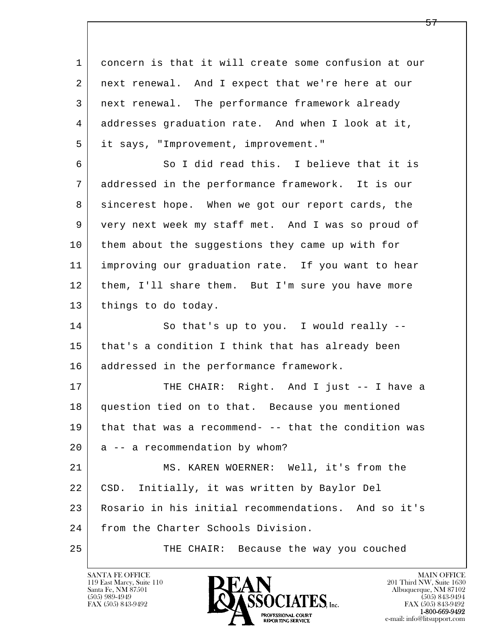l  $\overline{\phantom{a}}$  1 concern is that it will create some confusion at our 2 next renewal. And I expect that we're here at our 3 next renewal. The performance framework already 4 addresses graduation rate. And when I look at it, 5 it says, "Improvement, improvement." 6 So I did read this. I believe that it is 7 addressed in the performance framework. It is our 8 sincerest hope. When we got our report cards, the 9 very next week my staff met. And I was so proud of 10 them about the suggestions they came up with for 11 improving our graduation rate. If you want to hear 12 | them, I'll share them. But I'm sure you have more 13 | things to do today. 14 So that's up to you. I would really --15 | that's a condition I think that has already been 16 addressed in the performance framework. 17 | THE CHAIR: Right. And I just -- I have a 18 question tied on to that. Because you mentioned 19 that that was a recommend- -- that the condition was  $20$  a  $-$  a recommendation by whom? 21 MS. KAREN WOERNER: Well, it's from the 22 CSD. Initially, it was written by Baylor Del 23 Rosario in his initial recommendations. And so it's 24 | from the Charter Schools Division. 25 THE CHAIR: Because the way you couched

119 East Marcy, Suite 110<br>Santa Fe, NM 87501

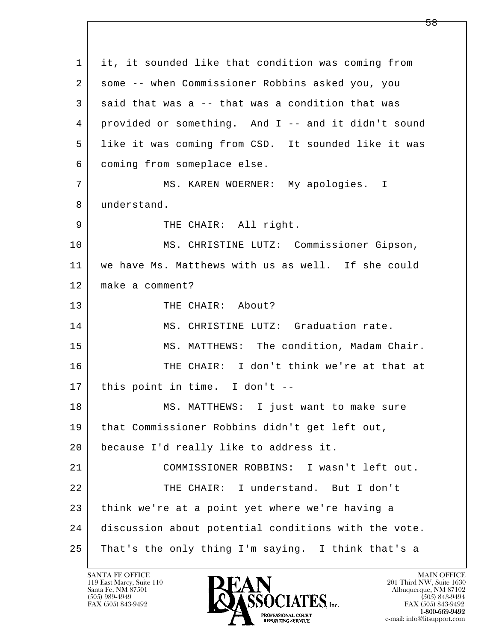l  $\overline{\phantom{a}}$  1 it, it sounded like that condition was coming from 2 some -- when Commissioner Robbins asked you, you 3 said that was a -- that was a condition that was 4 provided or something. And I -- and it didn't sound 5 like it was coming from CSD. It sounded like it was 6 coming from someplace else. 7 | MS. KAREN WOERNER: My apologies. I 8 understand. 9 | THE CHAIR: All right. 10 | MS. CHRISTINE LUTZ: Commissioner Gipson, 11 we have Ms. Matthews with us as well. If she could 12 make a comment? 13 THE CHAIR: About? 14 MS. CHRISTINE LUTZ: Graduation rate. 15 | MS. MATTHEWS: The condition, Madam Chair. 16 THE CHAIR: I don't think we're at that at 17 this point in time. I don't -- 18 MS. MATTHEWS: I just want to make sure 19 that Commissioner Robbins didn't get left out, 20 because I'd really like to address it. 21 COMMISSIONER ROBBINS: I wasn't left out. 22 THE CHAIR: I understand. But I don't 23 think we're at a point yet where we're having a 24 discussion about potential conditions with the vote. 25 | That's the only thing I'm saying. I think that's a

119 East Marcy, Suite 110<br>Santa Fe, NM 87501

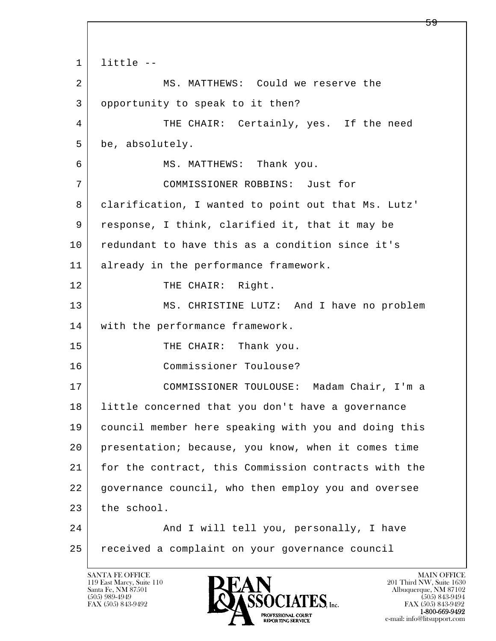```
l 
  \overline{\phantom{a}}1 little - 2 MS. MATTHEWS: Could we reserve the 
 3 opportunity to speak to it then? 
4 THE CHAIR: Certainly, yes. If the need
 5 be, absolutely. 
6 | MS. MATTHEWS: Thank you.
 7 COMMISSIONER ROBBINS: Just for 
 8 clarification, I wanted to point out that Ms. Lutz' 
 9 response, I think, clarified it, that it may be 
10 redundant to have this as a condition since it's
 11 already in the performance framework. 
12 THE CHAIR: Right.
13 MS. CHRISTINE LUTZ: And I have no problem
14 with the performance framework.
15 THE CHAIR: Thank you.
 16 Commissioner Toulouse? 
 17 COMMISSIONER TOULOUSE: Madam Chair, I'm a 
 18 little concerned that you don't have a governance 
 19 council member here speaking with you and doing this 
 20 presentation; because, you know, when it comes time 
 21 for the contract, this Commission contracts with the 
 22 governance council, who then employ you and oversee 
23 the school.
24 And I will tell you, personally, I have
 25 received a complaint on your governance council
```
119 East Marcy, Suite 110<br>Santa Fe, NM 87501

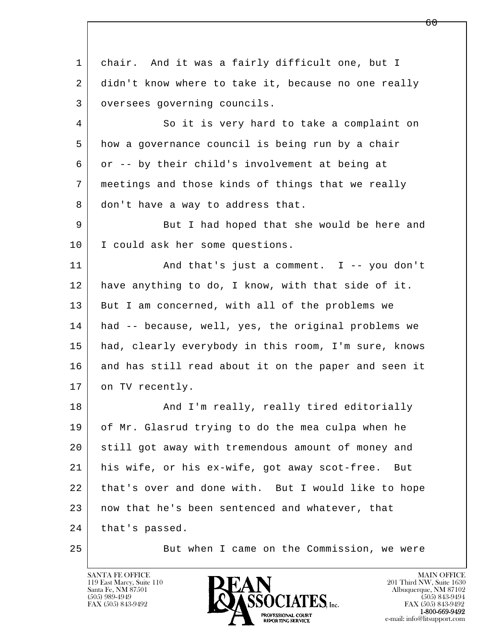l  $\overline{\phantom{a}}$  1 chair. And it was a fairly difficult one, but I 2 didn't know where to take it, because no one really 3 | oversees governing councils. 4 So it is very hard to take a complaint on 5 how a governance council is being run by a chair 6 or -- by their child's involvement at being at 7 meetings and those kinds of things that we really 8 don't have a way to address that. 9 But I had hoped that she would be here and 10 | I could ask her some questions. 11 | And that's just a comment. I -- you don't 12 have anything to do, I know, with that side of it. 13 But I am concerned, with all of the problems we 14 had -- because, well, yes, the original problems we 15 had, clearly everybody in this room, I'm sure, knows 16 and has still read about it on the paper and seen it 17 on TV recently. 18 | The Rand I'm really, really tired editorially 19 of Mr. Glasrud trying to do the mea culpa when he 20 still got away with tremendous amount of money and 21 his wife, or his ex-wife, got away scot-free. But 22 that's over and done with. But I would like to hope 23 | now that he's been sentenced and whatever, that 24 | that's passed. 25 But when I came on the Commission, we were

119 East Marcy, Suite 110<br>Santa Fe, NM 87501

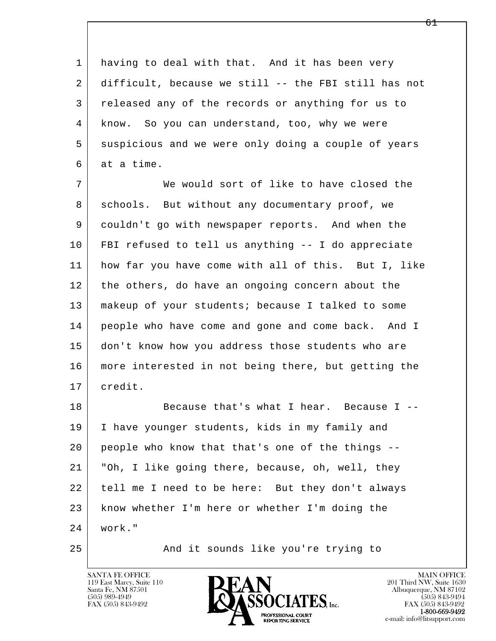1 having to deal with that. And it has been very 2 difficult, because we still -- the FBI still has not 3 released any of the records or anything for us to 4 know. So you can understand, too, why we were 5 suspicious and we were only doing a couple of years 6 at a time.

 7 We would sort of like to have closed the 8 schools. But without any documentary proof, we 9 couldn't go with newspaper reports. And when the 10 FBI refused to tell us anything -- I do appreciate 11 how far you have come with all of this. But I, like 12 the others, do have an ongoing concern about the 13 makeup of your students; because I talked to some 14 people who have come and gone and come back. And I 15 don't know how you address those students who are 16 more interested in not being there, but getting the 17 credit.

l  $\overline{\phantom{a}}$ 18 Because that's what I hear. Because I -- 19 I have younger students, kids in my family and 20 people who know that that's one of the things -- 21 "Oh, I like going there, because, oh, well, they 22 tell me I need to be here: But they don't always 23 know whether I'm here or whether I'm doing the 24 work."

25 And it sounds like you're trying to

119 East Marcy, Suite 110<br>Santa Fe, NM 87501



FAX (505) 843-9492<br>**1-800-669-9492**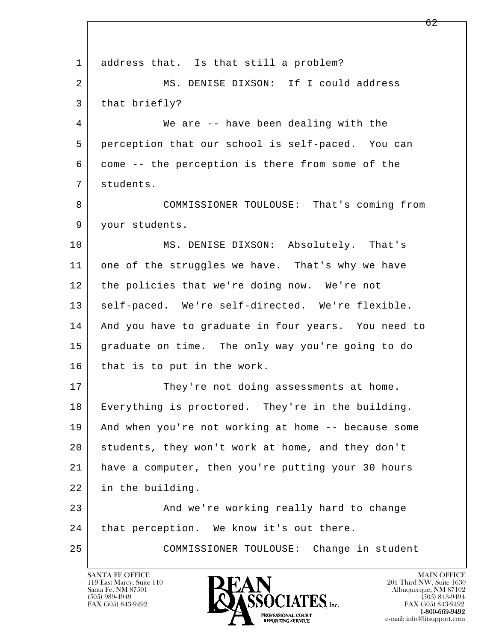l  $\overline{\phantom{a}}$ 1 address that. Is that still a problem? 2 MS. DENISE DIXSON: If I could address 3 | that briefly? 4 We are -- have been dealing with the 5 perception that our school is self-paced. You can 6 come -- the perception is there from some of the 7 students. 8 COMMISSIONER TOULOUSE: That's coming from 9 your students. 10 MS. DENISE DIXSON: Absolutely. That's 11 one of the struggles we have. That's why we have 12 the policies that we're doing now. We're not 13 self-paced. We're self-directed. We're flexible. 14 And you have to graduate in four years. You need to 15 graduate on time. The only way you're going to do 16 that is to put in the work. 17 They're not doing assessments at home. 18 Everything is proctored. They're in the building. 19 And when you're not working at home -- because some 20 students, they won't work at home, and they don't 21 have a computer, then you're putting your 30 hours 22 in the building. 23 And we're working really hard to change 24 | that perception. We know it's out there. 25 COMMISSIONER TOULOUSE: Change in student

119 East Marcy, Suite 110<br>Santa Fe, NM 87501

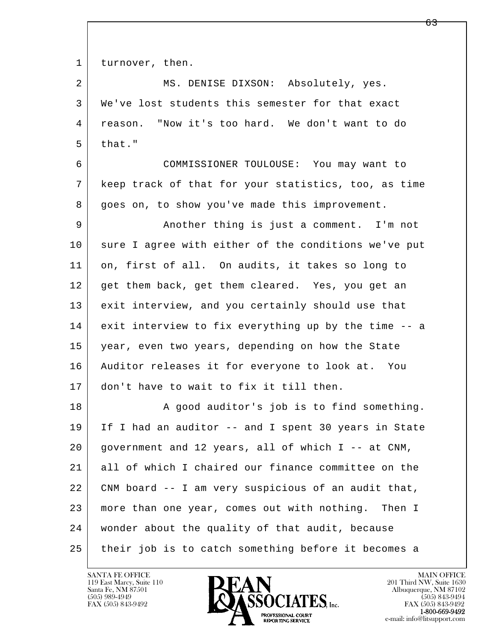1 turnover, then.

2 MS. DENISE DIXSON: Absolutely, yes. 3 We've lost students this semester for that exact 4 reason. "Now it's too hard. We don't want to do  $5$  that." 6 COMMISSIONER TOULOUSE: You may want to 7 keep track of that for your statistics, too, as time 8 goes on, to show you've made this improvement. 9 Another thing is just a comment. I'm not 10 sure I agree with either of the conditions we've put 11 on, first of all. On audits, it takes so long to 12 get them back, get them cleared. Yes, you get an 13 exit interview, and you certainly should use that 14 exit interview to fix everything up by the time -- a 15 year, even two years, depending on how the State 16 Auditor releases it for everyone to look at. You 17 don't have to wait to fix it till then. 18 | Report A good auditor's job is to find something. 19 If I had an auditor -- and I spent 30 years in State  $20$  government and 12 years, all of which I -- at CNM, 21 all of which I chaired our finance committee on the 22 CNM board -- I am very suspicious of an audit that, 23 more than one year, comes out with nothing. Then I

25 their job is to catch something before it becomes a

l  $\overline{\phantom{a}}$ 

119 East Marcy, Suite 110<br>Santa Fe, NM 87501



24 wonder about the quality of that audit, because

FAX (505) 843-9492<br>**1-800-669-9492**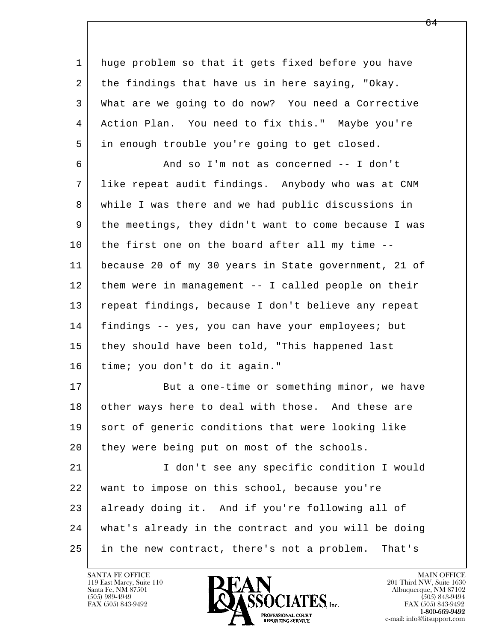1 huge problem so that it gets fixed before you have 2 the findings that have us in here saying, "Okay. 3 What are we going to do now? You need a Corrective 4 Action Plan. You need to fix this." Maybe you're 5 in enough trouble you're going to get closed.

 6 And so I'm not as concerned -- I don't 7 like repeat audit findings. Anybody who was at CNM 8 while I was there and we had public discussions in 9 the meetings, they didn't want to come because I was 10 the first one on the board after all my time -- 11 because 20 of my 30 years in State government, 21 of 12 them were in management -- I called people on their 13 repeat findings, because I don't believe any repeat 14 findings -- yes, you can have your employees; but 15 they should have been told, "This happened last 16 time; you don't do it again."

17 But a one-time or something minor, we have 18 other ways here to deal with those. And these are 19 sort of generic conditions that were looking like 20 they were being put on most of the schools.

l  $\overline{\phantom{a}}$  21 I don't see any specific condition I would 22 want to impose on this school, because you're 23 already doing it. And if you're following all of 24 what's already in the contract and you will be doing 25 in the new contract, there's not a problem. That's

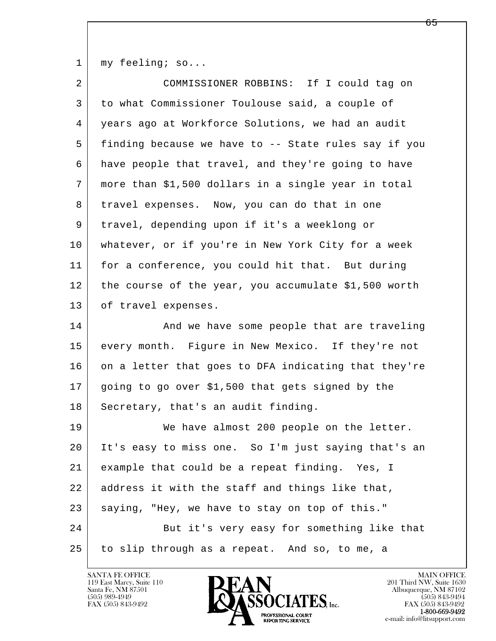1 | my feeling; so...

| $\overline{2}$ | COMMISSIONER ROBBINS: If I could tag on              |
|----------------|------------------------------------------------------|
| 3              | to what Commissioner Toulouse said, a couple of      |
| 4              | years ago at Workforce Solutions, we had an audit    |
| 5              | finding because we have to -- State rules say if you |
| 6              | have people that travel, and they're going to have   |
| 7              | more than \$1,500 dollars in a single year in total  |
| 8              | travel expenses. Now, you can do that in one         |
| 9              | travel, depending upon if it's a weeklong or         |
| 10             | whatever, or if you're in New York City for a week   |
| 11             | for a conference, you could hit that. But during     |
| 12             | the course of the year, you accumulate \$1,500 worth |
| 13             | of travel expenses.                                  |
| 14             | And we have some people that are traveling           |
| 15             | every month. Figure in New Mexico. If they're not    |
| 16             | on a letter that goes to DFA indicating that they're |
| 17             | going to go over \$1,500 that gets signed by the     |
| 18             | Secretary, that's an audit finding.                  |
| 19             | We have almost 200 people on the letter.             |
| 20             | It's easy to miss one. So I'm just saying that's an  |
| 21             | example that could be a repeat finding. Yes, I       |
| 22             | address it with the staff and things like that,      |
| 23             | saying, "Hey, we have to stay on top of this."       |
| 24             | But it's very easy for something like that           |
| 25             | to slip through as a repeat. And so, to me, a        |

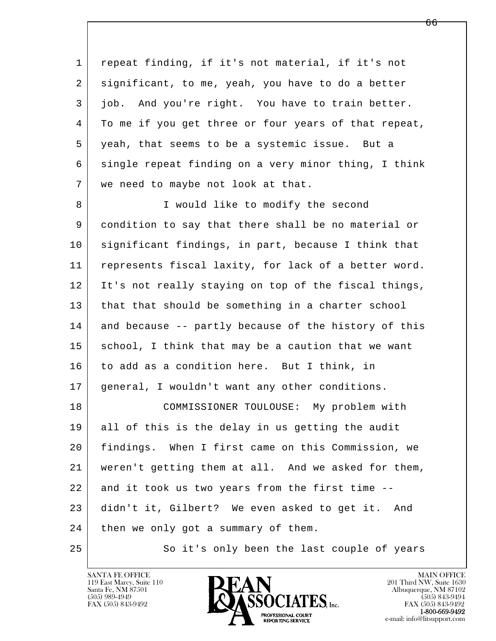l  $\overline{\phantom{a}}$  1 repeat finding, if it's not material, if it's not 2 significant, to me, yeah, you have to do a better 3 job. And you're right. You have to train better. 4 To me if you get three or four years of that repeat, 5 yeah, that seems to be a systemic issue. But a 6 single repeat finding on a very minor thing, I think 7 | we need to maybe not look at that. 8 | I would like to modify the second 9 condition to say that there shall be no material or 10 significant findings, in part, because I think that 11 represents fiscal laxity, for lack of a better word. 12 It's not really staying on top of the fiscal things, 13 that that should be something in a charter school 14 and because -- partly because of the history of this 15 school, I think that may be a caution that we want 16 to add as a condition here. But I think, in 17 general, I wouldn't want any other conditions. 18 COMMISSIONER TOULOUSE: My problem with 19 all of this is the delay in us getting the audit 20 findings. When I first came on this Commission, we 21 weren't getting them at all. And we asked for them, 22 and it took us two years from the first time -- 23 didn't it, Gilbert? We even asked to get it. And 24 then we only got a summary of them. 25 So it's only been the last couple of years

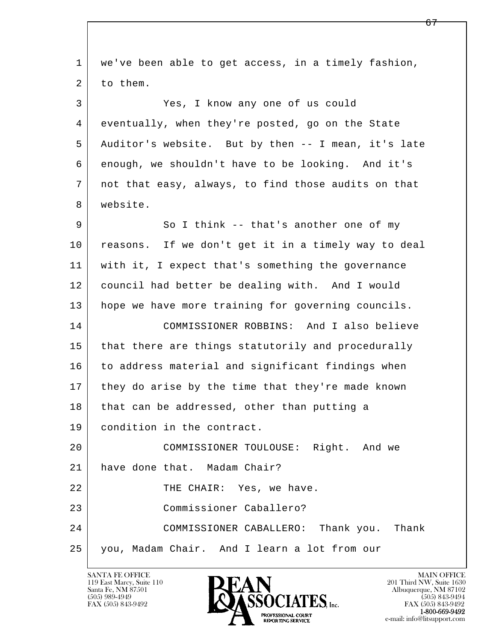| $\mathbf{1}$ | we've been able to get access, in a timely fashion, |
|--------------|-----------------------------------------------------|
| 2            | to them.                                            |
| 3            | Yes, I know any one of us could                     |
| 4            | eventually, when they're posted, go on the State    |
| 5            | Auditor's website. But by then -- I mean, it's late |
| 6            | enough, we shouldn't have to be looking. And it's   |
| 7            | not that easy, always, to find those audits on that |
| 8            | website.                                            |
| 9            | So I think -- that's another one of my              |
| 10           | reasons. If we don't get it in a timely way to deal |
| 11           | with it, I expect that's something the governance   |
| 12           | council had better be dealing with. And I would     |
| 13           | hope we have more training for governing councils.  |
| 14           | COMMISSIONER ROBBINS: And I also believe            |
| 15           | that there are things statutorily and procedurally  |
| 16           | to address material and significant findings when   |
| 17           | they do arise by the time that they're made known   |
| 18           | that can be addressed, other than putting a         |
| 19           | condition in the contract.                          |
| 20           | COMMISSIONER TOULOUSE: Right. And we                |
| 21           | have done that. Madam Chair?                        |
| 22           | THE CHAIR: Yes, we have.                            |
| 23           | Commissioner Caballero?                             |
| 24           | COMMISSIONER CABALLERO: Thank you. Thank            |
| 25           | you, Madam Chair. And I learn a lot from our        |

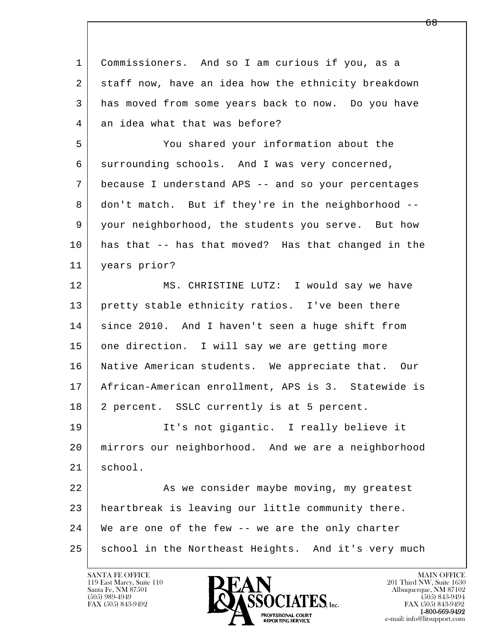l  $\overline{\phantom{a}}$  1 Commissioners. And so I am curious if you, as a 2 staff now, have an idea how the ethnicity breakdown 3 has moved from some years back to now. Do you have 4 an idea what that was before? 5 You shared your information about the 6 surrounding schools. And I was very concerned, 7 because I understand APS -- and so your percentages 8 don't match. But if they're in the neighborhood -- 9 your neighborhood, the students you serve. But how 10 has that -- has that moved? Has that changed in the 11 years prior? 12 | MS. CHRISTINE LUTZ: I would say we have 13 pretty stable ethnicity ratios. I've been there 14 since 2010. And I haven't seen a huge shift from 15 one direction. I will say we are getting more 16 Native American students. We appreciate that. Our 17 African-American enrollment, APS is 3. Statewide is 18 2 percent. SSLC currently is at 5 percent. 19 | It's not gigantic. I really believe it 20 mirrors our neighborhood. And we are a neighborhood 21 school. 22 As we consider maybe moving, my greatest 23 heartbreak is leaving our little community there. 24 We are one of the few -- we are the only charter 25 school in the Northeast Heights. And it's very much

119 East Marcy, Suite 110<br>Santa Fe, NM 87501



FAX (505) 843-9492<br>**1-800-669-9492**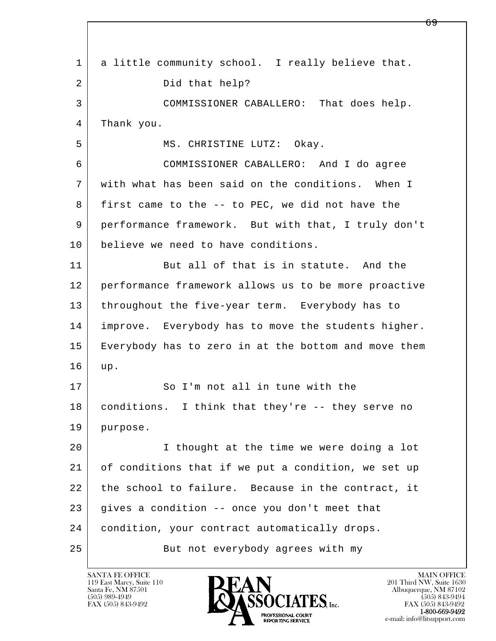l  $\overline{\phantom{a}}$  1 a little community school. I really believe that. 2 Did that help? 3 COMMISSIONER CABALLERO: That does help. 4 Thank you. 5 | MS. CHRISTINE LUTZ: Okay. 6 COMMISSIONER CABALLERO: And I do agree 7 with what has been said on the conditions. When I 8 first came to the -- to PEC, we did not have the 9 performance framework. But with that, I truly don't 10 believe we need to have conditions. 11 But all of that is in statute. And the 12 performance framework allows us to be more proactive 13 | throughout the five-year term. Everybody has to 14 improve. Everybody has to move the students higher. 15 Everybody has to zero in at the bottom and move them 16 up. 17 So I'm not all in tune with the 18 conditions. I think that they're -- they serve no 19 purpose. 20 I thought at the time we were doing a lot 21 of conditions that if we put a condition, we set up 22 the school to failure. Because in the contract, it 23 gives a condition -- once you don't meet that 24 | condition, your contract automatically drops. 25 But not everybody agrees with my

119 East Marcy, Suite 110<br>Santa Fe, NM 87501

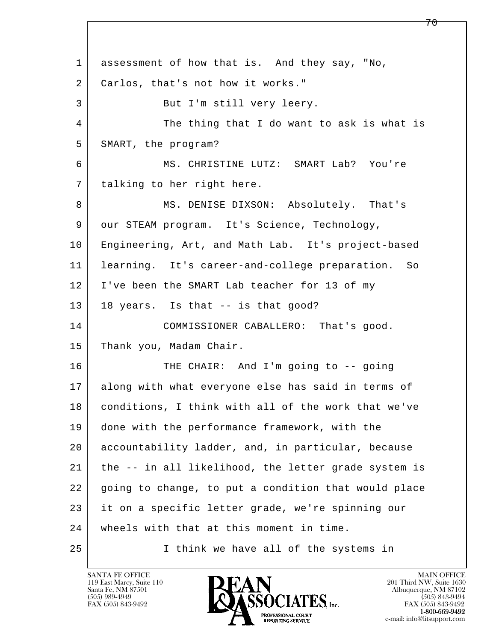l  $\overline{\phantom{a}}$  1 assessment of how that is. And they say, "No, 2 Carlos, that's not how it works." 3 | But I'm still very leery. 4 The thing that I do want to ask is what is 5 SMART, the program? 6 MS. CHRISTINE LUTZ: SMART Lab? You're 7 talking to her right here. 8 MS. DENISE DIXSON: Absolutely. That's 9 our STEAM program. It's Science, Technology, 10 Engineering, Art, and Math Lab. It's project-based 11 learning. It's career-and-college preparation. So 12 I've been the SMART Lab teacher for 13 of my 13 | 18 years. Is that -- is that good? 14 COMMISSIONER CABALLERO: That's good. 15 Thank you, Madam Chair. 16 THE CHAIR: And I'm going to -- going 17 along with what everyone else has said in terms of 18 conditions, I think with all of the work that we've 19 done with the performance framework, with the 20 accountability ladder, and, in particular, because 21 the -- in all likelihood, the letter grade system is 22 going to change, to put a condition that would place 23 it on a specific letter grade, we're spinning our 24 wheels with that at this moment in time. 25 I think we have all of the systems in

119 East Marcy, Suite 110<br>Santa Fe, NM 87501



7 በ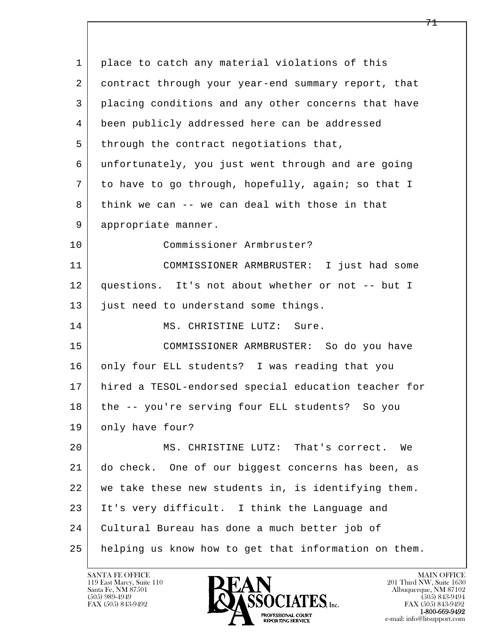| $\mathbf{1}$ | place to catch any material violations of this       |
|--------------|------------------------------------------------------|
| 2            | contract through your year-end summary report, that  |
| 3            | placing conditions and any other concerns that have  |
| 4            | been publicly addressed here can be addressed        |
| 5            | through the contract negotiations that,              |
| 6            | unfortunately, you just went through and are going   |
| 7            | to have to go through, hopefully, again; so that I   |
| 8            | think we can -- we can deal with those in that       |
| 9            | appropriate manner.                                  |
| 10           | Commissioner Armbruster?                             |
| 11           | COMMISSIONER ARMBRUSTER: I just had some             |
| 12           | questions. It's not about whether or not -- but I    |
| 13           | just need to understand some things.                 |
| 14           | MS. CHRISTINE LUTZ: Sure.                            |
| 15           | COMMISSIONER ARMBRUSTER: So do you have              |
| 16           | only four ELL students? I was reading that you       |
| 17           | hired a TESOL-endorsed special education teacher for |
| 18           | the -- you're serving four ELL students? So you      |
| 19           | only have four?                                      |
| 20           | MS. CHRISTINE LUTZ: That's correct.<br>We            |
| 21           | do check. One of our biggest concerns has been, as   |
| 22           | we take these new students in, is identifying them.  |
| 23           | It's very difficult. I think the Language and        |
| 24           | Cultural Bureau has done a much better job of        |
| 25           | helping us know how to get that information on them. |

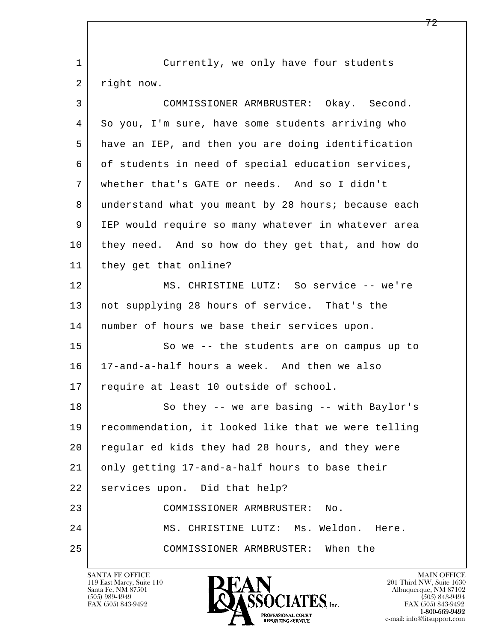l  $\overline{\phantom{a}}$  1 Currently, we only have four students 2 right now. 3 COMMISSIONER ARMBRUSTER: Okay. Second. 4 So you, I'm sure, have some students arriving who 5 have an IEP, and then you are doing identification 6 | of students in need of special education services, 7 whether that's GATE or needs. And so I didn't 8 understand what you meant by 28 hours; because each 9 IEP would require so many whatever in whatever area 10 they need. And so how do they get that, and how do 11 they get that online? 12 MS. CHRISTINE LUTZ: So service -- we're 13 not supplying 28 hours of service. That's the 14 | number of hours we base their services upon. 15 | So we -- the students are on campus up to 16 17-and-a-half hours a week. And then we also 17 require at least 10 outside of school. 18 So they -- we are basing -- with Baylor's 19 recommendation, it looked like that we were telling 20 regular ed kids they had 28 hours, and they were 21 only getting 17-and-a-half hours to base their 22 services upon. Did that help? 23 COMMISSIONER ARMBRUSTER: No. 24 MS. CHRISTINE LUTZ: Ms. Weldon. Here. 25 COMMISSIONER ARMBRUSTER: When the

119 East Marcy, Suite 110<br>Santa Fe, NM 87501

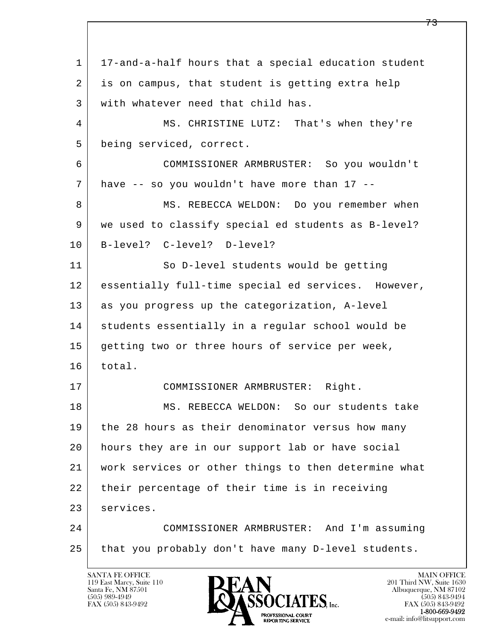l  $\overline{\phantom{a}}$  1 17-and-a-half hours that a special education student 2 is on campus, that student is getting extra help 3 with whatever need that child has. 4 MS. CHRISTINE LUTZ: That's when they're 5 being serviced, correct. 6 COMMISSIONER ARMBRUSTER: So you wouldn't  $7$  have  $-$  so you wouldn't have more than 17  $-$ 8 MS. REBECCA WELDON: Do you remember when 9 we used to classify special ed students as B-level? 10 B-level? C-level? D-level? 11 So D-level students would be getting 12 essentially full-time special ed services. However, 13 as you progress up the categorization, A-level 14 students essentially in a regular school would be 15 getting two or three hours of service per week, 16 total. 17 COMMISSIONER ARMBRUSTER: Right. 18 MS. REBECCA WELDON: So our students take 19 | the 28 hours as their denominator versus how many 20 hours they are in our support lab or have social 21 work services or other things to then determine what 22 their percentage of their time is in receiving 23 services. 24 COMMISSIONER ARMBRUSTER: And I'm assuming 25 that you probably don't have many D-level students.

119 East Marcy, Suite 110<br>Santa Fe, NM 87501

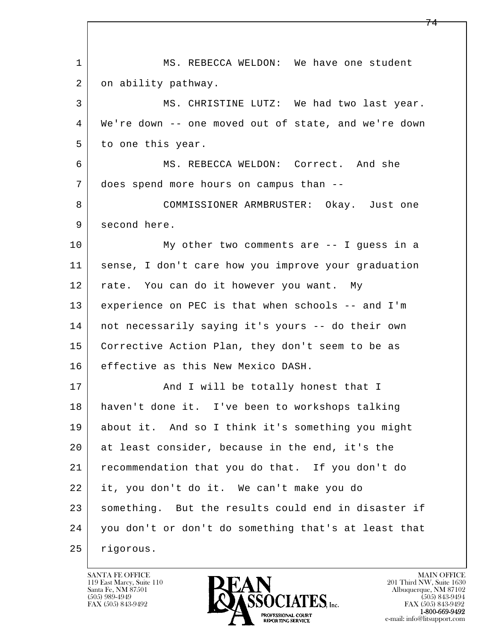l  $\overline{\phantom{a}}$ 1 | MS. REBECCA WELDON: We have one student 2 on ability pathway. 3 MS. CHRISTINE LUTZ: We had two last year. 4 We're down -- one moved out of state, and we're down 5 to one this year. 6 MS. REBECCA WELDON: Correct. And she 7 does spend more hours on campus than -- 8 COMMISSIONER ARMBRUSTER: Okay. Just one 9 second here. 10 My other two comments are -- I quess in a 11 sense, I don't care how you improve your graduation 12 rate. You can do it however you want. My 13 experience on PEC is that when schools -- and I'm 14 not necessarily saying it's yours -- do their own 15 Corrective Action Plan, they don't seem to be as 16 effective as this New Mexico DASH. 17 | And I will be totally honest that I 18 haven't done it. I've been to workshops talking 19 about it. And so I think it's something you might 20 at least consider, because in the end, it's the 21 recommendation that you do that. If you don't do 22 it, you don't do it. We can't make you do 23 something. But the results could end in disaster if 24 you don't or don't do something that's at least that 25 rigorous.

119 East Marcy, Suite 110<br>Santa Fe, NM 87501

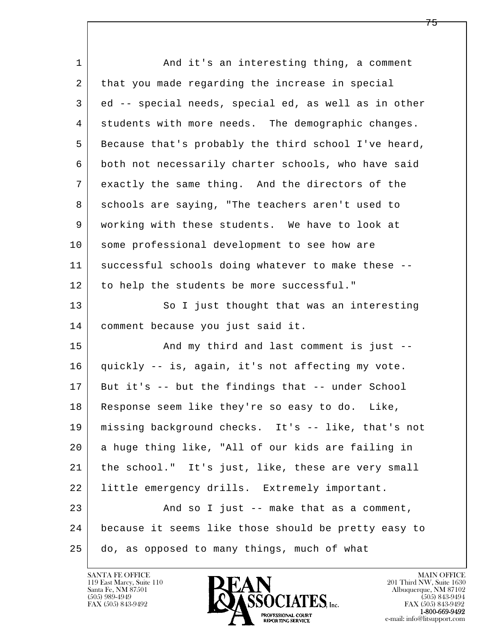l  $\overline{\phantom{a}}$ 1 and it's an interesting thing, a comment 2 that you made regarding the increase in special 3 ed -- special needs, special ed, as well as in other 4 | students with more needs. The demographic changes. 5 Because that's probably the third school I've heard, 6 both not necessarily charter schools, who have said 7 exactly the same thing. And the directors of the 8 schools are saying, "The teachers aren't used to 9 working with these students. We have to look at 10 some professional development to see how are 11 successful schools doing whatever to make these -- 12 to help the students be more successful." 13 So I just thought that was an interesting 14 comment because you just said it. 15 | The Mondow Chird and last comment is just -- 16 quickly -- is, again, it's not affecting my vote. 17 But it's -- but the findings that -- under School 18 Response seem like they're so easy to do. Like, 19 missing background checks. It's -- like, that's not 20 a huge thing like, "All of our kids are failing in 21 the school." It's just, like, these are very small 22 little emergency drills. Extremely important. 23 | And so I just -- make that as a comment, 24 because it seems like those should be pretty easy to 25 do, as opposed to many things, much of what

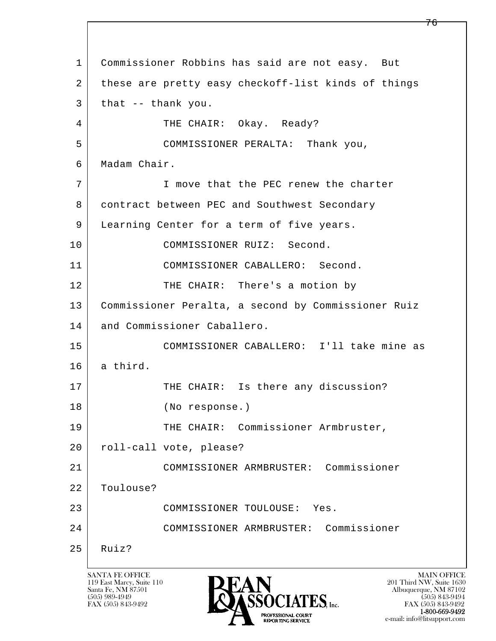l  $\overline{\phantom{a}}$  1 Commissioner Robbins has said are not easy. But 2 these are pretty easy checkoff-list kinds of things  $3$  that  $-$  thank you. 4 THE CHAIR: Okay. Ready? 5 COMMISSIONER PERALTA: Thank you, 6 Madam Chair. 7 I move that the PEC renew the charter 8 contract between PEC and Southwest Secondary 9 | Learning Center for a term of five years. 10 COMMISSIONER RUIZ: Second. 11 COMMISSIONER CABALLERO: Second. 12 THE CHAIR: There's a motion by 13 Commissioner Peralta, a second by Commissioner Ruiz 14 and Commissioner Caballero. 15 COMMISSIONER CABALLERO: I'll take mine as  $16$  a third. 17 THE CHAIR: Is there any discussion? 18 (No response.) 19 | THE CHAIR: Commissioner Armbruster, 20 | roll-call vote, please? 21 COMMISSIONER ARMBRUSTER: Commissioner 22 Toulouse? 23 COMMISSIONER TOULOUSE: Yes. 24 COMMISSIONER ARMBRUSTER: Commissioner  $25$  Ruiz?

119 East Marcy, Suite 110<br>Santa Fe, NM 87501



FAX (505) 843-9492 FAX (505) 843-9492 e-mail: info@litsupport.com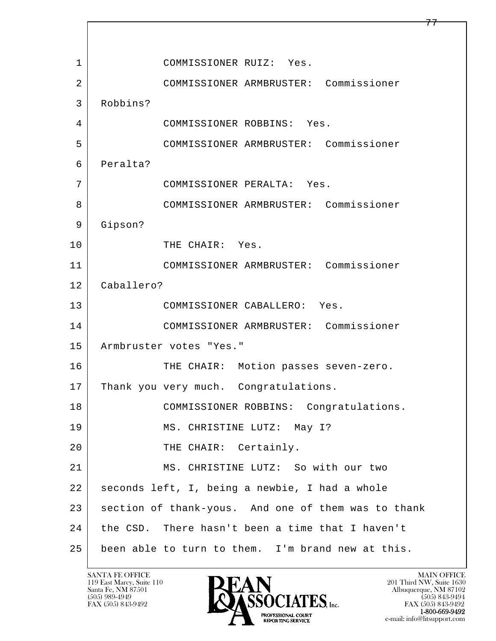l  $\overline{\phantom{a}}$ 1 COMMISSIONER RUIZ: Yes. 2 COMMISSIONER ARMBRUSTER: Commissioner 3 Robbins? 4 COMMISSIONER ROBBINS: Yes. 5 COMMISSIONER ARMBRUSTER: Commissioner 6 Peralta? 7 COMMISSIONER PERALTA: Yes. 8 COMMISSIONER ARMBRUSTER: Commissioner 9 Gipson? 10 THE CHAIR: Yes. 11 COMMISSIONER ARMBRUSTER: Commissioner 12 Caballero? 13 COMMISSIONER CABALLERO: Yes. 14 COMMISSIONER ARMBRUSTER: Commissioner 15 | Armbruster votes "Yes." 16 THE CHAIR: Motion passes seven-zero. 17 | Thank you very much. Congratulations. 18 COMMISSIONER ROBBINS: Congratulations. 19 | MS. CHRISTINE LUTZ: May I? 20 THE CHAIR: Certainly. 21 MS. CHRISTINE LUTZ: So with our two 22 seconds left, I, being a newbie, I had a whole 23 section of thank-yous. And one of them was to thank 24 the CSD. There hasn't been a time that I haven't 25 been able to turn to them. I'm brand new at this.

119 East Marcy, Suite 110<br>Santa Fe, NM 87501



FAX (505) 843-9492 FAX (505) 843-9492 e-mail: info@litsupport.com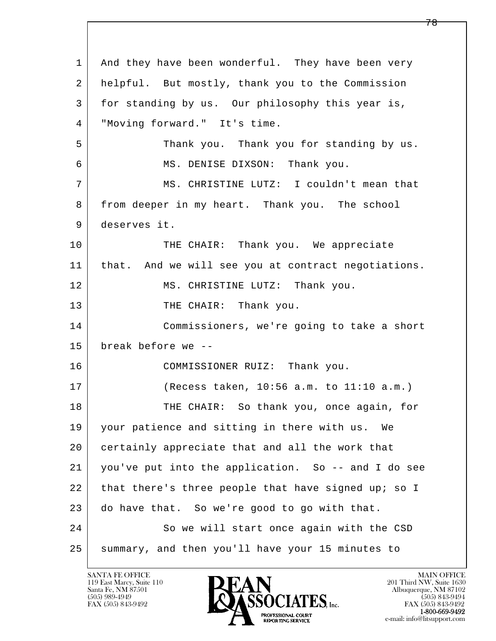l  $\overline{\phantom{a}}$ 1 And they have been wonderful. They have been very 2 helpful. But mostly, thank you to the Commission 3 for standing by us. Our philosophy this year is, 4 "Moving forward." It's time. 5 Thank you. Thank you for standing by us. 6 MS. DENISE DIXSON: Thank you. 7 MS. CHRISTINE LUTZ: I couldn't mean that 8 from deeper in my heart. Thank you. The school 9 deserves it. 10 THE CHAIR: Thank you. We appreciate 11 that. And we will see you at contract negotiations. 12 MS. CHRISTINE LUTZ: Thank you. 13 THE CHAIR: Thank you. 14 Commissioners, we're going to take a short 15 break before we -- 16 COMMISSIONER RUIZ: Thank you. 17 (Recess taken, 10:56 a.m. to 11:10 a.m.) 18 THE CHAIR: So thank you, once again, for 19 your patience and sitting in there with us. We 20 certainly appreciate that and all the work that 21 you've put into the application. So -- and I do see 22 that there's three people that have signed up; so I 23 do have that. So we're good to go with that. 24 So we will start once again with the CSD 25 summary, and then you'll have your 15 minutes to

119 East Marcy, Suite 110<br>Santa Fe, NM 87501



FAX (505) 843-9492 FAX (505) 843-9492 e-mail: info@litsupport.com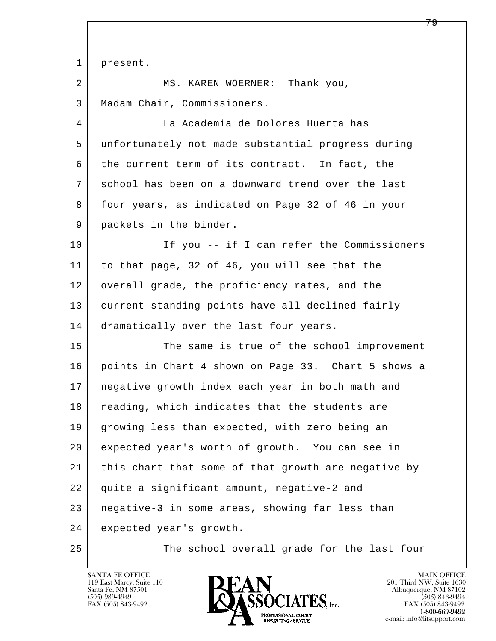l  $\overline{\phantom{a}}$  1 present. 2 MS. KAREN WOERNER: Thank you, 3 Madam Chair, Commissioners. 4 La Academia de Dolores Huerta has 5 unfortunately not made substantial progress during 6 the current term of its contract. In fact, the 7 school has been on a downward trend over the last 8 four years, as indicated on Page 32 of 46 in your 9 packets in the binder. 10 If you -- if I can refer the Commissioners 11 to that page, 32 of 46, you will see that the 12 overall grade, the proficiency rates, and the 13 current standing points have all declined fairly 14 dramatically over the last four years. 15 The same is true of the school improvement 16 points in Chart 4 shown on Page 33. Chart 5 shows a 17 negative growth index each year in both math and 18 reading, which indicates that the students are 19 growing less than expected, with zero being an 20 expected year's worth of growth. You can see in 21 | this chart that some of that growth are negative by 22 quite a significant amount, negative-2 and 23 negative-3 in some areas, showing far less than 24 expected year's growth. 25 The school overall grade for the last four

119 East Marcy, Suite 110<br>Santa Fe, NM 87501

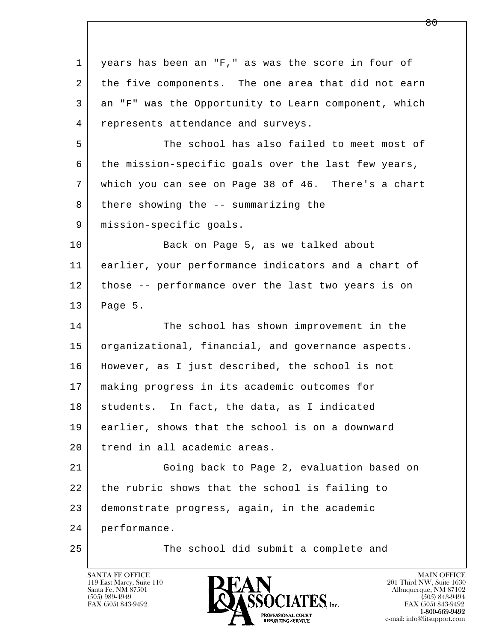l  $\overline{\phantom{a}}$  1 years has been an "F," as was the score in four of 2 the five components. The one area that did not earn 3 an "F" was the Opportunity to Learn component, which 4 represents attendance and surveys. 5 The school has also failed to meet most of 6 the mission-specific goals over the last few years, 7 which you can see on Page 38 of 46. There's a chart  $8$  there showing the  $-$ - summarizing the 9 | mission-specific goals. 10 Back on Page 5, as we talked about 11 earlier, your performance indicators and a chart of 12 those -- performance over the last two years is on 13 Page 5. 14 The school has shown improvement in the 15 | organizational, financial, and governance aspects. 16 However, as I just described, the school is not 17 making progress in its academic outcomes for 18 | students. In fact, the data, as I indicated 19 earlier, shows that the school is on a downward 20 trend in all academic areas. 21 Going back to Page 2, evaluation based on 22 the rubric shows that the school is failing to 23 demonstrate progress, again, in the academic 24 performance. 25 The school did submit a complete and

119 East Marcy, Suite 110<br>Santa Fe, NM 87501



FAX (505) 843-9492<br>**1-800-669-9492**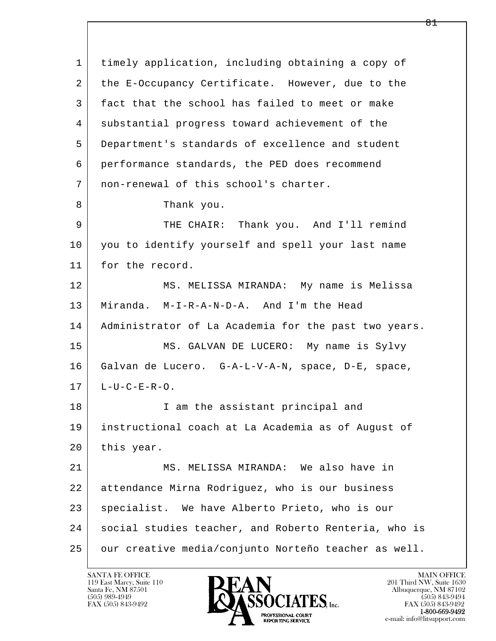l  $\overline{\phantom{a}}$  1 timely application, including obtaining a copy of 2 the E-Occupancy Certificate. However, due to the 3 fact that the school has failed to meet or make 4 substantial progress toward achievement of the 5 Department's standards of excellence and student 6 performance standards, the PED does recommend 7 non-renewal of this school's charter. 8 Thank you. 9 THE CHAIR: Thank you. And I'll remind 10 you to identify yourself and spell your last name 11 for the record. 12 MS. MELISSA MIRANDA: My name is Melissa 13 Miranda. M-I-R-A-N-D-A. And I'm the Head 14 | Administrator of La Academia for the past two years. 15 | MS. GALVAN DE LUCERO: My name is Sylvy 16 Galvan de Lucero. G-A-L-V-A-N, space, D-E, space,  $17$  L-U-C-E-R-O. 18 | T am the assistant principal and 19 instructional coach at La Academia as of August of 20 this year. 21 MS. MELISSA MIRANDA: We also have in 22 attendance Mirna Rodriguez, who is our business 23 | specialist. We have Alberto Prieto, who is our 24 | social studies teacher, and Roberto Renteria, who is 25 our creative media/conjunto Norteño teacher as well.

119 East Marcy, Suite 110<br>Santa Fe, NM 87501

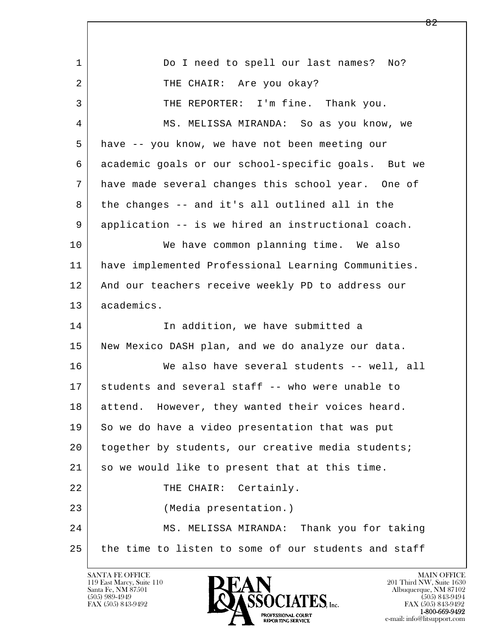| $\mathbf 1$ | Do I need to spell our last names? No?               |
|-------------|------------------------------------------------------|
| 2           | THE CHAIR: Are you okay?                             |
| 3           | THE REPORTER: I'm fine. Thank you.                   |
| 4           | MS. MELISSA MIRANDA: So as you know, we              |
| 5           | have -- you know, we have not been meeting our       |
| 6           | academic goals or our school-specific goals. But we  |
| 7           | have made several changes this school year. One of   |
| 8           | the changes -- and it's all outlined all in the      |
| 9           | application -- is we hired an instructional coach.   |
| 10          | We have common planning time. We also                |
| 11          | have implemented Professional Learning Communities.  |
| 12          | And our teachers receive weekly PD to address our    |
| 13          | academics.                                           |
| 14          | In addition, we have submitted a                     |
| 15          | New Mexico DASH plan, and we do analyze our data.    |
| 16          | We also have several students -- well, all           |
| 17          | students and several staff -- who were unable to     |
| 18          | attend.<br>However, they wanted their voices heard.  |
| 19          | So we do have a video presentation that was put      |
| 20          | together by students, our creative media students;   |
| 21          | so we would like to present that at this time.       |
| 22          | THE CHAIR:<br>Certainly.                             |
| 23          | (Media presentation.)                                |
| 24          | MS. MELISSA MIRANDA: Thank you for taking            |
| 25          | the time to listen to some of our students and staff |

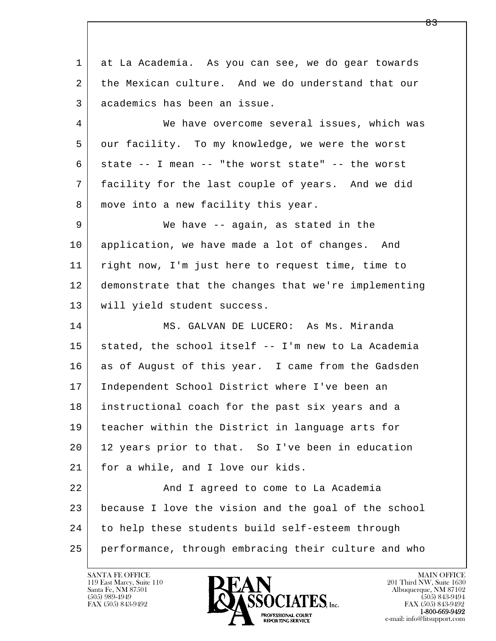l  $\overline{\phantom{a}}$  1 at La Academia. As you can see, we do gear towards 2 the Mexican culture. And we do understand that our 3 academics has been an issue. 4 We have overcome several issues, which was 5 our facility. To my knowledge, we were the worst  $6$  state  $-$  I mean  $-$  "the worst state"  $-$  the worst 7 facility for the last couple of years. And we did 8 | move into a new facility this year. 9 We have -- again, as stated in the 10 application, we have made a lot of changes. And 11 | right now, I'm just here to request time, time to 12 demonstrate that the changes that we're implementing 13 | will yield student success. 14 MS. GALVAN DE LUCERO: As Ms. Miranda 15 stated, the school itself -- I'm new to La Academia 16 as of August of this year. I came from the Gadsden 17 Independent School District where I've been an 18 instructional coach for the past six years and a 19 teacher within the District in language arts for 20 12 years prior to that. So I've been in education 21 for a while, and I love our kids. 22 And I agreed to come to La Academia 23 because I love the vision and the goal of the school 24 to help these students build self-esteem through 25 performance, through embracing their culture and who

119 East Marcy, Suite 110<br>Santa Fe, NM 87501

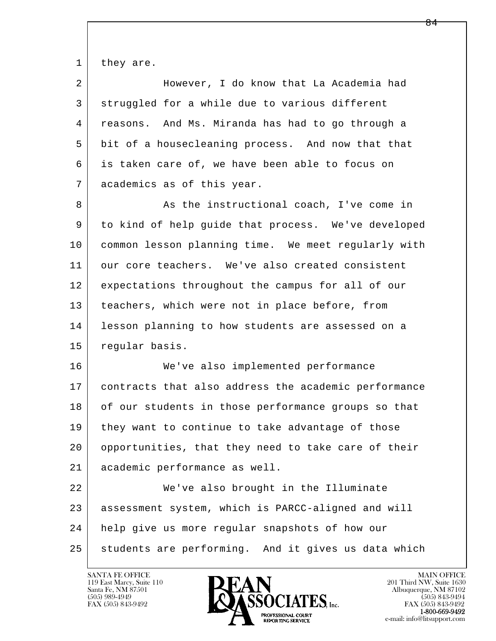1 they are.

| $\overline{2}$ | However, I do know that La Academia had              |
|----------------|------------------------------------------------------|
| 3              | struggled for a while due to various different       |
| 4              | reasons. And Ms. Miranda has had to go through a     |
| 5              | bit of a housecleaning process. And now that that    |
| 6              | is taken care of, we have been able to focus on      |
| 7              | academics as of this year.                           |
| 8              | As the instructional coach, I've come in             |
| 9              | to kind of help guide that process. We've developed  |
| 10             | common lesson planning time. We meet regularly with  |
| 11             | our core teachers. We've also created consistent     |
| 12             | expectations throughout the campus for all of our    |
| 13             | teachers, which were not in place before, from       |
| 14             | lesson planning to how students are assessed on a    |
| 15             | regular basis.                                       |
| 16             | We've also implemented performance                   |
| 17             | contracts that also address the academic performance |
| 18             | of our students in those performance groups so that  |
| 19             | they want to continue to take advantage of those     |
| 20             | opportunities, that they need to take care of their  |
| 21             | academic performance as well.                        |
| 22             | We've also brought in the Illuminate                 |
| 23             | assessment system, which is PARCC-aligned and will   |
| 24             | help give us more regular snapshots of how our       |
| 25             | students are performing. And it gives us data which  |

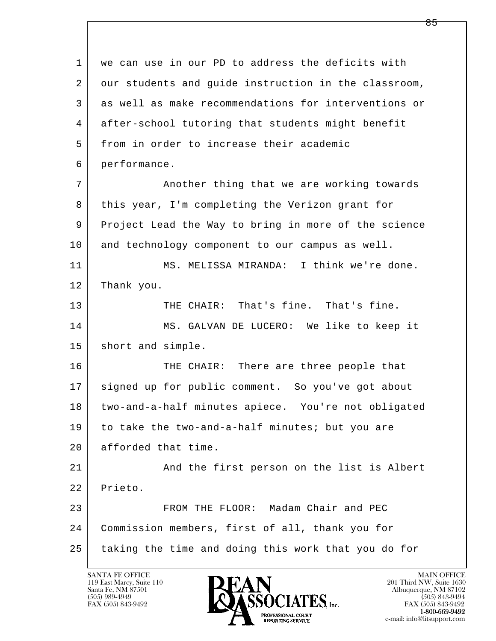l  $\overline{\phantom{a}}$  1 we can use in our PD to address the deficits with 2 our students and guide instruction in the classroom, 3 as well as make recommendations for interventions or 4 after-school tutoring that students might benefit 5 from in order to increase their academic 6 performance. 7 | Another thing that we are working towards 8 this year, I'm completing the Verizon grant for 9 Project Lead the Way to bring in more of the science 10 and technology component to our campus as well. 11 MS. MELISSA MIRANDA: I think we're done. 12 Thank you. 13 THE CHAIR: That's fine. That's fine. 14 MS. GALVAN DE LUCERO: We like to keep it 15 | short and simple. 16 THE CHAIR: There are three people that 17 signed up for public comment. So you've got about 18 two-and-a-half minutes apiece. You're not obligated 19 to take the two-and-a-half minutes; but you are 20 afforded that time. 21 And the first person on the list is Albert 22 Prieto. 23 FROM THE FLOOR: Madam Chair and PEC 24 Commission members, first of all, thank you for 25 taking the time and doing this work that you do for

119 East Marcy, Suite 110<br>Santa Fe, NM 87501



FAX (505) 843-9492<br>1-800-669-9492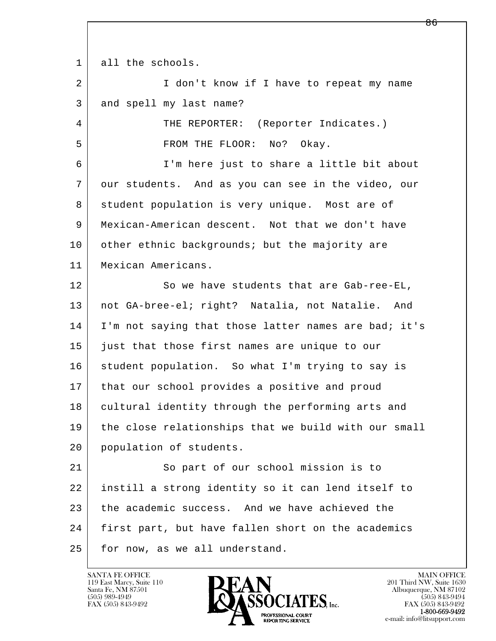1 all the schools.

2 | I don't know if I have to repeat my name 3 and spell my last name?

4 THE REPORTER: (Reporter Indicates.) 5 | FROM THE FLOOR: No? Okay.

 6 I'm here just to share a little bit about 7 our students. And as you can see in the video, our 8 student population is very unique. Most are of 9 Mexican-American descent. Not that we don't have 10 other ethnic backgrounds; but the majority are 11 Mexican Americans.

12 So we have students that are Gab-ree-EL, 13 not GA-bree-el; right? Natalia, not Natalie. And 14 I'm not saying that those latter names are bad; it's 15 just that those first names are unique to our 16 student population. So what I'm trying to say is 17 | that our school provides a positive and proud 18 cultural identity through the performing arts and 19 the close relationships that we build with our small 20 population of students.

l  $\overline{\phantom{a}}$ 21 So part of our school mission is to 22 instill a strong identity so it can lend itself to 23 the academic success. And we have achieved the 24 first part, but have fallen short on the academics 25 for now, as we all understand.

119 East Marcy, Suite 110<br>Santa Fe, NM 87501

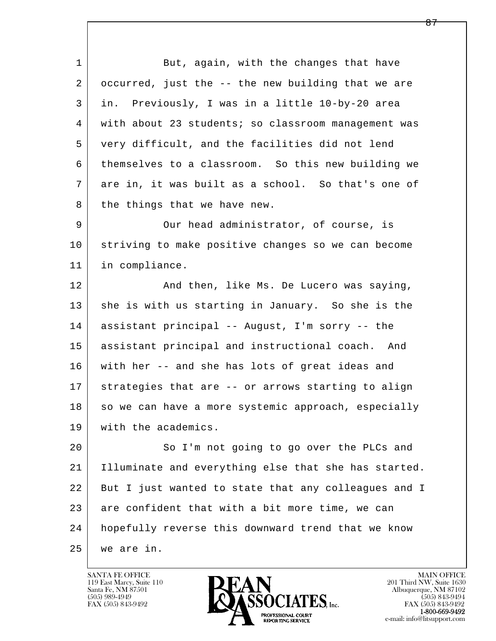1 But, again, with the changes that have 2 occurred, just the -- the new building that we are 3 in. Previously, I was in a little 10-by-20 area 4 with about 23 students; so classroom management was 5 very difficult, and the facilities did not lend 6 themselves to a classroom. So this new building we 7 are in, it was built as a school. So that's one of 8 the things that we have new. 9 Our head administrator, of course, is 10 striving to make positive changes so we can become 11 in compliance. 12 | The Mand then, like Ms. De Lucero was saying, 13 she is with us starting in January. So she is the 14 assistant principal -- August, I'm sorry -- the 15 assistant principal and instructional coach. And 16 with her -- and she has lots of great ideas and 17 strategies that are -- or arrows starting to align 18 so we can have a more systemic approach, especially 19 with the academics.

l  $\overline{\phantom{a}}$ 20 So I'm not going to go over the PLCs and 21 Illuminate and everything else that she has started. 22 But I just wanted to state that any colleagues and I 23 are confident that with a bit more time, we can 24 hopefully reverse this downward trend that we know 25 we are in.

119 East Marcy, Suite 110<br>Santa Fe, NM 87501

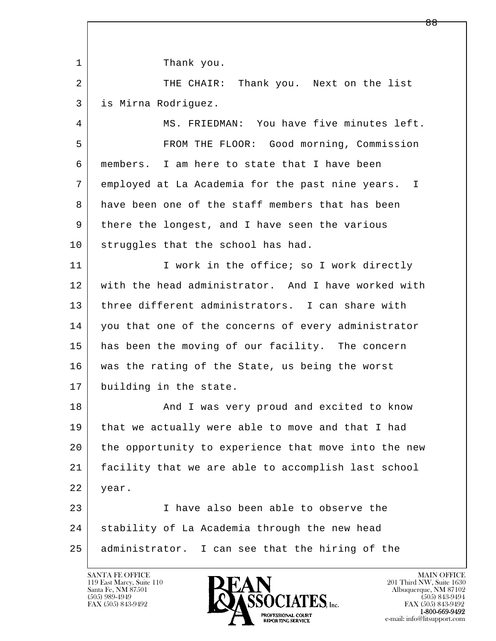l  $\overline{\phantom{a}}$ 1 Thank you. 2 THE CHAIR: Thank you. Next on the list 3 is Mirna Rodriguez. 4 MS. FRIEDMAN: You have five minutes left. 5 FROM THE FLOOR: Good morning, Commission 6 members. I am here to state that I have been 7 employed at La Academia for the past nine years. I 8 have been one of the staff members that has been 9 there the longest, and I have seen the various 10 struggles that the school has had. 11 I work in the office; so I work directly 12 with the head administrator. And I have worked with 13 three different administrators. I can share with 14 you that one of the concerns of every administrator 15 has been the moving of our facility. The concern 16 was the rating of the State, us being the worst 17 building in the state. 18 | The Mand I was very proud and excited to know 19 that we actually were able to move and that I had 20 the opportunity to experience that move into the new 21 facility that we are able to accomplish last school 22 year. 23 I have also been able to observe the 24 Stability of La Academia through the new head 25 administrator. I can see that the hiring of the

119 East Marcy, Suite 110<br>Santa Fe, NM 87501

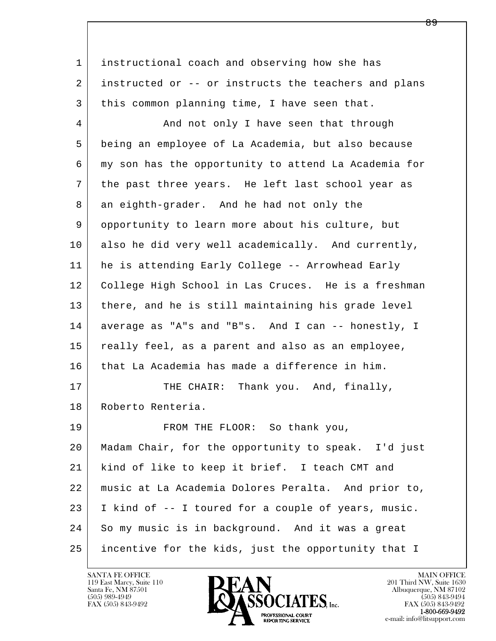l  $\overline{\phantom{a}}$  1 instructional coach and observing how she has 2 instructed or -- or instructs the teachers and plans 3 this common planning time, I have seen that. 4 And not only I have seen that through 5 being an employee of La Academia, but also because 6 my son has the opportunity to attend La Academia for 7 the past three years. He left last school year as 8 an eighth-grader. And he had not only the 9 opportunity to learn more about his culture, but 10 also he did very well academically. And currently, 11 he is attending Early College -- Arrowhead Early 12 College High School in Las Cruces. He is a freshman 13 there, and he is still maintaining his grade level 14 average as "A"s and "B"s. And I can -- honestly, I 15 really feel, as a parent and also as an employee, 16 that La Academia has made a difference in him. 17 | THE CHAIR: Thank you. And, finally, 18 Roberto Renteria. 19 | FROM THE FLOOR: So thank you, 20 Madam Chair, for the opportunity to speak. I'd just 21 kind of like to keep it brief. I teach CMT and 22 music at La Academia Dolores Peralta. And prior to, 23 I kind of -- I toured for a couple of years, music. 24 So my music is in background. And it was a great 25 incentive for the kids, just the opportunity that I

119 East Marcy, Suite 110<br>Santa Fe, NM 87501



FAX (505) 843-9492<br>**1-800-669-9492**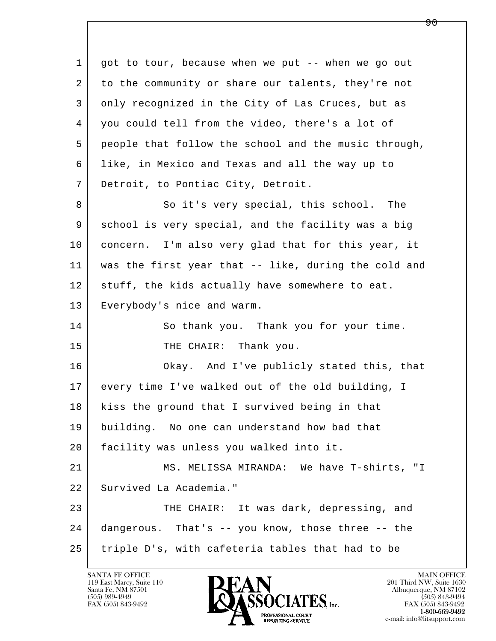l  $\overline{\phantom{a}}$  1 got to tour, because when we put -- when we go out 2 to the community or share our talents, they're not 3 only recognized in the City of Las Cruces, but as 4 | you could tell from the video, there's a lot of 5 people that follow the school and the music through, 6 like, in Mexico and Texas and all the way up to 7 Detroit, to Pontiac City, Detroit. 8 So it's very special, this school. The 9 school is very special, and the facility was a big 10 concern. I'm also very glad that for this year, it 11 was the first year that -- like, during the cold and 12 stuff, the kids actually have somewhere to eat. 13 Everybody's nice and warm. 14 So thank you. Thank you for your time. 15 THE CHAIR: Thank you. 16 Okay. And I've publicly stated this, that 17 every time I've walked out of the old building, I 18 | kiss the ground that I survived being in that 19 building. No one can understand how bad that 20 facility was unless you walked into it. 21 MS. MELISSA MIRANDA: We have T-shirts, "I 22 Survived La Academia." 23 THE CHAIR: It was dark, depressing, and 24 dangerous. That's -- you know, those three -- the 25 triple D's, with cafeteria tables that had to be

119 East Marcy, Suite 110<br>Santa Fe, NM 87501



ዓ A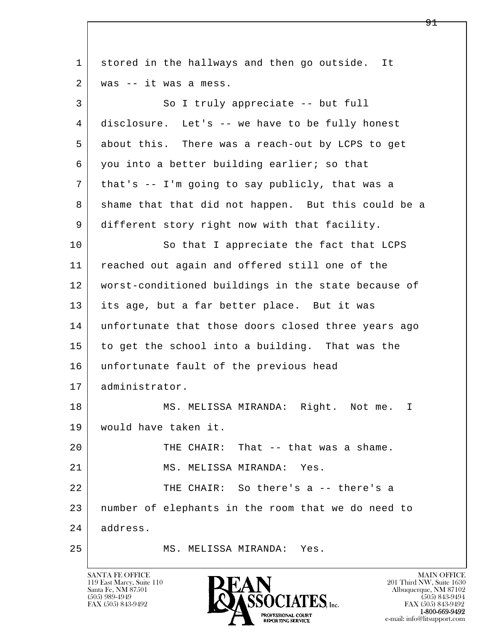| 1  | stored in the hallways and then go outside. It      |
|----|-----------------------------------------------------|
| 2  | was -- it was a mess.                               |
| 3  | So I truly appreciate -- but full                   |
| 4  | disclosure. Let's -- we have to be fully honest     |
| 5  | about this. There was a reach-out by LCPS to get    |
| 6  | you into a better building earlier; so that         |
| 7  | that's -- I'm going to say publicly, that was a     |
| 8  | shame that that did not happen. But this could be a |
| 9  | different story right now with that facility.       |
| 10 | So that I appreciate the fact that LCPS             |
| 11 | reached out again and offered still one of the      |
| 12 | worst-conditioned buildings in the state because of |
| 13 | its age, but a far better place. But it was         |
| 14 | unfortunate that those doors closed three years ago |
| 15 | to get the school into a building. That was the     |
| 16 | unfortunate fault of the previous head              |
| 17 | administrator.                                      |
| 18 | MS. MELISSA MIRANDA: Right. Not me.<br>I.           |
| 19 | would have taken it.                                |
| 20 | THE CHAIR: That -- that was a shame.                |
| 21 | MS. MELISSA MIRANDA: Yes.                           |
| 22 | THE CHAIR: So there's a -- there's a                |
| 23 | number of elephants in the room that we do need to  |
| 24 | address.                                            |
| 25 | MS. MELISSA MIRANDA: Yes.                           |

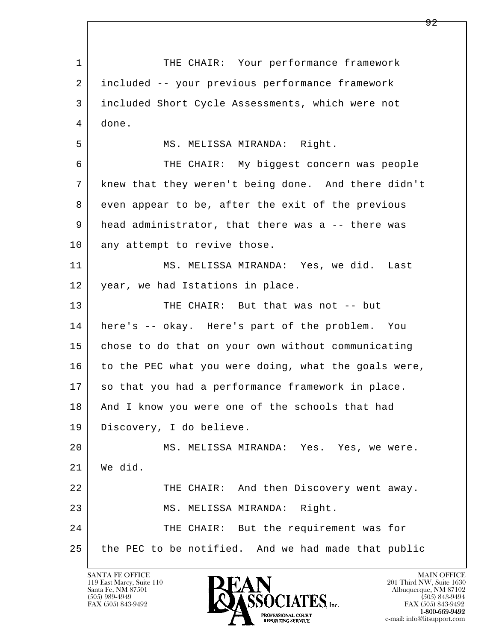l  $\overline{\phantom{a}}$ 1 THE CHAIR: Your performance framework 2 included -- your previous performance framework 3 included Short Cycle Assessments, which were not 4 done. 5 | MS. MELISSA MIRANDA: Right. 6 THE CHAIR: My biggest concern was people 7 knew that they weren't being done. And there didn't 8 even appear to be, after the exit of the previous 9 | head administrator, that there was a -- there was 10 any attempt to revive those. 11 MS. MELISSA MIRANDA: Yes, we did. Last 12 year, we had Istations in place. 13 THE CHAIR: But that was not -- but 14 here's -- okay. Here's part of the problem. You 15 | chose to do that on your own without communicating 16 to the PEC what you were doing, what the goals were, 17 so that you had a performance framework in place. 18 | And I know you were one of the schools that had 19 Discovery, I do believe. 20 MS. MELISSA MIRANDA: Yes. Yes, we were. 21 We did. 22 THE CHAIR: And then Discovery went away. 23 MS. MELISSA MIRANDA: Right. 24 THE CHAIR: But the requirement was for 25 the PEC to be notified. And we had made that public

119 East Marcy, Suite 110<br>Santa Fe, NM 87501

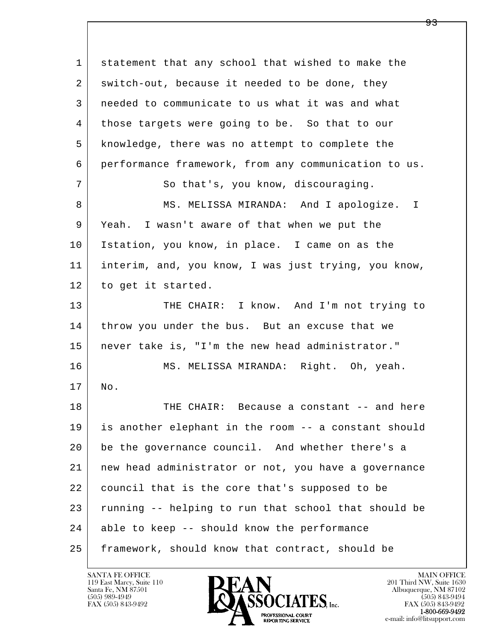l  $\overline{\phantom{a}}$  1 statement that any school that wished to make the 2 switch-out, because it needed to be done, they 3 needed to communicate to us what it was and what 4 those targets were going to be. So that to our 5 knowledge, there was no attempt to complete the 6 performance framework, from any communication to us. 7 So that's, you know, discouraging. 8 MS. MELISSA MIRANDA: And I apologize. I 9 Yeah. I wasn't aware of that when we put the 10 Istation, you know, in place. I came on as the 11 interim, and, you know, I was just trying, you know, 12 to get it started. 13 THE CHAIR: I know. And I'm not trying to 14 throw you under the bus. But an excuse that we 15 never take is, "I'm the new head administrator." 16 MS. MELISSA MIRANDA: Right. Oh, yeah. 17 No. 18 THE CHAIR: Because a constant -- and here 19 is another elephant in the room -- a constant should 20 be the governance council. And whether there's a 21 new head administrator or not, you have a governance 22 council that is the core that's supposed to be 23 running -- helping to run that school that should be 24 able to keep -- should know the performance 25 framework, should know that contract, should be

119 East Marcy, Suite 110<br>Santa Fe, NM 87501

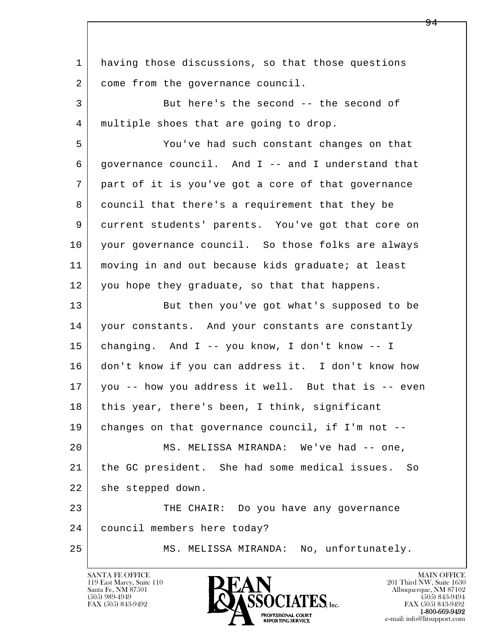| $\mathbf 1$ | having those discussions, so that those questions    |
|-------------|------------------------------------------------------|
| 2           | come from the governance council.                    |
| 3           | But here's the second -- the second of               |
| 4           | multiple shoes that are going to drop.               |
| 5           | You've had such constant changes on that             |
| 6           | governance council. And I -- and I understand that   |
| 7           | part of it is you've got a core of that governance   |
| 8           | council that there's a requirement that they be      |
| 9           | current students' parents. You've got that core on   |
| 10          | your governance council. So those folks are always   |
| 11          | moving in and out because kids graduate; at least    |
| 12          | you hope they graduate, so that that happens.        |
| 13          | But then you've got what's supposed to be            |
| 14          | your constants. And your constants are constantly    |
| 15          | changing. And I -- you know, I don't know -- I       |
| 16          | don't know if you can address it. I don't know how   |
| 17          | you -- how you address it well. But that is -- even  |
| 18          | this year, there's been, I think, significant        |
| 19          | changes on that governance council, if I'm not --    |
| 20          | MS. MELISSA MIRANDA: We've had -- one,               |
| 21          | the GC president. She had some medical issues.<br>So |
| 22          | she stepped down.                                    |
| 23          | THE CHAIR: Do you have any governance                |
| 24          | council members here today?                          |
| 25          | MS. MELISSA MIRANDA: No, unfortunately.              |
|             |                                                      |

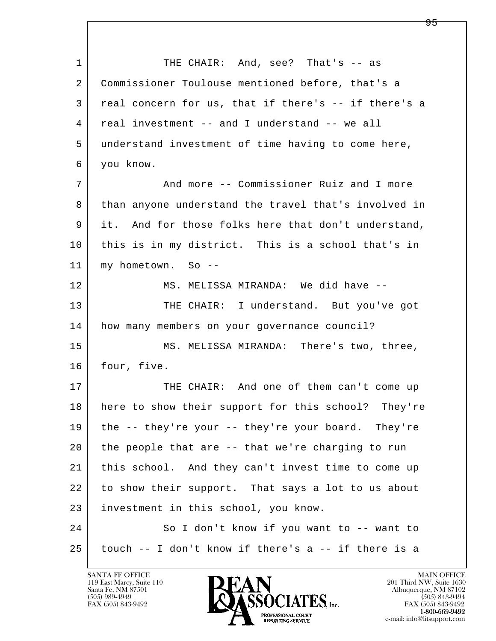l  $\overline{\phantom{a}}$ 1 THE CHAIR: And, see? That's -- as 2 Commissioner Toulouse mentioned before, that's a 3 real concern for us, that if there's -- if there's a 4 real investment -- and I understand -- we all 5 understand investment of time having to come here, 6 you know. 7 And more -- Commissioner Ruiz and I more 8 than anyone understand the travel that's involved in 9 it. And for those folks here that don't understand, 10 this is in my district. This is a school that's in 11 my hometown. So -- 12 MS. MELISSA MIRANDA: We did have --13 THE CHAIR: I understand. But you've got 14 how many members on your governance council? 15 | MS. MELISSA MIRANDA: There's two, three, 16 four, five. 17 THE CHAIR: And one of them can't come up 18 here to show their support for this school? They're 19 | the -- they're your -- they're your board. They're 20 the people that are -- that we're charging to run 21 this school. And they can't invest time to come up 22 to show their support. That says a lot to us about 23 investment in this school, you know. 24 So I don't know if you want to -- want to  $25$  touch -- I don't know if there's a -- if there is a

119 East Marcy, Suite 110<br>Santa Fe, NM 87501



FAX (505) 843-9492<br>**1-800-669-9492**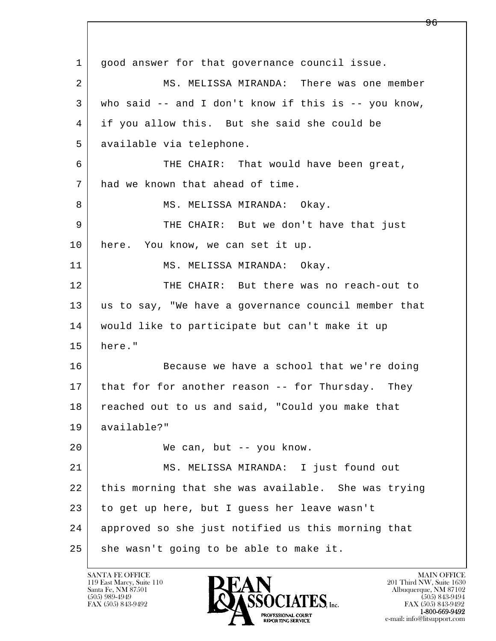l  $\overline{\phantom{a}}$  1 good answer for that governance council issue. 2 MS. MELISSA MIRANDA: There was one member 3 who said -- and I don't know if this is -- you know, 4 if you allow this. But she said she could be 5 available via telephone. 6 THE CHAIR: That would have been great, 7 had we known that ahead of time. 8 | MS. MELISSA MIRANDA: Okay. 9 THE CHAIR: But we don't have that just 10 here. You know, we can set it up. 11 MS. MELISSA MIRANDA: Okay. 12 THE CHAIR: But there was no reach-out to 13 us to say, "We have a governance council member that 14 would like to participate but can't make it up 15 here." 16 Because we have a school that we're doing 17 | that for for another reason -- for Thursday. They 18 reached out to us and said, "Could you make that 19 available?" 20 We can, but -- you know. 21 MS. MELISSA MIRANDA: I just found out 22 this morning that she was available. She was trying 23 to get up here, but I guess her leave wasn't 24 approved so she just notified us this morning that 25 she wasn't going to be able to make it.

119 East Marcy, Suite 110<br>Santa Fe, NM 87501

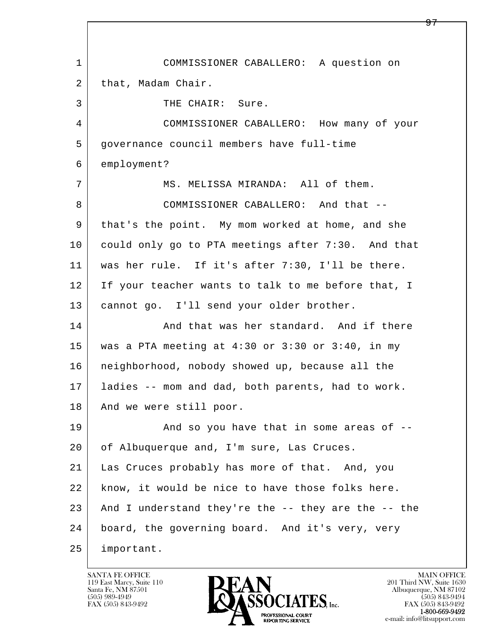l  $\overline{\phantom{a}}$  1 COMMISSIONER CABALLERO: A question on 2 | that, Madam Chair. 3 THE CHAIR: Sure. 4 COMMISSIONER CABALLERO: How many of your 5 governance council members have full-time 6 employment? 7 MS. MELISSA MIRANDA: All of them. 8 COMMISSIONER CABALLERO: And that -- 9 that's the point. My mom worked at home, and she 10 could only go to PTA meetings after 7:30. And that 11 was her rule. If it's after 7:30, I'll be there. 12 If your teacher wants to talk to me before that, I 13 cannot go. I'll send your older brother. 14 And that was her standard. And if there 15 was a PTA meeting at 4:30 or 3:30 or 3:40, in my 16 neighborhood, nobody showed up, because all the 17 ladies -- mom and dad, both parents, had to work. 18 | And we were still poor. 19 | The Sand so you have that in some areas of  $-$ 20 of Albuquerque and, I'm sure, Las Cruces. 21 Las Cruces probably has more of that. And, you 22 know, it would be nice to have those folks here. 23 And I understand they're the -- they are the -- the 24 board, the governing board. And it's very, very 25 important.

119 East Marcy, Suite 110<br>Santa Fe, NM 87501



FAX (505) 843-9492<br>1-800-669-9492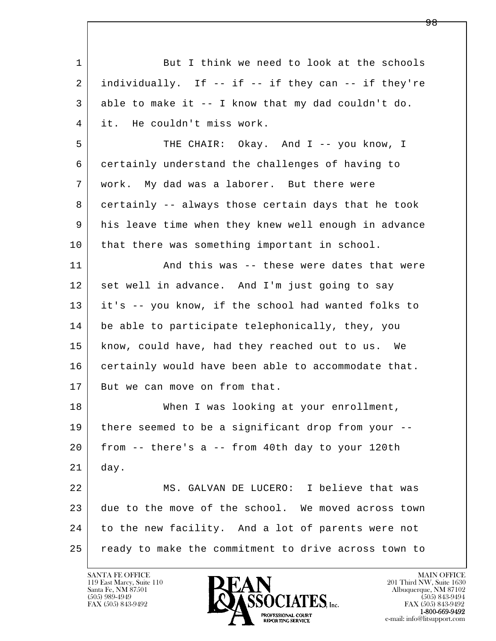| $\mathbf{1}$ | But I think we need to look at the schools           |
|--------------|------------------------------------------------------|
| 2            | individually. If -- if -- if they can -- if they're  |
| 3            | able to make it -- I know that my dad couldn't do.   |
| 4            | it. He couldn't miss work.                           |
| 5            | THE CHAIR: Okay. And I -- you know, I                |
| 6            | certainly understand the challenges of having to     |
| 7            | work. My dad was a laborer. But there were           |
| 8            | certainly -- always those certain days that he took  |
| 9            | his leave time when they knew well enough in advance |
| 10           | that there was something important in school.        |
| 11           | And this was -- these were dates that were           |
| 12           | set well in advance. And I'm just going to say       |
| 13           | it's -- you know, if the school had wanted folks to  |
| 14           | be able to participate telephonically, they, you     |
| 15           | know, could have, had they reached out to us. We     |
| 16           | certainly would have been able to accommodate that.  |
| 17           | But we can move on from that.                        |
| 18           | When I was looking at your enrollment,               |
| 19           | there seemed to be a significant drop from your --   |
| 20           | from -- there's a -- from 40th day to your 120th     |
| 21           | day.                                                 |
| 22           | MS. GALVAN DE LUCERO: I believe that was             |
| 23           | due to the move of the school. We moved across town  |
| 24           | to the new facility. And a lot of parents were not   |
| 25           | ready to make the commitment to drive across town to |

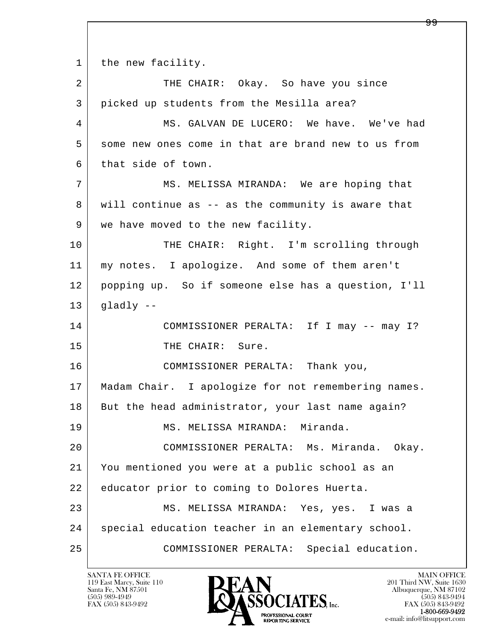1 the new facility.

| 2  | THE CHAIR: Okay. So have you since                  |
|----|-----------------------------------------------------|
| 3  | picked up students from the Mesilla area?           |
| 4  | MS. GALVAN DE LUCERO: We have. We've had            |
| 5  | some new ones come in that are brand new to us from |
| 6  | that side of town.                                  |
| 7  | MS. MELISSA MIRANDA: We are hoping that             |
| 8  | will continue as -- as the community is aware that  |
| 9  | we have moved to the new facility.                  |
| 10 | THE CHAIR: Right. I'm scrolling through             |
| 11 | my notes. I apologize. And some of them aren't      |
| 12 | popping up. So if someone else has a question, I'll |
| 13 | gladly --                                           |
| 14 | COMMISSIONER PERALTA: If I may -- may I?            |
| 15 | THE CHAIR: Sure.                                    |
| 16 | COMMISSIONER PERALTA: Thank you,                    |
| 17 | Madam Chair. I apologize for not remembering names. |
| 18 | But the head administrator, your last name again?   |
| 19 | MS. MELISSA MIRANDA: Miranda.                       |
| 20 | COMMISSIONER PERALTA: Ms. Miranda. Okay.            |
| 21 | You mentioned you were at a public school as an     |
| 22 | educator prior to coming to Dolores Huerta.         |
| 23 | MS. MELISSA MIRANDA: Yes, yes. I was a              |
| 24 | special education teacher in an elementary school.  |
| 25 | COMMISSIONER PERALTA:<br>Special education.         |

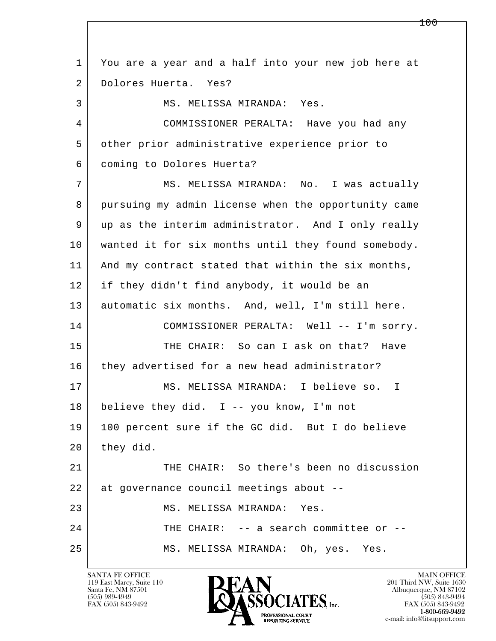l  $\overline{\phantom{a}}$  1 You are a year and a half into your new job here at 2 Dolores Huerta. Yes? 3 | MS. MELISSA MIRANDA: Yes. 4 COMMISSIONER PERALTA: Have you had any 5 other prior administrative experience prior to 6 coming to Dolores Huerta? 7 | MS. MELISSA MIRANDA: No. I was actually 8 | pursuing my admin license when the opportunity came 9 up as the interim administrator. And I only really 10 wanted it for six months until they found somebody. 11 | And my contract stated that within the six months, 12 if they didn't find anybody, it would be an 13 automatic six months. And, well, I'm still here. 14 COMMISSIONER PERALTA: Well -- I'm sorry. 15 THE CHAIR: So can I ask on that? Have 16 they advertised for a new head administrator? 17 MS. MELISSA MIRANDA: I believe so. I 18 believe they did. I -- you know, I'm not 19 100 percent sure if the GC did. But I do believe  $20$  they did. 21 THE CHAIR: So there's been no discussion 22 at governance council meetings about --23 MS. MELISSA MIRANDA: Yes. 24 THE CHAIR: -- a search committee or --25 | MS. MELISSA MIRANDA: Oh, yes. Yes.

119 East Marcy, Suite 110<br>Santa Fe, NM 87501



FAX (505) 843-9492<br>1-800-669-9492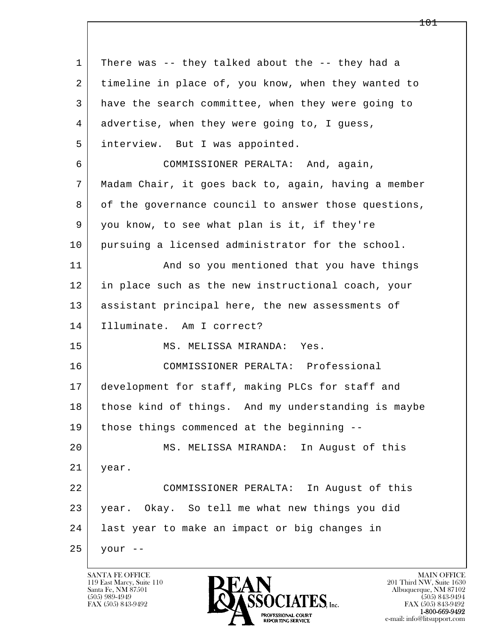l  $\overline{\phantom{a}}$  1 There was -- they talked about the -- they had a 2 | timeline in place of, you know, when they wanted to 3 have the search committee, when they were going to 4 advertise, when they were going to, I guess, 5 interview. But I was appointed. 6 COMMISSIONER PERALTA: And, again, 7 Madam Chair, it goes back to, again, having a member 8 of the governance council to answer those questions, 9 you know, to see what plan is it, if they're 10 pursuing a licensed administrator for the school. 11 | And so you mentioned that you have things 12 in place such as the new instructional coach, your 13 | assistant principal here, the new assessments of 14 Illuminate. Am I correct? 15 MS. MELISSA MIRANDA: Yes. 16 COMMISSIONER PERALTA: Professional 17 development for staff, making PLCs for staff and 18 those kind of things. And my understanding is maybe 19 those things commenced at the beginning -- 20 MS. MELISSA MIRANDA: In August of this 21 year. 22 COMMISSIONER PERALTA: In August of this 23 year. Okay. So tell me what new things you did 24 last year to make an impact or big changes in  $25$  your  $-$ 

119 East Marcy, Suite 110<br>Santa Fe, NM 87501

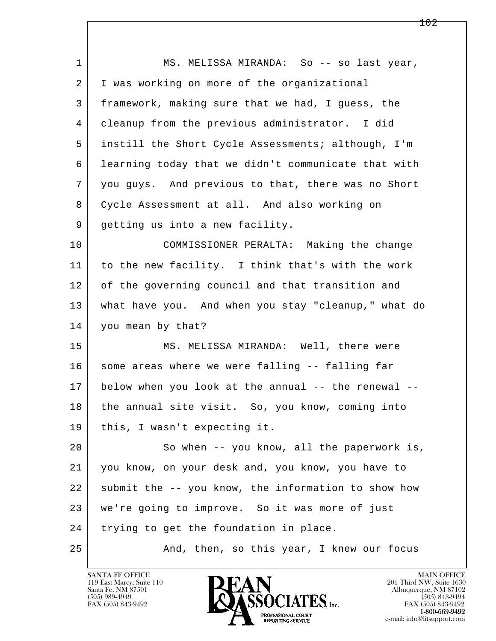l  $\overline{\phantom{a}}$ 1 | MS. MELISSA MIRANDA: So -- so last year, 2 | I was working on more of the organizational 3 framework, making sure that we had, I guess, the 4 cleanup from the previous administrator. I did 5 instill the Short Cycle Assessments; although, I'm 6 learning today that we didn't communicate that with 7 you guys. And previous to that, there was no Short 8 Cycle Assessment at all. And also working on 9 getting us into a new facility. 10 COMMISSIONER PERALTA: Making the change 11 to the new facility. I think that's with the work 12 of the governing council and that transition and 13 what have you. And when you stay "cleanup," what do 14 you mean by that? 15 MS. MELISSA MIRANDA: Well, there were 16 some areas where we were falling -- falling far 17 below when you look at the annual -- the renewal -- 18 the annual site visit. So, you know, coming into 19 this, I wasn't expecting it. 20 So when -- you know, all the paperwork is, 21 you know, on your desk and, you know, you have to 22 submit the -- you know, the information to show how 23 we're going to improve. So it was more of just 24 trying to get the foundation in place. 25 And, then, so this year, I knew our focus

119 East Marcy, Suite 110<br>Santa Fe, NM 87501

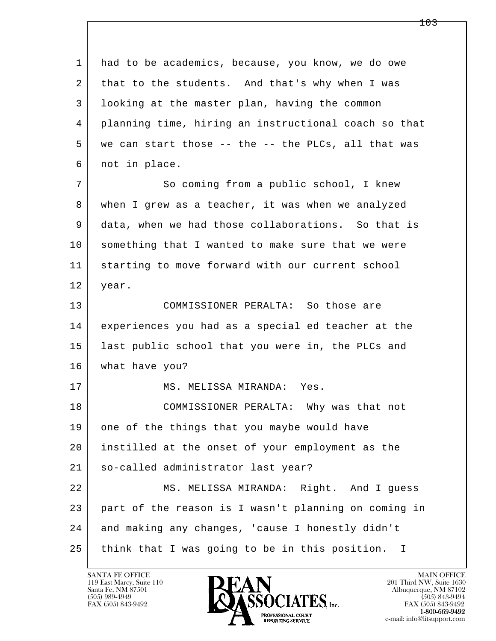l  $\overline{\phantom{a}}$  1 had to be academics, because, you know, we do owe 2 that to the students. And that's why when I was 3 looking at the master plan, having the common 4 planning time, hiring an instructional coach so that 5 | we can start those -- the -- the PLCs, all that was 6 not in place. 7 So coming from a public school, I knew 8 when I grew as a teacher, it was when we analyzed 9 data, when we had those collaborations. So that is 10 something that I wanted to make sure that we were 11 starting to move forward with our current school 12 year. 13 COMMISSIONER PERALTA: So those are 14 experiences you had as a special ed teacher at the 15 last public school that you were in, the PLCs and 16 what have you? 17 | MS. MELISSA MIRANDA: Yes. 18 COMMISSIONER PERALTA: Why was that not 19 one of the things that you maybe would have 20 instilled at the onset of your employment as the 21 so-called administrator last year? 22 MS. MELISSA MIRANDA: Right. And I guess 23 part of the reason is I wasn't planning on coming in 24 and making any changes, 'cause I honestly didn't 25 | think that I was going to be in this position. I

119 East Marcy, Suite 110<br>Santa Fe, NM 87501

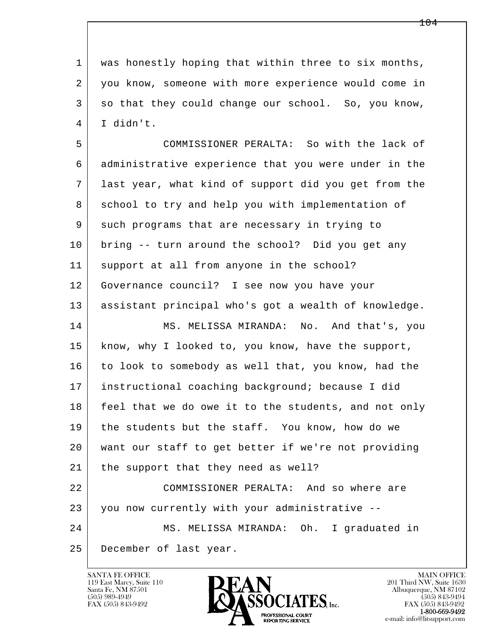1 was honestly hoping that within three to six months, 2 you know, someone with more experience would come in 3 so that they could change our school. So, you know, 4 I didn't.

l  $\overline{\phantom{a}}$  5 COMMISSIONER PERALTA: So with the lack of 6 administrative experience that you were under in the 7 last year, what kind of support did you get from the 8 school to try and help you with implementation of 9 such programs that are necessary in trying to 10 bring -- turn around the school? Did you get any 11 support at all from anyone in the school? 12 Governance council? I see now you have your 13 assistant principal who's got a wealth of knowledge. 14 MS. MELISSA MIRANDA: No. And that's, you 15 | know, why I looked to, you know, have the support, 16 to look to somebody as well that, you know, had the 17 instructional coaching background; because I did 18 | feel that we do owe it to the students, and not only 19 the students but the staff. You know, how do we 20 want our staff to get better if we're not providing 21 | the support that they need as well? 22 COMMISSIONER PERALTA: And so where are 23 you now currently with your administrative -- 24 MS. MELISSA MIRANDA: Oh. I graduated in 25 December of last year.

119 East Marcy, Suite 110<br>Santa Fe, NM 87501

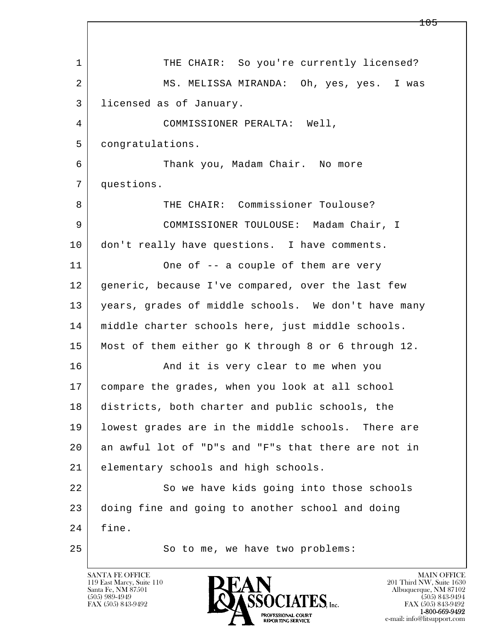l  $\overline{\phantom{a}}$ 1 THE CHAIR: So you're currently licensed? 2 MS. MELISSA MIRANDA: Oh, yes, yes. I was 3 licensed as of January. 4 COMMISSIONER PERALTA: Well, 5 congratulations. 6 Thank you, Madam Chair. No more 7 questions. 8 THE CHAIR: Commissioner Toulouse? 9 COMMISSIONER TOULOUSE: Madam Chair, I 10 don't really have questions. I have comments. 11 One of -- a couple of them are very 12 generic, because I've compared, over the last few 13 years, grades of middle schools. We don't have many 14 middle charter schools here, just middle schools. 15 Most of them either go K through 8 or 6 through 12. 16 And it is very clear to me when you 17 compare the grades, when you look at all school 18 districts, both charter and public schools, the 19 lowest grades are in the middle schools. There are 20 an awful lot of "D"s and "F"s that there are not in 21 elementary schools and high schools. 22 So we have kids going into those schools 23 doing fine and going to another school and doing 24 fine. 25 So to me, we have two problems:

119 East Marcy, Suite 110<br>Santa Fe, NM 87501

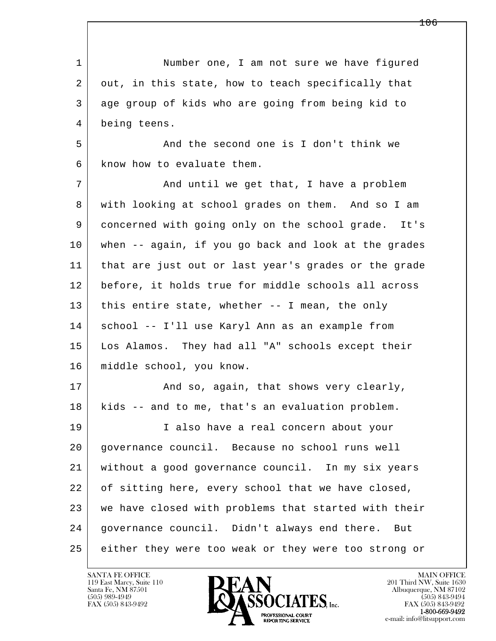l  $\overline{\phantom{a}}$ 1 Number one, I am not sure we have figured 2 out, in this state, how to teach specifically that 3 age group of kids who are going from being kid to 4 being teens. 5 And the second one is I don't think we 6 know how to evaluate them. 7 and until we get that, I have a problem 8 with looking at school grades on them. And so I am 9 concerned with going only on the school grade. It's 10 when -- again, if you go back and look at the grades 11 that are just out or last year's grades or the grade 12 before, it holds true for middle schools all across 13 this entire state, whether -- I mean, the only 14 school -- I'll use Karyl Ann as an example from 15 Los Alamos. They had all "A" schools except their 16 middle school, you know. 17 | The Rand so, again, that shows very clearly, 18 kids -- and to me, that's an evaluation problem. 19 | I also have a real concern about your 20 governance council. Because no school runs well 21 without a good governance council. In my six years 22 of sitting here, every school that we have closed, 23 we have closed with problems that started with their 24 governance council. Didn't always end there. But 25 either they were too weak or they were too strong or

119 East Marcy, Suite 110<br>Santa Fe, NM 87501



FAX (505) 843-9492<br>**1-800-669-9492**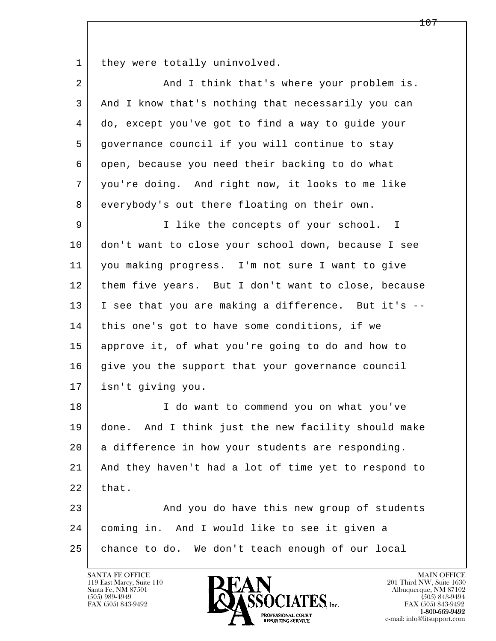1 they were totally uninvolved.

| $\overline{2}$ | And I think that's where your problem is.            |
|----------------|------------------------------------------------------|
| 3              | And I know that's nothing that necessarily you can   |
| 4              | do, except you've got to find a way to guide your    |
| 5              | governance council if you will continue to stay      |
| 6              | open, because you need their backing to do what      |
| 7              | you're doing. And right now, it looks to me like     |
| 8              | everybody's out there floating on their own.         |
| 9              | I like the concepts of your school. I                |
| 10             | don't want to close your school down, because I see  |
| 11             | you making progress. I'm not sure I want to give     |
| 12             | them five years. But I don't want to close, because  |
| 13             | I see that you are making a difference. But it's --  |
| 14             | this one's got to have some conditions, if we        |
| 15             | approve it, of what you're going to do and how to    |
| 16             | give you the support that your governance council    |
| 17             | isn't giving you.                                    |
| 18             | I do want to commend you on what you've              |
| 19             | done. And I think just the new facility should make  |
| 20             | a difference in how your students are responding.    |
| 21             | And they haven't had a lot of time yet to respond to |
| 22             | that.                                                |
| 23             | And you do have this new group of students           |
| 24             | coming in. And I would like to see it given a        |
| 25             | chance to do. We don't teach enough of our local     |

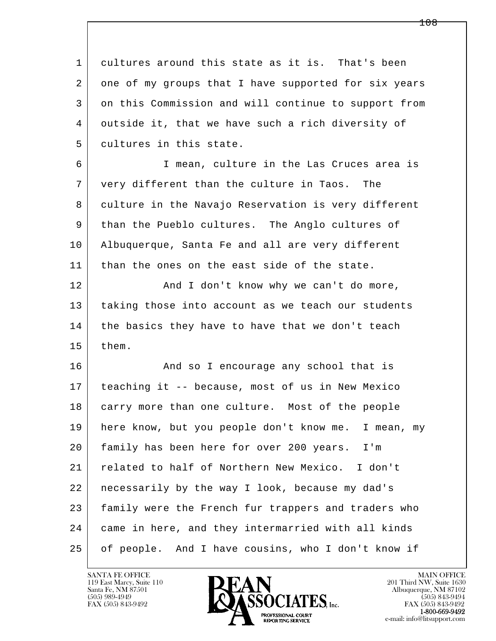1 cultures around this state as it is. That's been 2 one of my groups that I have supported for six years 3 on this Commission and will continue to support from 4 outside it, that we have such a rich diversity of 5 cultures in this state. 6 I mean, culture in the Las Cruces area is 7 very different than the culture in Taos. The 8 culture in the Navajo Reservation is very different 9 than the Pueblo cultures. The Anglo cultures of 10 Albuquerque, Santa Fe and all are very different 11 | than the ones on the east side of the state. 12 | And I don't know why we can't do more, 13 | taking those into account as we teach our students 14 the basics they have to have that we don't teach 15 them. 16 And so I encourage any school that is 17 teaching it -- because, most of us in New Mexico 18 carry more than one culture. Most of the people 19 here know, but you people don't know me. I mean, my 20 family has been here for over 200 years. I'm 21 related to half of Northern New Mexico. I don't

l  $\overline{\phantom{a}}$  22 necessarily by the way I look, because my dad's 23 | family were the French fur trappers and traders who 24 came in here, and they intermarried with all kinds 25 of people. And I have cousins, who I don't know if

119 East Marcy, Suite 110<br>Santa Fe, NM 87501

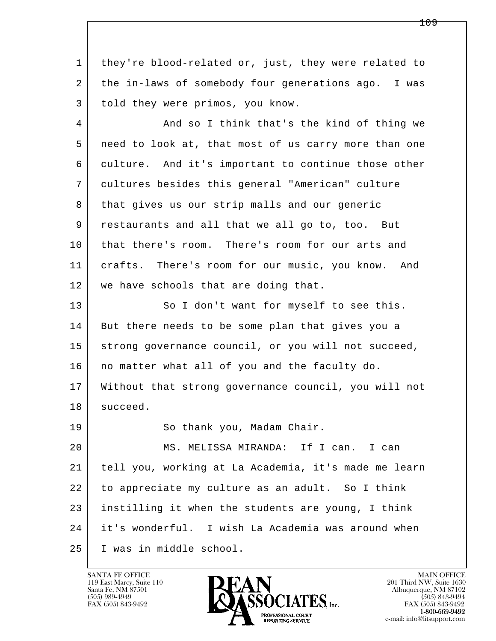1 they're blood-related or, just, they were related to 2 the in-laws of somebody four generations ago. I was 3 told they were primos, you know.

4 And so I think that's the kind of thing we 5 need to look at, that most of us carry more than one 6 culture. And it's important to continue those other 7 cultures besides this general "American" culture 8 that gives us our strip malls and our generic 9 restaurants and all that we all go to, too. But 10 that there's room. There's room for our arts and 11 crafts. There's room for our music, you know. And 12 we have schools that are doing that.

13 So I don't want for myself to see this. 14 But there needs to be some plan that gives you a 15 strong governance council, or you will not succeed, 16 | no matter what all of you and the faculty do. 17 Without that strong governance council, you will not 18 succeed. 19 | So thank you, Madam Chair.

l  $\overline{\phantom{a}}$  20 MS. MELISSA MIRANDA: If I can. I can 21 tell you, working at La Academia, it's made me learn 22 to appreciate my culture as an adult. So I think 23 instilling it when the students are young, I think 24 it's wonderful. I wish La Academia was around when 25 I was in middle school.

119 East Marcy, Suite 110<br>Santa Fe, NM 87501

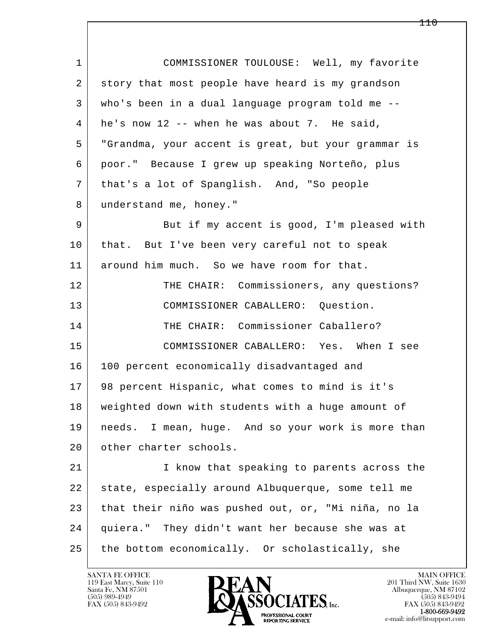| $\mathbf 1$ | COMMISSIONER TOULOUSE: Well, my favorite            |
|-------------|-----------------------------------------------------|
| 2           | story that most people have heard is my grandson    |
| 3           | who's been in a dual language program told me --    |
| 4           | he's now $12$ -- when he was about 7. He said,      |
| 5           | "Grandma, your accent is great, but your grammar is |
| 6           | poor." Because I grew up speaking Norteño, plus     |
| 7           | that's a lot of Spanglish. And, "So people          |
| 8           | understand me, honey."                              |
| 9           | But if my accent is good, I'm pleased with          |
| 10          | that. But I've been very careful not to speak       |
| 11          | around him much. So we have room for that.          |
| 12          | THE CHAIR: Commissioners, any questions?            |
| 13          | COMMISSIONER CABALLERO: Question.                   |
| 14          | THE CHAIR: Commissioner Caballero?                  |
| 15          | COMMISSIONER CABALLERO: Yes. When I see             |
| 16          | 100 percent economically disadvantaged and          |
| 17          | 98 percent Hispanic, what comes to mind is it's     |
| 18          | weighted down with students with a huge amount of   |
| 19          | needs. I mean, huge. And so your work is more than  |
| 20          | other charter schools.                              |
| 21          | I know that speaking to parents across the          |
| 22          | state, especially around Albuquerque, some tell me  |
| 23          | that their niño was pushed out, or, "Mi niña, no la |
| 24          | quiera." They didn't want her because she was at    |
| 25          | the bottom economically. Or scholastically, she     |

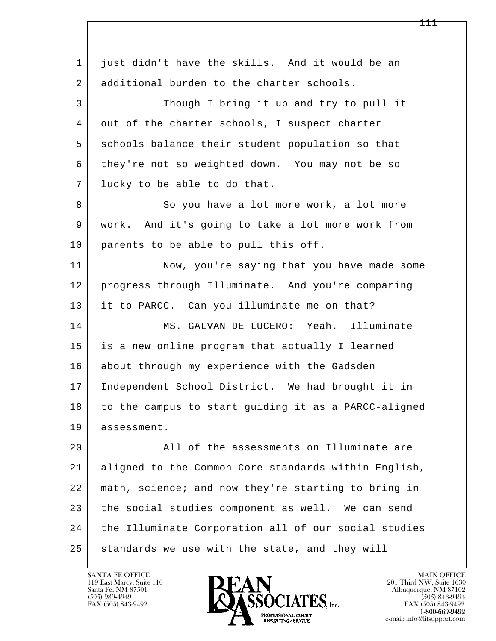l  $\overline{\phantom{a}}$  1 just didn't have the skills. And it would be an 2 additional burden to the charter schools. 3 Though I bring it up and try to pull it 4 | out of the charter schools, I suspect charter 5 schools balance their student population so that 6 they're not so weighted down. You may not be so 7 lucky to be able to do that. 8 So you have a lot more work, a lot more 9 work. And it's going to take a lot more work from 10 parents to be able to pull this off. 11 Now, you're saying that you have made some 12 progress through Illuminate. And you're comparing 13 it to PARCC. Can you illuminate me on that? 14 MS. GALVAN DE LUCERO: Yeah. Illuminate 15 is a new online program that actually I learned 16 about through my experience with the Gadsden 17 Independent School District. We had brought it in 18 to the campus to start guiding it as a PARCC-aligned 19 assessment. 20 All of the assessments on Illuminate are 21 aligned to the Common Core standards within English, 22 math, science; and now they're starting to bring in 23 the social studies component as well. We can send 24 | the Illuminate Corporation all of our social studies 25 standards we use with the state, and they will

119 East Marcy, Suite 110<br>Santa Fe, NM 87501

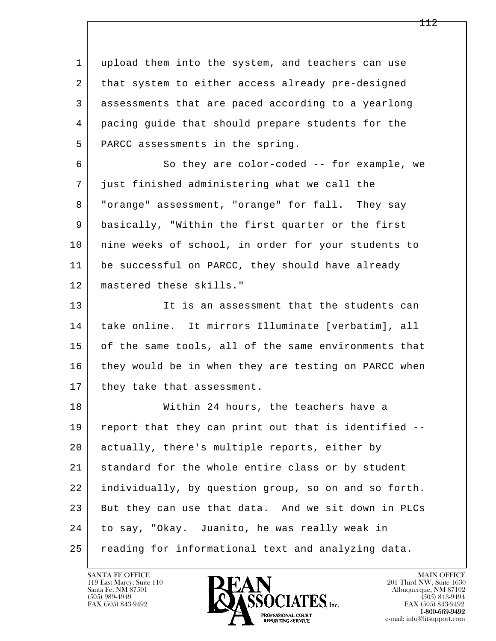l  $\overline{\phantom{a}}$  1 upload them into the system, and teachers can use 2 that system to either access already pre-designed 3 assessments that are paced according to a yearlong 4 pacing guide that should prepare students for the 5 | PARCC assessments in the spring. 6 | So they are color-coded -- for example, we 7 just finished administering what we call the 8 "orange" assessment, "orange" for fall. They say 9 basically, "Within the first quarter or the first 10 | nine weeks of school, in order for your students to 11 be successful on PARCC, they should have already 12 mastered these skills." 13 It is an assessment that the students can 14 take online. It mirrors Illuminate [verbatim], all 15 of the same tools, all of the same environments that 16 they would be in when they are testing on PARCC when 17 | they take that assessment. 18 Within 24 hours, the teachers have a 19 report that they can print out that is identified -- 20 actually, there's multiple reports, either by 21 standard for the whole entire class or by student 22 individually, by question group, so on and so forth. 23 But they can use that data. And we sit down in PLCs 24 to say, "Okay. Juanito, he was really weak in 25 reading for informational text and analyzing data.

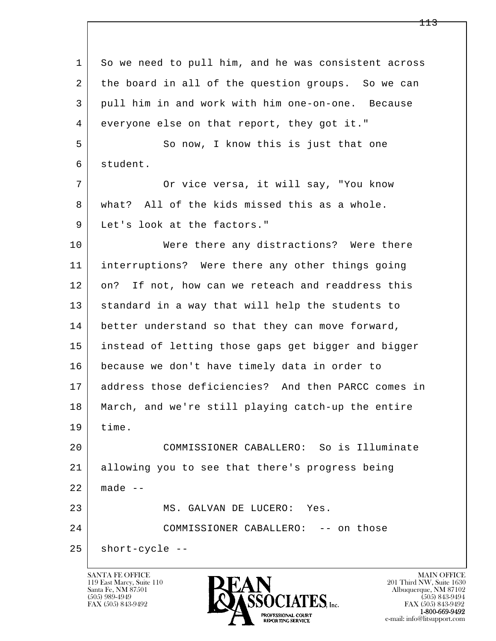l  $\overline{\phantom{a}}$ 1 So we need to pull him, and he was consistent across 2 | the board in all of the question groups. So we can 3 pull him in and work with him one-on-one. Because 4 everyone else on that report, they got it." 5 So now, I know this is just that one 6 student. 7 Or vice versa, it will say, "You know 8 what? All of the kids missed this as a whole. 9 | Let's look at the factors." 10 Were there any distractions? Were there 11 interruptions? Were there any other things going 12 on? If not, how can we reteach and readdress this 13 standard in a way that will help the students to 14 better understand so that they can move forward, 15 instead of letting those gaps get bigger and bigger 16 because we don't have timely data in order to 17 address those deficiencies? And then PARCC comes in 18 March, and we're still playing catch-up the entire 19 time. 20 COMMISSIONER CABALLERO: So is Illuminate 21 allowing you to see that there's progress being  $22$  made  $-$ 23 MS. GALVAN DE LUCERO: Yes. 24 COMMISSIONER CABALLERO: -- on those  $25$  short-cycle --

119 East Marcy, Suite 110<br>Santa Fe, NM 87501



FAX (505) 843-9492 FAX (505) 843-9492 e-mail: info@litsupport.com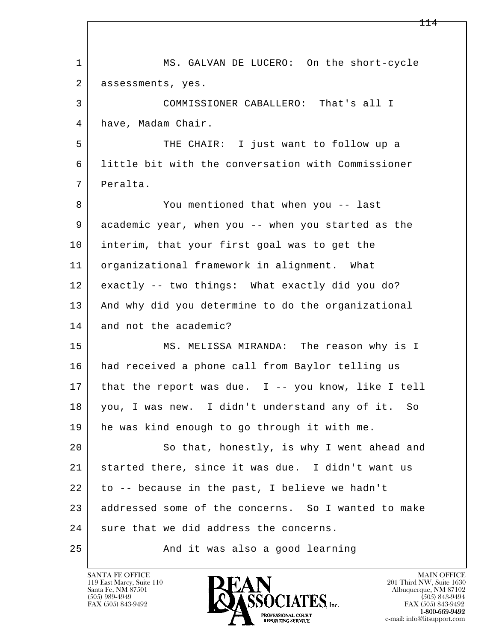l  $\overline{\phantom{a}}$ 1 MS. GALVAN DE LUCERO: On the short-cycle 2 assessments, yes. 3 COMMISSIONER CABALLERO: That's all I 4 have, Madam Chair. 5 THE CHAIR: I just want to follow up a 6 little bit with the conversation with Commissioner 7 Peralta. 8 You mentioned that when you -- last 9 academic year, when you -- when you started as the 10 interim, that your first goal was to get the 11 organizational framework in alignment. What 12 exactly -- two things: What exactly did you do? 13 | And why did you determine to do the organizational 14 and not the academic? 15 MS. MELISSA MIRANDA: The reason why is I 16 had received a phone call from Baylor telling us 17 that the report was due. I -- you know, like I tell 18 you, I was new. I didn't understand any of it. So 19 he was kind enough to go through it with me. 20 So that, honestly, is why I went ahead and 21 started there, since it was due. I didn't want us 22 to -- because in the past, I believe we hadn't 23 addressed some of the concerns. So I wanted to make 24 sure that we did address the concerns. 25 And it was also a good learning

119 East Marcy, Suite 110<br>Santa Fe, NM 87501

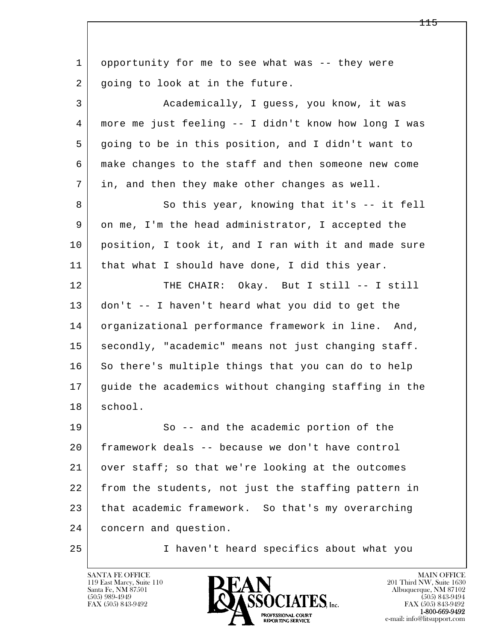| $\mathbf{1}$ | opportunity for me to see what was -- they were      |
|--------------|------------------------------------------------------|
| 2            | going to look at in the future.                      |
| 3            | Academically, I guess, you know, it was              |
| 4            | more me just feeling -- I didn't know how long I was |
| 5            | going to be in this position, and I didn't want to   |
| 6            | make changes to the staff and then someone new come  |
| 7            | in, and then they make other changes as well.        |
| 8            | So this year, knowing that it's -- it fell           |
| 9            | on me, I'm the head administrator, I accepted the    |
| 10           | position, I took it, and I ran with it and made sure |
| 11           | that what I should have done, I did this year.       |
| 12           | THE CHAIR: Okay. But I still -- I still              |
| 13           | don't -- I haven't heard what you did to get the     |
| 14           | organizational performance framework in line. And,   |
| 15           | secondly, "academic" means not just changing staff.  |
| 16           | So there's multiple things that you can do to help   |
| 17           | guide the academics without changing staffing in the |
| 18           | school.                                              |
| 19           | So -- and the academic portion of the                |
| 20           | framework deals -- because we don't have control     |
| 21           | over staff; so that we're looking at the outcomes    |
| 22           | from the students, not just the staffing pattern in  |
| 23           | that academic framework. So that's my overarching    |
| 24           | concern and question.                                |
| 25           | I haven't heard specifics about what you             |

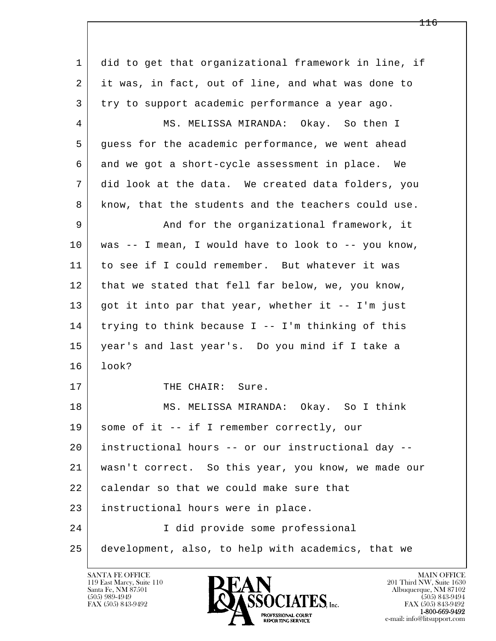l  $\overline{\phantom{a}}$  1 did to get that organizational framework in line, if 2 it was, in fact, out of line, and what was done to 3 try to support academic performance a year ago. 4 MS. MELISSA MIRANDA: Okay. So then I 5 guess for the academic performance, we went ahead 6 and we got a short-cycle assessment in place. We 7 did look at the data. We created data folders, you 8 know, that the students and the teachers could use. 9 And for the organizational framework, it 10 was -- I mean, I would have to look to -- you know, 11 to see if I could remember. But whatever it was 12 | that we stated that fell far below, we, you know, 13 got it into par that year, whether it -- I'm just 14 trying to think because I -- I'm thinking of this 15 year's and last year's. Do you mind if I take a 16 look? 17 THE CHAIR: Sure. 18 MS. MELISSA MIRANDA: Okay. So I think 19 | some of it -- if I remember correctly, our 20 instructional hours -- or our instructional day -- 21 wasn't correct. So this year, you know, we made our 22 calendar so that we could make sure that 23 instructional hours were in place. 24 I did provide some professional 25 development, also, to help with academics, that we

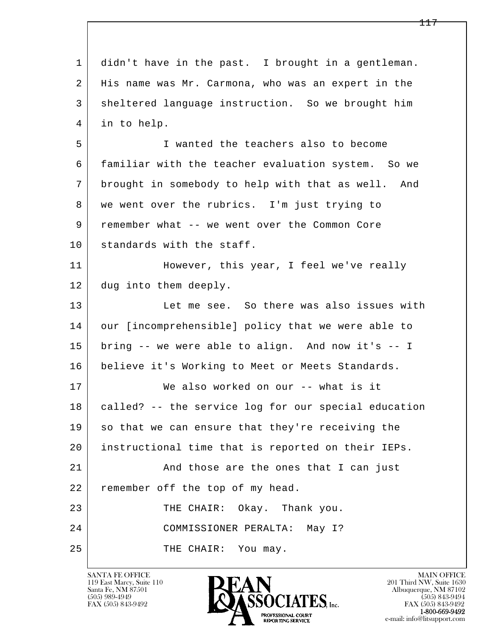l  $\overline{\phantom{a}}$  1 didn't have in the past. I brought in a gentleman. 2 His name was Mr. Carmona, who was an expert in the 3 sheltered language instruction. So we brought him 4 in to help. 5 I wanted the teachers also to become 6 familiar with the teacher evaluation system. So we 7 brought in somebody to help with that as well. And 8 | we went over the rubrics. I'm just trying to 9 remember what -- we went over the Common Core 10 standards with the staff. 11 | However, this year, I feel we've really 12 dug into them deeply. 13 Let me see. So there was also issues with 14 our [incomprehensible] policy that we were able to 15 bring -- we were able to align. And now it's -- I 16 believe it's Working to Meet or Meets Standards. 17 We also worked on our -- what is it 18 called? -- the service log for our special education 19 so that we can ensure that they're receiving the 20 instructional time that is reported on their IEPs. 21 and those are the ones that I can just 22 remember off the top of my head. 23 THE CHAIR: Okay. Thank you. 24 COMMISSIONER PERALTA: May I? 25 THE CHAIR: You may.

119 East Marcy, Suite 110<br>Santa Fe, NM 87501



FAX (505) 843-9492<br>**1-800-669-9492**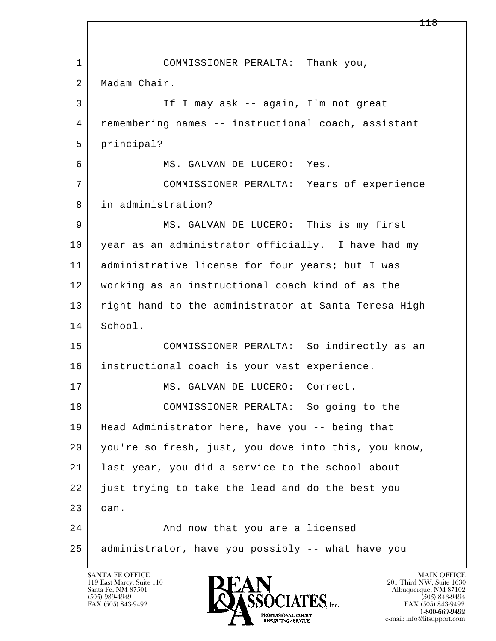l  $\overline{\phantom{a}}$  1 COMMISSIONER PERALTA: Thank you, 2 Madam Chair. 3 If I may ask -- again, I'm not great 4 remembering names -- instructional coach, assistant 5 principal? 6 MS. GALVAN DE LUCERO: Yes. 7 COMMISSIONER PERALTA: Years of experience 8 in administration? 9 MS. GALVAN DE LUCERO: This is my first 10 year as an administrator officially. I have had my 11 administrative license for four years; but I was 12 working as an instructional coach kind of as the 13 right hand to the administrator at Santa Teresa High 14 School. 15 COMMISSIONER PERALTA: So indirectly as an 16 | instructional coach is your vast experience. 17 MS. GALVAN DE LUCERO: Correct. 18 COMMISSIONER PERALTA: So going to the 19 Head Administrator here, have you -- being that 20 you're so fresh, just, you dove into this, you know, 21 last year, you did a service to the school about 22 just trying to take the lead and do the best you 23 can. 24 And now that you are a licensed 25 administrator, have you possibly -- what have you

119 East Marcy, Suite 110<br>Santa Fe, NM 87501



FAX (505) 843-9492<br>1-800-669-9492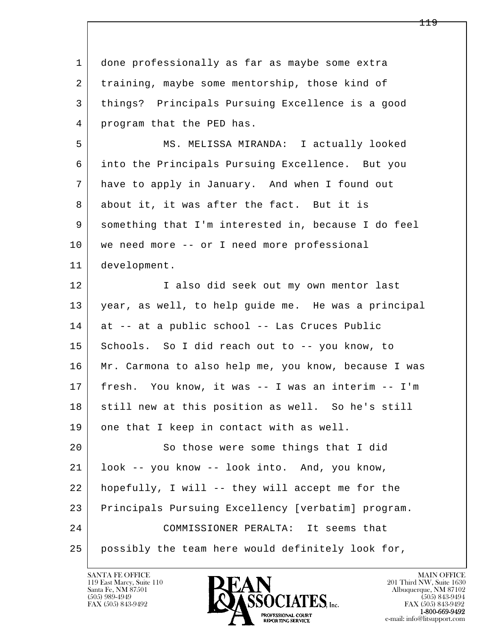l  $\overline{\phantom{a}}$ 1 done professionally as far as maybe some extra 2 | training, maybe some mentorship, those kind of 3 things? Principals Pursuing Excellence is a good 4 program that the PED has. 5 MS. MELISSA MIRANDA: I actually looked 6 into the Principals Pursuing Excellence. But you 7 have to apply in January. And when I found out 8 about it, it was after the fact. But it is 9 something that I'm interested in, because I do feel 10 | we need more -- or I need more professional 11 development. 12 I also did seek out my own mentor last 13 year, as well, to help guide me. He was a principal 14 at -- at a public school -- Las Cruces Public 15 Schools. So I did reach out to -- you know, to 16 Mr. Carmona to also help me, you know, because I was 17 fresh. You know, it was -- I was an interim -- I'm 18 still new at this position as well. So he's still 19 one that I keep in contact with as well. 20 So those were some things that I did 21 look -- you know -- look into. And, you know, 22 hopefully, I will -- they will accept me for the 23 Principals Pursuing Excellency [verbatim] program. 24 COMMISSIONER PERALTA: It seems that 25 possibly the team here would definitely look for,

119 East Marcy, Suite 110<br>Santa Fe, NM 87501

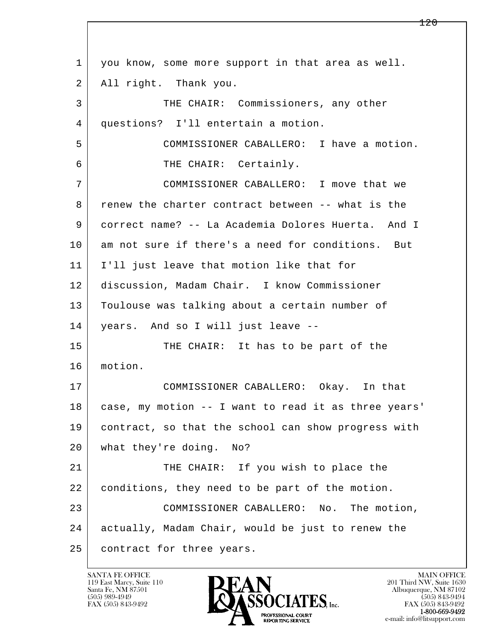l  $\overline{\phantom{a}}$ 1 you know, some more support in that area as well. 2 | All right. Thank you. 3 THE CHAIR: Commissioners, any other 4 questions? I'll entertain a motion. 5 COMMISSIONER CABALLERO: I have a motion. 6 THE CHAIR: Certainly. 7 COMMISSIONER CABALLERO: I move that we 8 renew the charter contract between -- what is the 9 correct name? -- La Academia Dolores Huerta. And I 10 am not sure if there's a need for conditions. But 11 I'll just leave that motion like that for 12 discussion, Madam Chair. I know Commissioner 13 Toulouse was talking about a certain number of 14 years. And so I will just leave -- 15 THE CHAIR: It has to be part of the 16 motion. 17 COMMISSIONER CABALLERO: Okay. In that 18 case, my motion -- I want to read it as three years' 19 contract, so that the school can show progress with 20 what they're doing. No? 21 THE CHAIR: If you wish to place the 22 conditions, they need to be part of the motion. 23 COMMISSIONER CABALLERO: No. The motion, 24 actually, Madam Chair, would be just to renew the 25 | contract for three years.

119 East Marcy, Suite 110<br>Santa Fe, NM 87501

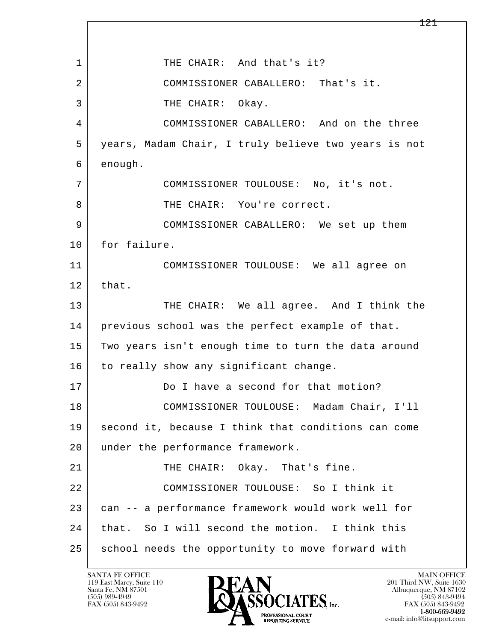l  $\overline{\phantom{a}}$ 1 THE CHAIR: And that's it? 2 COMMISSIONER CABALLERO: That's it. 3 THE CHAIR: Okay. 4 COMMISSIONER CABALLERO: And on the three 5 years, Madam Chair, I truly believe two years is not 6 enough. 7 COMMISSIONER TOULOUSE: No, it's not. 8 | THE CHAIR: You're correct. 9 COMMISSIONER CABALLERO: We set up them 10 for failure. 11 COMMISSIONER TOULOUSE: We all agree on 12 that. 13 THE CHAIR: We all agree. And I think the 14 previous school was the perfect example of that. 15 Two years isn't enough time to turn the data around 16 to really show any significant change. 17 Do I have a second for that motion? 18 COMMISSIONER TOULOUSE: Madam Chair, I'll 19 second it, because I think that conditions can come 20 under the performance framework. 21 THE CHAIR: Okay. That's fine. 22 COMMISSIONER TOULOUSE: So I think it 23 can -- a performance framework would work well for 24 that. So I will second the motion. I think this 25 school needs the opportunity to move forward with

119 East Marcy, Suite 110<br>Santa Fe, NM 87501

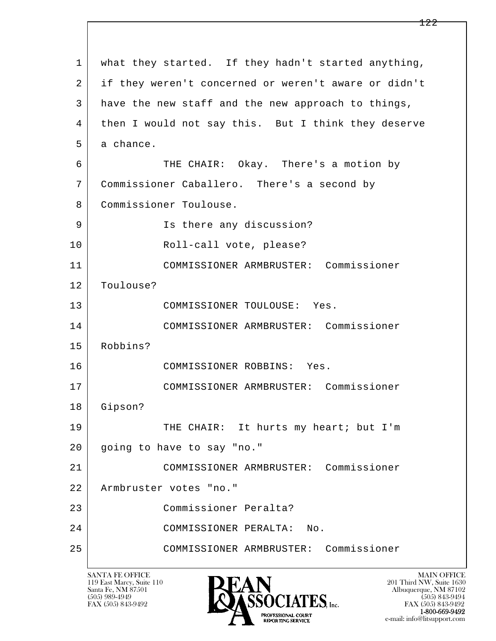| $\mathbf{1}$ | what they started. If they hadn't started anything,  |
|--------------|------------------------------------------------------|
| 2            | if they weren't concerned or weren't aware or didn't |
| 3            | have the new staff and the new approach to things,   |
| 4            | then I would not say this. But I think they deserve  |
| 5            | a chance.                                            |
| 6            | THE CHAIR: Okay. There's a motion by                 |
| 7            | Commissioner Caballero. There's a second by          |
| 8            | Commissioner Toulouse.                               |
| 9            | Is there any discussion?                             |
| 10           | Roll-call vote, please?                              |
| 11           | COMMISSIONER ARMBRUSTER: Commissioner                |
| 12           | Toulouse?                                            |
| 13           | COMMISSIONER TOULOUSE: Yes.                          |
| 14           | COMMISSIONER ARMBRUSTER: Commissioner                |
| 15           | Robbins?                                             |
| 16           | COMMISSIONER ROBBINS: Yes.                           |
| 17           | COMMISSIONER ARMBRUSTER: Commissioner                |
| 18           | Gipson?                                              |
| 19           | THE CHAIR: It hurts my heart; but I'm                |
| 20           | going to have to say "no."                           |
| 21           | COMMISSIONER ARMBRUSTER: Commissioner                |
| 22           | Armbruster votes "no."                               |
| 23           | Commissioner Peralta?                                |
| 24           | COMMISSIONER PERALTA:<br>No.                         |
| 25           | COMMISSIONER ARMBRUSTER: Commissioner                |
|              |                                                      |

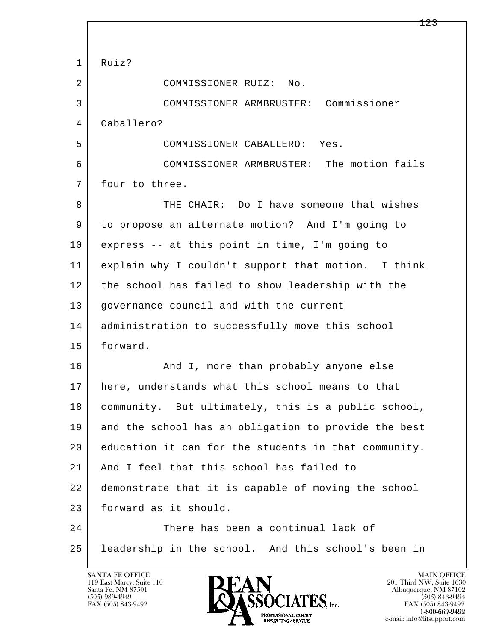l  $\overline{\phantom{a}}$  1 Ruiz? 2 COMMISSIONER RUIZ: No. 3 COMMISSIONER ARMBRUSTER: Commissioner 4 Caballero? 5 COMMISSIONER CABALLERO: Yes. 6 COMMISSIONER ARMBRUSTER: The motion fails 7 four to three. 8 THE CHAIR: Do I have someone that wishes 9 to propose an alternate motion? And I'm going to 10 express -- at this point in time, I'm going to 11 explain why I couldn't support that motion. I think 12 the school has failed to show leadership with the 13 governance council and with the current 14 administration to successfully move this school 15 forward. 16 And I, more than probably anyone else 17 here, understands what this school means to that 18 community. But ultimately, this is a public school, 19 and the school has an obligation to provide the best 20 education it can for the students in that community. 21 | And I feel that this school has failed to 22 demonstrate that it is capable of moving the school 23 forward as it should. 24 There has been a continual lack of 25 leadership in the school. And this school's been in

119 East Marcy, Suite 110<br>Santa Fe, NM 87501



FAX (505) 843-9492<br>**1-800-669-9492**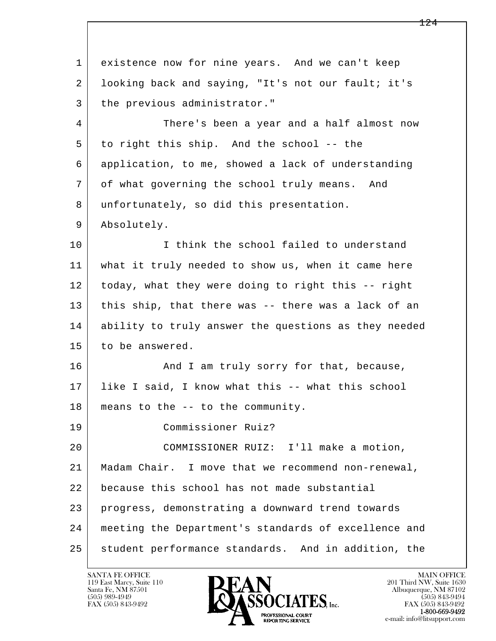l  $\overline{\phantom{a}}$  1 existence now for nine years. And we can't keep 2 looking back and saying, "It's not our fault; it's 3 the previous administrator." 4 There's been a year and a half almost now 5 to right this ship. And the school -- the 6 application, to me, showed a lack of understanding 7 of what governing the school truly means. And 8 unfortunately, so did this presentation. 9 Absolutely. 10 I think the school failed to understand 11 what it truly needed to show us, when it came here 12 today, what they were doing to right this -- right 13 this ship, that there was -- there was a lack of an 14 ability to truly answer the questions as they needed 15 to be answered. 16 And I am truly sorry for that, because, 17 like I said, I know what this -- what this school 18 means to the -- to the community. 19 Commissioner Ruiz? 20 COMMISSIONER RUIZ: I'll make a motion, 21 Madam Chair. I move that we recommend non-renewal, 22 because this school has not made substantial 23 progress, demonstrating a downward trend towards 24 meeting the Department's standards of excellence and 25 student performance standards. And in addition, the

119 East Marcy, Suite 110<br>Santa Fe, NM 87501

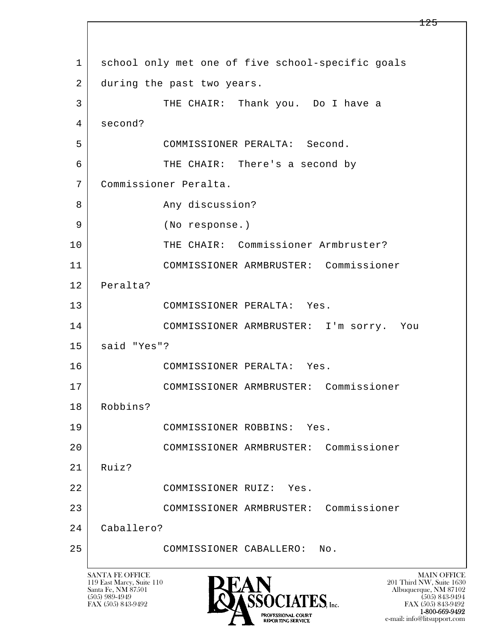l  $\overline{\phantom{a}}$  1 school only met one of five school-specific goals 2 during the past two years. 3 THE CHAIR: Thank you. Do I have a 4 second? 5 COMMISSIONER PERALTA: Second. 6 THE CHAIR: There's a second by 7 Commissioner Peralta. 8 Any discussion? 9 (No response.) 10 THE CHAIR: Commissioner Armbruster? 11 COMMISSIONER ARMBRUSTER: Commissioner 12 Peralta? 13 COMMISSIONER PERALTA: Yes. 14 COMMISSIONER ARMBRUSTER: I'm sorry. You 15 said "Yes"? 16 COMMISSIONER PERALTA: Yes. 17 COMMISSIONER ARMBRUSTER: Commissioner 18 Robbins? 19 COMMISSIONER ROBBINS: Yes. 20 COMMISSIONER ARMBRUSTER: Commissioner  $21$  Ruiz? 22 COMMISSIONER RUIZ: Yes. 23 COMMISSIONER ARMBRUSTER: Commissioner 24 Caballero? 25 COMMISSIONER CABALLERO: No.

119 East Marcy, Suite 110<br>Santa Fe, NM 87501



FAX (505) 843-9492<br>**1-800-669-9492** e-mail: info@litsupport.com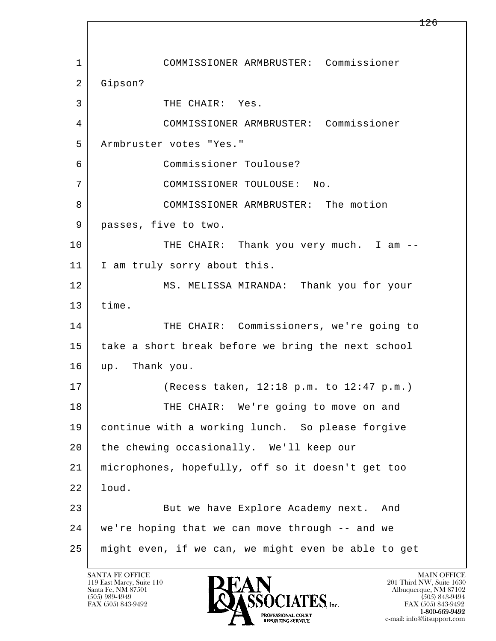l  $\overline{\phantom{a}}$  1 COMMISSIONER ARMBRUSTER: Commissioner 2 Gipson? 3 THE CHAIR: Yes. 4 COMMISSIONER ARMBRUSTER: Commissioner 5 Armbruster votes "Yes." 6 Commissioner Toulouse? 7 COMMISSIONER TOULOUSE: No. 8 COMMISSIONER ARMBRUSTER: The motion 9 | passes, five to two. 10 THE CHAIR: Thank you very much. I am --11 | I am truly sorry about this. 12 MS. MELISSA MIRANDA: Thank you for your 13 time. 14 THE CHAIR: Commissioners, we're going to 15 take a short break before we bring the next school 16 up. Thank you. 17 (Recess taken, 12:18 p.m. to 12:47 p.m.) 18 THE CHAIR: We're going to move on and 19 continue with a working lunch. So please forgive 20 the chewing occasionally. We'll keep our 21 microphones, hopefully, off so it doesn't get too 22 loud. 23 But we have Explore Academy next. And 24 we're hoping that we can move through -- and we 25 might even, if we can, we might even be able to get

119 East Marcy, Suite 110<br>Santa Fe, NM 87501

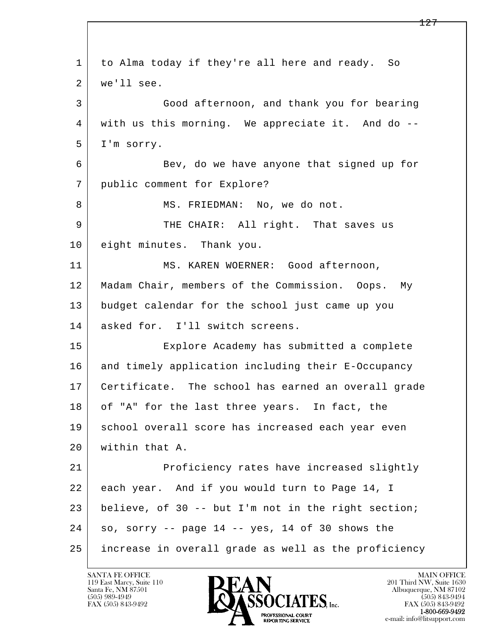l  $\overline{\phantom{a}}$  1 to Alma today if they're all here and ready. So 2 | we'll see. 3 Good afternoon, and thank you for bearing 4 with us this morning. We appreciate it. And do -- 5 I'm sorry. 6 Bev, do we have anyone that signed up for 7 public comment for Explore? 8 | MS. FRIEDMAN: No, we do not. 9 THE CHAIR: All right. That saves us 10 eight minutes. Thank you. 11 MS. KAREN WOERNER: Good afternoon, 12 Madam Chair, members of the Commission. Oops. My 13 budget calendar for the school just came up you 14 asked for. I'll switch screens. 15 Explore Academy has submitted a complete 16 and timely application including their E-Occupancy 17 Certificate. The school has earned an overall grade 18 of "A" for the last three years. In fact, the 19 | school overall score has increased each year even 20 within that A. 21 Proficiency rates have increased slightly 22 each year. And if you would turn to Page 14, I 23 believe, of 30 -- but I'm not in the right section;  $24$  so, sorry  $-$  page 14  $-$  yes, 14 of 30 shows the 25 increase in overall grade as well as the proficiency

119 East Marcy, Suite 110<br>Santa Fe, NM 87501



FAX (505) 843-9492<br>1-800-669-9492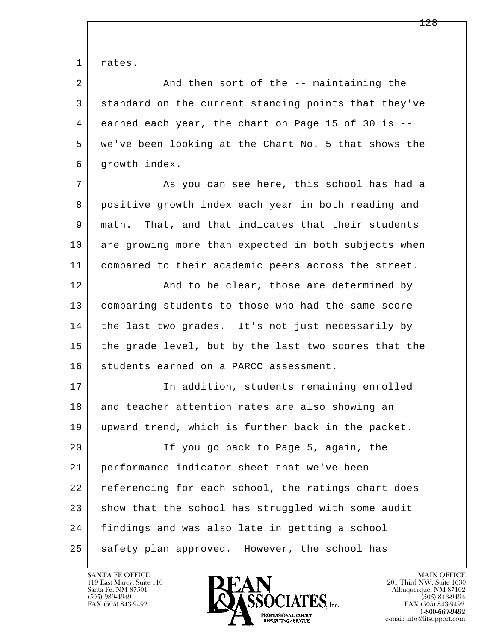1 rates.

2 And then sort of the -- maintaining the 3 standard on the current standing points that they've 4 earned each year, the chart on Page 15 of 30 is -- 5 we've been looking at the Chart No. 5 that shows the 6 growth index.

7 As you can see here, this school has had a 8 positive growth index each year in both reading and 9 math. That, and that indicates that their students 10 are growing more than expected in both subjects when 11 compared to their academic peers across the street.

12 And to be clear, those are determined by 13 comparing students to those who had the same score 14 the last two grades. It's not just necessarily by 15 the grade level, but by the last two scores that the 16 students earned on a PARCC assessment.

17 | The addition, students remaining enrolled 18 and teacher attention rates are also showing an 19 upward trend, which is further back in the packet. 20 If you go back to Page 5, again, the

l  $\overline{\phantom{a}}$  21 performance indicator sheet that we've been 22 referencing for each school, the ratings chart does 23 show that the school has struggled with some audit 24 findings and was also late in getting a school 25 safety plan approved. However, the school has

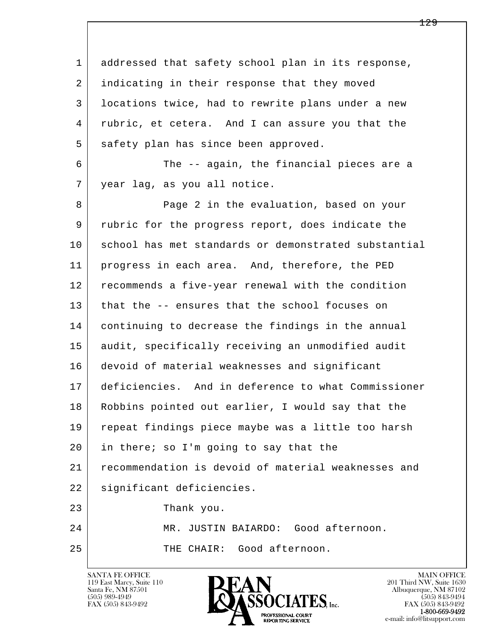l  $\overline{\phantom{a}}$ 1 addressed that safety school plan in its response, 2 indicating in their response that they moved 3 locations twice, had to rewrite plans under a new 4 rubric, et cetera. And I can assure you that the 5 safety plan has since been approved. 6 The -- again, the financial pieces are a 7 year lag, as you all notice. 8 Page 2 in the evaluation, based on your 9 rubric for the progress report, does indicate the 10 school has met standards or demonstrated substantial 11 | progress in each area. And, therefore, the PED 12 recommends a five-year renewal with the condition 13 that the -- ensures that the school focuses on 14 continuing to decrease the findings in the annual 15 audit, specifically receiving an unmodified audit 16 devoid of material weaknesses and significant 17 deficiencies. And in deference to what Commissioner 18 Robbins pointed out earlier, I would say that the 19 repeat findings piece maybe was a little too harsh 20 in there; so I'm going to say that the 21 recommendation is devoid of material weaknesses and 22 | significant deficiencies. 23 Thank you. 24 MR. JUSTIN BAIARDO: Good afternoon. 25 THE CHAIR: Good afternoon.

119 East Marcy, Suite 110<br>Santa Fe, NM 87501



FAX (505) 843-9492<br>1-800-669-9492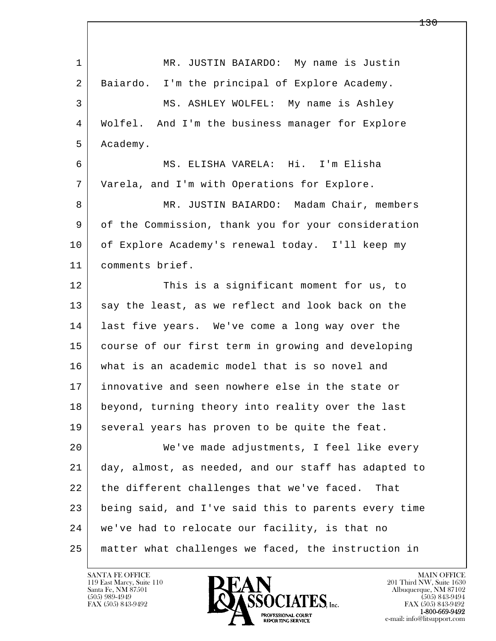l  $\overline{\phantom{a}}$ 1 MR. JUSTIN BAIARDO: My name is Justin 2 Baiardo. I'm the principal of Explore Academy. 3 MS. ASHLEY WOLFEL: My name is Ashley 4 Wolfel. And I'm the business manager for Explore 5 Academy. 6 MS. ELISHA VARELA: Hi. I'm Elisha 7 Varela, and I'm with Operations for Explore. 8 MR. JUSTIN BAIARDO: Madam Chair, members 9 of the Commission, thank you for your consideration 10 of Explore Academy's renewal today. I'll keep my 11 comments brief. 12 This is a significant moment for us, to 13 say the least, as we reflect and look back on the 14 last five years. We've come a long way over the 15 course of our first term in growing and developing 16 what is an academic model that is so novel and 17 innovative and seen nowhere else in the state or 18 beyond, turning theory into reality over the last 19 several years has proven to be quite the feat. 20 We've made adjustments, I feel like every 21 day, almost, as needed, and our staff has adapted to 22 the different challenges that we've faced. That 23 being said, and I've said this to parents every time 24 we've had to relocate our facility, is that no 25 matter what challenges we faced, the instruction in

119 East Marcy, Suite 110<br>Santa Fe, NM 87501



FAX (505) 843-9492<br>**1-800-669-9492**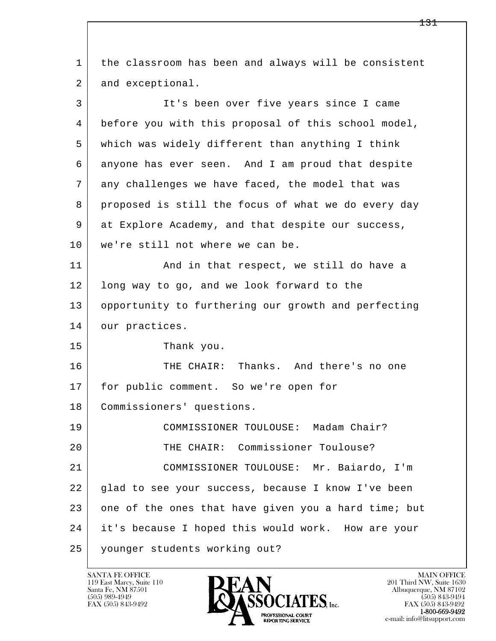l  $\overline{\phantom{a}}$  1 the classroom has been and always will be consistent 2 and exceptional. 3 It's been over five years since I came 4 before you with this proposal of this school model, 5 which was widely different than anything I think 6 anyone has ever seen. And I am proud that despite 7 any challenges we have faced, the model that was 8 proposed is still the focus of what we do every day 9 at Explore Academy, and that despite our success, 10 we're still not where we can be. 11 | And in that respect, we still do have a 12 long way to go, and we look forward to the 13 opportunity to furthering our growth and perfecting 14 our practices. 15 Thank you. 16 THE CHAIR: Thanks. And there's no one 17 for public comment. So we're open for 18 Commissioners' questions. 19 COMMISSIONER TOULOUSE: Madam Chair? 20 THE CHAIR: Commissioner Toulouse? 21 COMMISSIONER TOULOUSE: Mr. Baiardo, I'm 22 glad to see your success, because I know I've been 23 one of the ones that have given you a hard time; but 24 it's because I hoped this would work. How are your 25 younger students working out?

119 East Marcy, Suite 110<br>Santa Fe, NM 87501

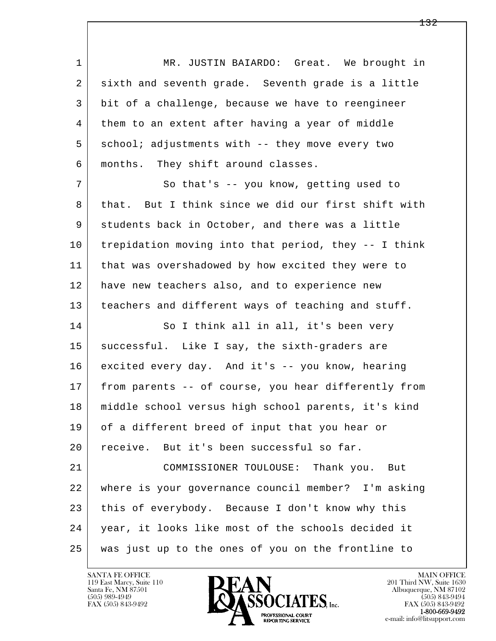l  $\overline{\phantom{a}}$ 1 | MR. JUSTIN BAIARDO: Great. We brought in 2 sixth and seventh grade. Seventh grade is a little 3 bit of a challenge, because we have to reengineer 4 them to an extent after having a year of middle 5 school; adjustments with -- they move every two 6 months. They shift around classes. 7 So that's -- you know, getting used to 8 that. But I think since we did our first shift with 9 students back in October, and there was a little 10 trepidation moving into that period, they -- I think 11 that was overshadowed by how excited they were to 12 have new teachers also, and to experience new 13 teachers and different ways of teaching and stuff. 14 So I think all in all, it's been very 15 | successful. Like I say, the sixth-graders are 16 excited every day. And it's -- you know, hearing 17 from parents -- of course, you hear differently from 18 middle school versus high school parents, it's kind 19 of a different breed of input that you hear or 20 receive. But it's been successful so far. 21 COMMISSIONER TOULOUSE: Thank you. But 22 where is your governance council member? I'm asking 23 this of everybody. Because I don't know why this 24 year, it looks like most of the schools decided it 25 was just up to the ones of you on the frontline to

119 East Marcy, Suite 110<br>Santa Fe, NM 87501

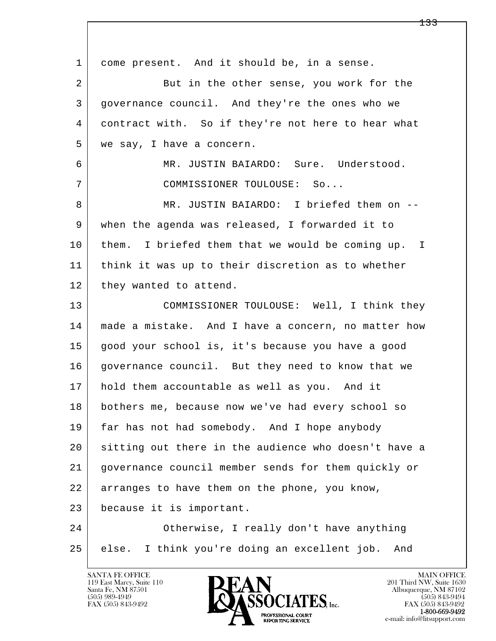l  $\overline{\phantom{a}}$  1 come present. And it should be, in a sense. 2 | But in the other sense, you work for the 3 governance council. And they're the ones who we 4 contract with. So if they're not here to hear what 5 we say, I have a concern. 6 MR. JUSTIN BAIARDO: Sure. Understood. 7 COMMISSIONER TOULOUSE: So... 8 MR. JUSTIN BAIARDO: I briefed them on -- 9 when the agenda was released, I forwarded it to 10 them. I briefed them that we would be coming up. I 11 think it was up to their discretion as to whether 12 they wanted to attend. 13 COMMISSIONER TOULOUSE: Well, I think they 14 made a mistake. And I have a concern, no matter how 15 good your school is, it's because you have a good 16 | governance council. But they need to know that we 17 hold them accountable as well as you. And it 18 bothers me, because now we've had every school so 19 far has not had somebody. And I hope anybody 20 sitting out there in the audience who doesn't have a 21 governance council member sends for them quickly or 22 arranges to have them on the phone, you know, 23 because it is important. 24 Otherwise, I really don't have anything 25 else. I think you're doing an excellent job. And

119 East Marcy, Suite 110<br>Santa Fe, NM 87501

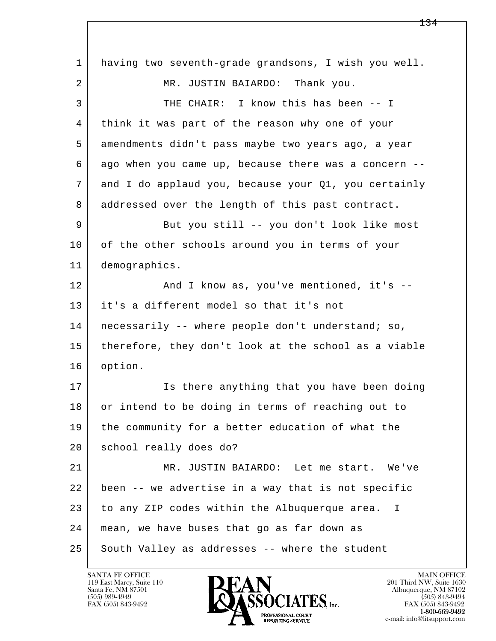l  $\overline{\phantom{a}}$  1 having two seventh-grade grandsons, I wish you well. 2 MR. JUSTIN BAIARDO: Thank you. 3 THE CHAIR: I know this has been -- I 4 think it was part of the reason why one of your 5 amendments didn't pass maybe two years ago, a year 6 ago when you came up, because there was a concern -- 7 and I do applaud you, because your Q1, you certainly 8 addressed over the length of this past contract. 9 But you still -- you don't look like most 10 of the other schools around you in terms of your 11 demographics. 12 And I know as, you've mentioned, it's -- 13 it's a different model so that it's not 14 | necessarily -- where people don't understand; so, 15 therefore, they don't look at the school as a viable 16 option. 17 | The Is there anything that you have been doing 18 or intend to be doing in terms of reaching out to 19 the community for a better education of what the 20 school really does do? 21 MR. JUSTIN BAIARDO: Let me start. We've 22 been -- we advertise in a way that is not specific 23 to any ZIP codes within the Albuquerque area. I 24 mean, we have buses that go as far down as 25 South Valley as addresses -- where the student

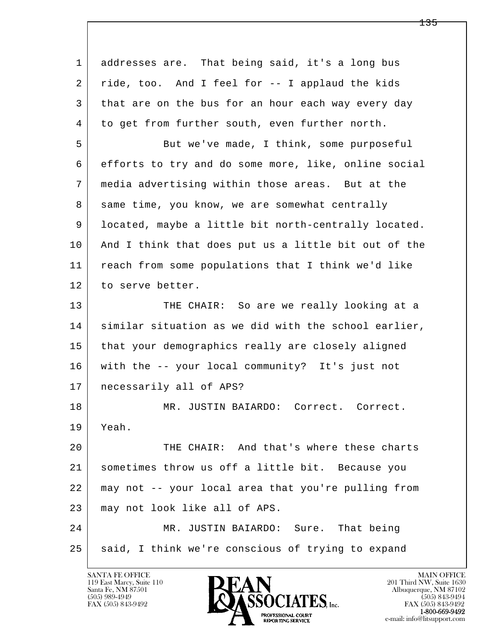l  $\overline{\phantom{a}}$  1 addresses are. That being said, it's a long bus 2 ride, too. And I feel for -- I applaud the kids 3 that are on the bus for an hour each way every day 4 to get from further south, even further north. 5 But we've made, I think, some purposeful 6 efforts to try and do some more, like, online social 7 media advertising within those areas. But at the 8 same time, you know, we are somewhat centrally 9 located, maybe a little bit north-centrally located. 10 | And I think that does put us a little bit out of the 11 reach from some populations that I think we'd like 12 to serve better. 13 THE CHAIR: So are we really looking at a 14 | similar situation as we did with the school earlier, 15 that your demographics really are closely aligned 16 with the -- your local community? It's just not 17 necessarily all of APS? 18 | MR. JUSTIN BAIARDO: Correct. Correct. 19 Yeah. 20 THE CHAIR: And that's where these charts 21 sometimes throw us off a little bit. Because you 22 may not -- your local area that you're pulling from 23 | may not look like all of APS. 24 MR. JUSTIN BAIARDO: Sure. That being 25 said, I think we're conscious of trying to expand

119 East Marcy, Suite 110<br>Santa Fe, NM 87501

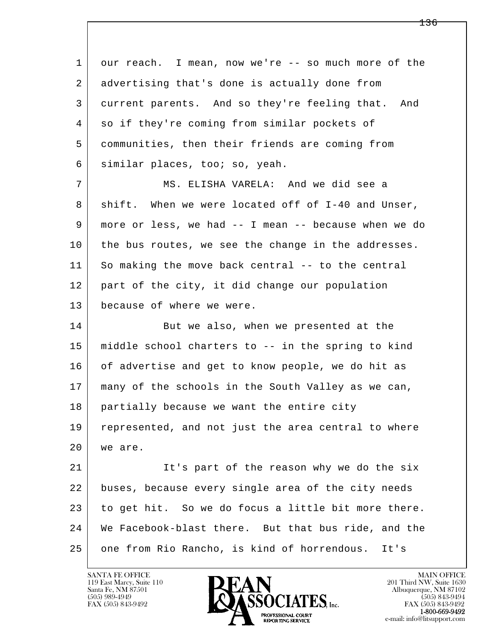l  $\overline{\phantom{a}}$  1 our reach. I mean, now we're -- so much more of the 2 advertising that's done is actually done from 3 current parents. And so they're feeling that. And 4 so if they're coming from similar pockets of 5 communities, then their friends are coming from 6 similar places, too; so, yeah. 7 MS. ELISHA VARELA: And we did see a 8 shift. When we were located off of I-40 and Unser, 9 more or less, we had -- I mean -- because when we do 10 the bus routes, we see the change in the addresses. 11 So making the move back central -- to the central 12 part of the city, it did change our population 13 because of where we were. 14 But we also, when we presented at the 15 middle school charters to -- in the spring to kind 16 of advertise and get to know people, we do hit as 17 many of the schools in the South Valley as we can, 18 | partially because we want the entire city 19 represented, and not just the area central to where 20 we are. 21 It's part of the reason why we do the six 22 buses, because every single area of the city needs 23 to get hit. So we do focus a little bit more there. 24 We Facebook-blast there. But that bus ride, and the 25 one from Rio Rancho, is kind of horrendous. It's

119 East Marcy, Suite 110<br>Santa Fe, NM 87501



FAX (505) 843-9492<br>1-800-669-9492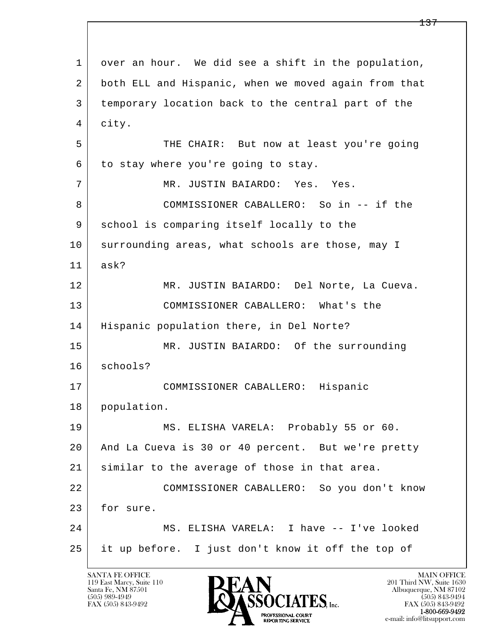l  $\overline{\phantom{a}}$  1 over an hour. We did see a shift in the population, 2 both ELL and Hispanic, when we moved again from that 3 temporary location back to the central part of the 4 city. 5 THE CHAIR: But now at least you're going  $6$  to stay where you're going to stay. 7 MR. JUSTIN BAIARDO: Yes. Yes. 8 COMMISSIONER CABALLERO: So in -- if the 9 | school is comparing itself locally to the 10 surrounding areas, what schools are those, may I 11 ask? 12 MR. JUSTIN BAIARDO: Del Norte, La Cueva. 13 COMMISSIONER CABALLERO: What's the 14 Hispanic population there, in Del Norte? 15 | MR. JUSTIN BAIARDO: Of the surrounding 16 schools? 17 COMMISSIONER CABALLERO: Hispanic 18 population. 19 MS. ELISHA VARELA: Probably 55 or 60. 20 And La Cueva is 30 or 40 percent. But we're pretty 21 similar to the average of those in that area. 22 COMMISSIONER CABALLERO: So you don't know 23 for sure. 24 MS. ELISHA VARELA: I have -- I've looked 25 it up before. I just don't know it off the top of

119 East Marcy, Suite 110<br>Santa Fe, NM 87501

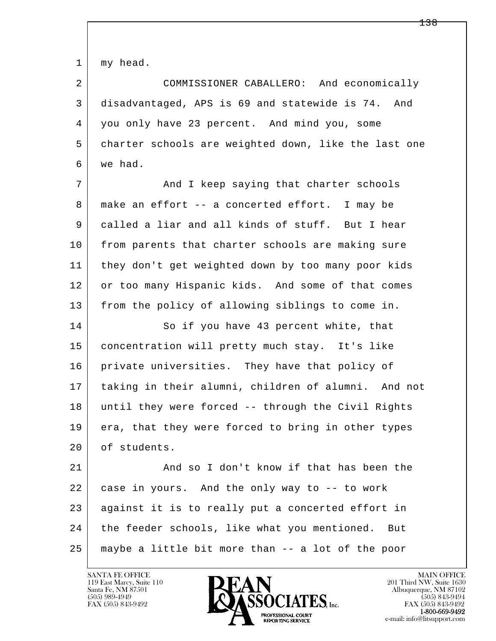1 my head.

 2 COMMISSIONER CABALLERO: And economically 3 disadvantaged, APS is 69 and statewide is 74. And 4 you only have 23 percent. And mind you, some 5 charter schools are weighted down, like the last one 6 we had.

7 | And I keep saying that charter schools 8 make an effort -- a concerted effort. I may be 9 called a liar and all kinds of stuff. But I hear 10 from parents that charter schools are making sure 11 they don't get weighted down by too many poor kids 12 or too many Hispanic kids. And some of that comes 13 from the policy of allowing siblings to come in.

14 So if you have 43 percent white, that 15 concentration will pretty much stay. It's like 16 private universities. They have that policy of 17 taking in their alumni, children of alumni. And not 18 until they were forced -- through the Civil Rights 19 era, that they were forced to bring in other types 20 of students.

l  $\overline{\phantom{a}}$ 21 And so I don't know if that has been the 22 case in yours. And the only way to -- to work 23 against it is to really put a concerted effort in 24 the feeder schools, like what you mentioned. But 25 maybe a little bit more than -- a lot of the poor

119 East Marcy, Suite 110<br>Santa Fe, NM 87501



FAX (505) 843-9492<br>1-800-669-9492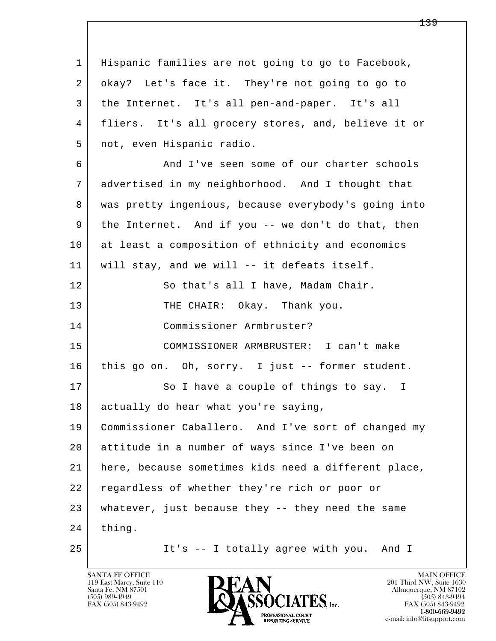l  $\overline{\phantom{a}}$  1 Hispanic families are not going to go to Facebook, 2 okay? Let's face it. They're not going to go to 3 the Internet. It's all pen-and-paper. It's all 4 fliers. It's all grocery stores, and, believe it or 5 not, even Hispanic radio. 6 And I've seen some of our charter schools 7 advertised in my neighborhood. And I thought that 8 was pretty ingenious, because everybody's going into 9 the Internet. And if you -- we don't do that, then 10 at least a composition of ethnicity and economics 11 will stay, and we will -- it defeats itself. 12 | So that's all I have, Madam Chair. 13 THE CHAIR: Okay. Thank you. 14 Commissioner Armbruster? 15 COMMISSIONER ARMBRUSTER: I can't make 16 this go on. Oh, sorry. I just -- former student. 17 So I have a couple of things to say. I 18 actually do hear what you're saying, 19 Commissioner Caballero. And I've sort of changed my 20 attitude in a number of ways since I've been on 21 here, because sometimes kids need a different place, 22 regardless of whether they're rich or poor or 23 whatever, just because they -- they need the same  $24$  thing. 25 It's -- I totally agree with you. And I

119 East Marcy, Suite 110<br>Santa Fe, NM 87501

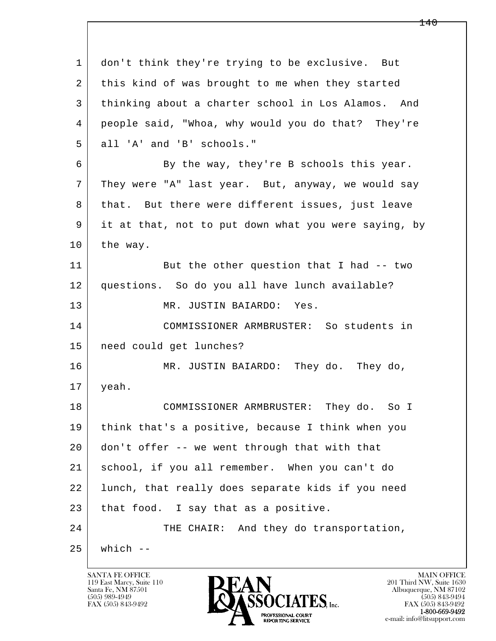l  $\overline{\phantom{a}}$  1 don't think they're trying to be exclusive. But 2 | this kind of was brought to me when they started 3 thinking about a charter school in Los Alamos. And 4 people said, "Whoa, why would you do that? They're 5 all 'A' and 'B' schools." 6 By the way, they're B schools this year. 7 | They were "A" last year. But, anyway, we would say 8 | that. But there were different issues, just leave 9 it at that, not to put down what you were saying, by 10 the way. 11 But the other question that I had -- two 12 questions. So do you all have lunch available? 13 MR. JUSTIN BAIARDO: Yes. 14 COMMISSIONER ARMBRUSTER: So students in 15 need could get lunches? 16 MR. JUSTIN BAIARDO: They do. They do, 17 yeah. 18 COMMISSIONER ARMBRUSTER: They do. So I 19 think that's a positive, because I think when you 20 don't offer -- we went through that with that 21 school, if you all remember. When you can't do 22 lunch, that really does separate kids if you need 23 | that food. I say that as a positive. 24 THE CHAIR: And they do transportation,  $25$  which  $-$ 

119 East Marcy, Suite 110<br>Santa Fe, NM 87501



FAX (505) 843-9492 FAX (505) 843-9492 e-mail: info@litsupport.com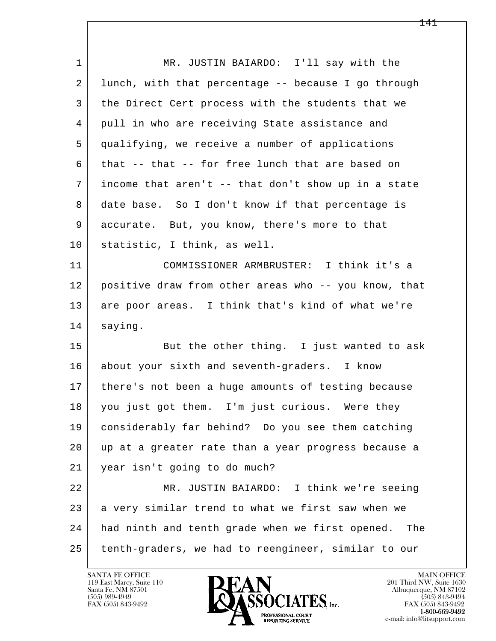l  $\overline{\phantom{a}}$  1 MR. JUSTIN BAIARDO: I'll say with the 2 lunch, with that percentage -- because I go through 3 the Direct Cert process with the students that we 4 pull in who are receiving State assistance and 5 qualifying, we receive a number of applications  $6$  that  $-$ - that  $-$ - for free lunch that are based on 7 income that aren't -- that don't show up in a state 8 date base. So I don't know if that percentage is 9 accurate. But, you know, there's more to that 10 statistic, I think, as well. 11 COMMISSIONER ARMBRUSTER: I think it's a 12 positive draw from other areas who -- you know, that 13 are poor areas. I think that's kind of what we're 14 saying. 15 But the other thing. I just wanted to ask 16 about your sixth and seventh-graders. I know 17 there's not been a huge amounts of testing because 18 | you just got them. I'm just curious. Were they 19 considerably far behind? Do you see them catching 20 up at a greater rate than a year progress because a 21 year isn't going to do much? 22 MR. JUSTIN BAIARDO: I think we're seeing 23 a very similar trend to what we first saw when we 24 had ninth and tenth grade when we first opened. The 25 tenth-graders, we had to reengineer, similar to our

119 East Marcy, Suite 110<br>Santa Fe, NM 87501



FAX (505) 843-9492<br>**1-800-669-9492**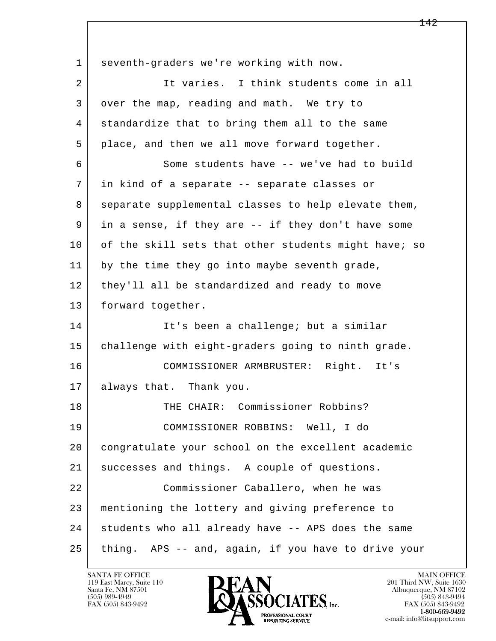l  $\overline{\phantom{a}}$  1 seventh-graders we're working with now. 2 It varies. I think students come in all 3 over the map, reading and math. We try to 4 standardize that to bring them all to the same 5 place, and then we all move forward together. 6 Some students have -- we've had to build 7 in kind of a separate -- separate classes or 8 separate supplemental classes to help elevate them, 9 in a sense, if they are -- if they don't have some 10 of the skill sets that other students might have; so 11 by the time they go into maybe seventh grade, 12 they'll all be standardized and ready to move 13 | forward together. 14 It's been a challenge; but a similar 15 | challenge with eight-graders going to ninth grade. 16 COMMISSIONER ARMBRUSTER: Right. It's 17 always that. Thank you. 18 THE CHAIR: Commissioner Robbins? 19 COMMISSIONER ROBBINS: Well, I do 20 congratulate your school on the excellent academic 21 successes and things. A couple of questions. 22 Commissioner Caballero, when he was 23 mentioning the lottery and giving preference to 24 students who all already have -- APS does the same 25 thing. APS -- and, again, if you have to drive your

119 East Marcy, Suite 110<br>Santa Fe, NM 87501

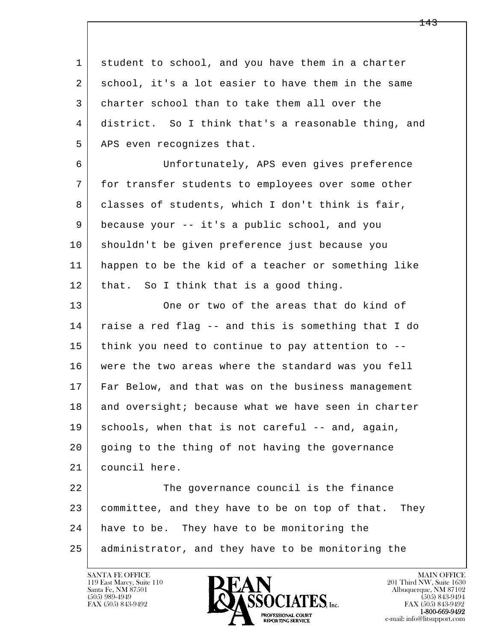l  $\overline{\phantom{a}}$  1 student to school, and you have them in a charter 2 school, it's a lot easier to have them in the same 3 charter school than to take them all over the 4 district. So I think that's a reasonable thing, and 5 APS even recognizes that. 6 Unfortunately, APS even gives preference 7 for transfer students to employees over some other 8 | classes of students, which I don't think is fair, 9 because your -- it's a public school, and you 10 shouldn't be given preference just because you 11 happen to be the kid of a teacher or something like 12 | that. So I think that is a good thing. 13 One or two of the areas that do kind of 14 raise a red flag -- and this is something that I do 15 think you need to continue to pay attention to -- 16 were the two areas where the standard was you fell 17 Far Below, and that was on the business management 18 and oversight; because what we have seen in charter 19 schools, when that is not careful -- and, again, 20 going to the thing of not having the governance 21 council here. 22 | The governance council is the finance 23 committee, and they have to be on top of that. They 24 have to be. They have to be monitoring the 25 administrator, and they have to be monitoring the

119 East Marcy, Suite 110<br>Santa Fe, NM 87501

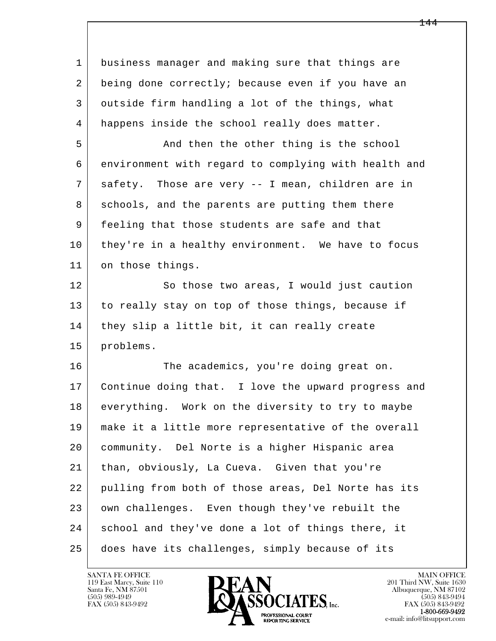l  $\overline{\phantom{a}}$  1 business manager and making sure that things are 2 being done correctly; because even if you have an 3 outside firm handling a lot of the things, what 4 happens inside the school really does matter. 5 And then the other thing is the school 6 environment with regard to complying with health and 7 safety. Those are very -- I mean, children are in 8 schools, and the parents are putting them there 9 feeling that those students are safe and that 10 they're in a healthy environment. We have to focus 11 on those things. 12 So those two areas, I would just caution 13 to really stay on top of those things, because if 14 they slip a little bit, it can really create 15 problems. 16 The academics, you're doing great on. 17 Continue doing that. I love the upward progress and 18 everything. Work on the diversity to try to maybe 19 make it a little more representative of the overall 20 community. Del Norte is a higher Hispanic area 21 than, obviously, La Cueva. Given that you're 22 pulling from both of those areas, Del Norte has its 23 | own challenges. Even though they've rebuilt the 24 school and they've done a lot of things there, it 25 does have its challenges, simply because of its

119 East Marcy, Suite 110<br>Santa Fe, NM 87501

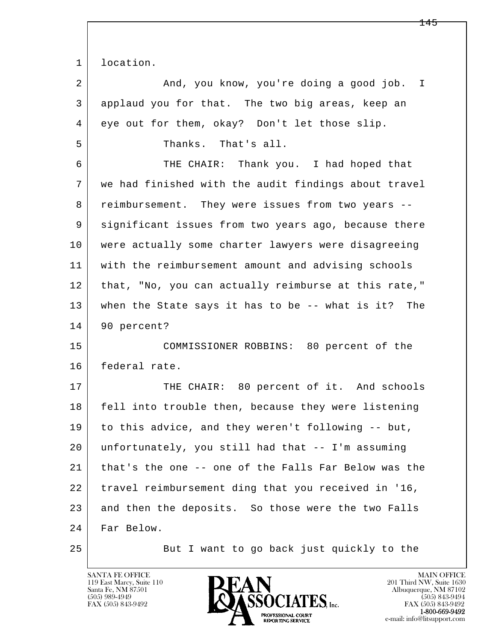1 location.

2 And, you know, you're doing a good job. I 3 applaud you for that. The two big areas, keep an 4 eye out for them, okay? Don't let those slip. 5 Thanks. That's all. 6 THE CHAIR: Thank you. I had hoped that 7 we had finished with the audit findings about travel 8 reimbursement. They were issues from two years -- 9 significant issues from two years ago, because there 10 were actually some charter lawyers were disagreeing 11 with the reimbursement amount and advising schools 12 that, "No, you can actually reimburse at this rate," 13 when the State says it has to be -- what is it? The 14 90 percent? 15 COMMISSIONER ROBBINS: 80 percent of the 16 federal rate. 17 THE CHAIR: 80 percent of it. And schools 18 fell into trouble then, because they were listening 19 to this advice, and they weren't following -- but, 20 unfortunately, you still had that -- I'm assuming 21 that's the one -- one of the Falls Far Below was the 22 travel reimbursement ding that you received in '16, 23 and then the deposits. So those were the two Falls

l  $\overline{\phantom{a}}$ 24 Far Below.

25 But I want to go back just quickly to the

119 East Marcy, Suite 110<br>Santa Fe, NM 87501

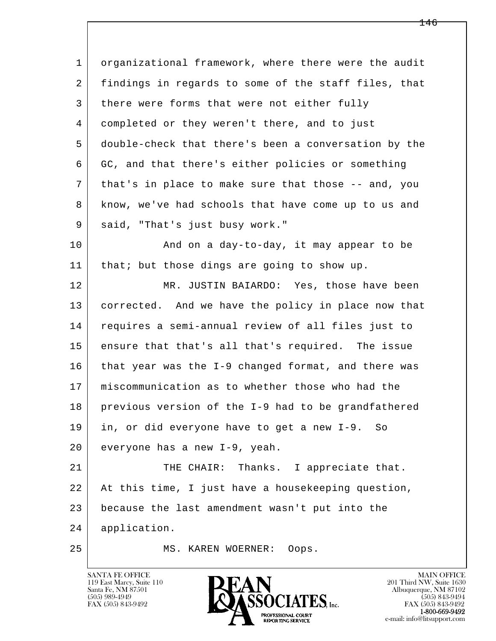l  $\overline{\phantom{a}}$ 1 organizational framework, where there were the audit 2 findings in regards to some of the staff files, that 3 there were forms that were not either fully 4 completed or they weren't there, and to just 5 double-check that there's been a conversation by the 6 GC, and that there's either policies or something 7 that's in place to make sure that those -- and, you 8 know, we've had schools that have come up to us and 9 said, "That's just busy work." 10 | And on a day-to-day, it may appear to be 11 | that; but those dings are going to show up. 12 MR. JUSTIN BAIARDO: Yes, those have been 13 corrected. And we have the policy in place now that 14 requires a semi-annual review of all files just to 15 ensure that that's all that's required. The issue 16 | that year was the I-9 changed format, and there was 17 miscommunication as to whether those who had the 18 previous version of the I-9 had to be grandfathered 19 in, or did everyone have to get a new I-9. So 20 everyone has a new I-9, yeah. 21 THE CHAIR: Thanks. I appreciate that. 22 At this time, I just have a housekeeping question, 23 because the last amendment wasn't put into the 24 application. 25 MS. KAREN WOERNER: Oops.

119 East Marcy, Suite 110<br>Santa Fe, NM 87501



FAX (505) 843-9492<br>1-800-669-9492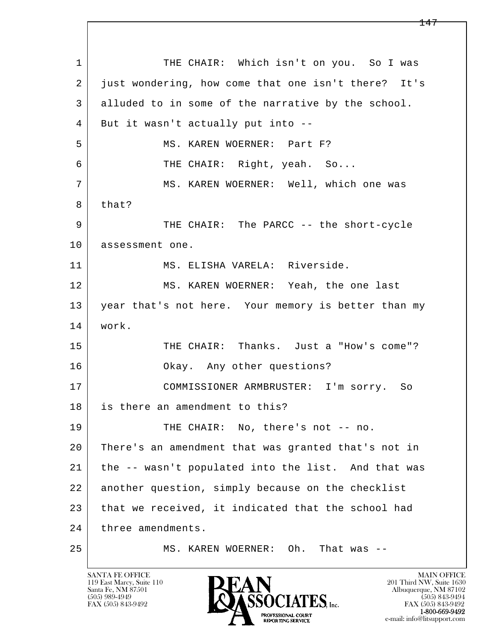l  $\overline{\phantom{a}}$ 1 THE CHAIR: Which isn't on you. So I was 2 just wondering, how come that one isn't there? It's 3 alluded to in some of the narrative by the school. 4 But it wasn't actually put into -- 5 MS. KAREN WOERNER: Part F? 6 THE CHAIR: Right, yeah. So... 7 MS. KAREN WOERNER: Well, which one was 8 | that? 9 | THE CHAIR: The PARCC -- the short-cycle 10 | assessment one. 11 MS. ELISHA VARELA: Riverside. 12 MS. KAREN WOERNER: Yeah, the one last 13 year that's not here. Your memory is better than my 14 work. 15 | THE CHAIR: Thanks. Just a "How's come"? 16 Okay. Any other questions? 17 COMMISSIONER ARMBRUSTER: I'm sorry. So 18 is there an amendment to this? 19 THE CHAIR: No, there's not -- no. 20 There's an amendment that was granted that's not in 21 the -- wasn't populated into the list. And that was 22 another question, simply because on the checklist 23 that we received, it indicated that the school had 24 three amendments. 25 MS. KAREN WOERNER: Oh. That was --

119 East Marcy, Suite 110<br>Santa Fe, NM 87501

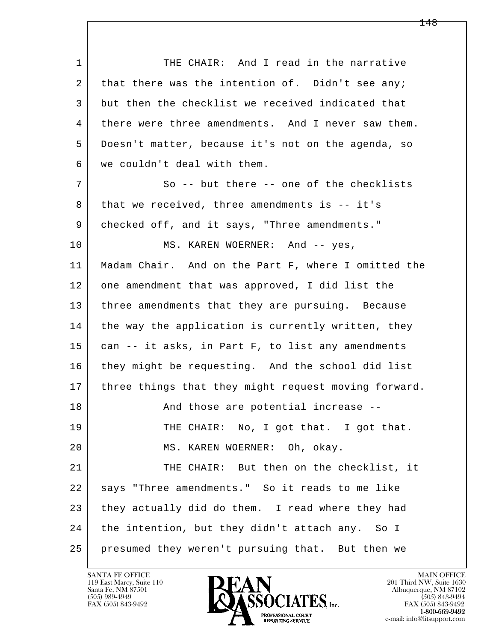l  $\overline{\phantom{a}}$ 1 THE CHAIR: And I read in the narrative  $2$  that there was the intention of. Didn't see any; 3 but then the checklist we received indicated that 4 there were three amendments. And I never saw them. 5 Doesn't matter, because it's not on the agenda, so 6 we couldn't deal with them. 7 So -- but there -- one of the checklists 8 | that we received, three amendments is -- it's 9 checked off, and it says, "Three amendments." 10 MS. KAREN WOERNER: And -- yes, 11 | Madam Chair. And on the Part F, where I omitted the 12 one amendment that was approved, I did list the 13 | three amendments that they are pursuing. Because 14 the way the application is currently written, they 15 | can -- it asks, in Part F, to list any amendments 16 they might be requesting. And the school did list 17 | three things that they might request moving forward. 18 and those are potential increase --19 THE CHAIR: No, I got that. I got that. 20 MS. KAREN WOERNER: Oh, okay. 21 THE CHAIR: But then on the checklist, it 22 says "Three amendments." So it reads to me like 23 they actually did do them. I read where they had 24 the intention, but they didn't attach any. So I 25 presumed they weren't pursuing that. But then we

119 East Marcy, Suite 110<br>Santa Fe, NM 87501

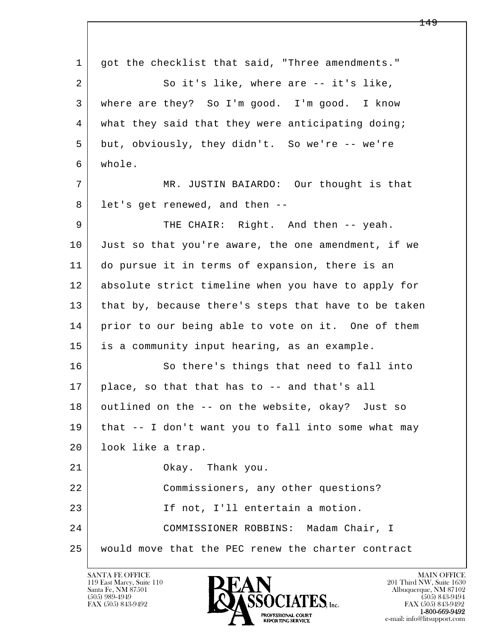l  $\overline{\phantom{a}}$  1 got the checklist that said, "Three amendments." 2 So it's like, where are -- it's like, 3 where are they? So I'm good. I'm good. I know 4 what they said that they were anticipating doing; 5 but, obviously, they didn't. So we're -- we're 6 whole. 7 MR. JUSTIN BAIARDO: Our thought is that 8 let's get renewed, and then --9 | THE CHAIR: Right. And then -- yeah. 10 Just so that you're aware, the one amendment, if we 11 do pursue it in terms of expansion, there is an 12 absolute strict timeline when you have to apply for 13 that by, because there's steps that have to be taken 14 prior to our being able to vote on it. One of them 15 is a community input hearing, as an example. 16 So there's things that need to fall into 17 place, so that that has to -- and that's all 18 outlined on the -- on the website, okay? Just so 19 that -- I don't want you to fall into some what may 20 | look like a trap. 21 Okay. Thank you. 22 Commissioners, any other questions? 23 If not, I'll entertain a motion. 24 COMMISSIONER ROBBINS: Madam Chair, I 25 would move that the PEC renew the charter contract

119 East Marcy, Suite 110<br>Santa Fe, NM 87501



FAX (505) 843-9492 FAX (505) 843-9492 e-mail: info@litsupport.com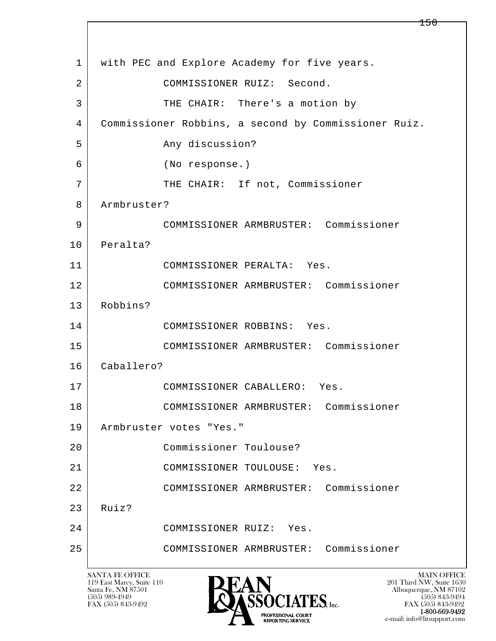l  $\overline{\phantom{a}}$ 1 | with PEC and Explore Academy for five years. 2 COMMISSIONER RUIZ: Second. 3 | THE CHAIR: There's a motion by 4 Commissioner Robbins, a second by Commissioner Ruiz. 5 Any discussion? 6 (No response.) 7 | THE CHAIR: If not, Commissioner 8 Armbruster? 9 COMMISSIONER ARMBRUSTER: Commissioner 10 Peralta? 11 COMMISSIONER PERALTA: Yes. 12 COMMISSIONER ARMBRUSTER: Commissioner 13 Robbins? 14 COMMISSIONER ROBBINS: Yes. 15 COMMISSIONER ARMBRUSTER: Commissioner 16 Caballero? 17 COMMISSIONER CABALLERO: Yes. 18 COMMISSIONER ARMBRUSTER: Commissioner 19 Armbruster votes "Yes." 20 Commissioner Toulouse? 21 COMMISSIONER TOULOUSE: Yes. 22 COMMISSIONER ARMBRUSTER: Commissioner  $23$  Ruiz? 24 COMMISSIONER RUIZ: Yes. 25 COMMISSIONER ARMBRUSTER: Commissioner

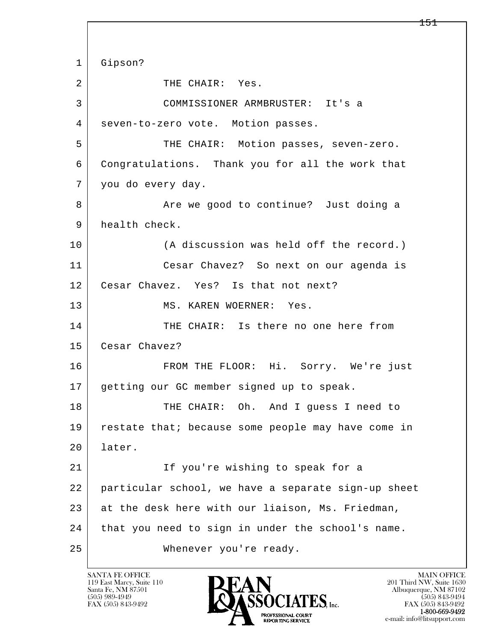l  $\overline{\phantom{a}}$  1 Gipson? 2 THE CHAIR: Yes. 3 COMMISSIONER ARMBRUSTER: It's a 4 | seven-to-zero vote. Motion passes. 5 THE CHAIR: Motion passes, seven-zero. 6 Congratulations. Thank you for all the work that 7 you do every day. 8 Are we good to continue? Just doing a 9 health check. 10 (A discussion was held off the record.) 11 Cesar Chavez? So next on our agenda is 12 | Cesar Chavez. Yes? Is that not next? 13 MS. KAREN WOERNER: Yes. 14 THE CHAIR: Is there no one here from 15 Cesar Chavez? 16 FROM THE FLOOR: Hi. Sorry. We're just 17 getting our GC member signed up to speak. 18 THE CHAIR: Oh. And I guess I need to 19 | restate that; because some people may have come in 20 later. 21 | The you're wishing to speak for a 22 particular school, we have a separate sign-up sheet 23 at the desk here with our liaison, Ms. Friedman, 24 that you need to sign in under the school's name. 25 Whenever you're ready.

119 East Marcy, Suite 110<br>Santa Fe, NM 87501

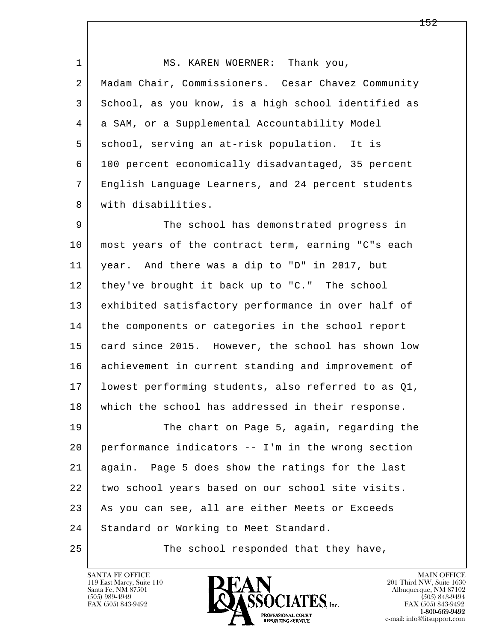1 MS. KAREN WOERNER: Thank you, 2 Madam Chair, Commissioners. Cesar Chavez Community 3 School, as you know, is a high school identified as 4 a SAM, or a Supplemental Accountability Model 5 school, serving an at-risk population. It is 6 100 percent economically disadvantaged, 35 percent 7 English Language Learners, and 24 percent students 8 with disabilities. 9 The school has demonstrated progress in

 10 most years of the contract term, earning "C"s each 11 year. And there was a dip to "D" in 2017, but 12 they've brought it back up to "C." The school 13 exhibited satisfactory performance in over half of 14 the components or categories in the school report 15 card since 2015. However, the school has shown low 16 achievement in current standing and improvement of 17 lowest performing students, also referred to as Q1, 18 which the school has addressed in their response.

l  $\overline{\phantom{a}}$ 19 The chart on Page 5, again, regarding the 20 performance indicators -- I'm in the wrong section 21 again. Page 5 does show the ratings for the last 22 two school years based on our school site visits. 23 As you can see, all are either Meets or Exceeds 24 | Standard or Working to Meet Standard.

25 The school responded that they have,

119 East Marcy, Suite 110<br>Santa Fe, NM 87501

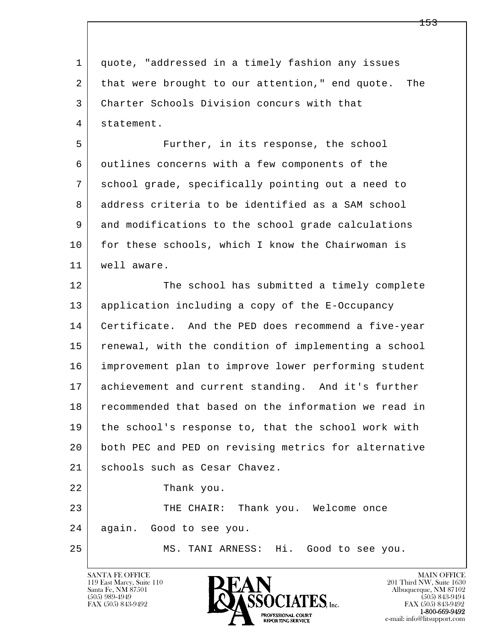l  $\overline{\phantom{a}}$  1 quote, "addressed in a timely fashion any issues 2 that were brought to our attention," end quote. The 3 Charter Schools Division concurs with that 4 statement. 5 Further, in its response, the school 6 outlines concerns with a few components of the 7 school grade, specifically pointing out a need to 8 address criteria to be identified as a SAM school 9 and modifications to the school grade calculations 10 for these schools, which I know the Chairwoman is 11 well aware. 12 The school has submitted a timely complete 13 application including a copy of the E-Occupancy 14 Certificate. And the PED does recommend a five-year 15 renewal, with the condition of implementing a school 16 improvement plan to improve lower performing student 17 achievement and current standing. And it's further 18 recommended that based on the information we read in 19 the school's response to, that the school work with 20 both PEC and PED on revising metrics for alternative 21 | schools such as Cesar Chavez. 22 Thank you. 23 THE CHAIR: Thank you. Welcome once 24 again. Good to see you. 25 MS. TANI ARNESS: Hi. Good to see you.

119 East Marcy, Suite 110<br>Santa Fe, NM 87501

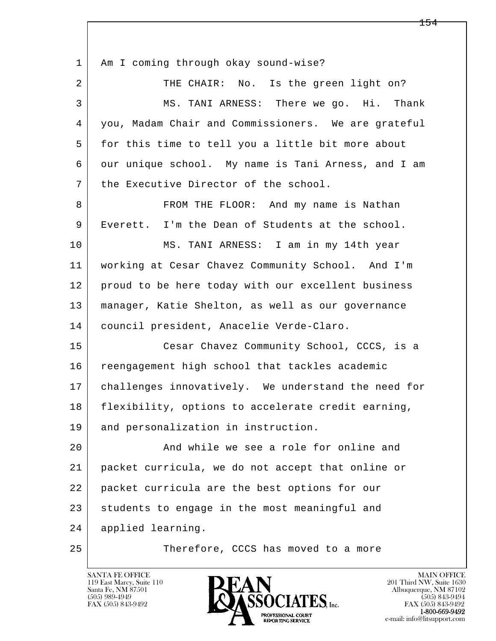| $\mathbf 1$ | Am I coming through okay sound-wise?                |
|-------------|-----------------------------------------------------|
| 2           | THE CHAIR: No. Is the green light on?               |
| 3           | MS. TANI ARNESS: There we go. Hi. Thank             |
| 4           | you, Madam Chair and Commissioners. We are grateful |
| 5           | for this time to tell you a little bit more about   |
| 6           | our unique school. My name is Tani Arness, and I am |
| 7           | the Executive Director of the school.               |
| 8           | FROM THE FLOOR: And my name is Nathan               |
| 9           | Everett. I'm the Dean of Students at the school.    |
| 10          | MS. TANI ARNESS: I am in my 14th year               |
| 11          | working at Cesar Chavez Community School. And I'm   |
| 12          | proud to be here today with our excellent business  |
| 13          | manager, Katie Shelton, as well as our governance   |
| 14          | council president, Anacelie Verde-Claro.            |
| 15          | Cesar Chavez Community School, CCCS, is a           |
| 16          | reengagement high school that tackles academic      |
| 17          | challenges innovatively. We understand the need for |
| 18          | flexibility, options to accelerate credit earning,  |
| 19          | and personalization in instruction.                 |
| 20          | And while we see a role for online and              |
| 21          | packet curricula, we do not accept that online or   |
| 22          | packet curricula are the best options for our       |
| 23          | students to engage in the most meaningful and       |
| 24          | applied learning.                                   |
| 25          | Therefore, CCCS has moved to a more                 |

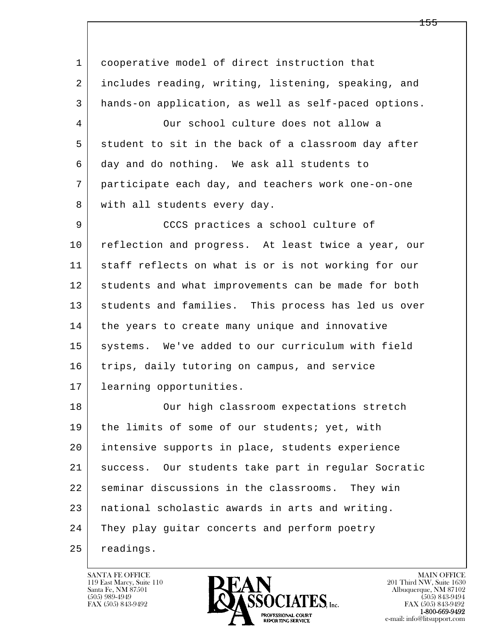l  $\overline{\phantom{a}}$ 1 cooperative model of direct instruction that 2 includes reading, writing, listening, speaking, and 3 hands-on application, as well as self-paced options. 4 Our school culture does not allow a 5 student to sit in the back of a classroom day after 6 day and do nothing. We ask all students to 7 participate each day, and teachers work one-on-one 8 with all students every day. 9 | CCCS practices a school culture of 10 reflection and progress. At least twice a year, our 11 staff reflects on what is or is not working for our 12 students and what improvements can be made for both 13 students and families. This process has led us over 14 the years to create many unique and innovative 15 systems. We've added to our curriculum with field 16 trips, daily tutoring on campus, and service 17 learning opportunities. 18 | Our high classroom expectations stretch 19 | the limits of some of our students; yet, with 20 intensive supports in place, students experience 21 success. Our students take part in regular Socratic 22 seminar discussions in the classrooms. They win 23 national scholastic awards in arts and writing. 24 They play guitar concerts and perform poetry 25 readings.

119 East Marcy, Suite 110<br>Santa Fe, NM 87501



FAX (505) 843-9492<br>**1-800-669-9492**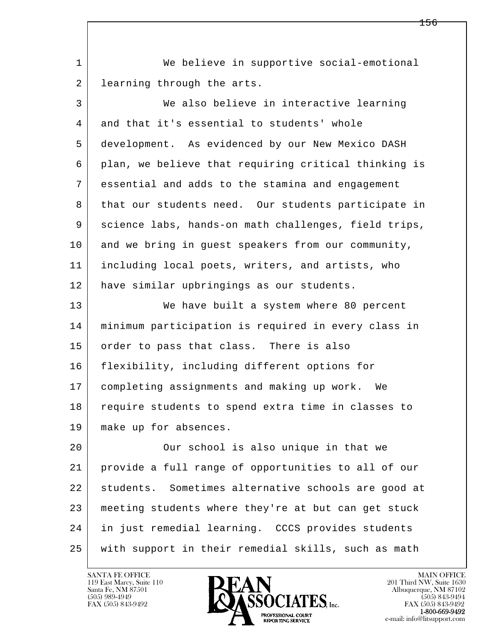1 We believe in supportive social-emotional 2 learning through the arts.

| $\mathfrak{Z}$ | We also believe in interactive learning              |
|----------------|------------------------------------------------------|
| 4              | and that it's essential to students' whole           |
| 5              | development. As evidenced by our New Mexico DASH     |
| 6              | plan, we believe that requiring critical thinking is |
| 7              | essential and adds to the stamina and engagement     |
| 8              | that our students need. Our students participate in  |
| 9              | science labs, hands-on math challenges, field trips, |
| 10             | and we bring in guest speakers from our community,   |
| 11             | including local poets, writers, and artists, who     |
| 12             | have similar upbringings as our students.            |
| 13             | We have built a system where 80 percent              |
| 14             | minimum participation is required in every class in  |
| 15             | order to pass that class. There is also              |
| 16             | flexibility, including different options for         |
| 17             | completing assignments and making up work. We        |
| 18             | require students to spend extra time in classes to   |
| 19             | make up for absences.                                |
| 20             | Our school is also unique in that we                 |
| つ1 -           | provide a full range of eppertunities to all of our  |

l  $\overline{\phantom{a}}$  21 provide a full range of opportunities to all of our 22 students. Sometimes alternative schools are good at 23 meeting students where they're at but can get stuck 24 in just remedial learning. CCCS provides students 25 with support in their remedial skills, such as math



FAX (505) 843-9492 FAX (505) 843-9492 e-mail: info@litsupport.com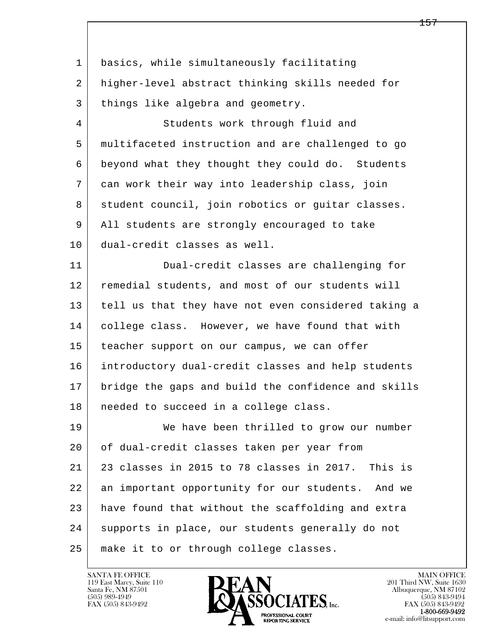| $\mathbf{1}$   | basics, while simultaneously facilitating            |
|----------------|------------------------------------------------------|
| 2              | higher-level abstract thinking skills needed for     |
| 3              | things like algebra and geometry.                    |
| $\overline{4}$ | Students work through fluid and                      |
| 5              | multifaceted instruction and are challenged to go    |
| 6              | beyond what they thought they could do. Students     |
| 7              | can work their way into leadership class, join       |
| 8              | student council, join robotics or guitar classes.    |
| 9              | All students are strongly encouraged to take         |
| 10             | dual-credit classes as well.                         |
| 11             | Dual-credit classes are challenging for              |
| 12             | remedial students, and most of our students will     |
| 13             | tell us that they have not even considered taking a  |
| 14             | college class. However, we have found that with      |
| 15             | teacher support on our campus, we can offer          |
| 16             | introductory dual-credit classes and help students   |
| 17             | bridge the gaps and build the confidence and skills  |
| 18             | needed to succeed in a college class.                |
| 19             | We have been thrilled to grow our number             |
| 20             | of dual-credit classes taken per year from           |
| 21             | 23 classes in 2015 to 78 classes in 2017. This is    |
| 22             | an important opportunity for our students.<br>And we |
| 23             | have found that without the scaffolding and extra    |
| 24             | supports in place, our students generally do not     |
| 25             | make it to or through college classes.               |

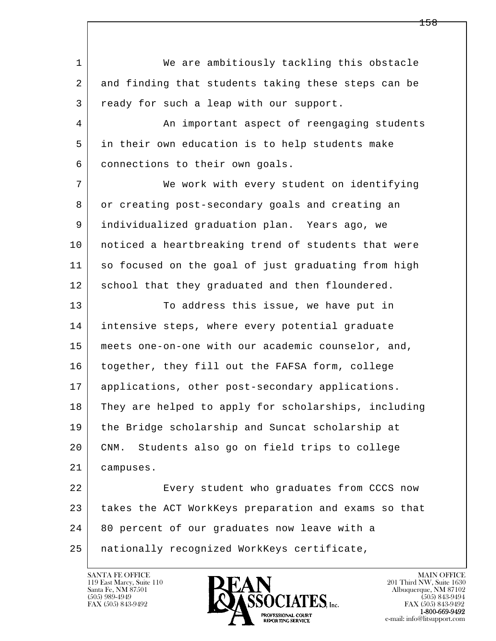l  $\overline{\phantom{a}}$  1 We are ambitiously tackling this obstacle 2 and finding that students taking these steps can be 3 ready for such a leap with our support. 4 An important aspect of reengaging students 5 in their own education is to help students make 6 connections to their own goals. 7 We work with every student on identifying 8 or creating post-secondary goals and creating an 9 individualized graduation plan. Years ago, we 10 | noticed a heartbreaking trend of students that were 11 so focused on the goal of just graduating from high 12 school that they graduated and then floundered. 13 To address this issue, we have put in 14 | intensive steps, where every potential graduate 15 meets one-on-one with our academic counselor, and, 16 together, they fill out the FAFSA form, college 17 applications, other post-secondary applications. 18 They are helped to apply for scholarships, including 19 the Bridge scholarship and Suncat scholarship at 20 CNM. Students also go on field trips to college 21 campuses. 22 Every student who graduates from CCCS now 23 takes the ACT WorkKeys preparation and exams so that 24 80 percent of our graduates now leave with a 25 nationally recognized WorkKeys certificate,

119 East Marcy, Suite 110<br>Santa Fe, NM 87501



FAX (505) 843-9492<br>**1-800-669-9492**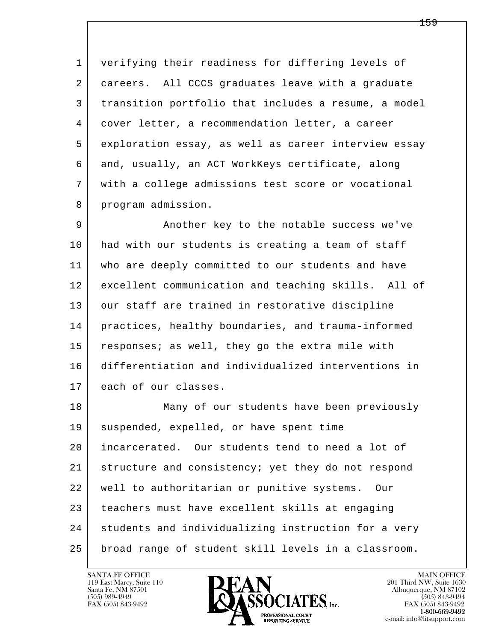1 verifying their readiness for differing levels of 2 careers. All CCCS graduates leave with a graduate 3 transition portfolio that includes a resume, a model 4 cover letter, a recommendation letter, a career 5 exploration essay, as well as career interview essay 6 and, usually, an ACT WorkKeys certificate, along 7 with a college admissions test score or vocational 8 program admission.

 9 Another key to the notable success we've 10 had with our students is creating a team of staff 11 who are deeply committed to our students and have 12 excellent communication and teaching skills. All of 13 our staff are trained in restorative discipline 14 practices, healthy boundaries, and trauma-informed 15 | responses; as well, they go the extra mile with 16 differentiation and individualized interventions in 17 each of our classes.

l  $\overline{\phantom{a}}$  18 Many of our students have been previously 19 suspended, expelled, or have spent time 20 incarcerated. Our students tend to need a lot of 21 structure and consistency; yet they do not respond 22 well to authoritarian or punitive systems. Our 23 teachers must have excellent skills at engaging 24 students and individualizing instruction for a very 25 broad range of student skill levels in a classroom.

119 East Marcy, Suite 110<br>Santa Fe, NM 87501

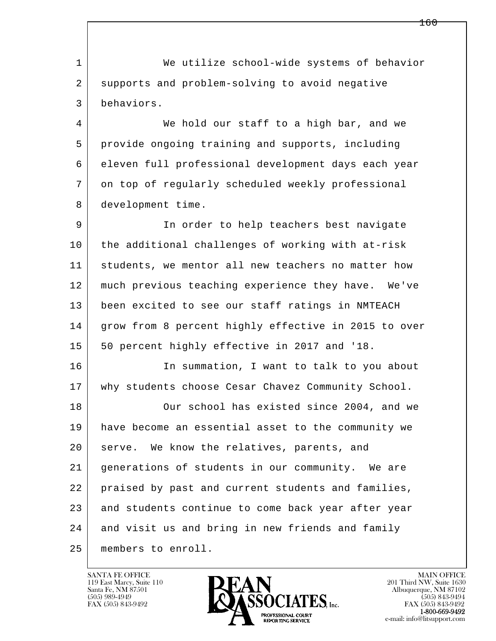l  $\overline{\phantom{a}}$ 1 We utilize school-wide systems of behavior 2 supports and problem-solving to avoid negative 3 behaviors. 4 We hold our staff to a high bar, and we 5 provide ongoing training and supports, including 6 eleven full professional development days each year 7 on top of regularly scheduled weekly professional 8 development time. 9 In order to help teachers best navigate 10 the additional challenges of working with at-risk 11 students, we mentor all new teachers no matter how 12 much previous teaching experience they have. We've 13 been excited to see our staff ratings in NMTEACH 14 | grow from 8 percent highly effective in 2015 to over 15 | 50 percent highly effective in 2017 and '18. 16 In summation, I want to talk to you about 17 why students choose Cesar Chavez Community School. 18 Our school has existed since 2004, and we 19 have become an essential asset to the community we 20 serve. We know the relatives, parents, and 21 generations of students in our community. We are 22 praised by past and current students and families, 23 and students continue to come back year after year 24 and visit us and bring in new friends and family 25 members to enroll.

119 East Marcy, Suite 110<br>Santa Fe, NM 87501



FAX (505) 843-9492<br>**1-800-669-9492**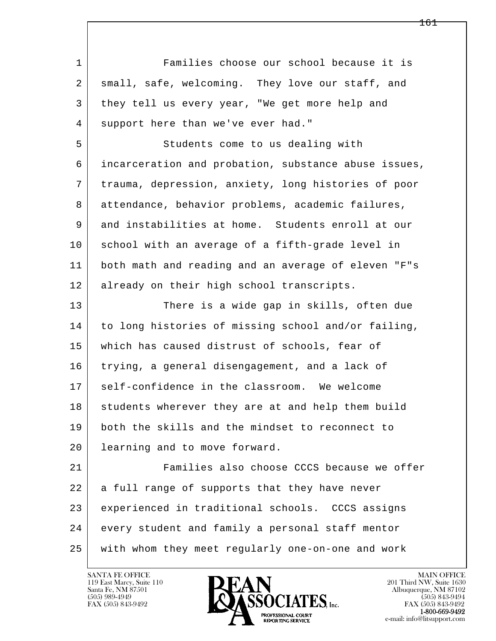l  $\overline{\phantom{a}}$  1 Families choose our school because it is 2 small, safe, welcoming. They love our staff, and 3 they tell us every year, "We get more help and 4 support here than we've ever had." 5 Students come to us dealing with 6 incarceration and probation, substance abuse issues, 7 trauma, depression, anxiety, long histories of poor 8 attendance, behavior problems, academic failures, 9 and instabilities at home. Students enroll at our 10 school with an average of a fifth-grade level in 11 both math and reading and an average of eleven "F"s 12 already on their high school transcripts. 13 There is a wide gap in skills, often due 14 to long histories of missing school and/or failing, 15 which has caused distrust of schools, fear of 16 trying, a general disengagement, and a lack of 17 | self-confidence in the classroom. We welcome 18 students wherever they are at and help them build 19 both the skills and the mindset to reconnect to 20 learning and to move forward. 21 Families also choose CCCS because we offer 22 a full range of supports that they have never 23 experienced in traditional schools. CCCS assigns 24 every student and family a personal staff mentor 25 with whom they meet regularly one-on-one and work

119 East Marcy, Suite 110<br>Santa Fe, NM 87501

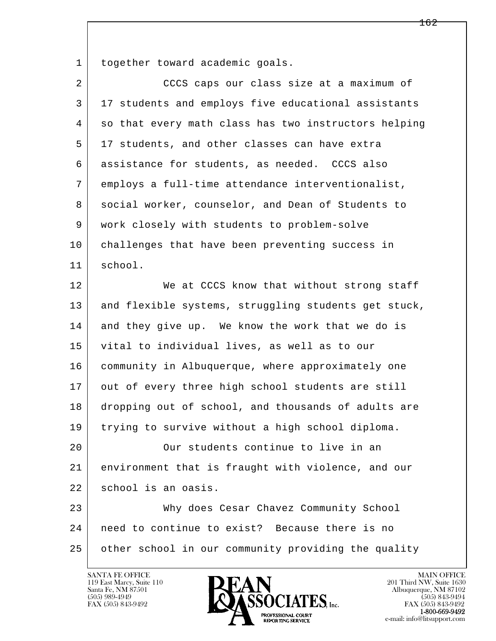1 together toward academic goals.

| $\overline{2}$ | CCCS caps our class size at a maximum of             |
|----------------|------------------------------------------------------|
| 3              | 17 students and employs five educational assistants  |
| 4              | so that every math class has two instructors helping |
| 5              | 17 students, and other classes can have extra        |
| 6              | assistance for students, as needed. CCCS also        |
| 7              | employs a full-time attendance interventionalist,    |
| 8              | social worker, counselor, and Dean of Students to    |
| 9              | work closely with students to problem-solve          |
| 10             | challenges that have been preventing success in      |
| 11             | school.                                              |
| 12             | We at CCCS know that without strong staff            |
| 13             | and flexible systems, struggling students get stuck, |
| 14             | and they give up. We know the work that we do is     |
| 15             | vital to individual lives, as well as to our         |
| 16             | community in Albuquerque, where approximately one    |
| 17             | out of every three high school students are still    |
| 18             | dropping out of school, and thousands of adults are  |
| 19             | trying to survive without a high school diploma.     |
| 20             | Our students continue to live in an                  |
| 21             | environment that is fraught with violence, and our   |
| 22             | school is an oasis.                                  |
| 23             | Why does Cesar Chavez Community School               |
| 24             | need to continue to exist? Because there is no       |
| 25             | other school in our community providing the quality  |
|                |                                                      |

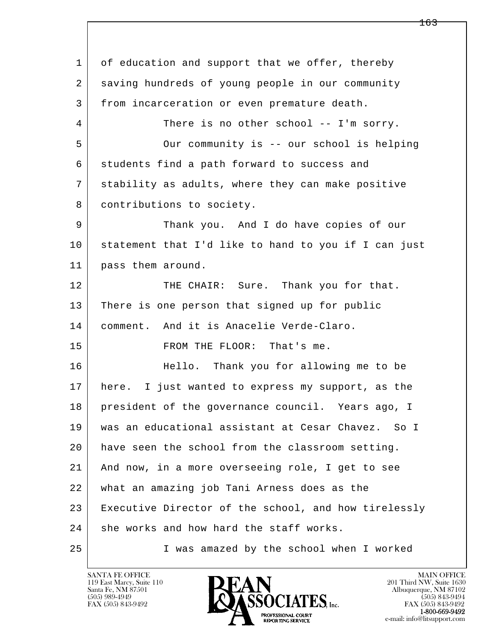l  $\overline{\phantom{a}}$ 1 of education and support that we offer, thereby 2 saving hundreds of young people in our community 3 from incarceration or even premature death. 4 There is no other school -- I'm sorry. 5 Our community is -- our school is helping 6 students find a path forward to success and 7 stability as adults, where they can make positive 8 | contributions to society. 9 Thank you. And I do have copies of our 10 statement that I'd like to hand to you if I can just 11 pass them around. 12 THE CHAIR: Sure. Thank you for that. 13 There is one person that signed up for public 14 comment. And it is Anacelie Verde-Claro. 15 FROM THE FLOOR: That's me. 16 | Hello. Thank you for allowing me to be 17 here. I just wanted to express my support, as the 18 president of the governance council. Years ago, I 19 was an educational assistant at Cesar Chavez. So I 20 have seen the school from the classroom setting. 21 And now, in a more overseeing role, I get to see 22 what an amazing job Tani Arness does as the 23 Executive Director of the school, and how tirelessly 24 she works and how hard the staff works. 25 I was amazed by the school when I worked

119 East Marcy, Suite 110<br>Santa Fe, NM 87501

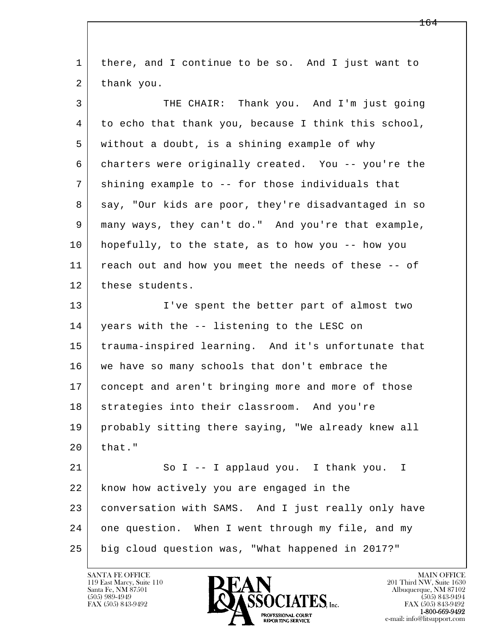| $\mathbf{1}$ | there, and I continue to be so. And I just want to   |
|--------------|------------------------------------------------------|
| 2            | thank you.                                           |
| 3            | THE CHAIR: Thank you. And I'm just going             |
| 4            | to echo that thank you, because I think this school, |
| 5            | without a doubt, is a shining example of why         |
| 6            | charters were originally created. You -- you're the  |
| 7            | shining example to -- for those individuals that     |
| 8            | say, "Our kids are poor, they're disadvantaged in so |
| 9            | many ways, they can't do." And you're that example,  |
| 10           | hopefully, to the state, as to how you -- how you    |
| 11           | reach out and how you meet the needs of these -- of  |
| 12           | these students.                                      |
| 13           | I've spent the better part of almost two             |
| 14           | years with the -- listening to the LESC on           |
| 15           | trauma-inspired learning. And it's unfortunate that  |
| 16           | we have so many schools that don't embrace the       |
| 17           | concept and aren't bringing more and more of those   |
| $18$         | strategies into their classroom. And you're          |
| 19           | probably sitting there saying, "We already knew all  |
| 20           | that."                                               |
| 21           | So I -- I applaud you. I thank you. I                |
| 22           | know how actively you are engaged in the             |
| 23           | conversation with SAMS. And I just really only have  |
| 24           | one question. When I went through my file, and my    |
| 25           | big cloud question was, "What happened in 2017?"     |

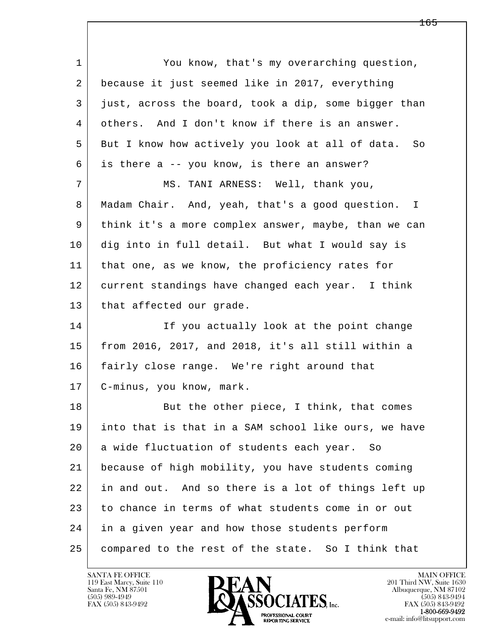| $\mathbf 1$ | You know, that's my overarching question,                       |
|-------------|-----------------------------------------------------------------|
| 2           | because it just seemed like in 2017, everything                 |
| 3           | just, across the board, took a dip, some bigger than            |
| 4           | others. And I don't know if there is an answer.                 |
| 5           | But I know how actively you look at all of data.<br>So          |
| 6           | is there a -- you know, is there an answer?                     |
| 7           | MS. TANI ARNESS: Well, thank you,                               |
| 8           | Madam Chair. And, yeah, that's a good question.<br>$\mathbb{I}$ |
| 9           | think it's a more complex answer, maybe, than we can            |
| 10          | dig into in full detail. But what I would say is                |
| 11          | that one, as we know, the proficiency rates for                 |
| 12          | current standings have changed each year. I think               |
| 13          | that affected our grade.                                        |
| 14          | If you actually look at the point change                        |
| 15          | from 2016, 2017, and 2018, it's all still within a              |
| 16          | fairly close range. We're right around that                     |
| 17          | C-minus, you know, mark.                                        |
| 18          | But the other piece, I think, that comes                        |
| 19          | into that is that in a SAM school like ours, we have            |
| 20          | a wide fluctuation of students each year. So                    |
| 21          | because of high mobility, you have students coming              |
| 22          | in and out. And so there is a lot of things left up             |
| 23          | to chance in terms of what students come in or out              |
| 24          | in a given year and how those students perform                  |
| 25          | compared to the rest of the state. So I think that              |

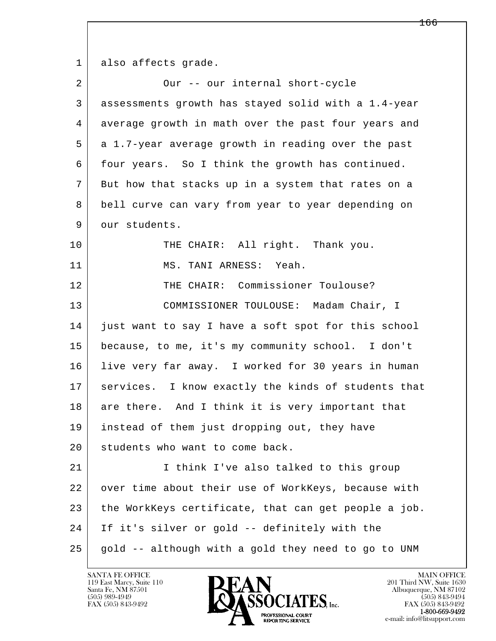1 also affects grade.

| $\overline{a}$ | Our -- our internal short-cycle                      |
|----------------|------------------------------------------------------|
| 3              | assessments growth has stayed solid with a 1.4-year  |
| 4              | average growth in math over the past four years and  |
| 5              | a 1.7-year average growth in reading over the past   |
| 6              | four years. So I think the growth has continued.     |
| 7              | But how that stacks up in a system that rates on a   |
| 8              | bell curve can vary from year to year depending on   |
| 9              | our students.                                        |
| 10             | THE CHAIR: All right. Thank you.                     |
| 11             | MS. TANI ARNESS: Yeah.                               |
| 12             | THE CHAIR: Commissioner Toulouse?                    |
| 13             | COMMISSIONER TOULOUSE: Madam Chair, I                |
| 14             | just want to say I have a soft spot for this school  |
| 15             | because, to me, it's my community school. I don't    |
| 16             | live very far away. I worked for 30 years in human   |
| 17             | services. I know exactly the kinds of students that  |
| 18             | are there. And I think it is very important that     |
| 19             | instead of them just dropping out, they have         |
| 20             | students who want to come back.                      |
| 21             | I think I've also talked to this group               |
| 22             | over time about their use of WorkKeys, because with  |
| 23             | the WorkKeys certificate, that can get people a job. |
| 24             | If it's silver or gold -- definitely with the        |
| 25             | gold -- although with a gold they need to go to UNM  |

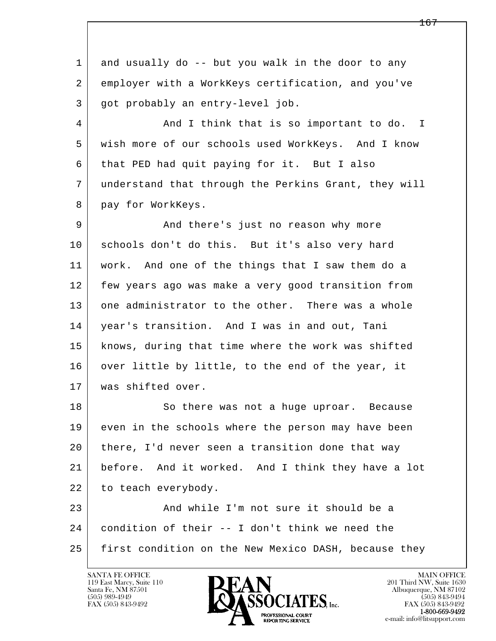1 and usually do -- but you walk in the door to any 2 employer with a WorkKeys certification, and you've 3 | got probably an entry-level job.

4 And I think that is so important to do. I 5 wish more of our schools used WorkKeys. And I know 6 that PED had quit paying for it. But I also 7 understand that through the Perkins Grant, they will 8 pay for WorkKeys.

9 And there's just no reason why more 10 schools don't do this. But it's also very hard 11 work. And one of the things that I saw them do a 12 few years ago was make a very good transition from 13 one administrator to the other. There was a whole 14 year's transition. And I was in and out, Tani 15 knows, during that time where the work was shifted 16 over little by little, to the end of the year, it 17 was shifted over.

18 So there was not a huge uproar. Because 19 even in the schools where the person may have been 20 there, I'd never seen a transition done that way 21 before. And it worked. And I think they have a lot 22 to teach everybody. 23 And while I'm not sure it should be a

l  $\overline{\phantom{a}}$  24 condition of their -- I don't think we need the 25 first condition on the New Mexico DASH, because they

119 East Marcy, Suite 110<br>Santa Fe, NM 87501



FAX (505) 843-9492<br>**1-800-669-9492**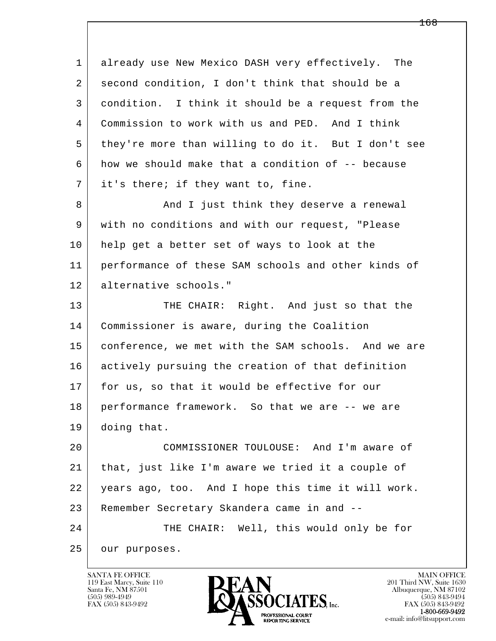l  $\overline{\phantom{a}}$  1 already use New Mexico DASH very effectively. The 2 second condition, I don't think that should be a 3 condition. I think it should be a request from the 4 Commission to work with us and PED. And I think 5 they're more than willing to do it. But I don't see 6 how we should make that a condition of -- because 7 it's there; if they want to, fine. 8 And I just think they deserve a renewal 9 with no conditions and with our request, "Please 10 help get a better set of ways to look at the 11 performance of these SAM schools and other kinds of 12 alternative schools." 13 THE CHAIR: Right. And just so that the 14 Commissioner is aware, during the Coalition 15 conference, we met with the SAM schools. And we are 16 actively pursuing the creation of that definition 17 for us, so that it would be effective for our 18 performance framework. So that we are -- we are 19 doing that. 20 COMMISSIONER TOULOUSE: And I'm aware of 21 that, just like I'm aware we tried it a couple of 22 years ago, too. And I hope this time it will work. 23 Remember Secretary Skandera came in and -- 24 THE CHAIR: Well, this would only be for 25 our purposes.

119 East Marcy, Suite 110<br>Santa Fe, NM 87501

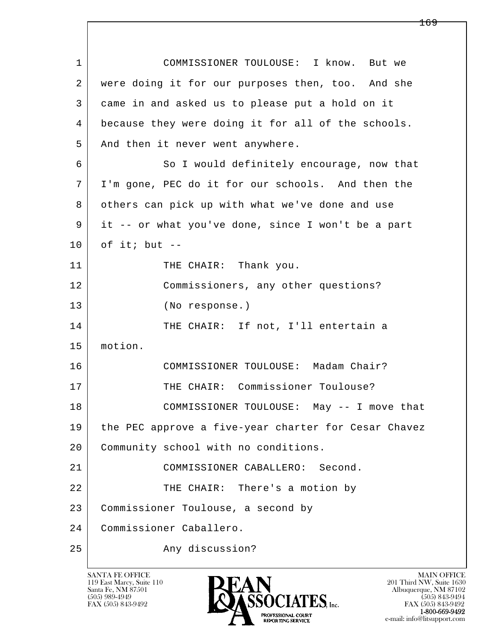| $\mathbf{1}$ | COMMISSIONER TOULOUSE: I know. But we                |
|--------------|------------------------------------------------------|
| 2            | were doing it for our purposes then, too. And she    |
| 3            | came in and asked us to please put a hold on it      |
| 4            | because they were doing it for all of the schools.   |
| 5            | And then it never went anywhere.                     |
| 6            | So I would definitely encourage, now that            |
| 7            | I'm gone, PEC do it for our schools. And then the    |
| 8            | others can pick up with what we've done and use      |
| 9            | it -- or what you've done, since I won't be a part   |
| 10           | of it; but $--$                                      |
| 11           | THE CHAIR: Thank you.                                |
| 12           | Commissioners, any other questions?                  |
| 13           | (No response.)                                       |
| 14           | THE CHAIR: If not, I'll entertain a                  |
| 15           | motion.                                              |
| 16           | COMMISSIONER TOULOUSE: Madam Chair?                  |
| 17           | THE CHAIR: Commissioner Toulouse?                    |
| 18           | COMMISSIONER TOULOUSE: May -- I move that            |
| 19           | the PEC approve a five-year charter for Cesar Chavez |
| 20           | Community school with no conditions.                 |
| 21           | COMMISSIONER CABALLERO: Second.                      |
| 22           | THE CHAIR: There's a motion by                       |
| 23           | Commissioner Toulouse, a second by                   |
| 24           | Commissioner Caballero.                              |
| 25           | Any discussion?                                      |

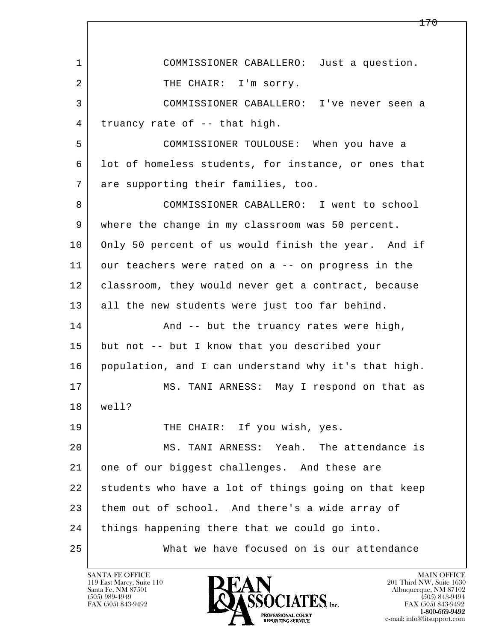l  $\overline{\phantom{a}}$  1 COMMISSIONER CABALLERO: Just a question. 2 | THE CHAIR: I'm sorry. 3 COMMISSIONER CABALLERO: I've never seen a 4 truancy rate of -- that high. 5 COMMISSIONER TOULOUSE: When you have a 6 lot of homeless students, for instance, or ones that 7 are supporting their families, too. 8 COMMISSIONER CABALLERO: I went to school 9 where the change in my classroom was 50 percent. 10 Only 50 percent of us would finish the year. And if 11 our teachers were rated on a -- on progress in the 12 classroom, they would never get a contract, because 13 all the new students were just too far behind. 14 And -- but the truancy rates were high, 15 but not -- but I know that you described your 16 population, and I can understand why it's that high. 17 MS. TANI ARNESS: May I respond on that as 18 well? 19 THE CHAIR: If you wish, yes. 20 MS. TANI ARNESS: Yeah. The attendance is 21 one of our biggest challenges. And these are 22 students who have a lot of things going on that keep 23 them out of school. And there's a wide array of 24 things happening there that we could go into. 25 What we have focused on is our attendance

119 East Marcy, Suite 110<br>Santa Fe, NM 87501

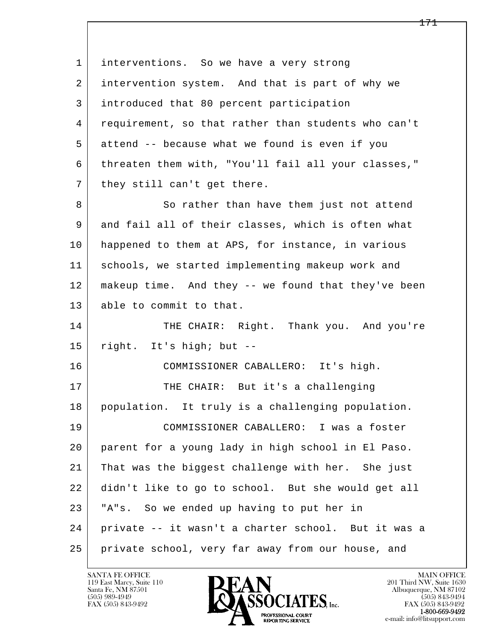l  $\overline{\phantom{a}}$ 1 | interventions. So we have a very strong 2 intervention system. And that is part of why we 3 introduced that 80 percent participation 4 requirement, so that rather than students who can't 5 attend -- because what we found is even if you 6 threaten them with, "You'll fail all your classes," 7 | they still can't get there. 8 So rather than have them just not attend 9 and fail all of their classes, which is often what 10 happened to them at APS, for instance, in various 11 schools, we started implementing makeup work and 12 makeup time. And they -- we found that they've been 13 able to commit to that. 14 THE CHAIR: Right. Thank you. And you're 15 right. It's high; but -- 16 COMMISSIONER CABALLERO: It's high. 17 THE CHAIR: But it's a challenging 18 population. It truly is a challenging population. 19 COMMISSIONER CABALLERO: I was a foster 20 parent for a young lady in high school in El Paso. 21 That was the biggest challenge with her. She just 22 didn't like to go to school. But she would get all 23 "A"s. So we ended up having to put her in 24 private -- it wasn't a charter school. But it was a 25 private school, very far away from our house, and

119 East Marcy, Suite 110<br>Santa Fe, NM 87501

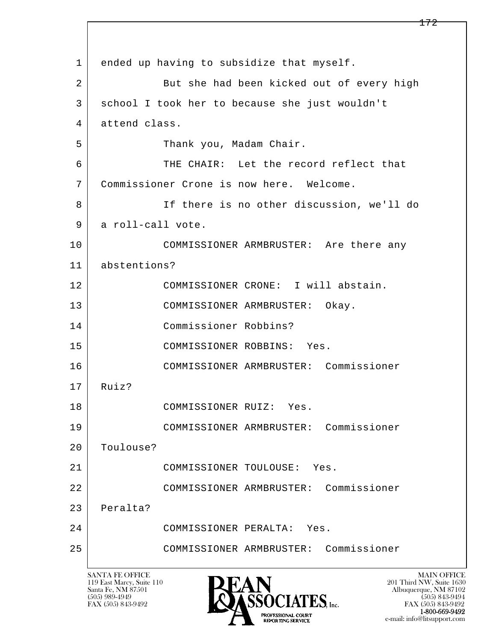l  $\overline{\phantom{a}}$ 1 ended up having to subsidize that myself. 2 But she had been kicked out of every high 3 school I took her to because she just wouldn't 4 attend class. 5 | Thank you, Madam Chair. 6 THE CHAIR: Let the record reflect that 7 Commissioner Crone is now here. Welcome. 8 If there is no other discussion, we'll do 9 a roll-call vote. 10 COMMISSIONER ARMBRUSTER: Are there any 11 abstentions? 12 COMMISSIONER CRONE: I will abstain. 13 COMMISSIONER ARMBRUSTER: Okay. 14 Commissioner Robbins? 15 COMMISSIONER ROBBINS: Yes. 16 COMMISSIONER ARMBRUSTER: Commissioner 17 Ruiz? 18 COMMISSIONER RUIZ: Yes. 19 COMMISSIONER ARMBRUSTER: Commissioner 20 Toulouse? 21 COMMISSIONER TOULOUSE: Yes. 22 COMMISSIONER ARMBRUSTER: Commissioner 23 Peralta? 24 COMMISSIONER PERALTA: Yes. 25 COMMISSIONER ARMBRUSTER: Commissioner

119 East Marcy, Suite 110<br>Santa Fe, NM 87501

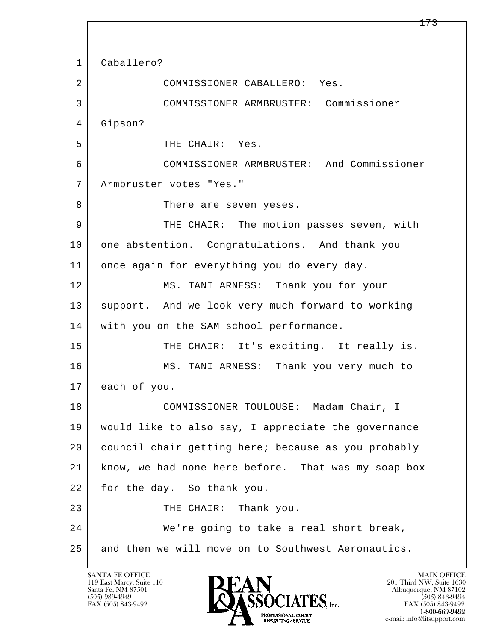l  $\overline{\phantom{a}}$  1 Caballero? 2 COMMISSIONER CABALLERO: Yes. 3 COMMISSIONER ARMBRUSTER: Commissioner 4 Gipson? 5 THE CHAIR: Yes. 6 COMMISSIONER ARMBRUSTER: And Commissioner 7 Armbruster votes "Yes." 8 There are seven yeses. 9 THE CHAIR: The motion passes seven, with 10 one abstention. Congratulations. And thank you 11 once again for everything you do every day. 12 MS. TANI ARNESS: Thank you for your 13 support. And we look very much forward to working 14 with you on the SAM school performance. 15 | THE CHAIR: It's exciting. It really is. 16 MS. TANI ARNESS: Thank you very much to 17 each of you. 18 COMMISSIONER TOULOUSE: Madam Chair, I 19 would like to also say, I appreciate the governance 20 council chair getting here; because as you probably 21 know, we had none here before. That was my soap box 22 for the day. So thank you. 23 THE CHAIR: Thank you. 24 We're going to take a real short break, 25 and then we will move on to Southwest Aeronautics.

119 East Marcy, Suite 110<br>Santa Fe, NM 87501

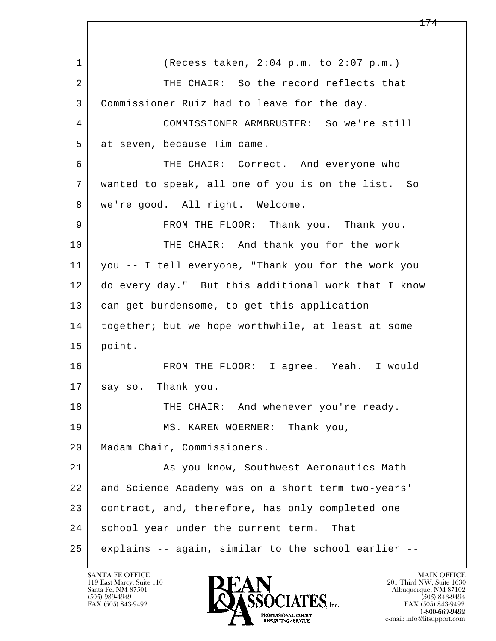l  $\overline{\phantom{a}}$  1 (Recess taken, 2:04 p.m. to 2:07 p.m.) 2 THE CHAIR: So the record reflects that 3 Commissioner Ruiz had to leave for the day. 4 COMMISSIONER ARMBRUSTER: So we're still 5 at seven, because Tim came. 6 THE CHAIR: Correct. And everyone who 7 wanted to speak, all one of you is on the list. So 8 | we're good. All right. Welcome. 9 FROM THE FLOOR: Thank you. Thank you. 10 THE CHAIR: And thank you for the work 11 you -- I tell everyone, "Thank you for the work you 12 do every day." But this additional work that I know 13 can get burdensome, to get this application 14 together; but we hope worthwhile, at least at some 15 point. 16 FROM THE FLOOR: I agree. Yeah. I would 17 say so. Thank you. 18 THE CHAIR: And whenever you're ready. 19 MS. KAREN WOERNER: Thank you, 20 | Madam Chair, Commissioners. 21 As you know, Southwest Aeronautics Math 22 and Science Academy was on a short term two-years' 23 contract, and, therefore, has only completed one 24 school year under the current term. That 25 explains -- again, similar to the school earlier --

119 East Marcy, Suite 110<br>Santa Fe, NM 87501

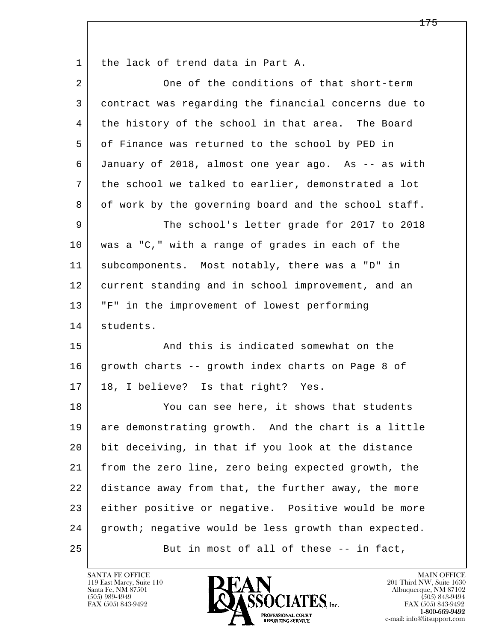1 the lack of trend data in Part A.

| $\overline{a}$ | One of the conditions of that short-term             |
|----------------|------------------------------------------------------|
| 3              | contract was regarding the financial concerns due to |
| 4              | the history of the school in that area. The Board    |
| 5              | of Finance was returned to the school by PED in      |
| 6              | January of 2018, almost one year ago. As -- as with  |
| 7              | the school we talked to earlier, demonstrated a lot  |
| 8              | of work by the governing board and the school staff. |
| 9              | The school's letter grade for 2017 to 2018           |
| 10             | was a "C," with a range of grades in each of the     |
| 11             | subcomponents. Most notably, there was a "D" in      |
| 12             | current standing and in school improvement, and an   |
| 13             | "F" in the improvement of lowest performing          |
| 14             | students.                                            |
| 15             | And this is indicated somewhat on the                |
| 16             | growth charts -- growth index charts on Page 8 of    |
| 17             | 18, I believe? Is that right? Yes.                   |
| 18             | You can see here, it shows that students             |
| 19             | are demonstrating growth. And the chart is a little  |
| 20             | bit deceiving, in that if you look at the distance   |
| 21             | from the zero line, zero being expected growth, the  |
| 22             | distance away from that, the further away, the more  |
| 23             | either positive or negative. Positive would be more  |
| 24             | growth; negative would be less growth than expected. |
| 25             | But in most of all of these -- in fact,              |

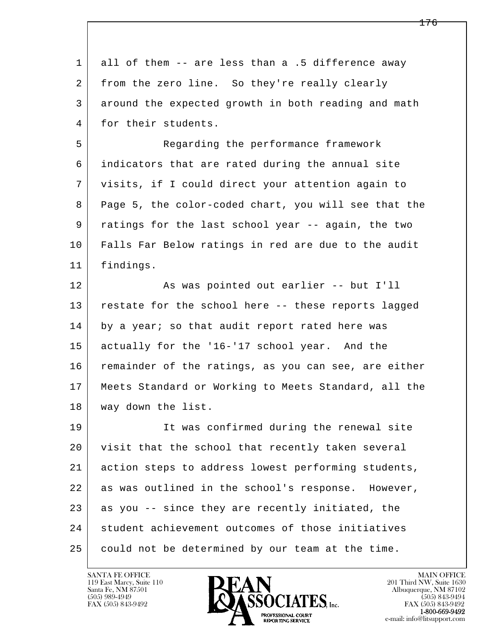| $\mathbf{1}$   | all of them -- are less than a .5 difference away    |
|----------------|------------------------------------------------------|
| $\overline{2}$ | from the zero line. So they're really clearly        |
| 3              | around the expected growth in both reading and math  |
| 4              | for their students.                                  |
| 5              | Regarding the performance framework                  |
| 6              | indicators that are rated during the annual site     |
| 7              | visits, if I could direct your attention again to    |
| 8              | Page 5, the color-coded chart, you will see that the |
| 9              | ratings for the last school year -- again, the two   |
| 10             | Falls Far Below ratings in red are due to the audit  |
| 11             | findings.                                            |
| 12             | As was pointed out earlier -- but I'll               |
| 13             | restate for the school here -- these reports lagged  |
| 14             | by a year; so that audit report rated here was       |
| 15             | actually for the '16-'17 school year. And the        |
| 16             | remainder of the ratings, as you can see, are either |
| 17             | Meets Standard or Working to Meets Standard, all the |
| 18             | way down the list.                                   |
| 19             | It was confirmed during the renewal site             |
| 20             | visit that the school that recently taken several    |
| 21             | action steps to address lowest performing students,  |
| 22             | as was outlined in the school's response. However,   |
| 23             | as you -- since they are recently initiated, the     |
| 24             | student achievement outcomes of those initiatives    |
| 25             | could not be determined by our team at the time.     |

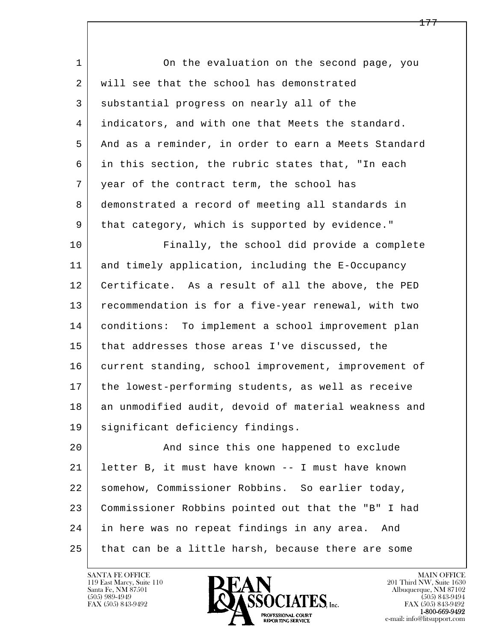| On the evaluation on the second page, you            |
|------------------------------------------------------|
| will see that the school has demonstrated            |
| substantial progress on nearly all of the            |
| indicators, and with one that Meets the standard.    |
| And as a reminder, in order to earn a Meets Standard |
| in this section, the rubric states that, "In each    |
| year of the contract term, the school has            |
| demonstrated a record of meeting all standards in    |
| that category, which is supported by evidence."      |
| Finally, the school did provide a complete           |
| and timely application, including the E-Occupancy    |
| Certificate. As a result of all the above, the PED   |
| recommendation is for a five-year renewal, with two  |
| conditions: To implement a school improvement plan   |
| that addresses those areas I've discussed, the       |
| current standing, school improvement, improvement of |
| the lowest-performing students, as well as receive   |
| an unmodified audit, devoid of material weakness and |
| significant deficiency findings.                     |
| And since this one happened to exclude               |
| letter B, it must have known -- I must have known    |
| somehow, Commissioner Robbins. So earlier today,     |
| Commissioner Robbins pointed out that the "B" I had  |
| in here was no repeat findings in any area. And      |
| that can be a little harsh, because there are some   |
|                                                      |

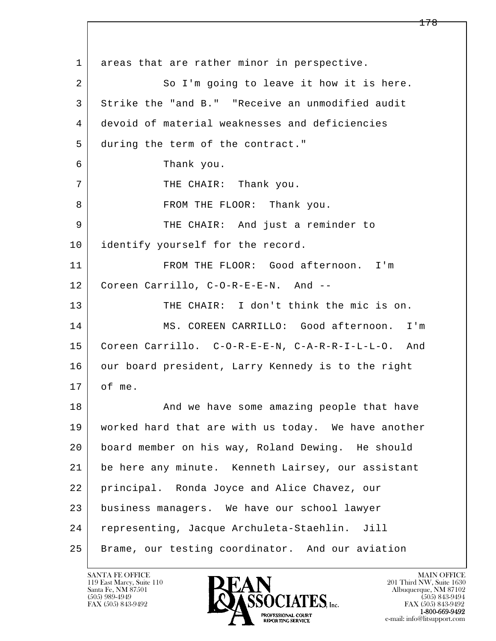l  $\overline{\phantom{a}}$ 1 areas that are rather minor in perspective. 2 So I'm going to leave it how it is here. 3 Strike the "and B." "Receive an unmodified audit 4 devoid of material weaknesses and deficiencies 5 during the term of the contract." 6 Thank you. 7 | THE CHAIR: Thank you. 8 | FROM THE FLOOR: Thank you. 9 THE CHAIR: And just a reminder to 10 identify yourself for the record. 11 FROM THE FLOOR: Good afternoon. I'm 12 Coreen Carrillo, C-O-R-E-E-N. And -- 13 THE CHAIR: I don't think the mic is on. 14 MS. COREEN CARRILLO: Good afternoon. I'm 15 Coreen Carrillo. C-O-R-E-E-N, C-A-R-R-I-L-L-O. And 16 our board president, Larry Kennedy is to the right  $17$  of me. 18 | The Mand we have some amazing people that have 19 worked hard that are with us today. We have another 20 board member on his way, Roland Dewing. He should 21 be here any minute. Kenneth Lairsey, our assistant 22 principal. Ronda Joyce and Alice Chavez, our 23 business managers. We have our school lawyer 24 representing, Jacque Archuleta-Staehlin. Jill 25 Brame, our testing coordinator. And our aviation

119 East Marcy, Suite 110<br>Santa Fe, NM 87501

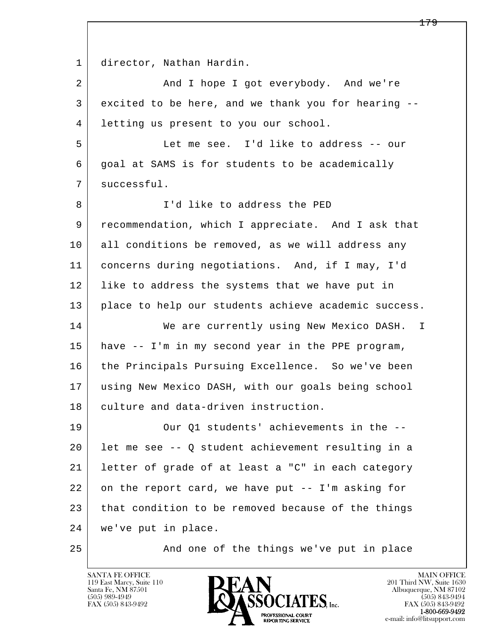l  $\overline{\phantom{a}}$  1 director, Nathan Hardin. 2 | And I hope I got everybody. And we're 3 excited to be here, and we thank you for hearing -- 4 letting us present to you our school. 5 Let me see. I'd like to address -- our 6 goal at SAMS is for students to be academically 7 | successful. 8 | T'd like to address the PED 9 recommendation, which I appreciate. And I ask that 10 all conditions be removed, as we will address any 11 concerns during negotiations. And, if I may, I'd 12 | like to address the systems that we have put in 13 | place to help our students achieve academic success. 14 We are currently using New Mexico DASH. I 15 have -- I'm in my second year in the PPE program, 16 the Principals Pursuing Excellence. So we've been 17 using New Mexico DASH, with our goals being school 18 culture and data-driven instruction. 19 Our Q1 students' achievements in the -- 20 let me see -- Q student achievement resulting in a 21 letter of grade of at least a "C" in each category 22 on the report card, we have put -- I'm asking for  $23$  that condition to be removed because of the things 24 we've put in place. 25 And one of the things we've put in place

119 East Marcy, Suite 110<br>Santa Fe, NM 87501

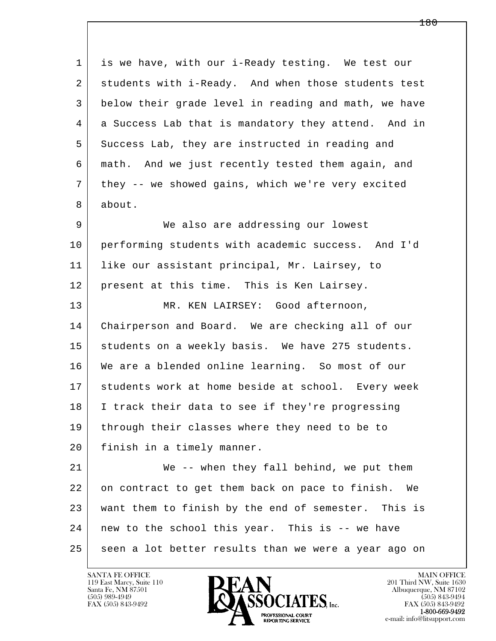l  $\overline{\phantom{a}}$  1 is we have, with our i-Ready testing. We test our 2 students with i-Ready. And when those students test 3 below their grade level in reading and math, we have 4 a Success Lab that is mandatory they attend. And in 5 Success Lab, they are instructed in reading and 6 math. And we just recently tested them again, and 7 they -- we showed gains, which we're very excited 8 about. 9 We also are addressing our lowest 10 performing students with academic success. And I'd 11 like our assistant principal, Mr. Lairsey, to 12 | present at this time. This is Ken Lairsey. 13 MR. KEN LAIRSEY: Good afternoon, 14 Chairperson and Board. We are checking all of our 15 | students on a weekly basis. We have 275 students. 16 We are a blended online learning. So most of our 17 students work at home beside at school. Every week 18 I track their data to see if they're progressing 19 | through their classes where they need to be to 20 finish in a timely manner. 21 We -- when they fall behind, we put them 22 on contract to get them back on pace to finish. We 23 want them to finish by the end of semester. This is 24 | new to the school this year. This is -- we have 25 seen a lot better results than we were a year ago on

119 East Marcy, Suite 110<br>Santa Fe, NM 87501



FAX (505) 843-9492<br>1-800-669-9492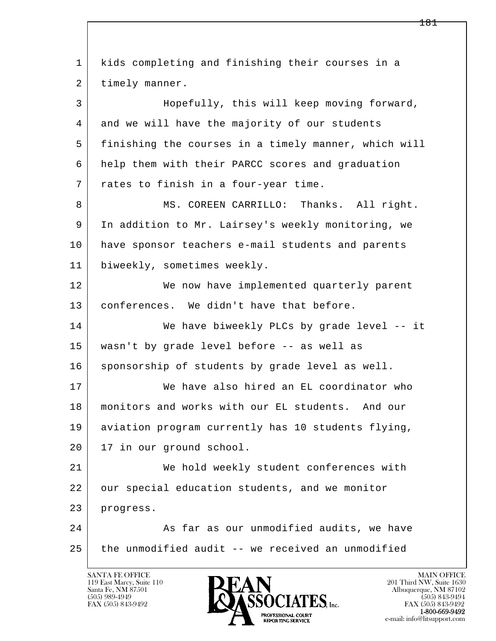l  $\overline{\phantom{a}}$  1 kids completing and finishing their courses in a 2 | timely manner. 3 Hopefully, this will keep moving forward, 4 and we will have the majority of our students 5 finishing the courses in a timely manner, which will 6 help them with their PARCC scores and graduation 7 rates to finish in a four-year time. 8 MS. COREEN CARRILLO: Thanks. All right. 9 In addition to Mr. Lairsey's weekly monitoring, we 10 have sponsor teachers e-mail students and parents 11 | biweekly, sometimes weekly. 12 We now have implemented quarterly parent 13 conferences. We didn't have that before. 14 We have biweekly PLCs by grade level -- it 15 wasn't by grade level before -- as well as 16 sponsorship of students by grade level as well. 17 We have also hired an EL coordinator who 18 monitors and works with our EL students. And our 19 aviation program currently has 10 students flying, 20 | 17 in our ground school. 21 We hold weekly student conferences with 22 our special education students, and we monitor 23 progress. 24 As far as our unmodified audits, we have  $25$  the unmodified audit  $-$  we received an unmodified

119 East Marcy, Suite 110<br>Santa Fe, NM 87501

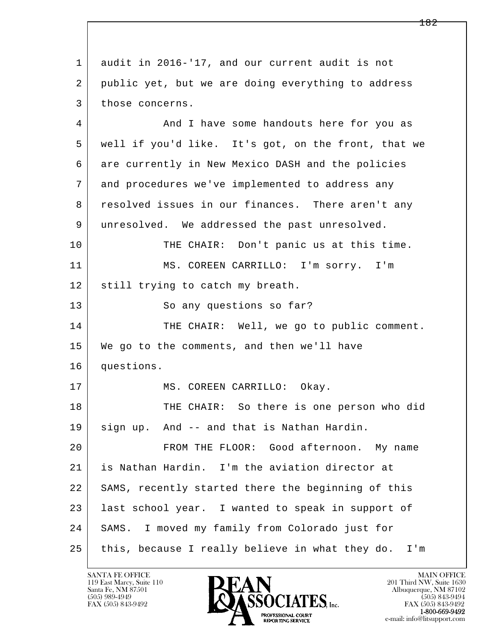l  $\overline{\phantom{a}}$  1 audit in 2016-'17, and our current audit is not 2 public yet, but we are doing everything to address 3 those concerns. 4 And I have some handouts here for you as 5 well if you'd like. It's got, on the front, that we 6 are currently in New Mexico DASH and the policies 7 and procedures we've implemented to address any 8 resolved issues in our finances. There aren't any 9 unresolved. We addressed the past unresolved. 10 THE CHAIR: Don't panic us at this time. 11 MS. COREEN CARRILLO: I'm sorry. I'm 12 | still trying to catch my breath. 13 So any questions so far? 14 THE CHAIR: Well, we go to public comment. 15 We go to the comments, and then we'll have 16 questions. 17 MS. COREEN CARRILLO: Okay. 18 THE CHAIR: So there is one person who did 19 sign up. And -- and that is Nathan Hardin. 20 FROM THE FLOOR: Good afternoon. My name 21 is Nathan Hardin. I'm the aviation director at 22 SAMS, recently started there the beginning of this 23 | last school year. I wanted to speak in support of 24 SAMS. I moved my family from Colorado just for 25 this, because I really believe in what they do. I'm

119 East Marcy, Suite 110<br>Santa Fe, NM 87501

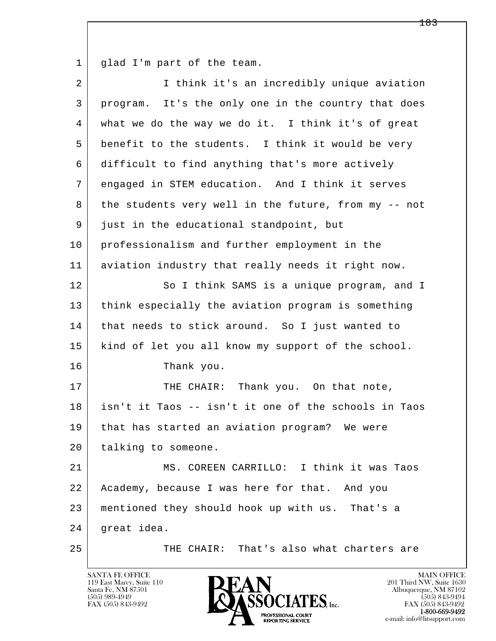1 glad I'm part of the team.

| $\overline{a}$ | I think it's an incredibly unique aviation           |
|----------------|------------------------------------------------------|
| 3              | program. It's the only one in the country that does  |
| 4              | what we do the way we do it. I think it's of great   |
| 5              | benefit to the students. I think it would be very    |
| 6              | difficult to find anything that's more actively      |
| 7              | engaged in STEM education. And I think it serves     |
| 8              | the students very well in the future, from my -- not |
| 9              | just in the educational standpoint, but              |
| 10             | professionalism and further employment in the        |
| 11             | aviation industry that really needs it right now.    |
| 12             | So I think SAMS is a unique program, and I           |
| 13             | think especially the aviation program is something   |
| 14             | that needs to stick around. So I just wanted to      |
| 15             | kind of let you all know my support of the school.   |
| 16             | Thank you.                                           |
| 17             | THE CHAIR: Thank you. On that note,                  |
| 18             | isn't it Taos -- isn't it one of the schools in Taos |
| 19             | that has started an aviation program? We were        |
| 20             | talking to someone.                                  |
| 21             | MS. COREEN CARRILLO: I think it was Taos             |
| 22             | Academy, because I was here for that. And you        |
| 23             | mentioned they should hook up with us. That's a      |
| 24             | great idea.                                          |
| 25             | THE CHAIR: That's also what charters are             |

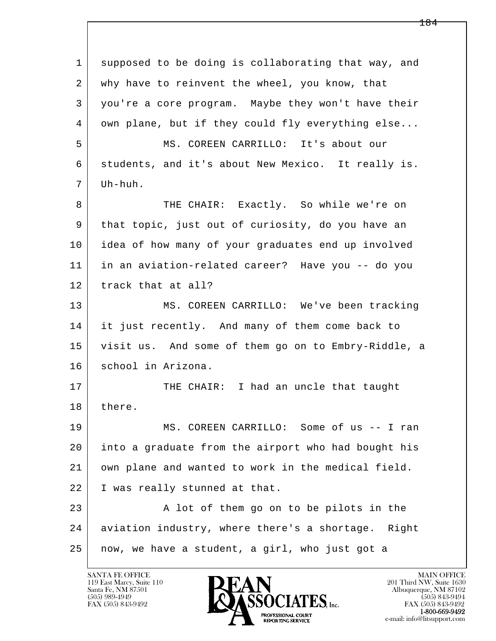l  $\overline{\phantom{a}}$  1 supposed to be doing is collaborating that way, and 2 | why have to reinvent the wheel, you know, that 3 you're a core program. Maybe they won't have their 4 own plane, but if they could fly everything else... 5 MS. COREEN CARRILLO: It's about our 6 students, and it's about New Mexico. It really is.  $7 \mid \text{Uh-huh}.$ 8 THE CHAIR: Exactly. So while we're on 9 that topic, just out of curiosity, do you have an 10 idea of how many of your graduates end up involved 11 in an aviation-related career? Have you -- do you 12 track that at all? 13 | MS. COREEN CARRILLO: We've been tracking 14 it just recently. And many of them come back to 15 visit us. And some of them go on to Embry-Riddle, a 16 school in Arizona. 17 THE CHAIR: I had an uncle that taught 18 there. 19 MS. COREEN CARRILLO: Some of us -- I ran 20 into a graduate from the airport who had bought his 21 own plane and wanted to work in the medical field. 22 I was really stunned at that. 23 A lot of them go on to be pilots in the 24 aviation industry, where there's a shortage. Right 25 now, we have a student, a girl, who just got a

119 East Marcy, Suite 110<br>Santa Fe, NM 87501

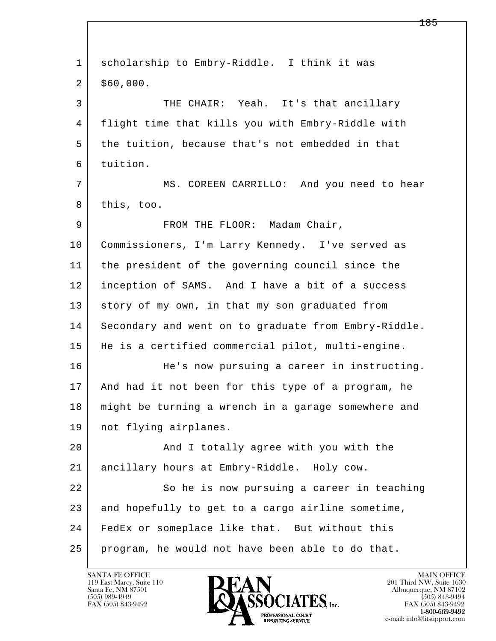| $\mathbf 1$ | scholarship to Embry-Riddle. I think it was          |
|-------------|------------------------------------------------------|
| 2           | \$60,000.                                            |
| 3           | THE CHAIR: Yeah. It's that ancillary                 |
| 4           | flight time that kills you with Embry-Riddle with    |
| 5           | the tuition, because that's not embedded in that     |
| 6           | tuition.                                             |
| 7           | MS. COREEN CARRILLO: And you need to hear            |
| 8           | this, too.                                           |
| 9           | FROM THE FLOOR: Madam Chair,                         |
| 10          | Commissioners, I'm Larry Kennedy. I've served as     |
| 11          | the president of the governing council since the     |
| 12          | inception of SAMS. And I have a bit of a success     |
| 13          | story of my own, in that my son graduated from       |
| 14          | Secondary and went on to graduate from Embry-Riddle. |
| 15          | He is a certified commercial pilot, multi-engine.    |
| 16          | He's now pursuing a career in instructing.           |
| 17          | And had it not been for this type of a program, he   |
| 18          | might be turning a wrench in a garage somewhere and  |
| 19          | not flying airplanes.                                |
| 20          | And I totally agree with you with the                |
| 21          | ancillary hours at Embry-Riddle. Holy cow.           |
| 22          | So he is now pursuing a career in teaching           |
| 23          | and hopefully to get to a cargo airline sometime,    |
| 24          | FedEx or someplace like that. But without this       |
| 25          | program, he would not have been able to do that.     |

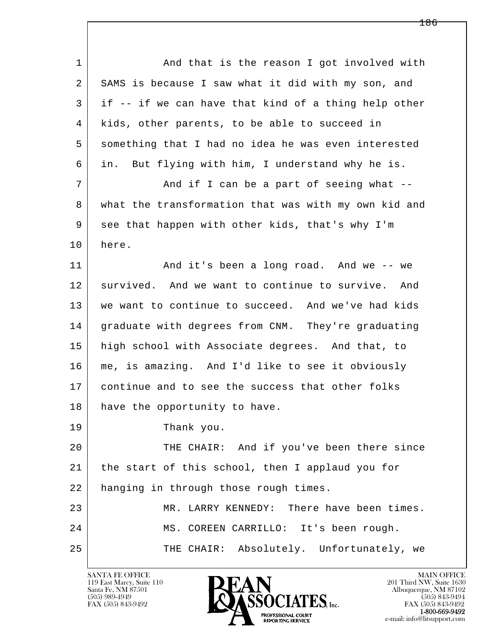| $\mathbf{1}$ | And that is the reason I got involved with           |
|--------------|------------------------------------------------------|
| 2            | SAMS is because I saw what it did with my son, and   |
| 3            | if -- if we can have that kind of a thing help other |
| 4            | kids, other parents, to be able to succeed in        |
| 5            | something that I had no idea he was even interested  |
| 6            | But flying with him, I understand why he is.<br>in.  |
| 7            | And if I can be a part of seeing what --             |
| 8            | what the transformation that was with my own kid and |
| 9            | see that happen with other kids, that's why I'm      |
| 10           | here.                                                |
| 11           | And it's been a long road. And we -- we              |
| 12           | survived. And we want to continue to survive. And    |
| 13           | we want to continue to succeed. And we've had kids   |
| 14           | graduate with degrees from CNM. They're graduating   |
| 15           | high school with Associate degrees. And that, to     |
| 16           | me, is amazing. And I'd like to see it obviously     |
| 17           | continue and to see the success that other folks     |
| 18           | have the opportunity to have.                        |
| 19           | Thank you.                                           |
| 20           | THE CHAIR: And if you've been there since            |
| 21           | the start of this school, then I applaud you for     |
| 22           | hanging in through those rough times.                |
| 23           | There have been times.<br>MR. LARRY KENNEDY:         |
| 24           | MS. COREEN CARRILLO: It's been rough.                |
| 25           | Absolutely. Unfortunately, we<br>THE CHAIR:          |
|              |                                                      |

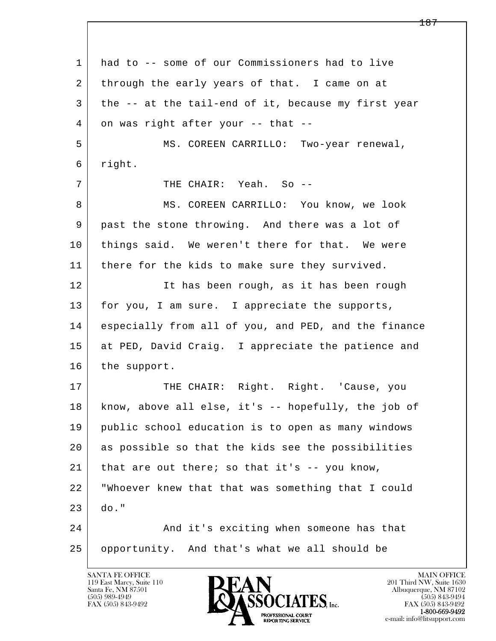l  $\overline{\phantom{a}}$  1 had to -- some of our Commissioners had to live 2 through the early years of that. I came on at 3 the -- at the tail-end of it, because my first year  $4$  on was right after your -- that -- 5 MS. COREEN CARRILLO: Two-year renewal, 6 right. 7 THE CHAIR: Yeah. So -- 8 MS. COREEN CARRILLO: You know, we look 9 | past the stone throwing. And there was a lot of 10 things said. We weren't there for that. We were 11 | there for the kids to make sure they survived. 12 It has been rough, as it has been rough 13 for you, I am sure. I appreciate the supports, 14 especially from all of you, and PED, and the finance 15 at PED, David Craig. I appreciate the patience and 16 the support. 17 | THE CHAIR: Right. Right. 'Cause, you 18 know, above all else, it's -- hopefully, the job of 19 public school education is to open as many windows 20 as possible so that the kids see the possibilities  $21$  that are out there; so that it's  $-$ - you know, 22 "Whoever knew that that was something that I could  $23$  do." 24 And it's exciting when someone has that 25 opportunity. And that's what we all should be

119 East Marcy, Suite 110<br>Santa Fe, NM 87501



FAX (505) 843-9492<br>1-800-669-9492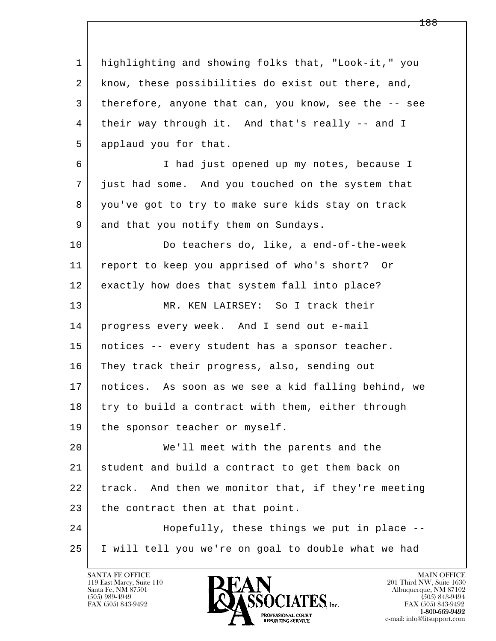l  $\overline{\phantom{a}}$  1 highlighting and showing folks that, "Look-it," you 2 know, these possibilities do exist out there, and, 3 therefore, anyone that can, you know, see the -- see 4 their way through it. And that's really -- and I 5 applaud you for that. 6 I had just opened up my notes, because I 7 just had some. And you touched on the system that 8 you've got to try to make sure kids stay on track 9 and that you notify them on Sundays. 10 Do teachers do, like, a end-of-the-week 11 report to keep you apprised of who's short? Or 12 exactly how does that system fall into place? 13 MR. KEN LAIRSEY: So I track their 14 progress every week. And I send out e-mail 15 notices -- every student has a sponsor teacher. 16 They track their progress, also, sending out 17 notices. As soon as we see a kid falling behind, we 18 try to build a contract with them, either through 19 | the sponsor teacher or myself. 20 We'll meet with the parents and the 21 student and build a contract to get them back on 22 track. And then we monitor that, if they're meeting 23 the contract then at that point. 24 Hopefully, these things we put in place -- 25 I will tell you we're on goal to double what we had



FAX (505) 843-9492<br>**1-800-669-9492**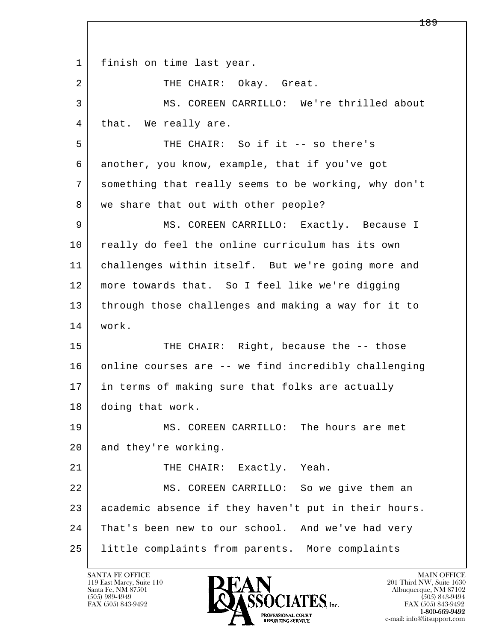l  $\overline{\phantom{a}}$  1 finish on time last year. 2 | THE CHAIR: Okay. Great. 3 MS. COREEN CARRILLO: We're thrilled about 4 | that. We really are. 5 THE CHAIR: So if it -- so there's 6 another, you know, example, that if you've got 7 something that really seems to be working, why don't 8 | we share that out with other people? 9 MS. COREEN CARRILLO: Exactly. Because I 10 really do feel the online curriculum has its own 11 challenges within itself. But we're going more and 12 more towards that. So I feel like we're digging 13 through those challenges and making a way for it to 14 work. 15 THE CHAIR: Right, because the -- those 16 online courses are -- we find incredibly challenging 17 in terms of making sure that folks are actually 18 doing that work. 19 MS. COREEN CARRILLO: The hours are met 20 and they're working. 21 THE CHAIR: Exactly. Yeah. 22 MS. COREEN CARRILLO: So we give them an 23 academic absence if they haven't put in their hours. 24 That's been new to our school. And we've had very 25 little complaints from parents. More complaints

119 East Marcy, Suite 110<br>Santa Fe, NM 87501

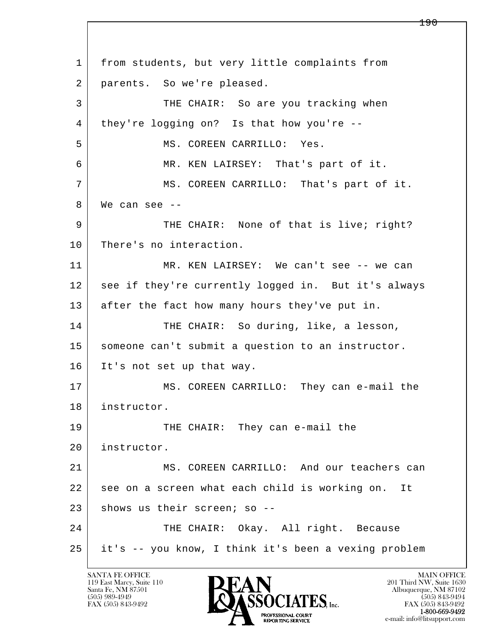l  $\overline{\phantom{a}}$  1 from students, but very little complaints from 2 parents. So we're pleased. 3 THE CHAIR: So are you tracking when 4 they're logging on? Is that how you're -- 5 | MS. COREEN CARRILLO: Yes. 6 MR. KEN LAIRSEY: That's part of it. 7 | MS. COREEN CARRILLO: That's part of it.  $8$  We can see  $-$ 9 THE CHAIR: None of that is live; right? 10 There's no interaction. 11 MR. KEN LAIRSEY: We can't see -- we can 12 see if they're currently logged in. But it's always 13 after the fact how many hours they've put in. 14 THE CHAIR: So during, like, a lesson, 15 | someone can't submit a question to an instructor. 16 It's not set up that way. 17 MS. COREEN CARRILLO: They can e-mail the 18 instructor. 19 THE CHAIR: They can e-mail the 20 instructor. 21 MS. COREEN CARRILLO: And our teachers can 22 see on a screen what each child is working on. It  $23$  shows us their screen; so --24 THE CHAIR: Okay. All right. Because 25 it's -- you know, I think it's been a vexing problem

119 East Marcy, Suite 110<br>Santa Fe, NM 87501

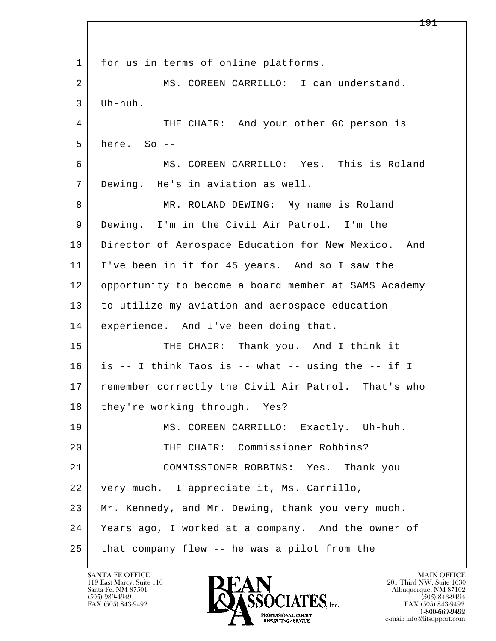l  $\overline{\phantom{a}}$ 1 for us in terms of online platforms. 2 MS. COREEN CARRILLO: I can understand. 3 Uh-huh. 4 THE CHAIR: And your other GC person is  $5$  here. So  $-$  6 MS. COREEN CARRILLO: Yes. This is Roland 7 Dewing. He's in aviation as well. 8 MR. ROLAND DEWING: My name is Roland 9 Dewing. I'm in the Civil Air Patrol. I'm the 10 Director of Aerospace Education for New Mexico. And 11 I've been in it for 45 years. And so I saw the 12 opportunity to become a board member at SAMS Academy 13 to utilize my aviation and aerospace education 14 | experience. And I've been doing that. 15 THE CHAIR: Thank you. And I think it 16 is -- I think Taos is -- what -- using the -- if I 17 remember correctly the Civil Air Patrol. That's who 18 | they're working through. Yes? 19 MS. COREEN CARRILLO: Exactly. Uh-huh. 20 THE CHAIR: Commissioner Robbins? 21 COMMISSIONER ROBBINS: Yes. Thank you 22 very much. I appreciate it, Ms. Carrillo, 23 Mr. Kennedy, and Mr. Dewing, thank you very much. 24 Years ago, I worked at a company. And the owner of 25 | that company flew -- he was a pilot from the

119 East Marcy, Suite 110<br>Santa Fe, NM 87501

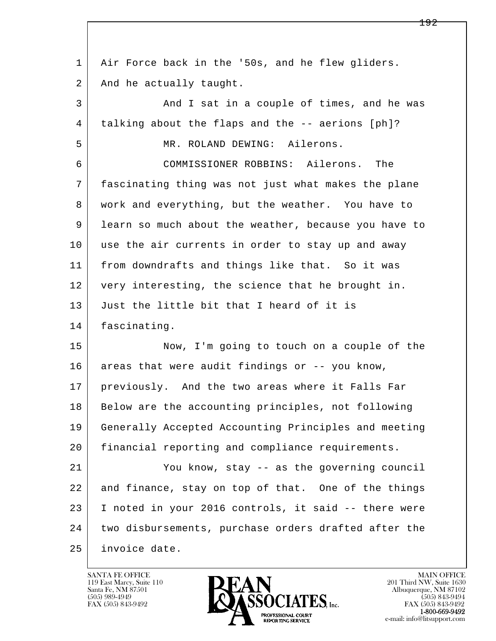l  $\overline{\phantom{a}}$  1 Air Force back in the '50s, and he flew gliders. 2 | And he actually taught. 3 And I sat in a couple of times, and he was 4 talking about the flaps and the -- aerions [ph]? 5 MR. ROLAND DEWING: Ailerons. 6 COMMISSIONER ROBBINS: Ailerons. The 7 fascinating thing was not just what makes the plane 8 | work and everything, but the weather. You have to 9 learn so much about the weather, because you have to 10 use the air currents in order to stay up and away 11 from downdrafts and things like that. So it was 12 very interesting, the science that he brought in. 13 Just the little bit that I heard of it is 14 fascinating. 15 Now, I'm going to touch on a couple of the 16 areas that were audit findings or -- you know, 17 previously. And the two areas where it Falls Far 18 Below are the accounting principles, not following 19 Generally Accepted Accounting Principles and meeting 20 financial reporting and compliance requirements. 21 You know, stay -- as the governing council 22 and finance, stay on top of that. One of the things 23 I noted in your 2016 controls, it said -- there were 24 two disbursements, purchase orders drafted after the 25 invoice date.

119 East Marcy, Suite 110<br>Santa Fe, NM 87501

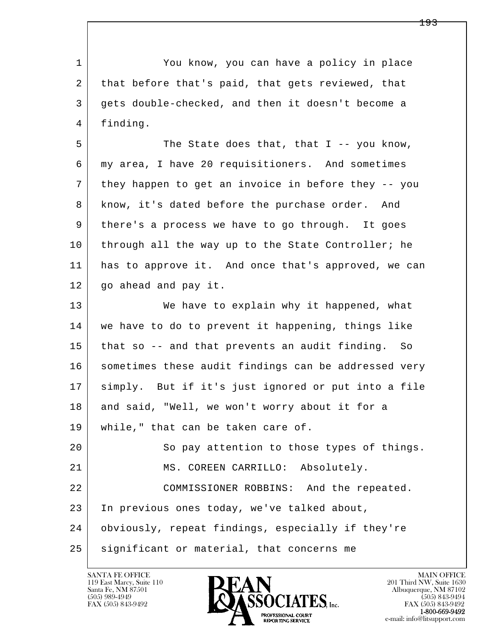l  $\overline{\phantom{a}}$  1 You know, you can have a policy in place 2 that before that's paid, that gets reviewed, that 3 gets double-checked, and then it doesn't become a 4 finding. 5 The State does that, that I -- you know, 6 my area, I have 20 requisitioners. And sometimes 7 they happen to get an invoice in before they -- you 8 know, it's dated before the purchase order. And 9 there's a process we have to go through. It goes 10 through all the way up to the State Controller; he 11 has to approve it. And once that's approved, we can 12 go ahead and pay it. 13 We have to explain why it happened, what 14 we have to do to prevent it happening, things like 15 that so -- and that prevents an audit finding. So 16 sometimes these audit findings can be addressed very 17 simply. But if it's just ignored or put into a file 18 and said, "Well, we won't worry about it for a 19 while," that can be taken care of. 20 So pay attention to those types of things. 21 MS. COREEN CARRILLO: Absolutely. 22 COMMISSIONER ROBBINS: And the repeated. 23 In previous ones today, we've talked about, 24 obviously, repeat findings, especially if they're 25 significant or material, that concerns me

119 East Marcy, Suite 110<br>Santa Fe, NM 87501

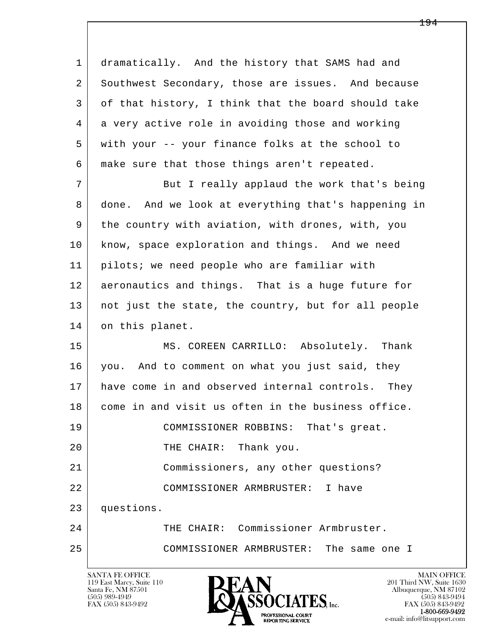l  $\overline{\phantom{a}}$  1 dramatically. And the history that SAMS had and 2 Southwest Secondary, those are issues. And because 3 of that history, I think that the board should take 4 a very active role in avoiding those and working 5 with your -- your finance folks at the school to 6 make sure that those things aren't repeated. 7 But I really applaud the work that's being 8 done. And we look at everything that's happening in 9 the country with aviation, with drones, with, you 10 know, space exploration and things. And we need 11 pilots; we need people who are familiar with 12 aeronautics and things. That is a huge future for 13 not just the state, the country, but for all people 14 on this planet. 15 | MS. COREEN CARRILLO: Absolutely. Thank 16 you. And to comment on what you just said, they 17 have come in and observed internal controls. They 18 come in and visit us often in the business office. 19 COMMISSIONER ROBBINS: That's great. 20 THE CHAIR: Thank you. 21 Commissioners, any other questions? 22 COMMISSIONER ARMBRUSTER: I have 23 questions. 24 THE CHAIR: Commissioner Armbruster. 25 COMMISSIONER ARMBRUSTER: The same one I

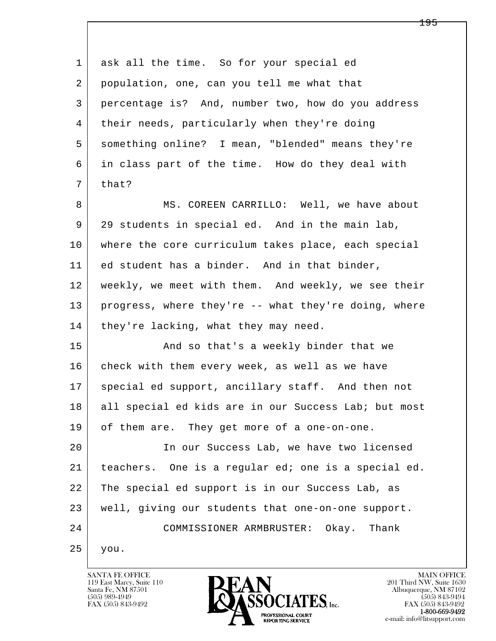l  $\overline{\phantom{a}}$ 1 ask all the time. So for your special ed 2 population, one, can you tell me what that 3 percentage is? And, number two, how do you address 4 | their needs, particularly when they're doing 5 something online? I mean, "blended" means they're 6 in class part of the time. How do they deal with  $7$  that? 8 MS. COREEN CARRILLO: Well, we have about 9 29 students in special ed. And in the main lab, 10 where the core curriculum takes place, each special 11 ed student has a binder. And in that binder, 12 weekly, we meet with them. And weekly, we see their 13 progress, where they're -- what they're doing, where 14 | they're lacking, what they may need. 15 | And so that's a weekly binder that we 16 check with them every week, as well as we have 17 | special ed support, ancillary staff. And then not 18 all special ed kids are in our Success Lab; but most 19 of them are. They get more of a one-on-one. 20 In our Success Lab, we have two licensed 21 teachers. One is a regular ed; one is a special ed. 22 The special ed support is in our Success Lab, as 23 well, giving our students that one-on-one support. 24 COMMISSIONER ARMBRUSTER: Okay. Thank 25 you.

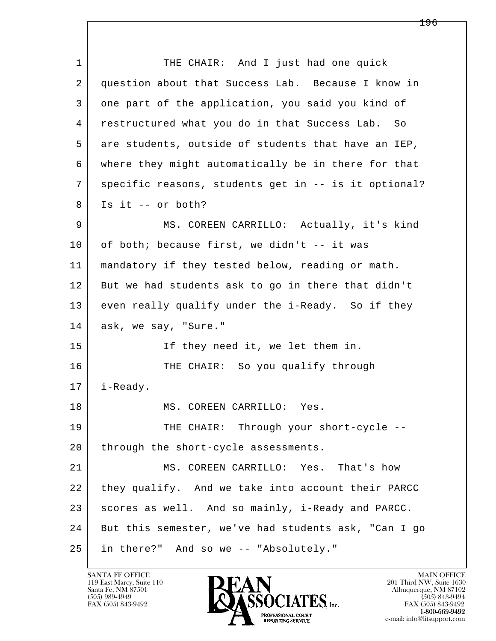l  $\overline{\phantom{a}}$ 1 THE CHAIR: And I just had one quick 2 question about that Success Lab. Because I know in 3 one part of the application, you said you kind of 4 restructured what you do in that Success Lab. So 5 are students, outside of students that have an IEP, 6 where they might automatically be in there for that 7 specific reasons, students get in -- is it optional?  $8$  Is it -- or both? 9 MS. COREEN CARRILLO: Actually, it's kind  $10$  of both; because first, we didn't -- it was 11 mandatory if they tested below, reading or math. 12 But we had students ask to go in there that didn't 13 even really qualify under the i-Ready. So if they 14 ask, we say, "Sure." 15 | If they need it, we let them in. 16 THE CHAIR: So you qualify through 17 i-Ready. 18 MS. COREEN CARRILLO: Yes. 19 THE CHAIR: Through your short-cycle --20 through the short-cycle assessments. 21 MS. COREEN CARRILLO: Yes. That's how 22 | they qualify. And we take into account their PARCC 23 scores as well. And so mainly, i-Ready and PARCC. 24 But this semester, we've had students ask, "Can I go 25 in there?" And so we -- "Absolutely."

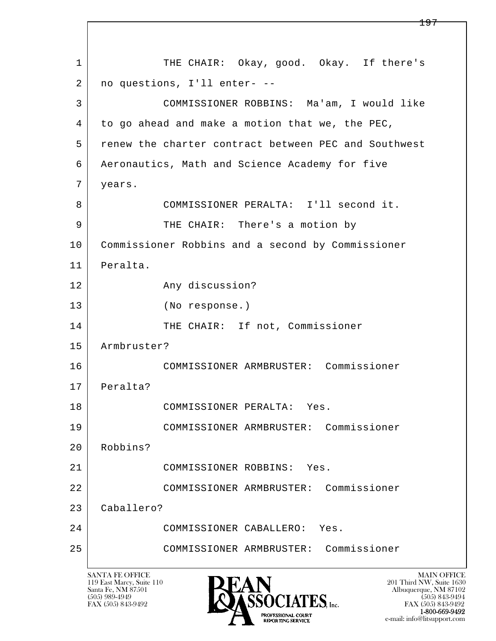l  $\overline{\phantom{a}}$ SANTA FE OFFICE MAIN OFFICE MAIN OFFICE MAIN OFFICE MAIN OFFICE 1 THE CHAIR: Okay, good. Okay. If there's 2 no questions, I'll enter- -- 3 COMMISSIONER ROBBINS: Ma'am, I would like 4 to go ahead and make a motion that we, the PEC, 5 renew the charter contract between PEC and Southwest 6 Aeronautics, Math and Science Academy for five 7 years. 8 COMMISSIONER PERALTA: I'll second it. 9 | THE CHAIR: There's a motion by 10 Commissioner Robbins and a second by Commissioner 11 Peralta. 12 Any discussion? 13 (No response.) 14 THE CHAIR: If not, Commissioner 15 Armbruster? 16 COMMISSIONER ARMBRUSTER: Commissioner 17 Peralta? 18 COMMISSIONER PERALTA: Yes. 19 COMMISSIONER ARMBRUSTER: Commissioner 20 Robbins? 21 COMMISSIONER ROBBINS: Yes. 22 COMMISSIONER ARMBRUSTER: Commissioner 23 Caballero? 24 COMMISSIONER CABALLERO: Yes. 25 COMMISSIONER ARMBRUSTER: Commissioner

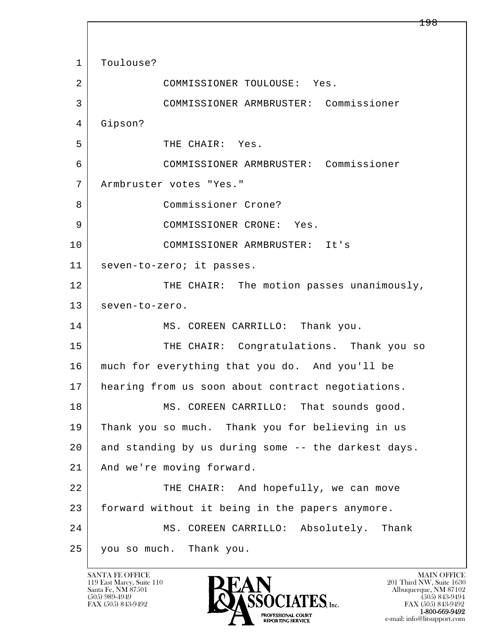l  $\overline{\phantom{a}}$ 1 Toulouse? 2 COMMISSIONER TOULOUSE: Yes. 3 COMMISSIONER ARMBRUSTER: Commissioner 4 Gipson? 5 THE CHAIR: Yes. 6 COMMISSIONER ARMBRUSTER: Commissioner 7 Armbruster votes "Yes." 8 Commissioner Crone? 9 COMMISSIONER CRONE: Yes. 10 COMMISSIONER ARMBRUSTER: It's 11 seven-to-zero; it passes. 12 THE CHAIR: The motion passes unanimously, 13 seven-to-zero. 14 MS. COREEN CARRILLO: Thank you. 15 | THE CHAIR: Congratulations. Thank you so 16 much for everything that you do. And you'll be 17 | hearing from us soon about contract negotiations. 18 MS. COREEN CARRILLO: That sounds good. 19 Thank you so much. Thank you for believing in us 20 and standing by us during some -- the darkest days. 21 And we're moving forward. 22 THE CHAIR: And hopefully, we can move 23 forward without it being in the papers anymore. 24 MS. COREEN CARRILLO: Absolutely. Thank 25 you so much. Thank you.

119 East Marcy, Suite 110<br>Santa Fe, NM 87501

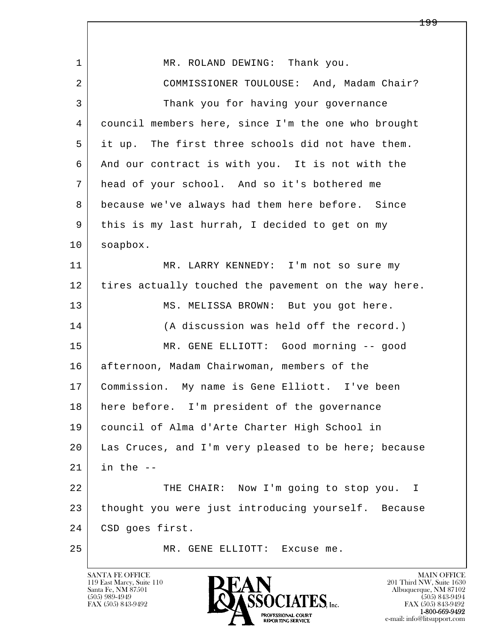| $\mathbf{1}$ | MR. ROLAND DEWING: Thank you.                        |
|--------------|------------------------------------------------------|
| 2            | COMMISSIONER TOULOUSE: And, Madam Chair?             |
| 3            | Thank you for having your governance                 |
| 4            | council members here, since I'm the one who brought  |
| 5            | it up. The first three schools did not have them.    |
| 6            | And our contract is with you. It is not with the     |
| 7            | head of your school. And so it's bothered me         |
| 8            | because we've always had them here before. Since     |
| 9            | this is my last hurrah, I decided to get on my       |
| 10           | soapbox.                                             |
| 11           | MR. LARRY KENNEDY: I'm not so sure my                |
| 12           | tires actually touched the pavement on the way here. |
| 13           | MS. MELISSA BROWN: But you got here.                 |
| 14           | (A discussion was held off the record.)              |
| 15           | MR. GENE ELLIOTT: Good morning -- good               |
| 16           | afternoon, Madam Chairwoman, members of the          |
| 17           | Commission. My name is Gene Elliott. I've been       |
| 18           | here before. I'm president of the governance         |
| 19           | council of Alma d'Arte Charter High School in        |
| 20           | Las Cruces, and I'm very pleased to be here; because |
| 21           | in the $-$                                           |
| 22           | THE CHAIR: Now I'm going to stop you. I              |
| 23           | thought you were just introducing yourself. Because  |
| 24           | CSD goes first.                                      |
| 25           | MR. GENE ELLIOTT:<br>Excuse me.                      |

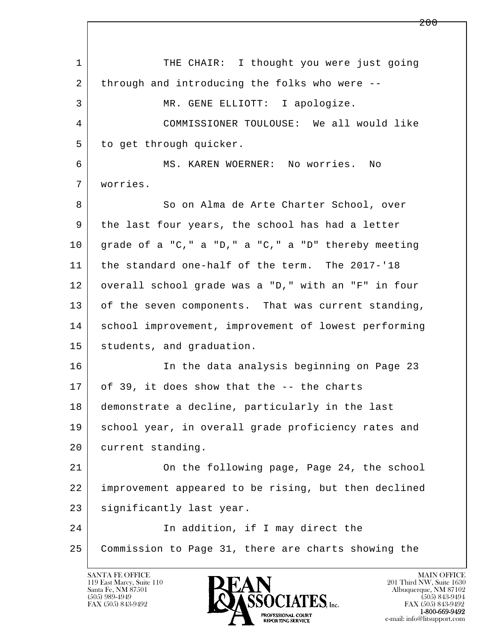l  $\overline{\phantom{a}}$ 1 THE CHAIR: I thought you were just going 2 through and introducing the folks who were -- 3 MR. GENE ELLIOTT: I apologize. 4 COMMISSIONER TOULOUSE: We all would like 5 to get through quicker. 6 MS. KAREN WOERNER: No worries. No 7 worries. 8 So on Alma de Arte Charter School, over 9 the last four years, the school has had a letter  $10$  grade of a "C," a "D," a "C," a "D" thereby meeting 11 the standard one-half of the term. The 2017-'18 12 | overall school grade was a "D," with an "F" in four 13 | of the seven components. That was current standing, 14 | school improvement, improvement of lowest performing 15 students, and graduation. 16 In the data analysis beginning on Page 23 17 of 39, it does show that the -- the charts 18 demonstrate a decline, particularly in the last 19 school year, in overall grade proficiency rates and 20 current standing. 21 On the following page, Page 24, the school 22 improvement appeared to be rising, but then declined 23 | significantly last year. 24 In addition, if I may direct the 25 Commission to Page 31, there are charts showing the

119 East Marcy, Suite 110<br>Santa Fe, NM 87501

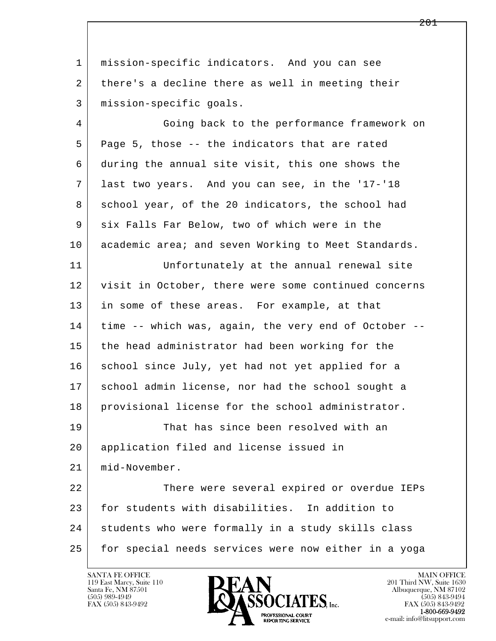l  $\overline{\phantom{a}}$  1 mission-specific indicators. And you can see 2 there's a decline there as well in meeting their 3 mission-specific goals. 4 Going back to the performance framework on 5 Page 5, those -- the indicators that are rated 6 during the annual site visit, this one shows the 7 last two years. And you can see, in the '17-'18 8 school year, of the 20 indicators, the school had 9 six Falls Far Below, two of which were in the 10 academic area; and seven Working to Meet Standards. 11 Unfortunately at the annual renewal site 12 visit in October, there were some continued concerns 13 in some of these areas. For example, at that 14 time -- which was, again, the very end of October --15 the head administrator had been working for the 16 school since July, yet had not yet applied for a 17 school admin license, nor had the school sought a 18 provisional license for the school administrator. 19 That has since been resolved with an 20 application filed and license issued in 21 mid-November. 22 There were several expired or overdue IEPs 23 for students with disabilities. In addition to 24 students who were formally in a study skills class 25 for special needs services were now either in a yoga

119 East Marcy, Suite 110<br>Santa Fe, NM 87501



FAX (505) 843-9492<br>**1-800-669-9492**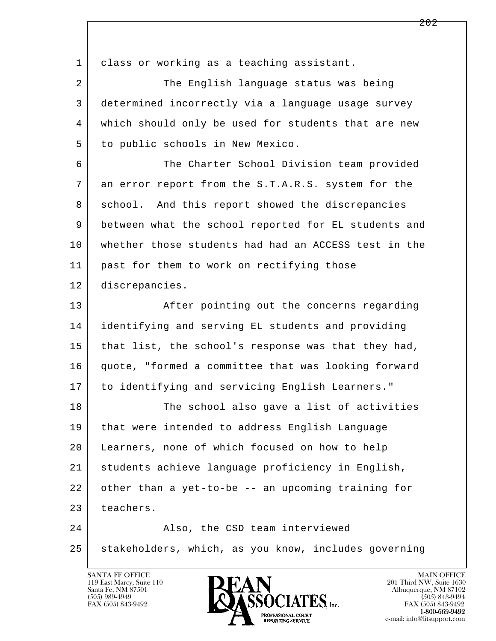l  $\overline{\phantom{a}}$ 1 class or working as a teaching assistant. 2 The English language status was being 3 determined incorrectly via a language usage survey 4 which should only be used for students that are new 5 to public schools in New Mexico. 6 The Charter School Division team provided 7 an error report from the S.T.A.R.S. system for the 8 school. And this report showed the discrepancies 9 between what the school reported for EL students and 10 whether those students had had an ACCESS test in the 11 | past for them to work on rectifying those 12 discrepancies. 13 | After pointing out the concerns regarding 14 identifying and serving EL students and providing 15 that list, the school's response was that they had, 16 quote, "formed a committee that was looking forward 17 to identifying and servicing English Learners." 18 The school also gave a list of activities 19 that were intended to address English Language 20 Learners, none of which focused on how to help 21 students achieve language proficiency in English, 22 other than a yet-to-be -- an upcoming training for 23 teachers. 24 | Reso, the CSD team interviewed 25 stakeholders, which, as you know, includes governing



FAX (505) 843-9492<br>**1-800-669-9492**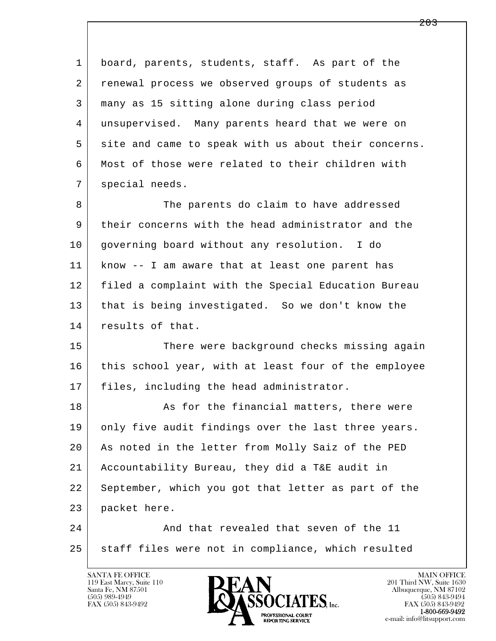l  $\overline{\phantom{a}}$  1 board, parents, students, staff. As part of the 2 renewal process we observed groups of students as 3 many as 15 sitting alone during class period 4 unsupervised. Many parents heard that we were on 5 site and came to speak with us about their concerns. 6 Most of those were related to their children with 7 | special needs. 8 The parents do claim to have addressed 9 their concerns with the head administrator and the 10 governing board without any resolution. I do 11 know -- I am aware that at least one parent has 12 filed a complaint with the Special Education Bureau 13 that is being investigated. So we don't know the 14 results of that. 15 There were background checks missing again 16 this school year, with at least four of the employee 17 | files, including the head administrator. 18 | The Solomon and The financial matters, there were 19 only five audit findings over the last three years. 20 As noted in the letter from Molly Saiz of the PED 21 Accountability Bureau, they did a T&E audit in 22 September, which you got that letter as part of the 23 packet here. 24 And that revealed that seven of the 11 25 staff files were not in compliance, which resulted

119 East Marcy, Suite 110<br>Santa Fe, NM 87501



FAX (505) 843-9492<br>1-800-669-9492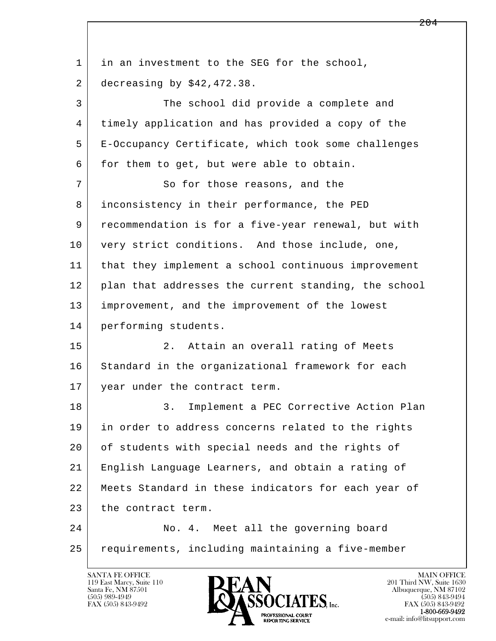| $\mathbf{1}$ | in an investment to the SEG for the school,          |
|--------------|------------------------------------------------------|
| 2            | decreasing by $$42,472.38$ .                         |
| 3            | The school did provide a complete and                |
| 4            | timely application and has provided a copy of the    |
| 5            | E-Occupancy Certificate, which took some challenges  |
| 6            | for them to get, but were able to obtain.            |
| 7            | So for those reasons, and the                        |
| 8            | inconsistency in their performance, the PED          |
| 9            | recommendation is for a five-year renewal, but with  |
| 10           | very strict conditions. And those include, one,      |
| 11           | that they implement a school continuous improvement  |
| 12           | plan that addresses the current standing, the school |
| 13           | improvement, and the improvement of the lowest       |
| 14           | performing students.                                 |
| 15           | Attain an overall rating of Meets<br>2.              |
| 16           | Standard in the organizational framework for each    |
| 17           | year under the contract term.                        |
| 18           | Implement a PEC Corrective Action Plan<br>$3$ .      |
| 19           | in order to address concerns related to the rights   |
| 20           | of students with special needs and the rights of     |
| 21           | English Language Learners, and obtain a rating of    |
| 22           | Meets Standard in these indicators for each year of  |
| 23           | the contract term.                                   |
| 24           | No. 4. Meet all the governing board                  |
| 25           | requirements, including maintaining a five-member    |
|              |                                                      |

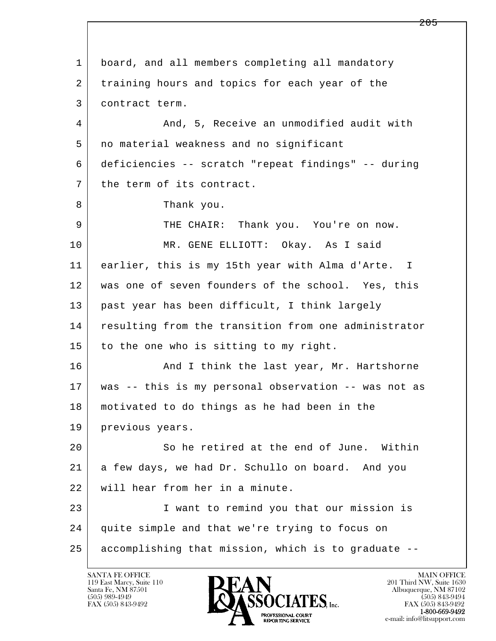l  $\overline{\phantom{a}}$  1 board, and all members completing all mandatory 2 training hours and topics for each year of the 3 contract term. 4 And, 5, Receive an unmodified audit with 5 no material weakness and no significant 6 deficiencies -- scratch "repeat findings" -- during 7 the term of its contract. 8 Thank you. 9 THE CHAIR: Thank you. You're on now. 10 MR. GENE ELLIOTT: Okay. As I said 11 earlier, this is my 15th year with Alma d'Arte. I 12 was one of seven founders of the school. Yes, this 13 past year has been difficult, I think largely 14 resulting from the transition from one administrator 15 to the one who is sitting to my right. 16 And I think the last year, Mr. Hartshorne 17 was -- this is my personal observation -- was not as 18 motivated to do things as he had been in the 19 | previous years. 20 So he retired at the end of June. Within 21 a few days, we had Dr. Schullo on board. And you 22 will hear from her in a minute. 23 I want to remind you that our mission is 24 quite simple and that we're trying to focus on 25 accomplishing that mission, which is to graduate --

119 East Marcy, Suite 110<br>Santa Fe, NM 87501

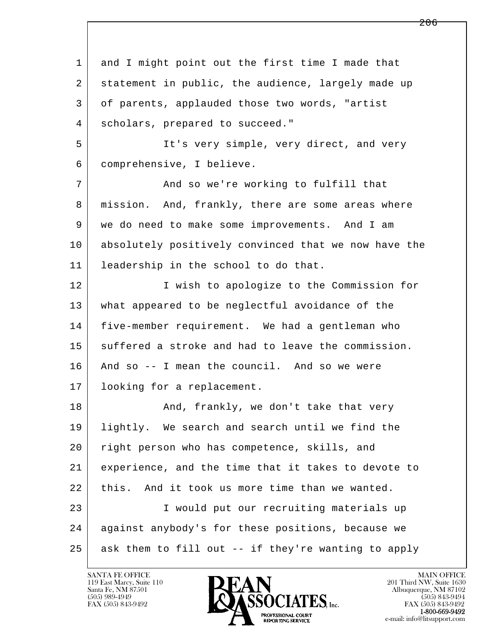l  $\overline{\phantom{a}}$ 1 and I might point out the first time I made that 2 statement in public, the audience, largely made up 3 of parents, applauded those two words, "artist 4 scholars, prepared to succeed." 5 | Tt's very simple, very direct, and very 6 comprehensive, I believe. 7 And so we're working to fulfill that 8 | mission. And, frankly, there are some areas where 9 we do need to make some improvements. And I am 10 absolutely positively convinced that we now have the 11 leadership in the school to do that. 12 I wish to apologize to the Commission for 13 what appeared to be neglectful avoidance of the 14 five-member requirement. We had a gentleman who 15 suffered a stroke and had to leave the commission. 16 And so -- I mean the council. And so we were 17 looking for a replacement. 18 | The Rand, frankly, we don't take that very 19 lightly. We search and search until we find the 20 right person who has competence, skills, and 21 experience, and the time that it takes to devote to 22 | this. And it took us more time than we wanted. 23 I would put our recruiting materials up 24 against anybody's for these positions, because we  $25$  ask them to fill out  $-$  if they're wanting to apply

119 East Marcy, Suite 110<br>Santa Fe, NM 87501



FAX (505) 843-9492<br>**1-800-669-9492**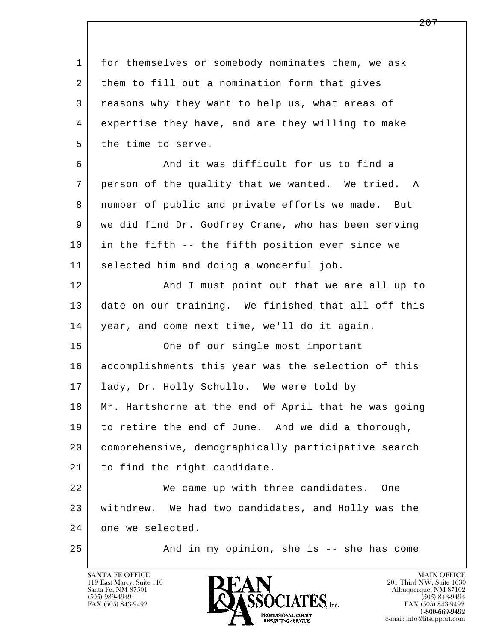l  $\overline{\phantom{a}}$  1 for themselves or somebody nominates them, we ask 2 them to fill out a nomination form that gives 3 reasons why they want to help us, what areas of 4 expertise they have, and are they willing to make 5 the time to serve. 6 And it was difficult for us to find a 7 person of the quality that we wanted. We tried. A 8 number of public and private efforts we made. But 9 we did find Dr. Godfrey Crane, who has been serving 10 in the fifth -- the fifth position ever since we 11 selected him and doing a wonderful job. 12 And I must point out that we are all up to 13 date on our training. We finished that all off this 14 year, and come next time, we'll do it again. 15 One of our single most important 16 accomplishments this year was the selection of this 17 | lady, Dr. Holly Schullo. We were told by 18 Mr. Hartshorne at the end of April that he was going 19 to retire the end of June. And we did a thorough, 20 comprehensive, demographically participative search 21 | to find the right candidate. 22 We came up with three candidates. One 23 withdrew. We had two candidates, and Holly was the 24 one we selected. 25 And in my opinion, she is -- she has come

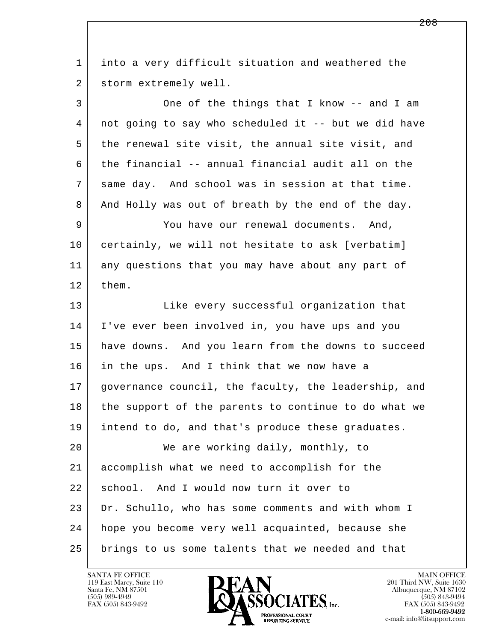| 1  | into a very difficult situation and weathered the    |
|----|------------------------------------------------------|
| 2  | storm extremely well.                                |
| 3  | One of the things that I know -- and I am            |
| 4  | not going to say who scheduled it -- but we did have |
| 5  | the renewal site visit, the annual site visit, and   |
| 6  | the financial -- annual financial audit all on the   |
| 7  | same day. And school was in session at that time.    |
| 8  | And Holly was out of breath by the end of the day.   |
| 9  | You have our renewal documents. And,                 |
| 10 | certainly, we will not hesitate to ask [verbatim]    |
| 11 | any questions that you may have about any part of    |
| 12 | them.                                                |
| 13 | Like every successful organization that              |
| 14 | I've ever been involved in, you have ups and you     |
| 15 | have downs. And you learn from the downs to succeed  |
| 16 | in the ups. And I think that we now have a           |
| 17 | governance council, the faculty, the leadership, and |
| 18 | the support of the parents to continue to do what we |
| 19 | intend to do, and that's produce these graduates.    |
| 20 | We are working daily, monthly, to                    |
| 21 | accomplish what we need to accomplish for the        |
| 22 | school. And I would now turn it over to              |
| 23 | Dr. Schullo, who has some comments and with whom I   |
| 24 | hope you become very well acquainted, because she    |
| 25 | brings to us some talents that we needed and that    |

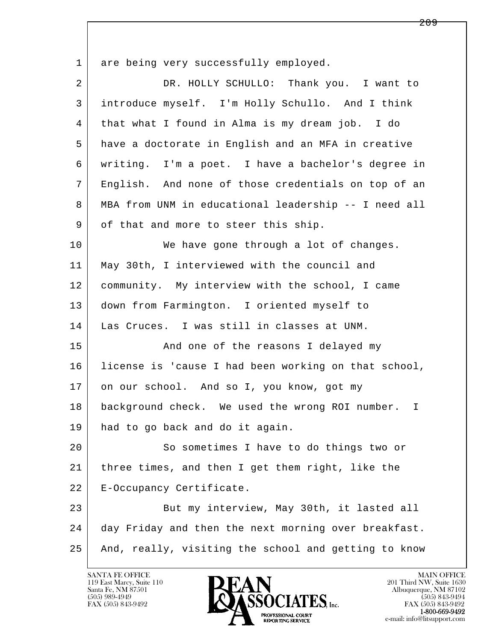1 are being very successfully employed. 2 DR. HOLLY SCHULLO: Thank you. I want to 3 introduce myself. I'm Holly Schullo. And I think 4 that what I found in Alma is my dream job. I do 5 have a doctorate in English and an MFA in creative 6 writing. I'm a poet. I have a bachelor's degree in 7 English. And none of those credentials on top of an 8 MBA from UNM in educational leadership -- I need all 9 of that and more to steer this ship. 10 We have gone through a lot of changes. 11 May 30th, I interviewed with the council and 12 community. My interview with the school, I came 13 down from Farmington. I oriented myself to 14 Las Cruces. I was still in classes at UNM. 15 | The Sand one of the reasons I delayed my 16 license is 'cause I had been working on that school, 17 on our school. And so I, you know, got my 18 background check. We used the wrong ROI number. I 19 had to go back and do it again. 20 So sometimes I have to do things two or 21 three times, and then I get them right, like the

22 | E-Occupancy Certificate.

l  $\overline{\phantom{a}}$ 23 But my interview, May 30th, it lasted all 24 day Friday and then the next morning over breakfast. 25 And, really, visiting the school and getting to know

119 East Marcy, Suite 110<br>Santa Fe, NM 87501

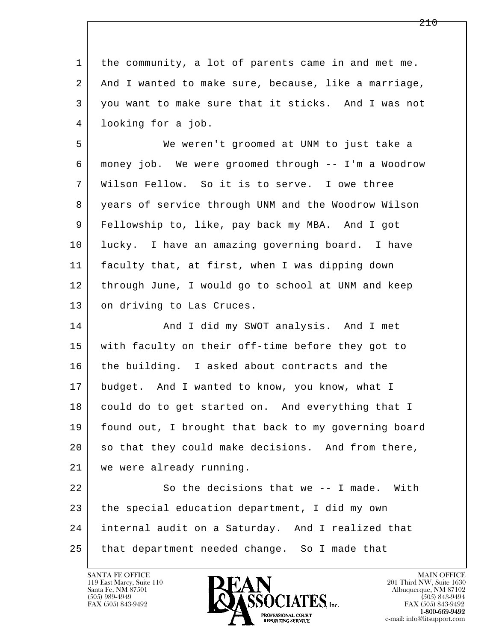l  $\overline{\phantom{a}}$  1 the community, a lot of parents came in and met me. 2 And I wanted to make sure, because, like a marriage, 3 you want to make sure that it sticks. And I was not 4 looking for a job. 5 We weren't groomed at UNM to just take a 6 money job. We were groomed through -- I'm a Woodrow 7 Wilson Fellow. So it is to serve. I owe three 8 years of service through UNM and the Woodrow Wilson 9 Fellowship to, like, pay back my MBA. And I got 10 lucky. I have an amazing governing board. I have 11 faculty that, at first, when I was dipping down 12 through June, I would go to school at UNM and keep 13 on driving to Las Cruces. 14 And I did my SWOT analysis. And I met 15 with faculty on their off-time before they got to 16 the building. I asked about contracts and the 17 budget. And I wanted to know, you know, what I 18 could do to get started on. And everything that I 19 found out, I brought that back to my governing board 20 so that they could make decisions. And from there, 21 we were already running. 22 So the decisions that we -- I made. With 23 the special education department, I did my own 24 internal audit on a Saturday. And I realized that 25 that department needed change. So I made that

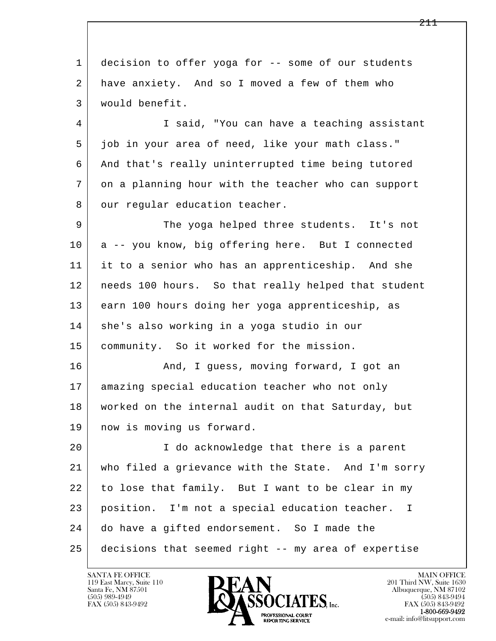l  $\overline{\phantom{a}}$  1 decision to offer yoga for -- some of our students 2 have anxiety. And so I moved a few of them who 3 would benefit. 4 I said, "You can have a teaching assistant 5 job in your area of need, like your math class." 6 | And that's really uninterrupted time being tutored 7 on a planning hour with the teacher who can support 8 our regular education teacher. 9 The yoga helped three students. It's not 10 a -- you know, big offering here. But I connected 11 it to a senior who has an apprenticeship. And she 12 needs 100 hours. So that really helped that student 13 earn 100 hours doing her yoga apprenticeship, as 14 she's also working in a yoga studio in our 15 | community. So it worked for the mission. 16 And, I quess, moving forward, I got an 17 amazing special education teacher who not only 18 worked on the internal audit on that Saturday, but 19 now is moving us forward. 20 I do acknowledge that there is a parent 21 who filed a grievance with the State. And I'm sorry 22 to lose that family. But I want to be clear in my 23 position. I'm not a special education teacher. I 24 do have a gifted endorsement. So I made the 25 decisions that seemed right -- my area of expertise

119 East Marcy, Suite 110<br>Santa Fe, NM 87501



FAX (505) 843-9492<br>**1-800-669-9492**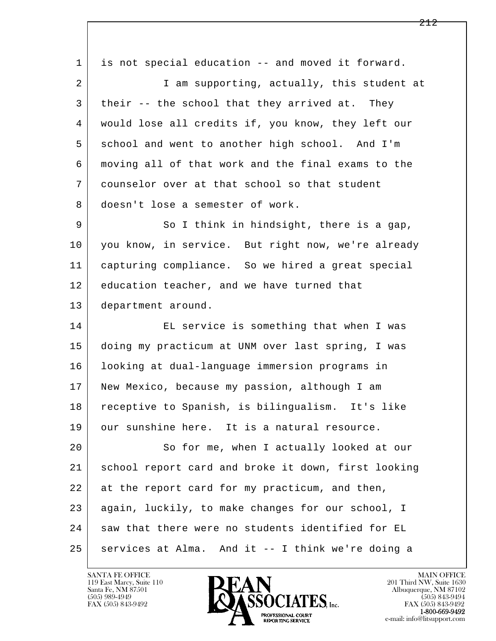l  $\overline{\phantom{a}}$  1 is not special education -- and moved it forward. 2 I am supporting, actually, this student at 3 their -- the school that they arrived at. They 4 would lose all credits if, you know, they left our 5 school and went to another high school. And I'm 6 moving all of that work and the final exams to the 7 counselor over at that school so that student 8 doesn't lose a semester of work. 9 So I think in hindsight, there is a gap, 10 you know, in service. But right now, we're already 11 capturing compliance. So we hired a great special 12 education teacher, and we have turned that 13 department around. 14 EL service is something that when I was 15 doing my practicum at UNM over last spring, I was 16 looking at dual-language immersion programs in 17 New Mexico, because my passion, although I am 18 receptive to Spanish, is bilingualism. It's like 19 our sunshine here. It is a natural resource. 20 So for me, when I actually looked at our 21 school report card and broke it down, first looking 22 at the report card for my practicum, and then, 23 again, luckily, to make changes for our school, I 24 saw that there were no students identified for EL  $25$  services at Alma. And it -- I think we're doing a

119 East Marcy, Suite 110<br>Santa Fe, NM 87501

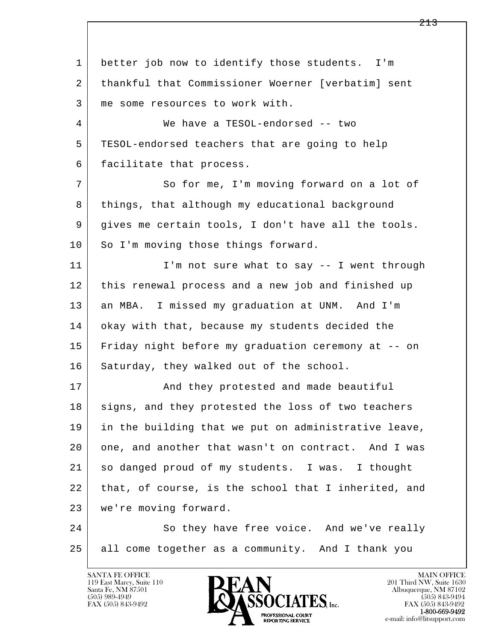l  $\overline{\phantom{a}}$  1 better job now to identify those students. I'm 2 thankful that Commissioner Woerner [verbatim] sent 3 | me some resources to work with. 4 We have a TESOL-endorsed -- two 5 TESOL-endorsed teachers that are going to help 6 facilitate that process. 7 So for me, I'm moving forward on a lot of 8 | things, that although my educational background 9 gives me certain tools, I don't have all the tools. 10 So I'm moving those things forward. 11 | I'm not sure what to say -- I went through 12 this renewal process and a new job and finished up 13 an MBA. I missed my graduation at UNM. And I'm 14 okay with that, because my students decided the 15 Friday night before my graduation ceremony at -- on 16 Saturday, they walked out of the school. 17 | And they protested and made beautiful 18 signs, and they protested the loss of two teachers 19 in the building that we put on administrative leave, 20 one, and another that wasn't on contract. And I was 21 so danged proud of my students. I was. I thought 22 that, of course, is the school that I inherited, and 23 we're moving forward. 24 So they have free voice. And we've really 25 all come together as a community. And I thank you

119 East Marcy, Suite 110<br>Santa Fe, NM 87501

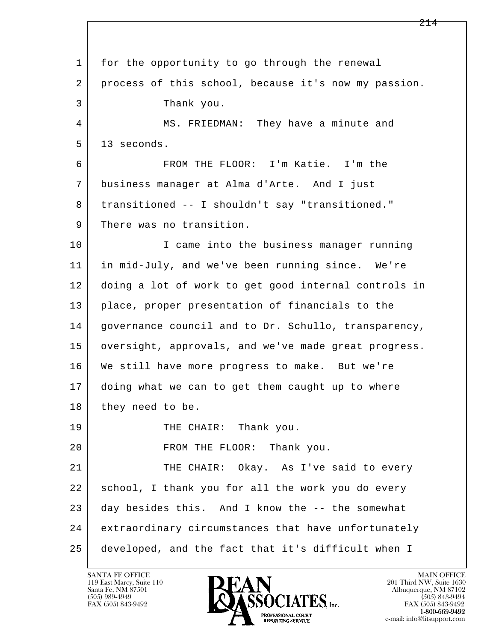l  $\overline{\phantom{a}}$  1 for the opportunity to go through the renewal 2 | process of this school, because it's now my passion. 3 Thank you. 4 MS. FRIEDMAN: They have a minute and  $5 \mid 13$  seconds. 6 FROM THE FLOOR: I'm Katie. I'm the 7 business manager at Alma d'Arte. And I just 8 | transitioned -- I shouldn't say "transitioned." 9 There was no transition. 10 I came into the business manager running 11 in mid-July, and we've been running since. We're 12 doing a lot of work to get good internal controls in 13 place, proper presentation of financials to the 14 | governance council and to Dr. Schullo, transparency, 15 | oversight, approvals, and we've made great progress. 16 We still have more progress to make. But we're 17 doing what we can to get them caught up to where 18 they need to be. 19 THE CHAIR: Thank you. 20 FROM THE FLOOR: Thank you. 21 THE CHAIR: Okay. As I've said to every 22 school, I thank you for all the work you do every 23 day besides this. And I know the -- the somewhat 24 extraordinary circumstances that have unfortunately 25 developed, and the fact that it's difficult when I

119 East Marcy, Suite 110<br>Santa Fe, NM 87501

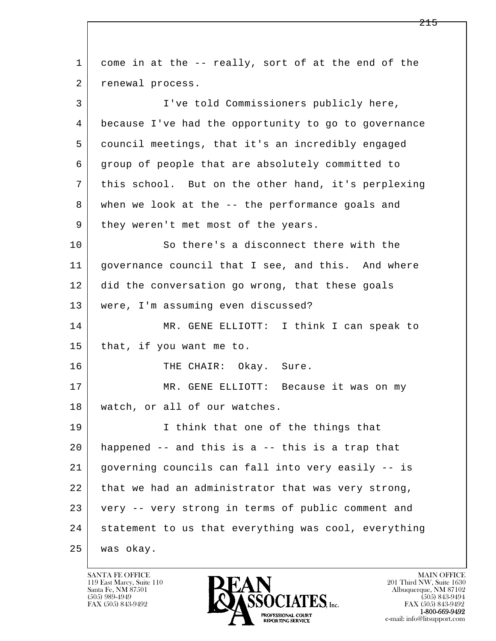l  $\overline{\phantom{a}}$  1 come in at the -- really, sort of at the end of the 2 | renewal process. 3 I've told Commissioners publicly here, 4 because I've had the opportunity to go to governance 5 council meetings, that it's an incredibly engaged 6 group of people that are absolutely committed to 7 this school. But on the other hand, it's perplexing 8 when we look at the -- the performance goals and 9 | they weren't met most of the years. 10 So there's a disconnect there with the 11 | governance council that I see, and this. And where 12 did the conversation go wrong, that these goals 13 were, I'm assuming even discussed? 14 MR. GENE ELLIOTT: I think I can speak to 15 that, if you want me to. 16 THE CHAIR: Okay. Sure. 17 | MR. GENE ELLIOTT: Because it was on my 18 watch, or all of our watches. 19 | I think that one of the things that 20 happened -- and this is a -- this is a trap that 21 governing councils can fall into very easily -- is 22 that we had an administrator that was very strong, 23 very -- very strong in terms of public comment and 24 statement to us that everything was cool, everything 25 was okay.

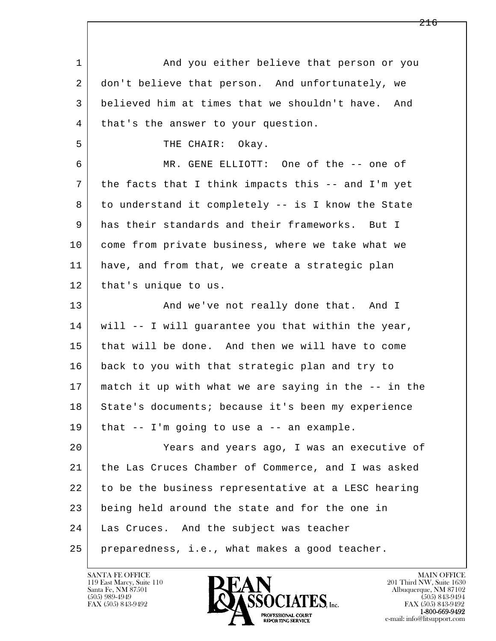| $\mathbf 1$ | And you either believe that person or you            |
|-------------|------------------------------------------------------|
| 2           | don't believe that person. And unfortunately, we     |
| 3           | believed him at times that we shouldn't have.<br>And |
| 4           | that's the answer to your question.                  |
| 5           | THE CHAIR: Okay.                                     |
| 6           | MR. GENE ELLIOTT: One of the -- one of               |
| 7           | the facts that I think impacts this -- and I'm yet   |
| 8           | to understand it completely -- is I know the State   |
| 9           | has their standards and their frameworks. But I      |
| 10          | come from private business, where we take what we    |
| 11          | have, and from that, we create a strategic plan      |
| 12          | that's unique to us.                                 |
| 13          | And we've not really done that. And I                |
| 14          | will -- I will guarantee you that within the year,   |
| 15          | that will be done. And then we will have to come     |
| 16          | back to you with that strategic plan and try to      |
| 17          | match it up with what we are saying in the -- in the |
| 18          | State's documents; because it's been my experience   |
| 19          | that $--$ I'm going to use a $--$ an example.        |
| 20          | Years and years ago, I was an executive of           |
| 21          | the Las Cruces Chamber of Commerce, and I was asked  |
| 22          | to be the business representative at a LESC hearing  |
| 23          | being held around the state and for the one in       |
| 24          | Las Cruces. And the subject was teacher              |
| 25          | preparedness, i.e., what makes a good teacher.       |

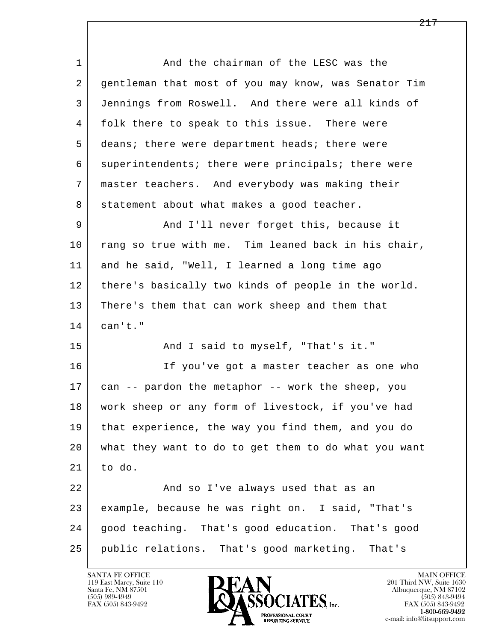l  $\overline{\phantom{a}}$ 1 and the chairman of the LESC was the 2 gentleman that most of you may know, was Senator Tim 3 Jennings from Roswell. And there were all kinds of 4 folk there to speak to this issue. There were 5 deans; there were department heads; there were 6 superintendents; there were principals; there were 7 master teachers. And everybody was making their 8 statement about what makes a good teacher. 9 And I'll never forget this, because it 10 rang so true with me. Tim leaned back in his chair, 11 and he said, "Well, I learned a long time ago 12 there's basically two kinds of people in the world. 13 There's them that can work sheep and them that  $14$  can't." 15 | That's it." And I said to myself, "That's it." 16 If you've got a master teacher as one who 17 can -- pardon the metaphor -- work the sheep, you 18 work sheep or any form of livestock, if you've had 19 that experience, the way you find them, and you do 20 what they want to do to get them to do what you want  $21$  to do. 22 And so I've always used that as an 23 example, because he was right on. I said, "That's 24 good teaching. That's good education. That's good 25 public relations. That's good marketing. That's

119 East Marcy, Suite 110<br>Santa Fe, NM 87501



FAX (505) 843-9492<br>**1-800-669-9492**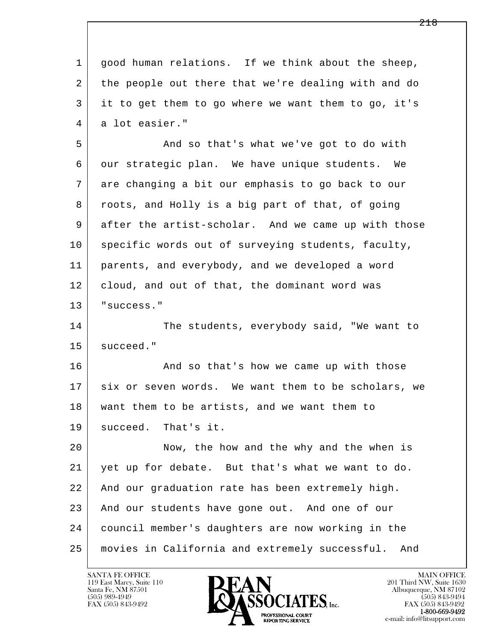l  $\overline{\phantom{a}}$  1 good human relations. If we think about the sheep, 2 the people out there that we're dealing with and do 3 it to get them to go where we want them to go, it's 4 a lot easier." 5 And so that's what we've got to do with 6 our strategic plan. We have unique students. We 7 are changing a bit our emphasis to go back to our 8 | roots, and Holly is a big part of that, of going 9 after the artist-scholar. And we came up with those 10 specific words out of surveying students, faculty, 11 parents, and everybody, and we developed a word 12 cloud, and out of that, the dominant word was 13 | "success." 14 The students, everybody said, "We want to 15 | succeed." 16 And so that's how we came up with those 17 six or seven words. We want them to be scholars, we 18 want them to be artists, and we want them to 19 succeed. That's it. 20 Now, the how and the why and the when is 21 yet up for debate. But that's what we want to do. 22 And our graduation rate has been extremely high. 23 And our students have gone out. And one of our 24 council member's daughters are now working in the 25 movies in California and extremely successful. And

119 East Marcy, Suite 110<br>Santa Fe, NM 87501



FAX (505) 843-9492<br>1-800-669-9492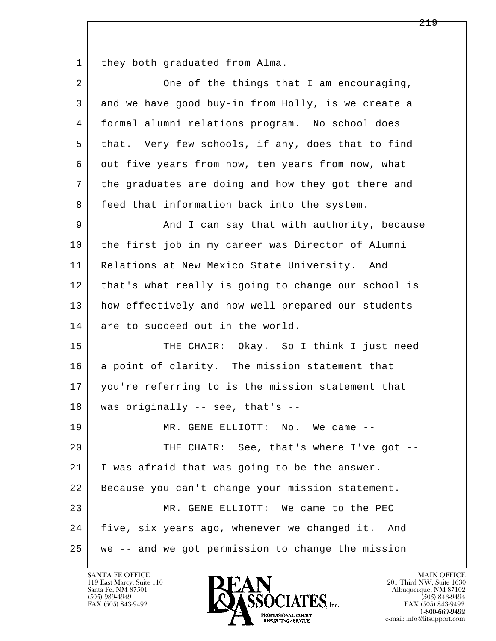1 they both graduated from Alma.

| 2  | One of the things that I am encouraging,            |
|----|-----------------------------------------------------|
| 3  | and we have good buy-in from Holly, is we create a  |
| 4  | formal alumni relations program. No school does     |
| 5  | that. Very few schools, if any, does that to find   |
| 6  | out five years from now, ten years from now, what   |
| 7  | the graduates are doing and how they got there and  |
| 8  | feed that information back into the system.         |
| 9  | And I can say that with authority, because          |
| 10 | the first job in my career was Director of Alumni   |
| 11 | Relations at New Mexico State University. And       |
| 12 | that's what really is going to change our school is |
| 13 | how effectively and how well-prepared our students  |
| 14 | are to succeed out in the world.                    |
| 15 | THE CHAIR: Okay. So I think I just need             |
| 16 | a point of clarity. The mission statement that      |
| 17 | you're referring to is the mission statement that   |
| 18 | was originally -- see, that's --                    |
| 19 | MR. GENE ELLIOTT: No.<br>We came                    |
| 20 | THE CHAIR: See, that's where I've got --            |
| 21 | I was afraid that was going to be the answer.       |
| 22 | Because you can't change your mission statement.    |
| 23 | MR. GENE ELLIOTT: We came to the PEC                |
| 24 | five, six years ago, whenever we changed it. And    |
| 25 | we -- and we got permission to change the mission   |

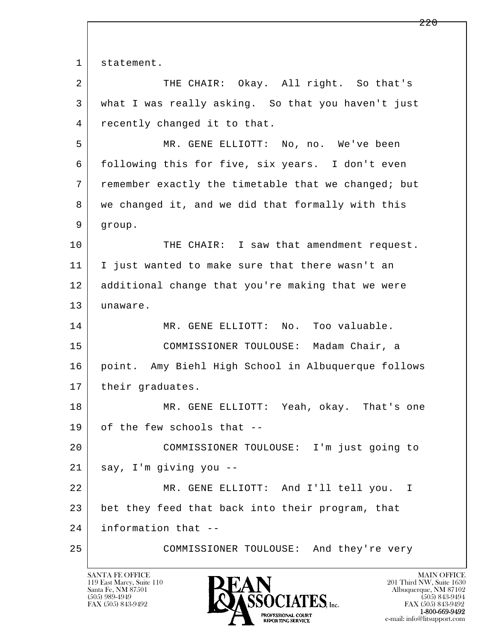l  $\overline{\phantom{a}}$ 1 statement. 2 THE CHAIR: Okay. All right. So that's 3 what I was really asking. So that you haven't just 4 recently changed it to that. 5 MR. GENE ELLIOTT: No, no. We've been 6 following this for five, six years. I don't even 7 remember exactly the timetable that we changed; but 8 we changed it, and we did that formally with this 9 group. 10 THE CHAIR: I saw that amendment request. 11 I just wanted to make sure that there wasn't an 12 additional change that you're making that we were 13 unaware. 14 MR. GENE ELLIOTT: No. Too valuable. 15 COMMISSIONER TOULOUSE: Madam Chair, a 16 point. Amy Biehl High School in Albuquerque follows 17 | their graduates. 18 MR. GENE ELLIOTT: Yeah, okay. That's one 19 of the few schools that -- 20 COMMISSIONER TOULOUSE: I'm just going to 21 say, I'm giving you -- 22 MR. GENE ELLIOTT: And I'll tell you. I 23 bet they feed that back into their program, that 24 information that -- 25 COMMISSIONER TOULOUSE: And they're very

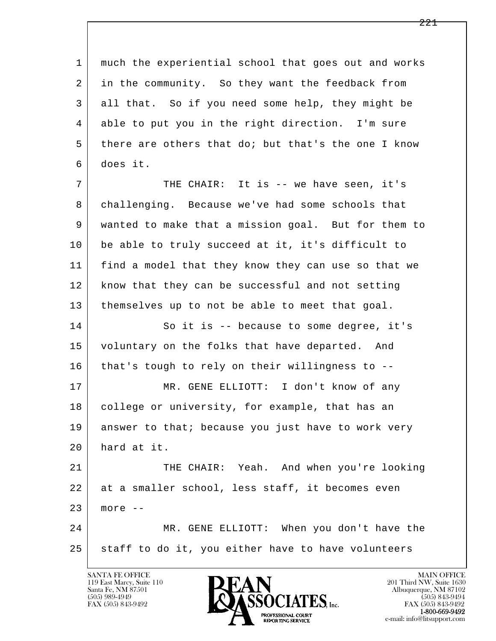l  $\overline{\phantom{a}}$  1 much the experiential school that goes out and works 2 in the community. So they want the feedback from 3 all that. So if you need some help, they might be 4 able to put you in the right direction. I'm sure 5 there are others that do; but that's the one I know 6 does it. 7 THE CHAIR: It is -- we have seen, it's 8 challenging. Because we've had some schools that 9 wanted to make that a mission goal. But for them to 10 be able to truly succeed at it, it's difficult to 11 find a model that they know they can use so that we 12 know that they can be successful and not setting 13 | themselves up to not be able to meet that goal. 14 So it is -- because to some degree, it's 15 voluntary on the folks that have departed. And 16 that's tough to rely on their willingness to --17 | MR. GENE ELLIOTT: I don't know of any 18 college or university, for example, that has an 19 answer to that; because you just have to work very 20 hard at it. 21 THE CHAIR: Yeah. And when you're looking 22 at a smaller school, less staff, it becomes even 23 more -- 24 MR. GENE ELLIOTT: When you don't have the 25 staff to do it, you either have to have volunteers

119 East Marcy, Suite 110<br>Santa Fe, NM 87501

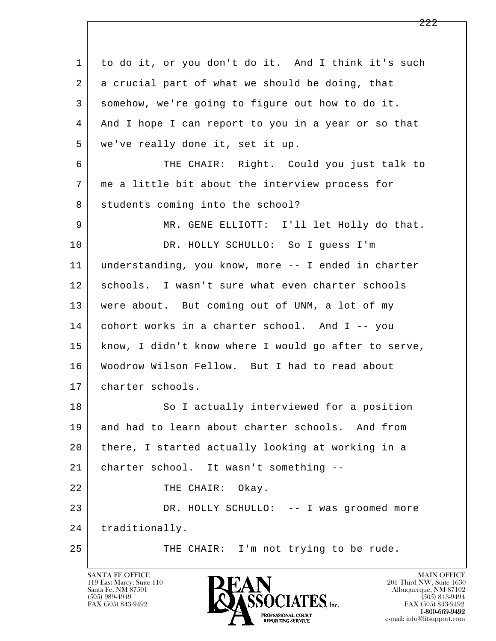l  $\overline{\phantom{a}}$  1 to do it, or you don't do it. And I think it's such 2 a crucial part of what we should be doing, that 3 somehow, we're going to figure out how to do it. 4 And I hope I can report to you in a year or so that 5 we've really done it, set it up. 6 THE CHAIR: Right. Could you just talk to 7 me a little bit about the interview process for 8 students coming into the school? 9 MR. GENE ELLIOTT: I'll let Holly do that. 10 DR. HOLLY SCHULLO: So I guess I'm 11 understanding, you know, more -- I ended in charter 12 schools. I wasn't sure what even charter schools 13 | were about. But coming out of UNM, a lot of my 14 cohort works in a charter school. And I -- you 15 know, I didn't know where I would go after to serve, 16 Woodrow Wilson Fellow. But I had to read about 17 charter schools. 18 So I actually interviewed for a position 19 and had to learn about charter schools. And from 20 there, I started actually looking at working in a 21 charter school. It wasn't something -- 22 THE CHAIR: Okay. 23 DR. HOLLY SCHULLO: -- I was groomed more 24 | traditionally. 25 | THE CHAIR: I'm not trying to be rude.

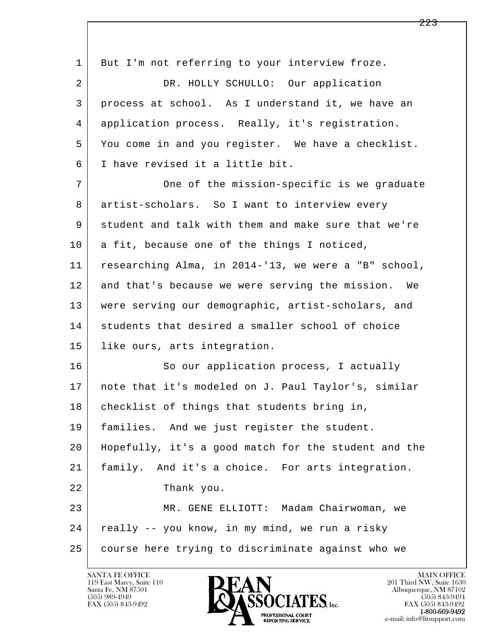| 1  | But I'm not referring to your interview froze.       |
|----|------------------------------------------------------|
| 2  | DR. HOLLY SCHULLO: Our application                   |
| 3  | process at school. As I understand it, we have an    |
| 4  | application process. Really, it's registration.      |
| 5  | You come in and you register. We have a checklist.   |
| 6  | I have revised it a little bit.                      |
| 7  | One of the mission-specific is we graduate           |
| 8  | artist-scholars. So I want to interview every        |
| 9  | student and talk with them and make sure that we're  |
| 10 | a fit, because one of the things I noticed,          |
| 11 | researching Alma, in 2014-'13, we were a "B" school, |
| 12 | and that's because we were serving the mission. We   |
| 13 | were serving our demographic, artist-scholars, and   |
| 14 | students that desired a smaller school of choice     |
| 15 | like ours, arts integration.                         |
| 16 | So our application process, I actually               |
| 17 | note that it's modeled on J. Paul Taylor's, similar  |
| 18 | checklist of things that students bring in,          |
| 19 | families. And we just register the student.          |
| 20 | Hopefully, it's a good match for the student and the |
| 21 | family. And it's a choice. For arts integration.     |
| 22 | Thank you.                                           |
| 23 | MR. GENE ELLIOTT: Madam Chairwoman, we               |
| 24 | really -- you know, in my mind, we run a risky       |
| 25 | course here trying to discriminate against who we    |

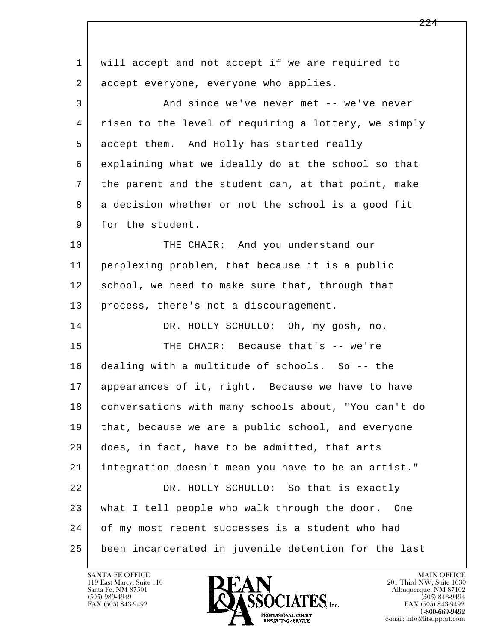| 1  | will accept and not accept if we are required to     |
|----|------------------------------------------------------|
| 2  | accept everyone, everyone who applies.               |
| 3  | And since we've never met -- we've never             |
| 4  | risen to the level of requiring a lottery, we simply |
| 5  | accept them. And Holly has started really            |
| 6  | explaining what we ideally do at the school so that  |
| 7  | the parent and the student can, at that point, make  |
| 8  | a decision whether or not the school is a good fit   |
| 9  | for the student.                                     |
| 10 | THE CHAIR: And you understand our                    |
| 11 | perplexing problem, that because it is a public      |
| 12 | school, we need to make sure that, through that      |
| 13 | process, there's not a discouragement.               |
| 14 | DR. HOLLY SCHULLO: Oh, my gosh, no.                  |
| 15 | THE CHAIR: Because that's -- we're                   |
| 16 | dealing with a multitude of schools. So -- the       |
| 17 | appearances of it, right. Because we have to have    |
| 18 | conversations with many schools about, "You can't do |
| 19 | that, because we are a public school, and everyone   |
| 20 | does, in fact, have to be admitted, that arts        |
| 21 | integration doesn't mean you have to be an artist."  |
| 22 | DR. HOLLY SCHULLO: So that is exactly                |
| 23 | what I tell people who walk through the door.<br>One |
| 24 | of my most recent successes is a student who had     |
| 25 | been incarcerated in juvenile detention for the last |

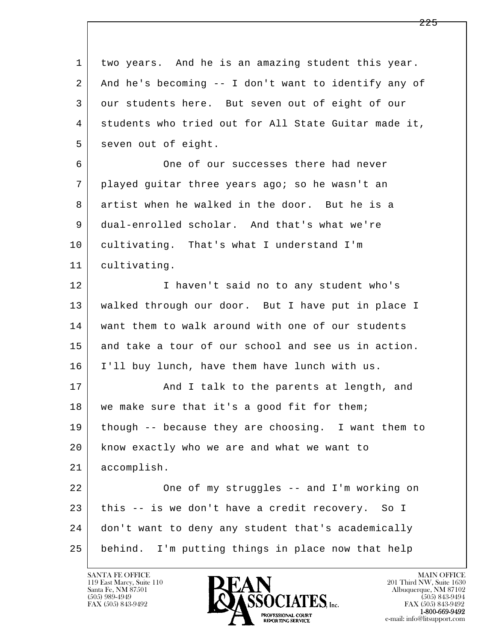l  $\overline{\phantom{a}}$  1 two years. And he is an amazing student this year. 2 And he's becoming -- I don't want to identify any of 3 our students here. But seven out of eight of our 4 students who tried out for All State Guitar made it, 5 seven out of eight. 6 One of our successes there had never 7 played guitar three years ago; so he wasn't an 8 artist when he walked in the door. But he is a 9 dual-enrolled scholar. And that's what we're 10 cultivating. That's what I understand I'm 11 cultivating. 12 I haven't said no to any student who's 13 walked through our door. But I have put in place I 14 want them to walk around with one of our students 15 and take a tour of our school and see us in action. 16 I'll buy lunch, have them have lunch with us. 17 | The Rand I talk to the parents at length, and 18 | we make sure that it's a good fit for them; 19 though -- because they are choosing. I want them to 20 know exactly who we are and what we want to 21 accomplish. 22 One of my struggles -- and I'm working on 23 this -- is we don't have a credit recovery. So I 24 don't want to deny any student that's academically 25 behind. I'm putting things in place now that help

119 East Marcy, Suite 110<br>Santa Fe, NM 87501



FAX (505) 843-9492<br>**1-800-669-9492**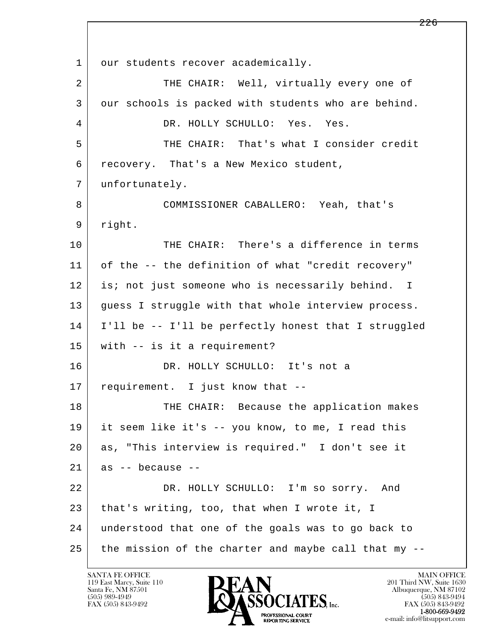l  $\overline{\phantom{a}}$ 1 our students recover academically. 2 THE CHAIR: Well, virtually every one of 3 our schools is packed with students who are behind. 4 DR. HOLLY SCHULLO: Yes. Yes. 5 THE CHAIR: That's what I consider credit 6 recovery. That's a New Mexico student, 7 unfortunately. 8 COMMISSIONER CABALLERO: Yeah, that's 9 right. 10 THE CHAIR: There's a difference in terms 11 of the -- the definition of what "credit recovery" 12 is; not just someone who is necessarily behind. I 13 guess I struggle with that whole interview process. 14 I'll be -- I'll be perfectly honest that I struggled 15 with -- is it a requirement? 16 DR. HOLLY SCHULLO: It's not a 17 requirement. I just know that --18 THE CHAIR: Because the application makes 19 it seem like it's -- you know, to me, I read this 20 as, "This interview is required." I don't see it  $21$  as  $-$  because  $-$  22 DR. HOLLY SCHULLO: I'm so sorry. And 23 that's writing, too, that when I wrote it, I 24 understood that one of the goals was to go back to 25 the mission of the charter and maybe call that my --

119 East Marcy, Suite 110<br>Santa Fe, NM 87501

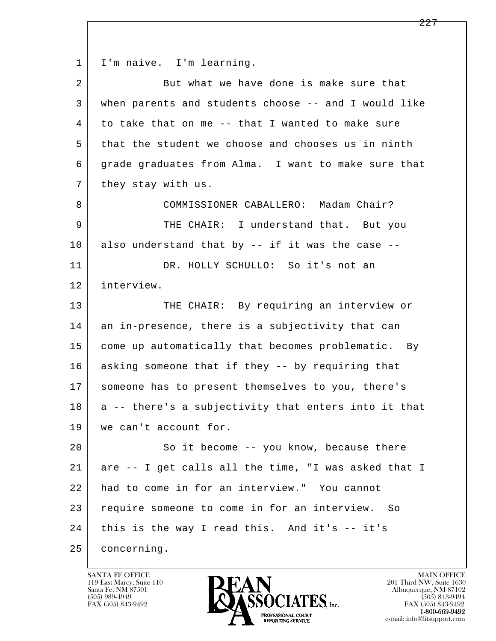1 | I'm naive. I'm learning.

| $\overline{a}$ | But what we have done is make sure that              |
|----------------|------------------------------------------------------|
| 3              | when parents and students choose -- and I would like |
| 4              | to take that on me -- that I wanted to make sure     |
| 5              | that the student we choose and chooses us in ninth   |
| 6              | grade graduates from Alma. I want to make sure that  |
| 7              | they stay with us.                                   |
| 8              | COMMISSIONER CABALLERO: Madam Chair?                 |
| 9              | THE CHAIR: I understand that. But you                |
| 10             | also understand that by -- if it was the case --     |
| 11             | DR. HOLLY SCHULLO: So it's not an                    |
| 12             | interview.                                           |
| 13             | THE CHAIR: By requiring an interview or              |
| 14             | an in-presence, there is a subjectivity that can     |
| 15             | come up automatically that becomes problematic. By   |
| 16             | asking someone that if they -- by requiring that     |
| 17             | someone has to present themselves to you, there's    |
| 18             | a -- there's a subjectivity that enters into it that |
| 19             | we can't account for.                                |
| 20             | So it become -- you know, because there              |
| 21             | are -- I get calls all the time, "I was asked that I |
| 22             | had to come in for an interview." You cannot         |
| 23             | require someone to come in for an interview. So      |
| 24             | this is the way I read this. And it's -- it's        |
| 25             | concerning.                                          |

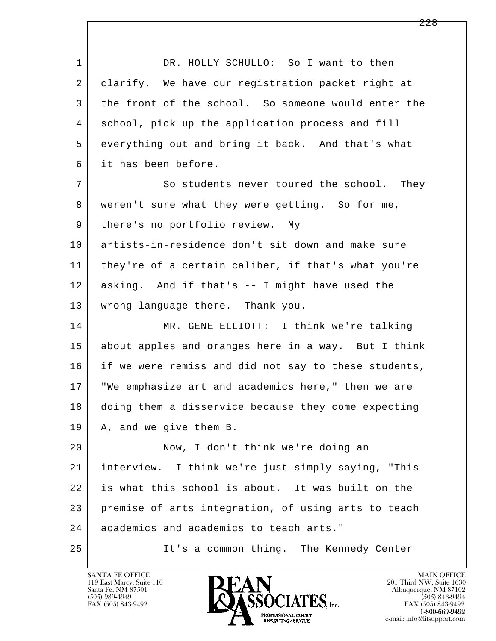l  $\overline{\phantom{a}}$ 1 DR. HOLLY SCHULLO: So I want to then 2 clarify. We have our registration packet right at 3 the front of the school. So someone would enter the 4 school, pick up the application process and fill 5 everything out and bring it back. And that's what 6 it has been before. 7 So students never toured the school. They 8 | weren't sure what they were getting. So for me, 9 | there's no portfolio review. My 10 artists-in-residence don't sit down and make sure 11 they're of a certain caliber, if that's what you're 12 asking. And if that's -- I might have used the 13 wrong language there. Thank you. 14 MR. GENE ELLIOTT: I think we're talking 15 about apples and oranges here in a way. But I think 16 if we were remiss and did not say to these students, 17 "We emphasize art and academics here," then we are 18 doing them a disservice because they come expecting 19 | A, and we give them B. 20 Now, I don't think we're doing an 21 interview. I think we're just simply saying, "This 22 is what this school is about. It was built on the 23 premise of arts integration, of using arts to teach 24 academics and academics to teach arts." 25 It's a common thing. The Kennedy Center

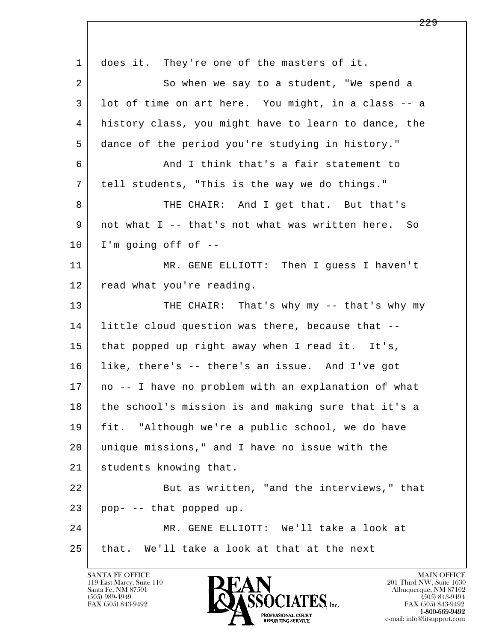| $\mathbf{1}$ | does it. They're one of the masters of it.           |
|--------------|------------------------------------------------------|
| 2            | So when we say to a student, "We spend a             |
| 3            | lot of time on art here. You might, in a class -- a  |
| 4            | history class, you might have to learn to dance, the |
| 5            | dance of the period you're studying in history."     |
| 6            | And I think that's a fair statement to               |
| 7            | tell students, "This is the way we do things."       |
| 8            | THE CHAIR: And I get that. But that's                |
| 9            | not what I -- that's not what was written here. So   |
| 10           | I'm going off of $-$ -                               |
| 11           | MR. GENE ELLIOTT: Then I guess I haven't             |
| 12           | read what you're reading.                            |
| 13           | THE CHAIR: That's why my -- that's why my            |
| 14           | little cloud question was there, because that --     |
| 15           | that popped up right away when I read it. It's,      |
| 16           | like, there's -- there's an issue. And I've got      |
| 17           | no -- I have no problem with an explanation of what  |
| 18           | the school's mission is and making sure that it's a  |
| 19           | fit. "Although we're a public school, we do have     |
| 20           | unique missions," and I have no issue with the       |
| 21           | students knowing that.                               |
| 22           | But as written, "and the interviews," that           |
| 23           | pop- -- that popped up.                              |
| 24           | MR. GENE ELLIOTT: We'll take a look at               |
| 25           | that. We'll take a look at that at the next          |

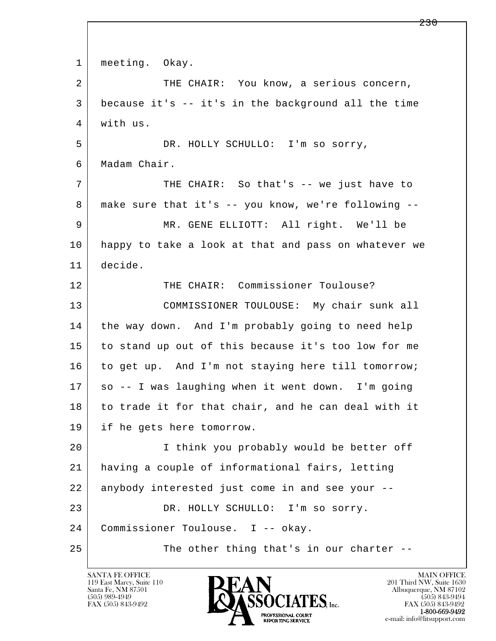l  $\overline{\phantom{a}}$ 1 | meeting. Okay. 2 THE CHAIR: You know, a serious concern, 3 because it's -- it's in the background all the time 4 with us. 5 DR. HOLLY SCHULLO: I'm so sorry, 6 Madam Chair. 7 THE CHAIR: So that's -- we just have to 8 | make sure that it's -- you know, we're following -- 9 MR. GENE ELLIOTT: All right. We'll be 10 happy to take a look at that and pass on whatever we 11 decide. 12 THE CHAIR: Commissioner Toulouse? 13 COMMISSIONER TOULOUSE: My chair sunk all 14 the way down. And I'm probably going to need help 15 to stand up out of this because it's too low for me 16 to get up. And I'm not staying here till tomorrow; 17 so -- I was laughing when it went down. I'm going 18 to trade it for that chair, and he can deal with it 19 if he gets here tomorrow. 20 I think you probably would be better off 21 having a couple of informational fairs, letting 22 anybody interested just come in and see your -- 23 DR. HOLLY SCHULLO: I'm so sorry. 24 Commissioner Toulouse. I -- okay. 25 The other thing that's in our charter --

119 East Marcy, Suite 110<br>Santa Fe, NM 87501

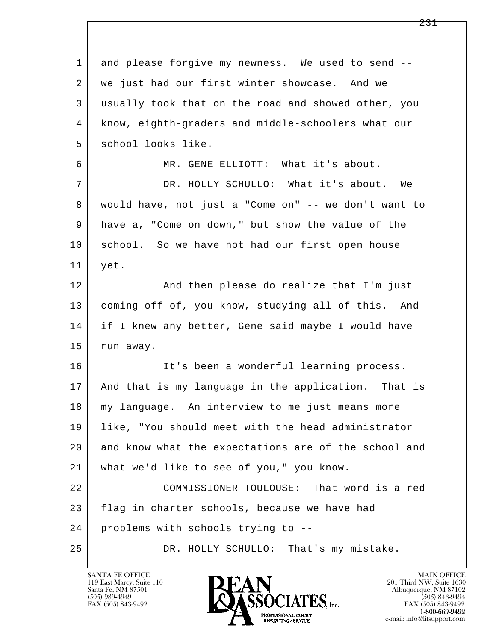l  $\overline{\phantom{a}}$ 1 and please forgive my newness. We used to send --2 | we just had our first winter showcase. And we 3 usually took that on the road and showed other, you 4 know, eighth-graders and middle-schoolers what our 5 school looks like. 6 MR. GENE ELLIOTT: What it's about. 7 DR. HOLLY SCHULLO: What it's about. We 8 would have, not just a "Come on" -- we don't want to 9 have a, "Come on down," but show the value of the 10 school. So we have not had our first open house 11 yet. 12 | And then please do realize that I'm just 13 coming off of, you know, studying all of this. And 14 if I knew any better, Gene said maybe I would have 15 | run away. 16 It's been a wonderful learning process. 17 | And that is my language in the application. That is 18 my language. An interview to me just means more 19 like, "You should meet with the head administrator 20 and know what the expectations are of the school and 21 what we'd like to see of you," you know. 22 COMMISSIONER TOULOUSE: That word is a red 23 flag in charter schools, because we have had 24 problems with schools trying to -- 25 DR. HOLLY SCHULLO: That's my mistake.

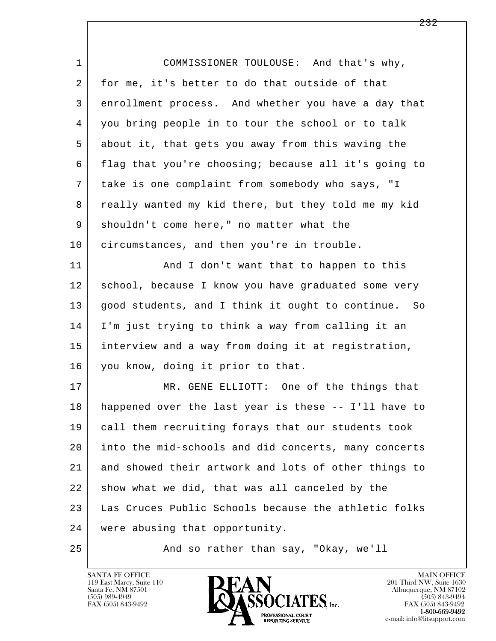| $\mathbf 1$ | COMMISSIONER TOULOUSE: And that's why,               |
|-------------|------------------------------------------------------|
| 2           | for me, it's better to do that outside of that       |
| 3           | enrollment process. And whether you have a day that  |
| 4           | you bring people in to tour the school or to talk    |
| 5           | about it, that gets you away from this waving the    |
| 6           | flag that you're choosing; because all it's going to |
| 7           | take is one complaint from somebody who says, "I     |
| 8           | really wanted my kid there, but they told me my kid  |
| 9           | shouldn't come here," no matter what the             |
| 10          | circumstances, and then you're in trouble.           |
| 11          | And I don't want that to happen to this              |
| 12          | school, because I know you have graduated some very  |
| 13          | good students, and I think it ought to continue. So  |
| 14          | I'm just trying to think a way from calling it an    |
| 15          | interview and a way from doing it at registration,   |
| 16          | you know, doing it prior to that.                    |
| 17          | MR. GENE ELLIOTT: One of the things that             |
| 18          | happened over the last year is these -- I'll have to |
| 19          | call them recruiting forays that our students took   |
| 20          | into the mid-schools and did concerts, many concerts |
| 21          | and showed their artwork and lots of other things to |
| 22          | show what we did, that was all canceled by the       |
| 23          | Las Cruces Public Schools because the athletic folks |
| 24          | were abusing that opportunity.                       |
| 25          | And so rather than say, "Okay, we'll                 |

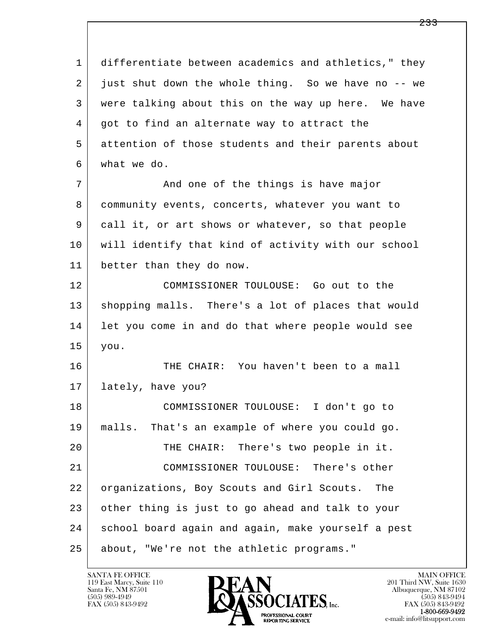l  $\overline{\phantom{a}}$  1 differentiate between academics and athletics," they 2 just shut down the whole thing. So we have no -- we 3 were talking about this on the way up here. We have 4 got to find an alternate way to attract the 5 attention of those students and their parents about 6 what we do. 7 And one of the things is have major 8 community events, concerts, whatever you want to 9 call it, or art shows or whatever, so that people 10 will identify that kind of activity with our school 11 better than they do now. 12 COMMISSIONER TOULOUSE: Go out to the 13 shopping malls. There's a lot of places that would 14 let you come in and do that where people would see 15 you. 16 THE CHAIR: You haven't been to a mall 17 lately, have you? 18 COMMISSIONER TOULOUSE: I don't go to 19 malls. That's an example of where you could go. 20 THE CHAIR: There's two people in it. 21 COMMISSIONER TOULOUSE: There's other 22 organizations, Boy Scouts and Girl Scouts. The 23 other thing is just to go ahead and talk to your 24 school board again and again, make yourself a pest 25 about, "We're not the athletic programs."

119 East Marcy, Suite 110<br>Santa Fe, NM 87501



FAX (505) 843-9492<br>1-800-669-9492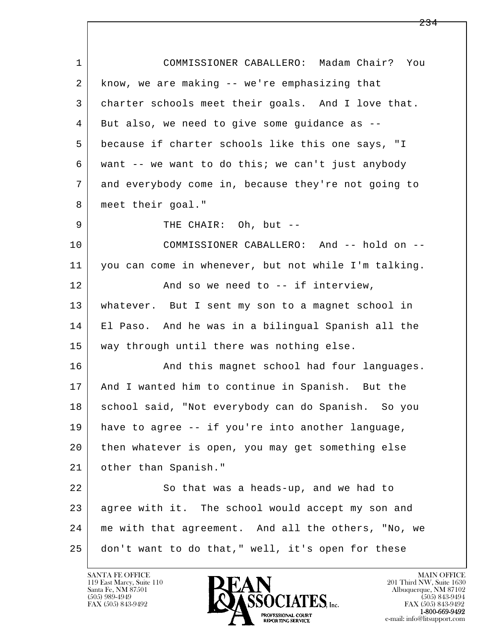| $\mathbf{1}$   | COMMISSIONER CABALLERO: Madam Chair? You             |
|----------------|------------------------------------------------------|
| $\overline{2}$ | know, we are making -- we're emphasizing that        |
| 3              | charter schools meet their goals. And I love that.   |
| 4              | But also, we need to give some guidance as --        |
| 5              | because if charter schools like this one says, "I    |
| 6              | want -- we want to do this; we can't just anybody    |
| 7              | and everybody come in, because they're not going to  |
| 8              | meet their goal."                                    |
| 9              | THE CHAIR: Oh, but --                                |
| 10             | COMMISSIONER CABALLERO: And -- hold on --            |
| 11             | you can come in whenever, but not while I'm talking. |
| 12             | And so we need to -- if interview,                   |
| 13             | whatever. But I sent my son to a magnet school in    |
| 14             | El Paso. And he was in a bilingual Spanish all the   |
| 15             | way through until there was nothing else.            |
| 16             | And this magnet school had four languages.           |
| 17             | And I wanted him to continue in Spanish. But the     |
| 18             | school said, "Not everybody can do Spanish. So you   |
| 19             | have to agree -- if you're into another language,    |
| 20             | then whatever is open, you may get something else    |
| 21             | other than Spanish."                                 |
| 22             | So that was a heads-up, and we had to                |
| 23             | agree with it. The school would accept my son and    |
| 24             | me with that agreement. And all the others, "No, we  |
| 25             | don't want to do that," well, it's open for these    |

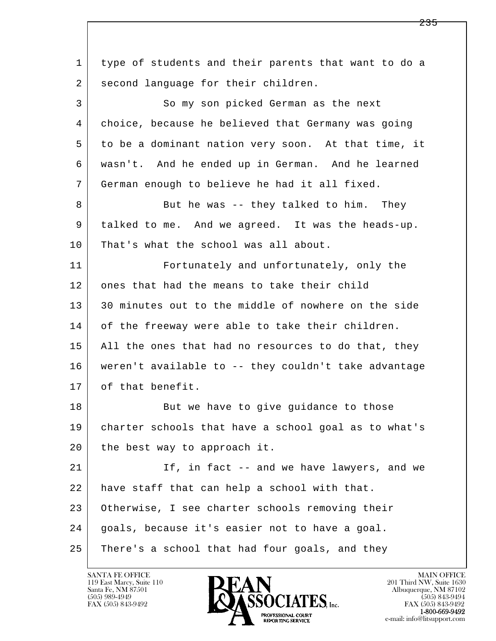l  $\overline{\phantom{a}}$  1 type of students and their parents that want to do a 2 | second language for their children. 3 So my son picked German as the next 4 choice, because he believed that Germany was going 5 to be a dominant nation very soon. At that time, it 6 wasn't. And he ended up in German. And he learned 7 German enough to believe he had it all fixed. 8 But he was -- they talked to him. They 9 talked to me. And we agreed. It was the heads-up. 10 That's what the school was all about. 11 Fortunately and unfortunately, only the 12 ones that had the means to take their child 13 30 minutes out to the middle of nowhere on the side 14 of the freeway were able to take their children. 15 | All the ones that had no resources to do that, they 16 weren't available to -- they couldn't take advantage 17 of that benefit. 18 But we have to give guidance to those 19 charter schools that have a school goal as to what's 20 the best way to approach it. 21 | Theorry Interview Theorry and we have lawyers, and we 22 | have staff that can help a school with that. 23 Otherwise, I see charter schools removing their 24 | goals, because it's easier not to have a goal. 25 There's a school that had four goals, and they

119 East Marcy, Suite 110<br>Santa Fe, NM 87501

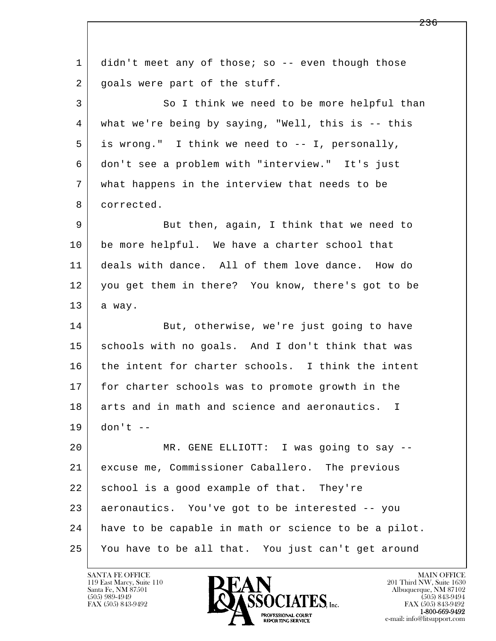| $\mathbf 1$ | didn't meet any of those; so -- even though those    |
|-------------|------------------------------------------------------|
| 2           | goals were part of the stuff.                        |
| 3           | So I think we need to be more helpful than           |
| 4           | what we're being by saying, "Well, this is -- this   |
| 5           | is wrong." I think we need to -- I, personally,      |
| 6           | don't see a problem with "interview." It's just      |
| 7           | what happens in the interview that needs to be       |
| 8           | corrected.                                           |
| 9           | But then, again, I think that we need to             |
| 10          | be more helpful. We have a charter school that       |
| 11          | deals with dance. All of them love dance. How do     |
| 12          | you get them in there? You know, there's got to be   |
| 13          | a way.                                               |
| 14          | But, otherwise, we're just going to have             |
| 15          | schools with no goals. And I don't think that was    |
| 16          | the intent for charter schools. I think the intent   |
| 17          | for charter schools was to promote growth in the     |
| 18          | arts and in math and science and aeronautics. I      |
| 19          | $don't --$                                           |
| 20          | MR. GENE ELLIOTT: I was going to say --              |
| 21          | excuse me, Commissioner Caballero. The previous      |
| 22          | school is a good example of that. They're            |
| 23          | aeronautics. You've got to be interested -- you      |
| 24          | have to be capable in math or science to be a pilot. |
| 25          | You have to be all that. You just can't get around   |
|             |                                                      |

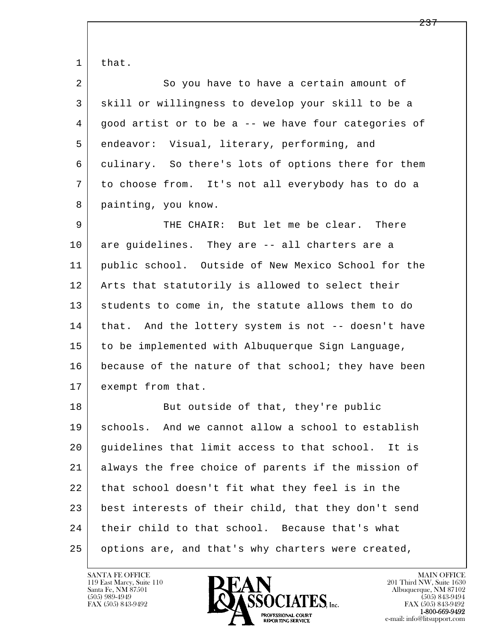| $\mathbf 1$ | that.                                                |
|-------------|------------------------------------------------------|
| 2           | So you have to have a certain amount of              |
| 3           | skill or willingness to develop your skill to be a   |
| 4           | good artist or to be a -- we have four categories of |
| 5           | endeavor: Visual, literary, performing, and          |
| 6           | culinary. So there's lots of options there for them  |
| 7           | to choose from. It's not all everybody has to do a   |
| 8           | painting, you know.                                  |
| 9           | THE CHAIR: But let me be clear. There                |
| 10          | are guidelines. They are -- all charters are a       |
| 11          | public school. Outside of New Mexico School for the  |
| 12          | Arts that statutorily is allowed to select their     |
| 13          | students to come in, the statute allows them to do   |
| 14          | that. And the lottery system is not -- doesn't have  |
| 15          | to be implemented with Albuquerque Sign Language,    |
| 16          | because of the nature of that school; they have been |
| 17          | exempt from that.                                    |
| 18          | But outside of that, they're public                  |
| 19          | schools. And we cannot allow a school to establish   |
| 20          | guidelines that limit access to that school. It is   |
| 21          | always the free choice of parents if the mission of  |
| 22          | that school doesn't fit what they feel is in the     |
| 23          | best interests of their child, that they don't send  |
| 24          | their child to that school. Because that's what      |
| 25          | options are, and that's why charters were created,   |

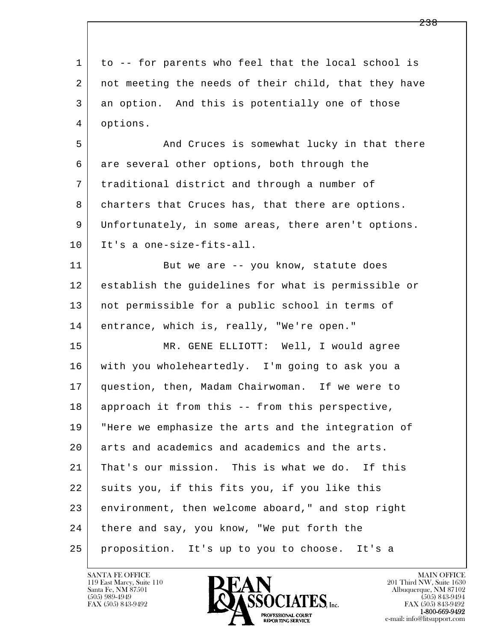l  $\overline{\phantom{a}}$  1 to -- for parents who feel that the local school is 2 not meeting the needs of their child, that they have 3 an option. And this is potentially one of those 4 options. 5 And Cruces is somewhat lucky in that there 6 are several other options, both through the 7 traditional district and through a number of 8 | charters that Cruces has, that there are options. 9 Unfortunately, in some areas, there aren't options. 10 It's a one-size-fits-all. 11 But we are -- you know, statute does 12 establish the guidelines for what is permissible or 13 not permissible for a public school in terms of 14 entrance, which is, really, "We're open." 15 MR. GENE ELLIOTT: Well, I would agree 16 with you wholeheartedly. I'm going to ask you a 17 question, then, Madam Chairwoman. If we were to 18 approach it from this -- from this perspective, 19 "Here we emphasize the arts and the integration of 20 arts and academics and academics and the arts. 21 | That's our mission. This is what we do. If this 22 suits you, if this fits you, if you like this 23 environment, then welcome aboard," and stop right 24 there and say, you know, "We put forth the 25 proposition. It's up to you to choose. It's a

119 East Marcy, Suite 110<br>Santa Fe, NM 87501



FAX (505) 843-9492<br>**1-800-669-9492**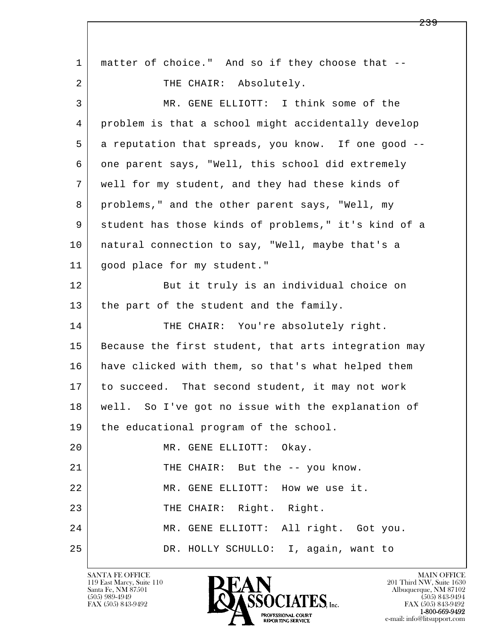| 1  | matter of choice." And so if they choose that --     |
|----|------------------------------------------------------|
| 2  | THE CHAIR: Absolutely.                               |
| 3  | MR. GENE ELLIOTT: I think some of the                |
| 4  | problem is that a school might accidentally develop  |
| 5  | a reputation that spreads, you know. If one good --  |
| 6  | one parent says, "Well, this school did extremely    |
| 7  | well for my student, and they had these kinds of     |
| 8  | problems," and the other parent says, "Well, my      |
| 9  | student has those kinds of problems," it's kind of a |
| 10 | natural connection to say, "Well, maybe that's a     |
| 11 | good place for my student."                          |
| 12 | But it truly is an individual choice on              |
| 13 | the part of the student and the family.              |
| 14 | THE CHAIR: You're absolutely right.                  |
| 15 | Because the first student, that arts integration may |
| 16 | have clicked with them, so that's what helped them   |
| 17 | to succeed. That second student, it may not work     |
| 18 | well. So I've got no issue with the explanation of   |
| 19 | the educational program of the school.               |
| 20 | MR. GENE ELLIOTT: Okay.                              |
| 21 | THE CHAIR: But the -- you know.                      |
| 22 | MR. GENE ELLIOTT: How we use it.                     |
| 23 | THE CHAIR: Right. Right.                             |
| 24 | MR. GENE ELLIOTT: All right. Got you.                |
| 25 | DR. HOLLY SCHULLO: I, again, want to                 |

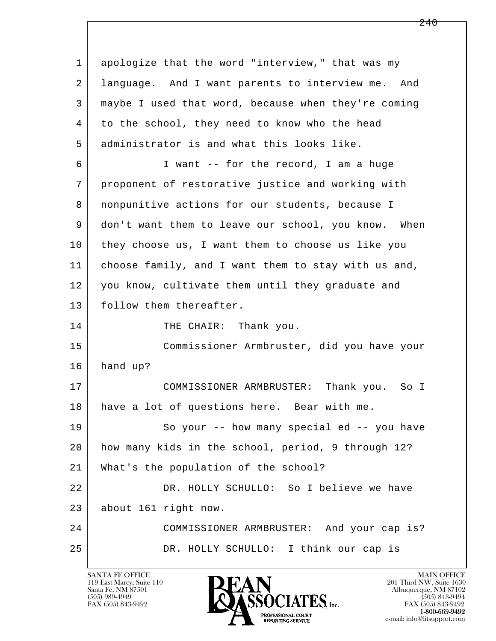l  $\overline{\phantom{a}}$  1 apologize that the word "interview," that was my 2 language. And I want parents to interview me. And 3 maybe I used that word, because when they're coming 4 to the school, they need to know who the head 5 administrator is and what this looks like. 6 I want -- for the record, I am a huge 7 proponent of restorative justice and working with 8 | nonpunitive actions for our students, because I 9 don't want them to leave our school, you know. When 10 they choose us, I want them to choose us like you 11 choose family, and I want them to stay with us and, 12 you know, cultivate them until they graduate and 13 follow them thereafter. 14 THE CHAIR: Thank you. 15 Commissioner Armbruster, did you have your 16 hand up? 17 COMMISSIONER ARMBRUSTER: Thank you. So I 18 have a lot of questions here. Bear with me. 19 So your -- how many special ed -- you have 20 how many kids in the school, period, 9 through 12? 21 What's the population of the school? 22 DR. HOLLY SCHULLO: So I believe we have 23 about 161 right now. 24 COMMISSIONER ARMBRUSTER: And your cap is? 25 DR. HOLLY SCHULLO: I think our cap is

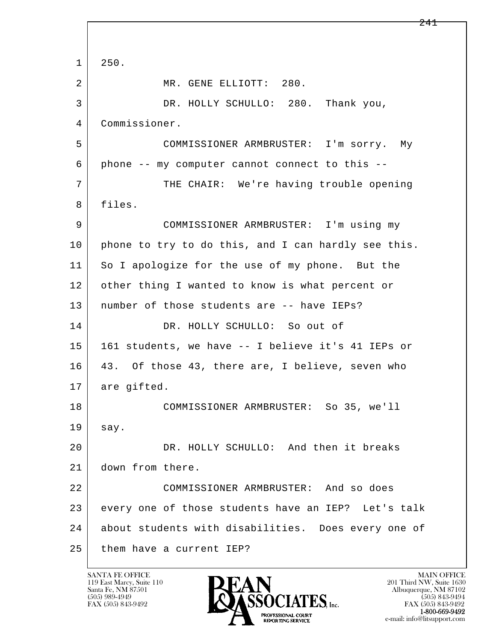l  $\overline{\phantom{a}}$  $1 \mid 250.$ 2 MR. GENE ELLIOTT: 280. 3 DR. HOLLY SCHULLO: 280. Thank you, 4 Commissioner. 5 COMMISSIONER ARMBRUSTER: I'm sorry. My 6 phone -- my computer cannot connect to this -- 7 THE CHAIR: We're having trouble opening 8 files. 9 COMMISSIONER ARMBRUSTER: I'm using my 10 phone to try to do this, and I can hardly see this. 11 So I apologize for the use of my phone. But the 12 other thing I wanted to know is what percent or 13 number of those students are -- have IEPs? 14 DR. HOLLY SCHULLO: So out of 15 161 students, we have -- I believe it's 41 IEPs or 16 43. Of those 43, there are, I believe, seven who 17 are gifted. 18 COMMISSIONER ARMBRUSTER: So 35, we'll 19 say. 20 DR. HOLLY SCHULLO: And then it breaks 21 down from there. 22 COMMISSIONER ARMBRUSTER: And so does 23 every one of those students have an IEP? Let's talk 24 about students with disabilities. Does every one of 25 them have a current IEP?

119 East Marcy, Suite 110<br>Santa Fe, NM 87501

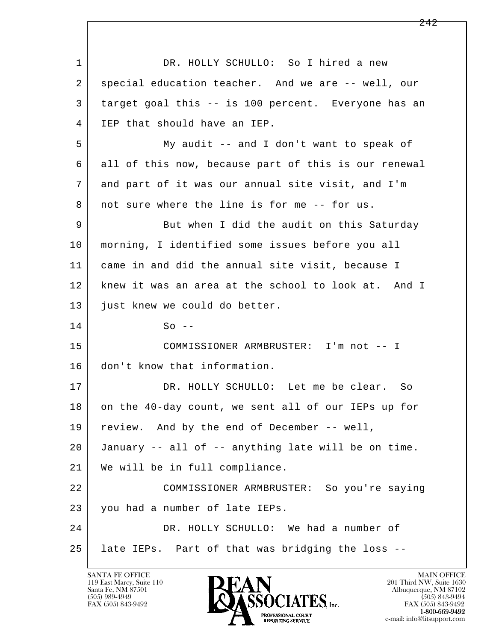l  $\overline{\phantom{a}}$ 1 DR. HOLLY SCHULLO: So I hired a new 2 special education teacher. And we are -- well, our 3 target goal this -- is 100 percent. Everyone has an 4 IEP that should have an IEP. 5 My audit -- and I don't want to speak of 6 all of this now, because part of this is our renewal 7 and part of it was our annual site visit, and I'm 8 not sure where the line is for me -- for us. 9 But when I did the audit on this Saturday 10 morning, I identified some issues before you all 11 came in and did the annual site visit, because I 12 knew it was an area at the school to look at. And I 13 just knew we could do better.  $14$  So -- 15 COMMISSIONER ARMBRUSTER: I'm not -- I 16 don't know that information. 17 DR. HOLLY SCHULLO: Let me be clear. So 18 on the 40-day count, we sent all of our IEPs up for 19 review. And by the end of December -- well, 20 January -- all of -- anything late will be on time. 21 We will be in full compliance. 22 COMMISSIONER ARMBRUSTER: So you're saying 23 you had a number of late IEPs. 24 DR. HOLLY SCHULLO: We had a number of 25 late IEPs. Part of that was bridging the loss --

119 East Marcy, Suite 110<br>Santa Fe, NM 87501

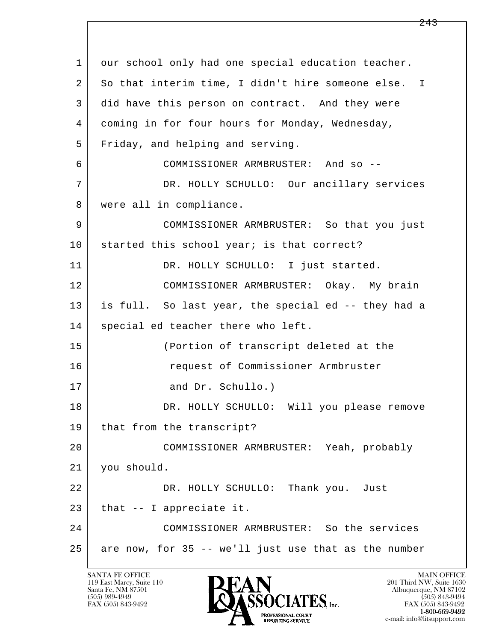l  $\overline{\phantom{a}}$ 1 our school only had one special education teacher. 2 So that interim time, I didn't hire someone else. I 3 did have this person on contract. And they were 4 coming in for four hours for Monday, Wednesday, 5 Friday, and helping and serving. 6 COMMISSIONER ARMBRUSTER: And so -- 7 DR. HOLLY SCHULLO: Our ancillary services 8 | were all in compliance. 9 COMMISSIONER ARMBRUSTER: So that you just 10 started this school year; is that correct? 11 | DR. HOLLY SCHULLO: I just started. 12 COMMISSIONER ARMBRUSTER: Okay. My brain 13 is full. So last year, the special ed -- they had a 14 special ed teacher there who left. 15 (Portion of transcript deleted at the 16 request of Commissioner Armbruster 17 and Dr. Schullo.) 18 DR. HOLLY SCHULLO: Will you please remove 19 that from the transcript? 20 COMMISSIONER ARMBRUSTER: Yeah, probably 21 you should. 22 DR. HOLLY SCHULLO: Thank you. Just  $23$  | that  $-$  I appreciate it. 24 COMMISSIONER ARMBRUSTER: So the services  $25$  are now, for 35 -- we'll just use that as the number

119 East Marcy, Suite 110<br>Santa Fe, NM 87501



FAX (505) 843-9492 FAX (505) 843-9492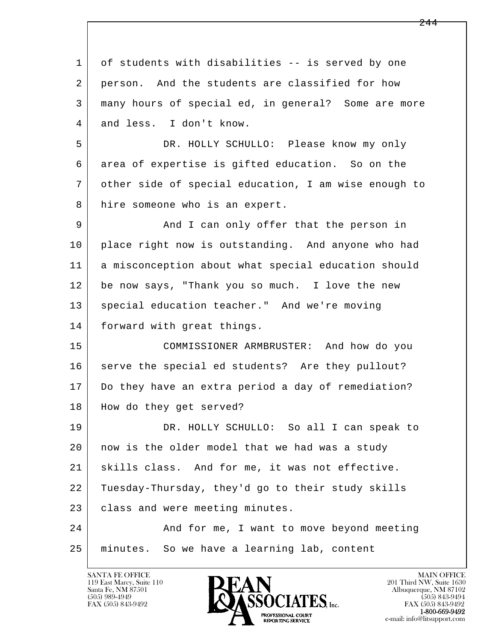l  $\overline{\phantom{a}}$ 1 of students with disabilities -- is served by one 2 person. And the students are classified for how 3 many hours of special ed, in general? Some are more 4 and less. I don't know. 5 DR. HOLLY SCHULLO: Please know my only 6 area of expertise is gifted education. So on the 7 other side of special education, I am wise enough to 8 hire someone who is an expert. 9 and I can only offer that the person in 10 place right now is outstanding. And anyone who had 11 a misconception about what special education should 12 be now says, "Thank you so much. I love the new 13 | special education teacher." And we're moving 14 | forward with great things. 15 COMMISSIONER ARMBRUSTER: And how do you 16 serve the special ed students? Are they pullout? 17 Do they have an extra period a day of remediation? 18 | How do they get served? 19 DR. HOLLY SCHULLO: So all I can speak to 20 now is the older model that we had was a study 21 skills class. And for me, it was not effective. 22 Tuesday-Thursday, they'd go to their study skills 23 | class and were meeting minutes. 24 And for me, I want to move beyond meeting 25 minutes. So we have a learning lab, content

119 East Marcy, Suite 110<br>Santa Fe, NM 87501

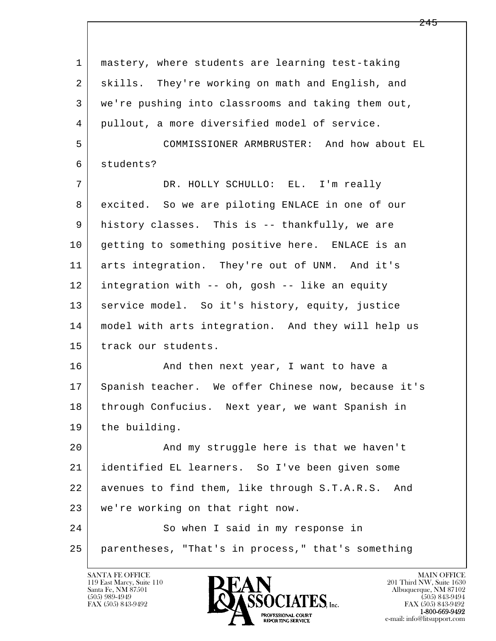| 1  | mastery, where students are learning test-taking     |
|----|------------------------------------------------------|
| 2  | skills. They're working on math and English, and     |
| 3  | we're pushing into classrooms and taking them out,   |
| 4  | pullout, a more diversified model of service.        |
| 5  | COMMISSIONER ARMBRUSTER: And how about EL            |
| 6  | students?                                            |
| 7  | DR. HOLLY SCHULLO: EL. I'm really                    |
| 8  | excited. So we are piloting ENLACE in one of our     |
| 9  | history classes. This is -- thankfully, we are       |
| 10 | getting to something positive here. ENLACE is an     |
| 11 | arts integration. They're out of UNM. And it's       |
| 12 | integration with -- oh, gosh -- like an equity       |
| 13 | service model. So it's history, equity, justice      |
| 14 | model with arts integration. And they will help us   |
| 15 | track our students.                                  |
| 16 | And then next year, I want to have a                 |
| 17 | Spanish teacher. We offer Chinese now, because it's  |
| 18 | through Confucius. Next year, we want Spanish in     |
| 19 | the building.                                        |
| 20 | And my struggle here is that we haven't              |
| 21 | identified EL learners. So I've been given some      |
| 22 | avenues to find them, like through S.T.A.R.S.<br>And |
| 23 | we're working on that right now.                     |
| 24 | So when I said in my response in                     |
| 25 | parentheses, "That's in process," that's something   |

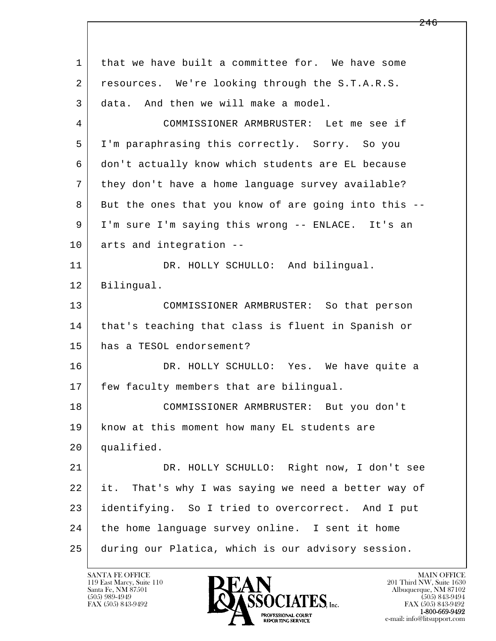l  $\overline{\phantom{a}}$  1 that we have built a committee for. We have some 2 resources. We're looking through the S.T.A.R.S. 3 data. And then we will make a model. 4 COMMISSIONER ARMBRUSTER: Let me see if 5 I'm paraphrasing this correctly. Sorry. So you 6 don't actually know which students are EL because 7 they don't have a home language survey available? 8 But the ones that you know of are going into this -- 9 I'm sure I'm saying this wrong -- ENLACE. It's an 10 arts and integration -- 11 DR. HOLLY SCHULLO: And bilingual. 12 Bilingual. 13 COMMISSIONER ARMBRUSTER: So that person 14 | that's teaching that class is fluent in Spanish or 15 has a TESOL endorsement? 16 DR. HOLLY SCHULLO: Yes. We have quite a 17 | few faculty members that are bilingual. 18 COMMISSIONER ARMBRUSTER: But you don't 19 | know at this moment how many EL students are 20 qualified. 21 DR. HOLLY SCHULLO: Right now, I don't see 22 it. That's why I was saying we need a better way of 23 identifying. So I tried to overcorrect. And I put 24 the home language survey online. I sent it home 25 during our Platica, which is our advisory session.

119 East Marcy, Suite 110<br>Santa Fe, NM 87501

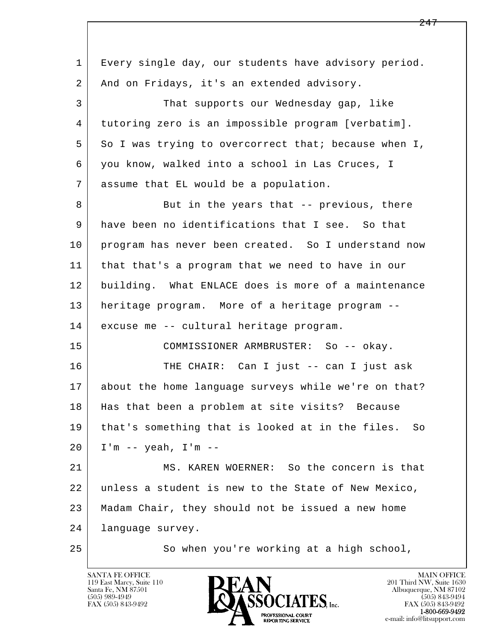l  $\overline{\phantom{a}}$  1 Every single day, our students have advisory period. 2 | And on Fridays, it's an extended advisory. 3 That supports our Wednesday gap, like 4 tutoring zero is an impossible program [verbatim]. 5 So I was trying to overcorrect that; because when I, 6 you know, walked into a school in Las Cruces, I 7 assume that EL would be a population. 8 But in the years that -- previous, there 9 have been no identifications that I see. So that 10 | program has never been created. So I understand now 11 that that's a program that we need to have in our 12 building. What ENLACE does is more of a maintenance 13 heritage program. More of a heritage program -- 14 excuse me -- cultural heritage program. 15 COMMISSIONER ARMBRUSTER: So -- okay. 16 THE CHAIR: Can I just -- can I just ask 17 about the home language surveys while we're on that? 18 Has that been a problem at site visits? Because 19 that's something that is looked at in the files. So 20 I'm -- yeah, I'm -- 21 MS. KAREN WOERNER: So the concern is that 22 unless a student is new to the State of New Mexico, 23 Madam Chair, they should not be issued a new home 24 language survey. 25 | So when you're working at a high school,

119 East Marcy, Suite 110<br>Santa Fe, NM 87501

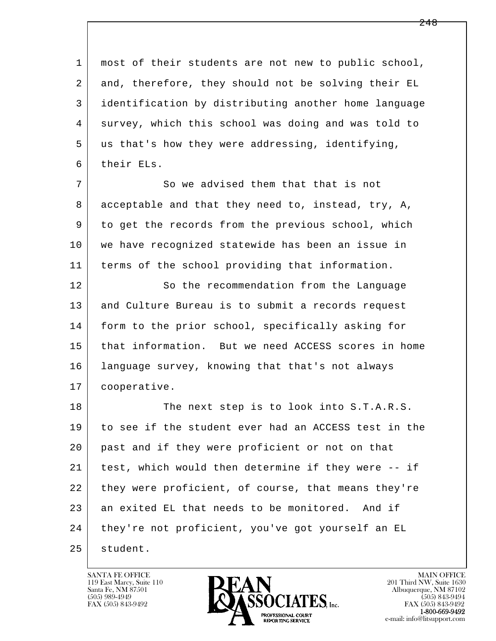| 1  | most of their students are not new to public school, |
|----|------------------------------------------------------|
| 2  | and, therefore, they should not be solving their EL  |
| 3  | identification by distributing another home language |
| 4  | survey, which this school was doing and was told to  |
| 5  | us that's how they were addressing, identifying,     |
| 6  | their ELs.                                           |
| 7  | So we advised them that that is not                  |
| 8  | acceptable and that they need to, instead, try, A,   |
| 9  | to get the records from the previous school, which   |
| 10 | we have recognized statewide has been an issue in    |
| 11 | terms of the school providing that information.      |
| 12 | So the recommendation from the Language              |
| 13 | and Culture Bureau is to submit a records request    |
| 14 | form to the prior school, specifically asking for    |
| 15 | that information. But we need ACCESS scores in home  |
| 16 | language survey, knowing that that's not always      |
| 17 | cooperative.                                         |
| 18 | The next step is to look into S.T.A.R.S.             |
| 19 | to see if the student ever had an ACCESS test in the |
| 20 | past and if they were proficient or not on that      |
| 21 | test, which would then determine if they were -- if  |
| 22 | they were proficient, of course, that means they're  |
| 23 | an exited EL that needs to be monitored. And if      |
| 24 | they're not proficient, you've got yourself an EL    |
| 25 | student.                                             |

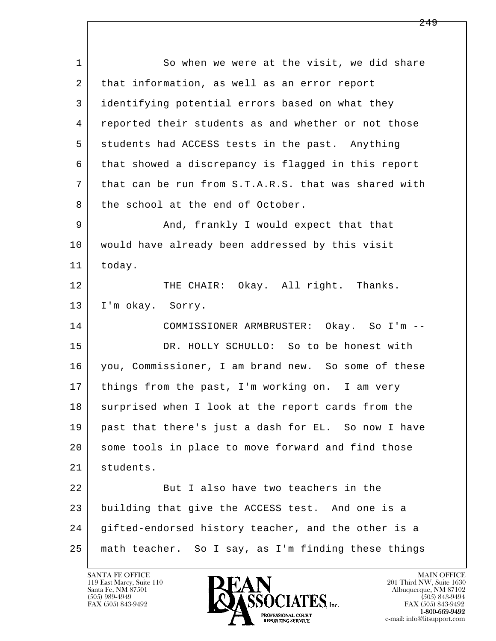l  $\overline{\phantom{a}}$ 1 So when we were at the visit, we did share 2 | that information, as well as an error report 3 identifying potential errors based on what they 4 reported their students as and whether or not those 5 students had ACCESS tests in the past. Anything 6 that showed a discrepancy is flagged in this report 7 that can be run from S.T.A.R.S. that was shared with 8 the school at the end of October. 9 And, frankly I would expect that that 10 would have already been addressed by this visit 11 today. 12 | THE CHAIR: Okay. All right. Thanks. 13 | I'm okay. Sorry. 14 COMMISSIONER ARMBRUSTER: Okay. So I'm -- 15 DR. HOLLY SCHULLO: So to be honest with 16 you, Commissioner, I am brand new. So some of these 17 things from the past, I'm working on. I am very 18 surprised when I look at the report cards from the 19 past that there's just a dash for EL. So now I have 20 some tools in place to move forward and find those 21 students. 22 But I also have two teachers in the 23 building that give the ACCESS test. And one is a 24 gifted-endorsed history teacher, and the other is a 25 math teacher. So I say, as I'm finding these things

119 East Marcy, Suite 110<br>Santa Fe, NM 87501



FAX (505) 843-9492<br>**1-800-669-9492**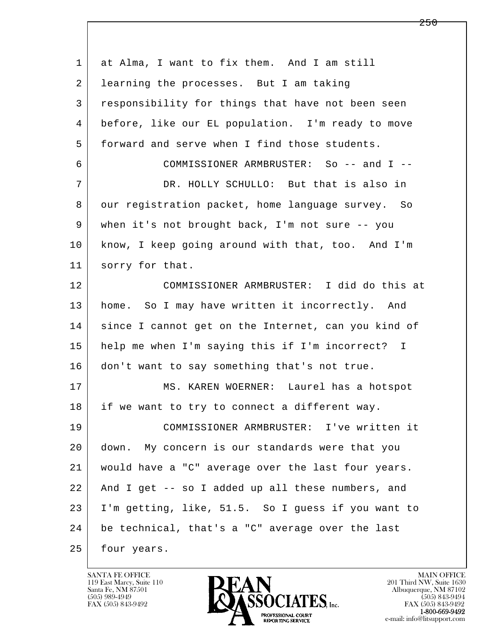| 1  | at Alma, I want to fix them. And I am still         |
|----|-----------------------------------------------------|
| 2  | learning the processes. But I am taking             |
| 3  | responsibility for things that have not been seen   |
| 4  | before, like our EL population. I'm ready to move   |
| 5  | forward and serve when I find those students.       |
| 6  | COMMISSIONER ARMBRUSTER: So -- and I --             |
| 7  | DR. HOLLY SCHULLO: But that is also in              |
| 8  | our registration packet, home language survey. So   |
| 9  | when it's not brought back, I'm not sure -- you     |
| 10 | know, I keep going around with that, too. And I'm   |
| 11 | sorry for that.                                     |
| 12 | COMMISSIONER ARMBRUSTER: I did do this at           |
| 13 | home. So I may have written it incorrectly. And     |
| 14 | since I cannot get on the Internet, can you kind of |
| 15 | help me when I'm saying this if I'm incorrect? I    |
| 16 | don't want to say something that's not true.        |
| 17 | MS. KAREN WOERNER: Laurel has a hotspot             |
| 18 | if we want to try to connect a different way.       |
| 19 | COMMISSIONER ARMBRUSTER: I've written it            |
| 20 | down. My concern is our standards were that you     |
| 21 | would have a "C" average over the last four years.  |
| 22 | And I get -- so I added up all these numbers, and   |
| 23 | I'm getting, like, 51.5. So I guess if you want to  |
| 24 | be technical, that's a "C" average over the last    |
| 25 | four years.                                         |

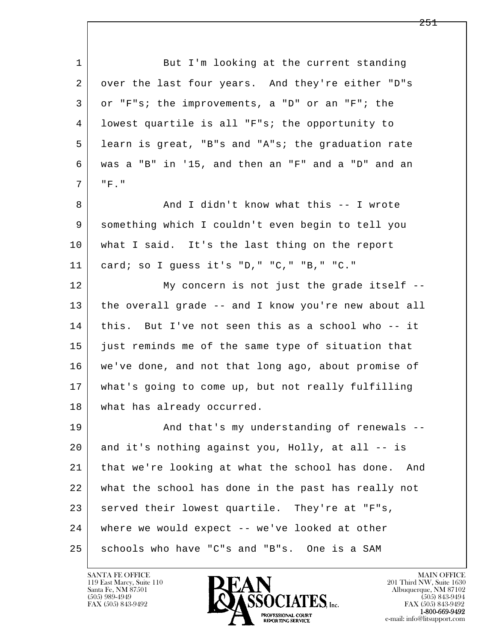l  $\overline{\phantom{a}}$ 1 But I'm looking at the current standing 2 over the last four years. And they're either "D"s 3 or "F"s; the improvements, a "D" or an "F"; the 4 lowest quartile is all "F"s; the opportunity to 5 learn is great, "B"s and "A"s; the graduation rate 6 was a "B" in '15, and then an "F" and a "D" and an 7 "F." 8 And I didn't know what this -- I wrote 9 something which I couldn't even begin to tell you 10 what I said. It's the last thing on the report 11 card; so I guess it's "D," "C," "B," "C." 12 My concern is not just the grade itself -- 13 the overall grade -- and I know you're new about all 14 this. But I've not seen this as a school who -- it 15 just reminds me of the same type of situation that 16 we've done, and not that long ago, about promise of 17 what's going to come up, but not really fulfilling 18 what has already occurred. 19 | And that's my understanding of renewals -- 20 and it's nothing against you, Holly, at all -- is 21 that we're looking at what the school has done. And 22 what the school has done in the past has really not  $23$  served their lowest quartile. They're at "F"s, 24 where we would expect -- we've looked at other 25 schools who have "C"s and "B"s. One is a SAM

119 East Marcy, Suite 110<br>Santa Fe, NM 87501

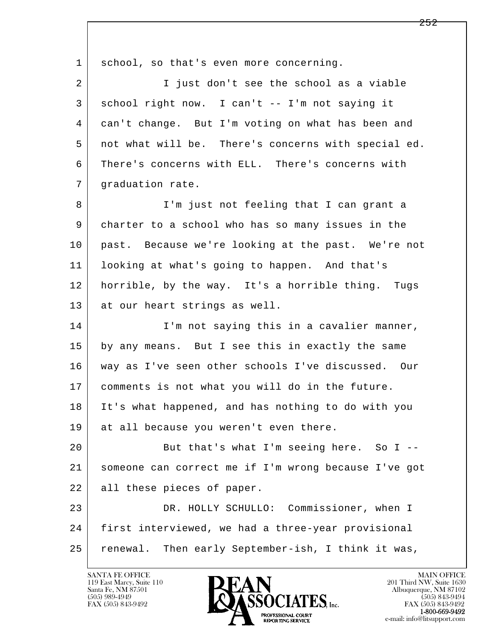l  $\overline{\phantom{a}}$ 1 school, so that's even more concerning. 2 I just don't see the school as a viable 3 school right now. I can't -- I'm not saying it 4 can't change. But I'm voting on what has been and 5 not what will be. There's concerns with special ed. 6 There's concerns with ELL. There's concerns with 7 | graduation rate. 8 I'm just not feeling that I can grant a 9 charter to a school who has so many issues in the 10 past. Because we're looking at the past. We're not 11 looking at what's going to happen. And that's 12 horrible, by the way. It's a horrible thing. Tugs 13 at our heart strings as well. 14 I'm not saying this in a cavalier manner, 15 by any means. But I see this in exactly the same 16 way as I've seen other schools I've discussed. Our 17 comments is not what you will do in the future. 18 It's what happened, and has nothing to do with you 19 | at all because you weren't even there. 20 But that's what I'm seeing here. So I -- 21 someone can correct me if I'm wrong because I've got 22 all these pieces of paper. 23 DR. HOLLY SCHULLO: Commissioner, when I 24 first interviewed, we had a three-year provisional 25 renewal. Then early September-ish, I think it was,

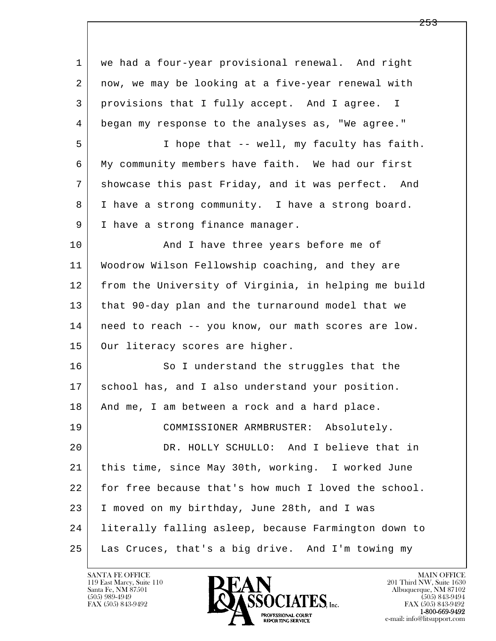| 1  | we had a four-year provisional renewal. And right    |
|----|------------------------------------------------------|
| 2  | now, we may be looking at a five-year renewal with   |
| 3  | provisions that I fully accept. And I agree. I       |
| 4  | began my response to the analyses as, "We agree."    |
| 5  | I hope that -- well, my faculty has faith.           |
| 6  | My community members have faith. We had our first    |
| 7  | showcase this past Friday, and it was perfect. And   |
| 8  | I have a strong community. I have a strong board.    |
| 9  | I have a strong finance manager.                     |
| 10 | And I have three years before me of                  |
| 11 | Woodrow Wilson Fellowship coaching, and they are     |
| 12 | from the University of Virginia, in helping me build |
| 13 | that 90-day plan and the turnaround model that we    |
| 14 | need to reach -- you know, our math scores are low.  |
| 15 | Our literacy scores are higher.                      |
| 16 | So I understand the struggles that the               |
| 17 | school has, and I also understand your position.     |
| 18 | And me, I am between a rock and a hard place.        |
| 19 | COMMISSIONER ARMBRUSTER: Absolutely.                 |
| 20 | DR. HOLLY SCHULLO: And I believe that in             |
| 21 | this time, since May 30th, working. I worked June    |
| 22 | for free because that's how much I loved the school. |
| 23 | I moved on my birthday, June 28th, and I was         |
| 24 | literally falling asleep, because Farmington down to |
| 25 | Las Cruces, that's a big drive. And I'm towing my    |

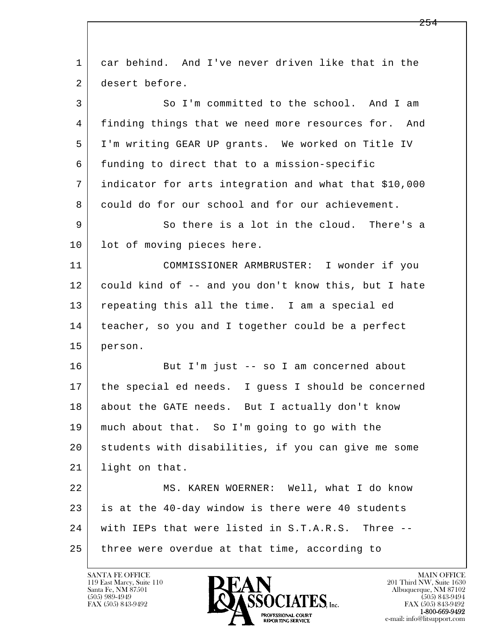| $\mathbf 1$ | car behind. And I've never driven like that in the    |
|-------------|-------------------------------------------------------|
| 2           | desert before.                                        |
| 3           | So I'm committed to the school. And I am              |
| 4           | finding things that we need more resources for. And   |
| 5           | I'm writing GEAR UP grants. We worked on Title IV     |
| 6           | funding to direct that to a mission-specific          |
| 7           | indicator for arts integration and what that \$10,000 |
| 8           | could do for our school and for our achievement.      |
| 9           | So there is a lot in the cloud. There's a             |
| 10          | lot of moving pieces here.                            |
| 11          | COMMISSIONER ARMBRUSTER: I wonder if you              |
| 12          | could kind of -- and you don't know this, but I hate  |
| 13          | repeating this all the time. I am a special ed        |
| 14          | teacher, so you and I together could be a perfect     |
| 15          | person.                                               |
| 16          | But I'm just -- so I am concerned about               |
| 17          | the special ed needs. I guess I should be concerned   |
| 18          | about the GATE needs. But I actually don't know       |
| 19          | much about that. So I'm going to go with the          |
| 20          | students with disabilities, if you can give me some   |
| 21          | light on that.                                        |
| 22          | MS. KAREN WOERNER: Well, what I do know               |
| 23          | is at the 40-day window is there were 40 students     |
| 24          | with IEPs that were listed in S.T.A.R.S. Three --     |
| 25          | three were overdue at that time, according to         |

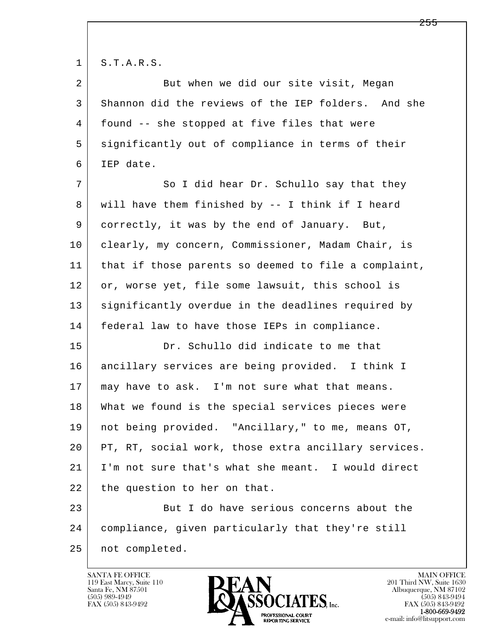$1 \mid S.T.A.R.S.$ 

| $\overline{2}$ | But when we did our site visit, Megan                |
|----------------|------------------------------------------------------|
| 3              | Shannon did the reviews of the IEP folders. And she  |
| 4              | found -- she stopped at five files that were         |
| 5              | significantly out of compliance in terms of their    |
| 6              | IEP date.                                            |
| 7              | So I did hear Dr. Schullo say that they              |
| 8              | will have them finished by -- I think if I heard     |
| 9              | correctly, it was by the end of January. But,        |
| 10             | clearly, my concern, Commissioner, Madam Chair, is   |
| 11             | that if those parents so deemed to file a complaint, |
| 12             | or, worse yet, file some lawsuit, this school is     |
| 13             | significantly overdue in the deadlines required by   |
| 14             | federal law to have those IEPs in compliance.        |
| 15             | Dr. Schullo did indicate to me that                  |
| 16             | ancillary services are being provided. I think I     |
| 17             | may have to ask. I'm not sure what that means.       |
| 18             | What we found is the special services pieces were    |
| 19             | not being provided. "Ancillary," to me, means OT,    |
| 20             | PT, RT, social work, those extra ancillary services. |
| 21             | I'm not sure that's what she meant. I would direct   |
| 22             | the question to her on that.                         |
| 23             | But I do have serious concerns about the             |
| 24             | compliance, given particularly that they're still    |
| 25             | not completed.                                       |

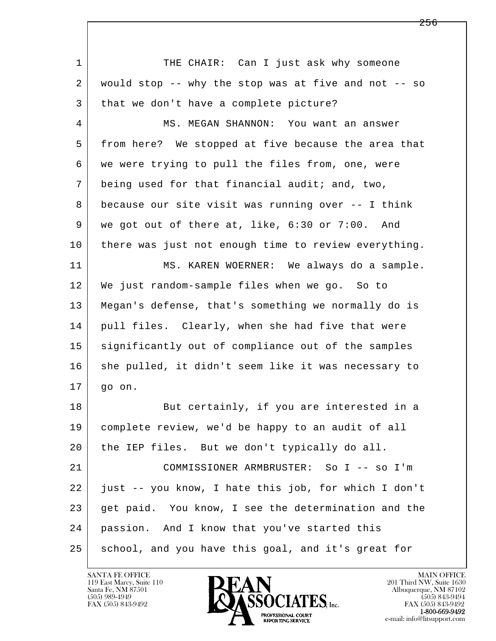l  $\overline{\phantom{a}}$ 1 THE CHAIR: Can I just ask why someone 2 would stop -- why the stop was at five and not -- so 3 | that we don't have a complete picture? 4 MS. MEGAN SHANNON: You want an answer 5 from here? We stopped at five because the area that 6 we were trying to pull the files from, one, were 7 being used for that financial audit; and, two, 8 because our site visit was running over -- I think 9 we got out of there at, like, 6:30 or 7:00. And 10 there was just not enough time to review everything. 11 MS. KAREN WOERNER: We always do a sample. 12 We just random-sample files when we go. So to 13 Megan's defense, that's something we normally do is 14 | pull files. Clearly, when she had five that were 15 significantly out of compliance out of the samples 16 she pulled, it didn't seem like it was necessary to 17 go on. 18 But certainly, if you are interested in a 19 complete review, we'd be happy to an audit of all 20 the IEP files. But we don't typically do all. 21 COMMISSIONER ARMBRUSTER: So I -- so I'm 22 just -- you know, I hate this job, for which I don't 23 get paid. You know, I see the determination and the 24 passion. And I know that you've started this 25 school, and you have this goal, and it's great for

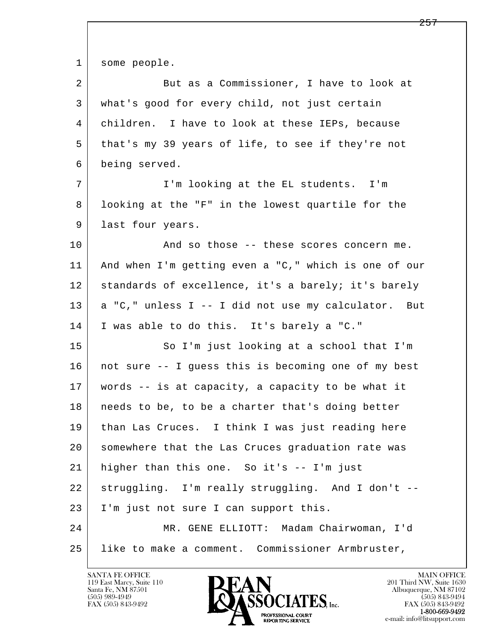1 some people.

| 2  | But as a Commissioner, I have to look at             |
|----|------------------------------------------------------|
| 3  | what's good for every child, not just certain        |
| 4  | children. I have to look at these IEPs, because      |
| 5  | that's my 39 years of life, to see if they're not    |
| 6  | being served.                                        |
| 7  | I'm looking at the EL students. I'm                  |
| 8  | looking at the "F" in the lowest quartile for the    |
| 9  | last four years.                                     |
| 10 | And so those -- these scores concern me.             |
| 11 | And when I'm getting even a "C," which is one of our |
| 12 | standards of excellence, it's a barely; it's barely  |
| 13 | a "C," unless I -- I did not use my calculator. But  |
| 14 | I was able to do this. It's barely a "C."            |
| 15 | So I'm just looking at a school that I'm             |
| 16 | not sure -- I guess this is becoming one of my best  |
| 17 | words -- is at capacity, a capacity to be what it    |
| 18 | needs to be, to be a charter that's doing better     |
| 19 | than Las Cruces. I think I was just reading here     |
| 20 | somewhere that the Las Cruces graduation rate was    |
| 21 | higher than this one. So it's -- I'm just            |
| 22 | struggling. I'm really struggling. And I don't --    |
| 23 | I'm just not sure I can support this.                |
| 24 | MR. GENE ELLIOTT: Madam Chairwoman, I'd              |
| 25 | like to make a comment. Commissioner Armbruster,     |

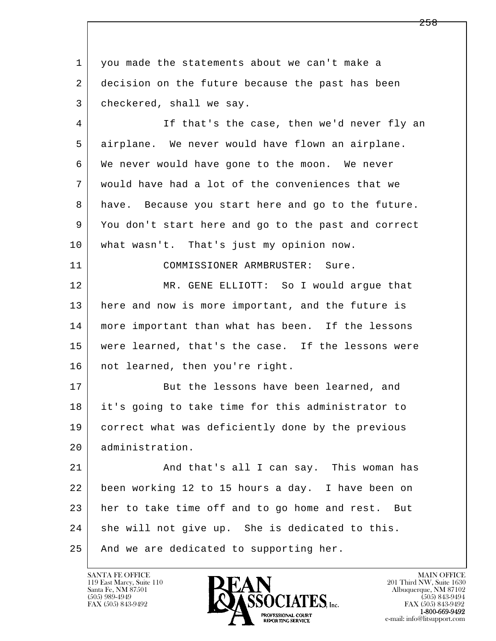l  $\overline{\phantom{a}}$  1 you made the statements about we can't make a 2 decision on the future because the past has been 3 checkered, shall we say. 4 | If that's the case, then we'd never fly an 5 airplane. We never would have flown an airplane. 6 We never would have gone to the moon. We never 7 would have had a lot of the conveniences that we 8 have. Because you start here and go to the future. 9 You don't start here and go to the past and correct 10 what wasn't. That's just my opinion now. 11 COMMISSIONER ARMBRUSTER: Sure. 12 MR. GENE ELLIOTT: So I would argue that 13 here and now is more important, and the future is 14 more important than what has been. If the lessons 15 were learned, that's the case. If the lessons were 16 | not learned, then you're right. 17 But the lessons have been learned, and 18 it's going to take time for this administrator to 19 correct what was deficiently done by the previous 20 administration. 21 And that's all I can say. This woman has 22 been working 12 to 15 hours a day. I have been on 23 her to take time off and to go home and rest. But 24 she will not give up. She is dedicated to this. 25 | And we are dedicated to supporting her.

119 East Marcy, Suite 110<br>Santa Fe, NM 87501

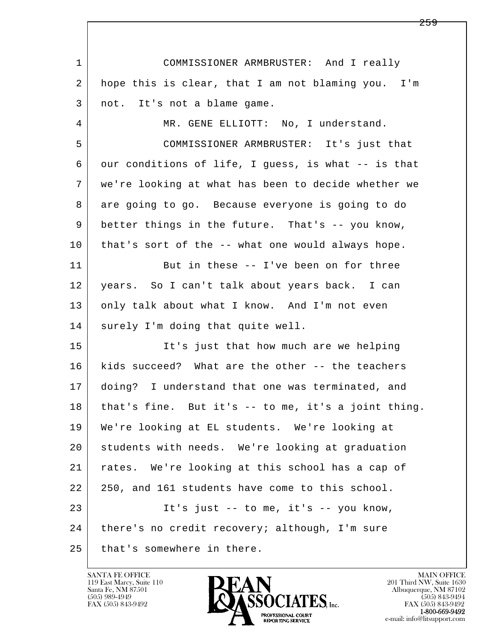l  $\overline{\phantom{a}}$  1 COMMISSIONER ARMBRUSTER: And I really 2 hope this is clear, that I am not blaming you. I'm 3 not. It's not a blame game. 4 MR. GENE ELLIOTT: No, I understand. 5 COMMISSIONER ARMBRUSTER: It's just that 6 our conditions of life, I guess, is what -- is that 7 we're looking at what has been to decide whether we 8 are going to go. Because everyone is going to do 9 better things in the future. That's -- you know, 10 that's sort of the -- what one would always hope. 11 But in these -- I've been on for three 12 years. So I can't talk about years back. I can 13 only talk about what I know. And I'm not even 14 surely I'm doing that quite well. 15 It's just that how much are we helping 16 kids succeed? What are the other -- the teachers 17 doing? I understand that one was terminated, and  $18$  that's fine. But it's  $-$  to me, it's a joint thing. 19 We're looking at EL students. We're looking at 20 students with needs. We're looking at graduation 21 rates. We're looking at this school has a cap of 22 250, and 161 students have come to this school. 23 It's just -- to me, it's -- you know, 24 | there's no credit recovery; although, I'm sure 25 that's somewhere in there.

119 East Marcy, Suite 110<br>Santa Fe, NM 87501



FAX (505) 843-9492<br>**1-800-669-9492**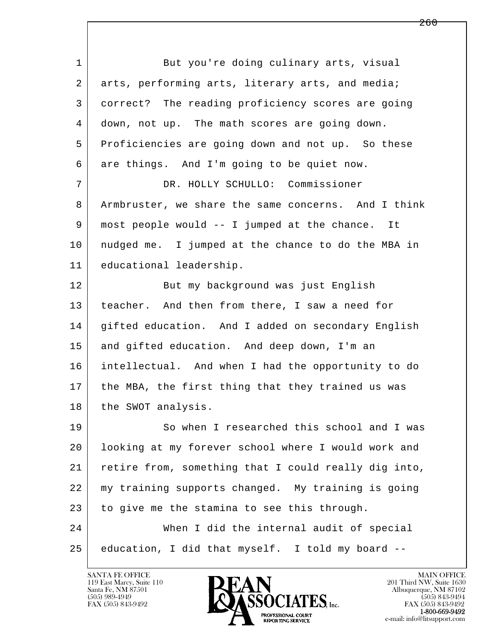| $\mathbf 1$ | But you're doing culinary arts, visual               |
|-------------|------------------------------------------------------|
| 2           | arts, performing arts, literary arts, and media;     |
| 3           | correct? The reading proficiency scores are going    |
| 4           | down, not up. The math scores are going down.        |
| 5           | Proficiencies are going down and not up. So these    |
| 6           | are things. And I'm going to be quiet now.           |
| 7           | DR. HOLLY SCHULLO: Commissioner                      |
| 8           | Armbruster, we share the same concerns. And I think  |
| 9           | most people would -- I jumped at the chance. It      |
| 10          | nudged me. I jumped at the chance to do the MBA in   |
| 11          | educational leadership.                              |
| 12          | But my background was just English                   |
| 13          | teacher. And then from there, I saw a need for       |
| 14          | gifted education. And I added on secondary English   |
| 15          | and gifted education. And deep down, I'm an          |
| 16          | intellectual. And when I had the opportunity to do   |
| 17          | the MBA, the first thing that they trained us was    |
| 18          | the SWOT analysis.                                   |
| 19          | So when I researched this school and I was           |
| 20          | looking at my forever school where I would work and  |
| 21          | retire from, something that I could really dig into, |
| 22          | my training supports changed. My training is going   |
| 23          | to give me the stamina to see this through.          |
| 24          | When I did the internal audit of special             |
| 25          | education, I did that myself. I told my board --     |

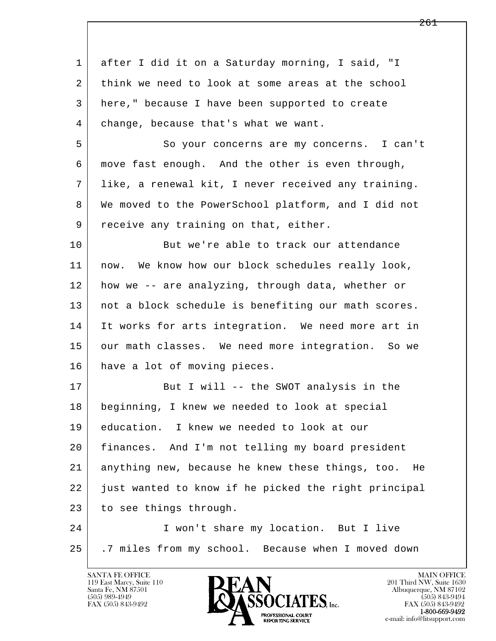| 1  | after I did it on a Saturday morning, I said, "I       |
|----|--------------------------------------------------------|
| 2  | think we need to look at some areas at the school      |
| 3  | here," because I have been supported to create         |
| 4  | change, because that's what we want.                   |
| 5  | So your concerns are my concerns. I can't              |
| 6  | move fast enough. And the other is even through,       |
| 7  | like, a renewal kit, I never received any training.    |
| 8  | We moved to the PowerSchool platform, and I did not    |
| 9  | receive any training on that, either.                  |
| 10 | But we're able to track our attendance                 |
| 11 | now. We know how our block schedules really look,      |
| 12 | how we -- are analyzing, through data, whether or      |
| 13 | not a block schedule is benefiting our math scores.    |
| 14 | It works for arts integration. We need more art in     |
| 15 | our math classes. We need more integration. So we      |
| 16 | have a lot of moving pieces.                           |
| 17 | But I will -- the SWOT analysis in the                 |
| 18 | beginning, I knew we needed to look at special         |
| 19 | education. I knew we needed to look at our             |
| 20 | finances. And I'm not telling my board president       |
| 21 | anything new, because he knew these things, too.<br>He |
| 22 | just wanted to know if he picked the right principal   |
| 23 | to see things through.                                 |
| 24 | I won't share my location. But I live                  |
| 25 | .7 miles from my school. Because when I moved down     |

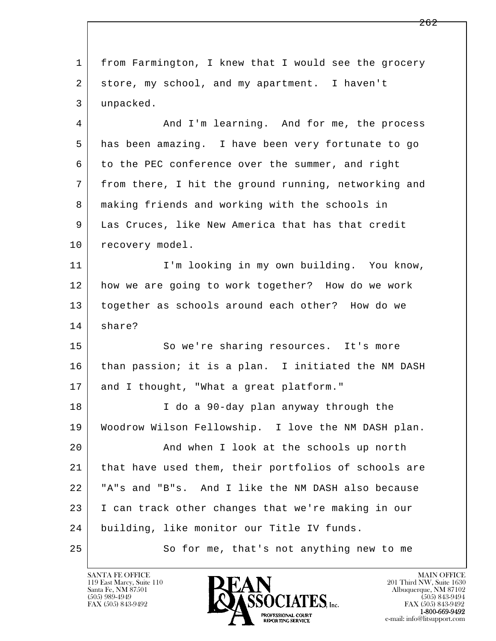l  $\overline{\phantom{a}}$  1 from Farmington, I knew that I would see the grocery 2 store, my school, and my apartment. I haven't 3 unpacked. 4 | And I'm learning. And for me, the process 5 has been amazing. I have been very fortunate to go 6 to the PEC conference over the summer, and right 7 from there, I hit the ground running, networking and 8 making friends and working with the schools in 9 Las Cruces, like New America that has that credit 10 recovery model. 11 | T'm looking in my own building. You know, 12 how we are going to work together? How do we work 13 together as schools around each other? How do we 14 share? 15 So we're sharing resources. It's more 16 than passion; it is a plan. I initiated the NM DASH 17 and I thought, "What a great platform." 18 I do a 90-day plan anyway through the 19 Woodrow Wilson Fellowship. I love the NM DASH plan. 20 And when I look at the schools up north 21 that have used them, their portfolios of schools are 22 "A"s and "B"s. And I like the NM DASH also because 23 I can track other changes that we're making in our 24 building, like monitor our Title IV funds. 25 So for me, that's not anything new to me

119 East Marcy, Suite 110<br>Santa Fe, NM 87501

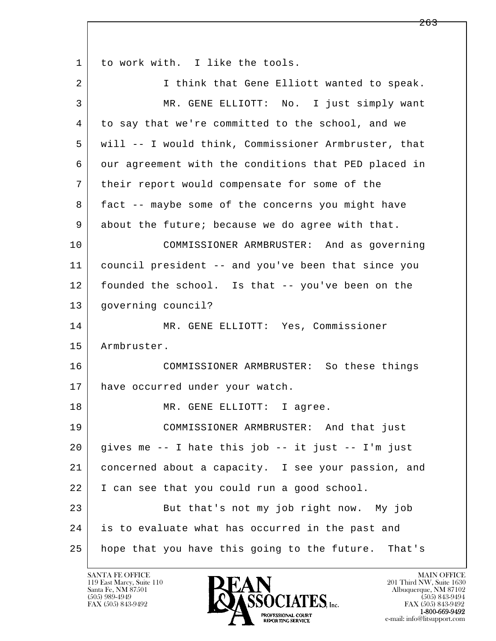l  $\overline{\phantom{a}}$ 1 to work with. I like the tools. 2 I think that Gene Elliott wanted to speak. 3 MR. GENE ELLIOTT: No. I just simply want 4 to say that we're committed to the school, and we 5 will -- I would think, Commissioner Armbruster, that 6 our agreement with the conditions that PED placed in 7 their report would compensate for some of the 8 fact -- maybe some of the concerns you might have 9 about the future; because we do agree with that. 10 COMMISSIONER ARMBRUSTER: And as governing 11 council president -- and you've been that since you 12 founded the school. Is that -- you've been on the 13 governing council? 14 | MR. GENE ELLIOTT: Yes, Commissioner 15 Armbruster. 16 COMMISSIONER ARMBRUSTER: So these things 17 have occurred under your watch. 18 MR. GENE ELLIOTT: I agree. 19 COMMISSIONER ARMBRUSTER: And that just  $20$  gives me  $-$  I hate this job  $-$  it just  $-$  I'm just 21 concerned about a capacity. I see your passion, and 22 I can see that you could run a good school. 23 But that's not my job right now. My job 24 is to evaluate what has occurred in the past and 25 hope that you have this going to the future. That's

119 East Marcy, Suite 110<br>Santa Fe, NM 87501

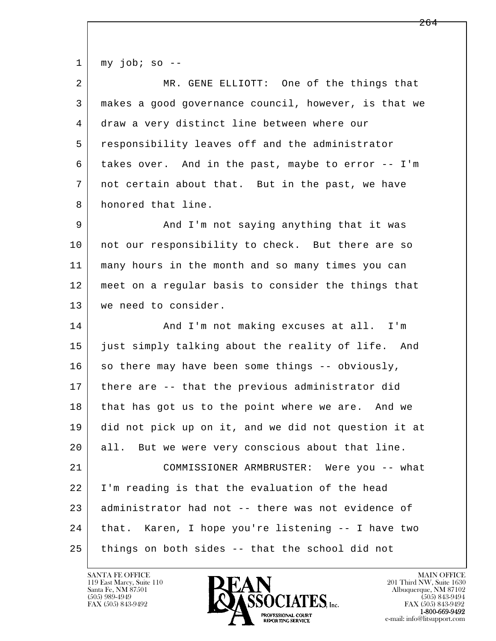l  $\overline{\phantom{a}}$  $1 \mid$  my job; so --2 MR. GENE ELLIOTT: One of the things that 3 makes a good governance council, however, is that we 4 draw a very distinct line between where our 5 responsibility leaves off and the administrator 6 takes over. And in the past, maybe to error -- I'm 7 not certain about that. But in the past, we have 8 honored that line. 9 and I'm not saying anything that it was 10 | not our responsibility to check. But there are so 11 many hours in the month and so many times you can 12 meet on a regular basis to consider the things that 13 we need to consider. 14 And I'm not making excuses at all. I'm 15 just simply talking about the reality of life. And  $16$  so there may have been some things -- obviously, 17 there are -- that the previous administrator did 18 that has got us to the point where we are. And we 19 did not pick up on it, and we did not question it at 20 all. But we were very conscious about that line. 21 COMMISSIONER ARMBRUSTER: Were you -- what 22 I'm reading is that the evaluation of the head 23 administrator had not -- there was not evidence of 24 that. Karen, I hope you're listening -- I have two 25 things on both sides -- that the school did not

119 East Marcy, Suite 110<br>Santa Fe, NM 87501

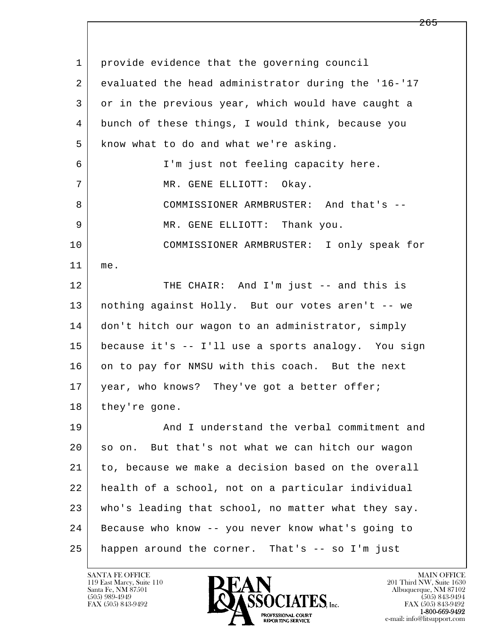l  $\overline{\phantom{a}}$  1 provide evidence that the governing council 2 evaluated the head administrator during the '16-'17 3 or in the previous year, which would have caught a 4 bunch of these things, I would think, because you 5 | know what to do and what we're asking. 6 I'm just not feeling capacity here. 7 | MR. GENE ELLIOTT: Okay. 8 COMMISSIONER ARMBRUSTER: And that's -- 9 MR. GENE ELLIOTT: Thank you. 10 COMMISSIONER ARMBRUSTER: I only speak for 11 me. 12 THE CHAIR: And I'm just -- and this is 13 nothing against Holly. But our votes aren't -- we 14 don't hitch our wagon to an administrator, simply 15 because it's -- I'll use a sports analogy. You sign 16 on to pay for NMSU with this coach. But the next 17 | year, who knows? They've got a better offer; 18 they're gone. 19 And I understand the verbal commitment and 20 so on. But that's not what we can hitch our wagon 21 to, because we make a decision based on the overall 22 health of a school, not on a particular individual 23 who's leading that school, no matter what they say. 24 Because who know -- you never know what's going to 25 happen around the corner. That's -- so I'm just

119 East Marcy, Suite 110<br>Santa Fe, NM 87501



FAX (505) 843-9492 FAX (505) 843-9492 e-mail: info@litsupport.com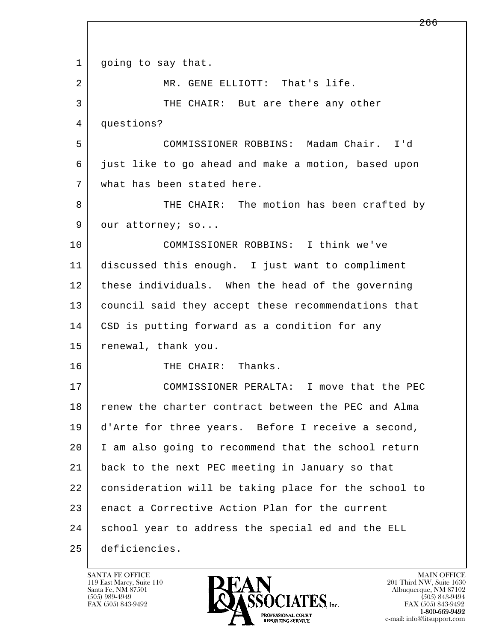l  $\overline{\phantom{a}}$ 1 | going to say that. 2 MR. GENE ELLIOTT: That's life. 3 THE CHAIR: But are there any other 4 questions? 5 COMMISSIONER ROBBINS: Madam Chair. I'd 6 just like to go ahead and make a motion, based upon 7 what has been stated here. 8 THE CHAIR: The motion has been crafted by 9 our attorney; so... 10 COMMISSIONER ROBBINS: I think we've 11 discussed this enough. I just want to compliment 12 these individuals. When the head of the governing 13 council said they accept these recommendations that 14 | CSD is putting forward as a condition for any 15 renewal, thank you. 16 THE CHAIR: Thanks. 17 COMMISSIONER PERALTA: I move that the PEC 18 renew the charter contract between the PEC and Alma 19 d'Arte for three years. Before I receive a second, 20 I am also going to recommend that the school return 21 back to the next PEC meeting in January so that 22 consideration will be taking place for the school to 23 enact a Corrective Action Plan for the current 24 school year to address the special ed and the ELL 25 deficiencies.

119 East Marcy, Suite 110<br>Santa Fe, NM 87501

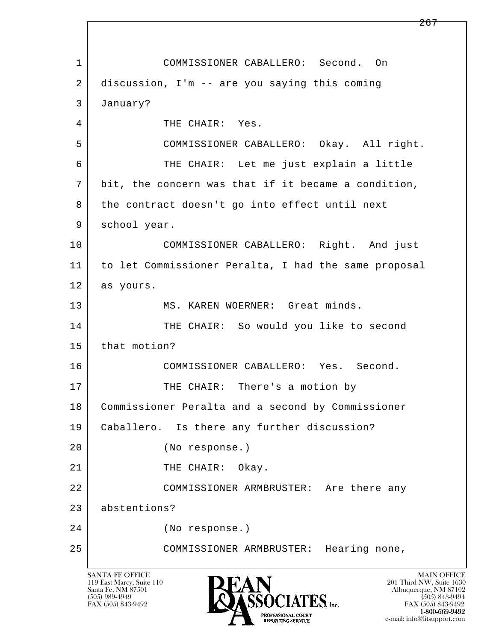l  $\overline{\phantom{a}}$  1 COMMISSIONER CABALLERO: Second. On 2 discussion, I'm -- are you saying this coming 3 January? 4 THE CHAIR: Yes. 5 COMMISSIONER CABALLERO: Okay. All right. 6 THE CHAIR: Let me just explain a little 7 bit, the concern was that if it became a condition, 8 the contract doesn't go into effect until next 9 school year. 10 COMMISSIONER CABALLERO: Right. And just 11 to let Commissioner Peralta, I had the same proposal 12 as yours. 13 MS. KAREN WOERNER: Great minds. 14 THE CHAIR: So would you like to second 15 that motion? 16 COMMISSIONER CABALLERO: Yes. Second. 17 | THE CHAIR: There's a motion by 18 Commissioner Peralta and a second by Commissioner 19 Caballero. Is there any further discussion? 20 (No response.) 21 THE CHAIR: Okay. 22 COMMISSIONER ARMBRUSTER: Are there any 23 abstentions? 24 (No response.) 25 COMMISSIONER ARMBRUSTER: Hearing none,

119 East Marcy, Suite 110<br>Santa Fe, NM 87501



FAX (505) 843-9492 FAX (505) 843-9492 1-800-669-9492 e-mail: info@litsupport.com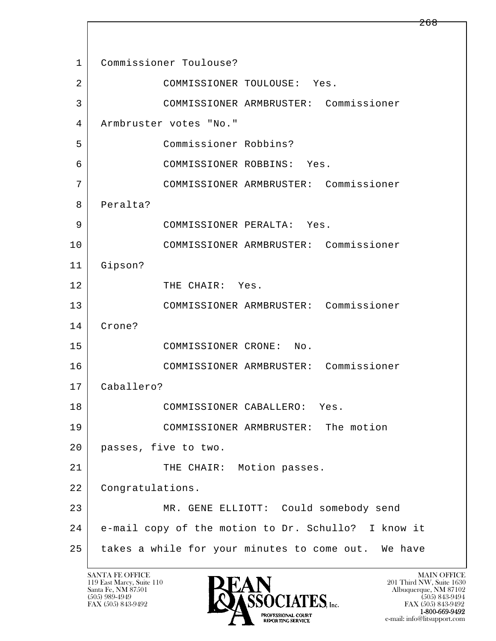l  $\overline{\phantom{a}}$  1 Commissioner Toulouse? 2 COMMISSIONER TOULOUSE: Yes. 3 COMMISSIONER ARMBRUSTER: Commissioner 4 Armbruster votes "No." 5 Commissioner Robbins? 6 COMMISSIONER ROBBINS: Yes. 7 COMMISSIONER ARMBRUSTER: Commissioner 8 Peralta? 9 COMMISSIONER PERALTA: Yes. 10 COMMISSIONER ARMBRUSTER: Commissioner 11 Gipson? 12 THE CHAIR: Yes. 13 COMMISSIONER ARMBRUSTER: Commissioner 14 Crone? 15 COMMISSIONER CRONE: No. 16 COMMISSIONER ARMBRUSTER: Commissioner 17 Caballero? 18 COMMISSIONER CABALLERO: Yes. 19 COMMISSIONER ARMBRUSTER: The motion 20 passes, five to two. 21 | THE CHAIR: Motion passes. 22 Congratulations. 23 MR. GENE ELLIOTT: Could somebody send 24 e-mail copy of the motion to Dr. Schullo? I know it 25 takes a while for your minutes to come out. We have

119 East Marcy, Suite 110<br>Santa Fe, NM 87501



FAX (505) 843-9492 FAX (505) 843-9492 e-mail: info@litsupport.com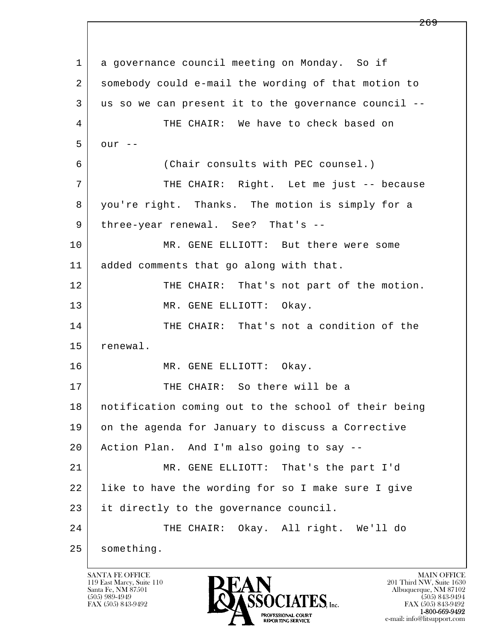l  $\overline{\phantom{a}}$  1 a governance council meeting on Monday. So if 2 somebody could e-mail the wording of that motion to 3 us so we can present it to the governance council -- 4 THE CHAIR: We have to check based on  $5$  our  $-$  6 (Chair consults with PEC counsel.) 7 THE CHAIR: Right. Let me just -- because 8 you're right. Thanks. The motion is simply for a 9 | three-year renewal. See? That's --10 MR. GENE ELLIOTT: But there were some 11 added comments that go along with that. 12 THE CHAIR: That's not part of the motion. 13 MR. GENE ELLIOTT: Okay. 14 THE CHAIR: That's not a condition of the 15 renewal. 16 MR. GENE ELLIOTT: Okay. 17 THE CHAIR: So there will be a 18 notification coming out to the school of their being 19 on the agenda for January to discuss a Corrective 20 Action Plan. And I'm also going to say -- 21 MR. GENE ELLIOTT: That's the part I'd 22 like to have the wording for so I make sure I give 23 it directly to the governance council. 24 THE CHAIR: Okay. All right. We'll do 25 something.

119 East Marcy, Suite 110<br>Santa Fe, NM 87501

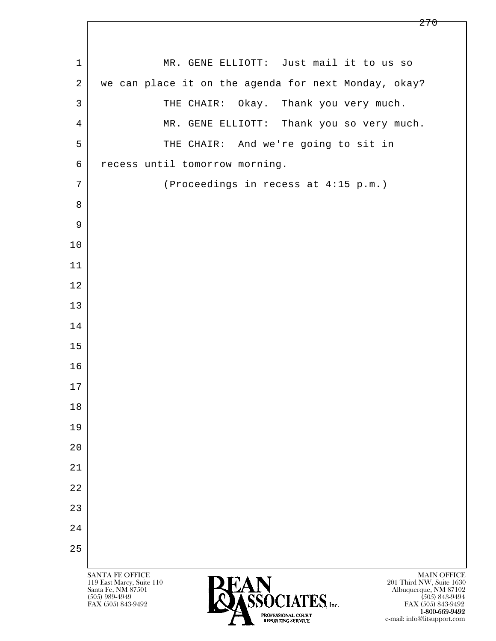l  $\overline{\phantom{a}}$ SANTA FE OFFICE MAIN OFFICE MAIN OFFICE MAIN OFFICE MAIN OFFICE 119 East Marcy, Suite 110 201 Third NW, Suite 1630<br>
Santa Fe, NM 87501 201 Third NW, Suite 1630 Santa Fe, NM 87501 Albuquerque, NM 87102 1 MR. GENE ELLIOTT: Just mail it to us so 2 we can place it on the agenda for next Monday, okay? 3 THE CHAIR: Okay. Thank you very much. 4 | MR. GENE ELLIOTT: Thank you so very much. 5 THE CHAIR: And we're going to sit in 6 recess until tomorrow morning. 7 (Proceedings in recess at 4:15 p.m.) 8 9 10 11 12 13 14 15 16 17 18 19 20 21 22 23 24 25

 $\bullet$  (505) 989-4949 (505) 843-9494 FAX (505) 843-9492 **FAX (505) 843-9492** FAX (505) 843-9492 1-800-669-9492 e-mail: info@litsupport.com